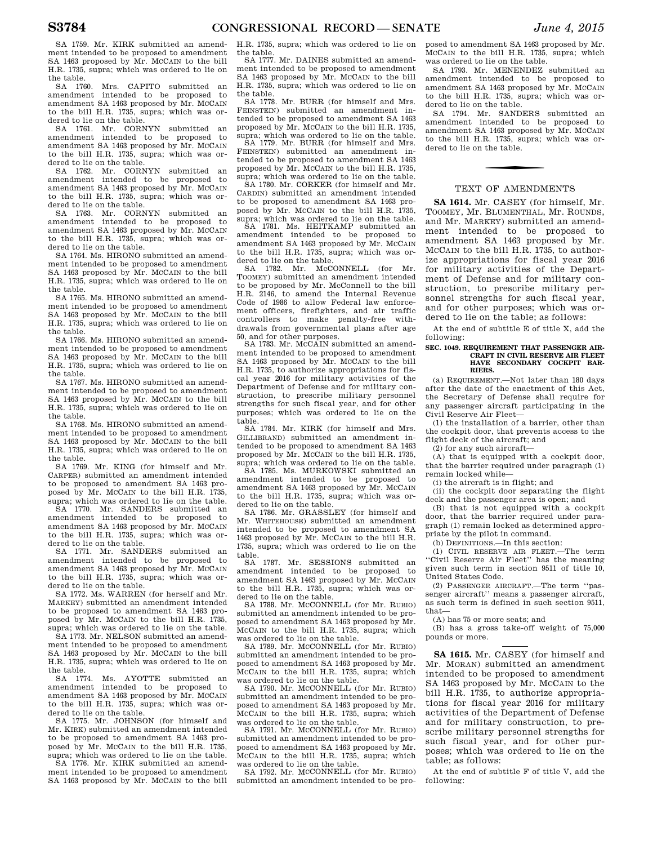SA 1759. Mr. KIRK submitted an amendment intended to be proposed to amendment SA 1463 proposed by Mr. MCCAIN to the bill H.R. 1735, supra; which was ordered to lie on the table.

SA 1760. Mrs. CAPITO submitted an amendment intended to be proposed to amendment SA 1463 proposed by Mr. MCCAIN to the bill H.R. 1735, supra; which was ordered to lie on the table.

SA 1761. Mr. CORNYN submitted an amendment intended to be proposed to amendment SA 1463 proposed by Mr. MCCAIN to the bill H.R. 1735, supra; which was ordered to lie on the table.

SA 1762. Mr. CORNYN submitted an amendment intended to be proposed to amendment SA 1463 proposed by Mr. MCCAIN to the bill H.R. 1735, supra; which was ordered to lie on the table.

SA 1763. Mr. CORNYN submitted an amendment intended to be proposed to amendment SA 1463 proposed by Mr. MCCAIN to the bill H.R. 1735, supra; which was ordered to lie on the table.

SA 1764. Ms. HIRONO submitted an amendment intended to be proposed to amendment SA 1463 proposed by Mr. MCCAIN to the bill H.R. 1735, supra; which was ordered to lie on the table.

SA 1765. Ms. HIRONO submitted an amendment intended to be proposed to amendment SA 1463 proposed by Mr. MCCAIN to the bill H.R. 1735, supra; which was ordered to lie on the table.

SA 1766. Ms. HIRONO submitted an amendment intended to be proposed to amendment SA 1463 proposed by Mr. MCCAIN to the bill H.R. 1735, supra; which was ordered to lie on the table.

SA 1767. Ms. HIRONO submitted an amendment intended to be proposed to amendment SA 1463 proposed by Mr. MCCAIN to the bill H.R. 1735, supra; which was ordered to lie on the table.

SA 1768. Ms. HIRONO submitted an amendment intended to be proposed to amendment SA 1463 proposed by Mr. MCCAIN to the bill H.R. 1735, supra; which was ordered to lie on the table.

SA 1769. Mr. KING (for himself and Mr. CARPER) submitted an amendment intended to be proposed to amendment SA 1463 proposed by Mr. MCCAIN to the bill H.R. 1735, supra; which was ordered to lie on the table.

SA 1770. Mr. SANDERS submitted an amendment intended to be proposed to amendment SA 1463 proposed by Mr. MCCAIN to the bill H.R. 1735, supra; which was ordered to lie on the table.

SA 1771. Mr. SANDERS submitted an amendment intended to be proposed to amendment SA 1463 proposed by Mr. MCCAIN to the bill H.R. 1735, supra; which was ordered to lie on the table.

SA 1772. Ms. WARREN (for herself and Mr. MARKEY) submitted an amendment intended to be proposed to amendment SA 1463 proposed by Mr. MCCAIN to the bill H.R. 1735, supra; which was ordered to lie on the table.

SA 1773. Mr. NELSON submitted an amendment intended to be proposed to amendment SA 1463 proposed by Mr. MCCAIN to the bill H.R. 1735, supra; which was ordered to lie on the table.

SA 1774. Ms. AYOTTE submitted an amendment intended to be proposed to amendment SA 1463 proposed by Mr. MCCAIN to the bill H.R. 1735, supra; which was ordered to lie on the table.

SA 1775. Mr. JOHNSON (for himself and Mr. KIRK) submitted an amendment intended to be proposed to amendment SA 1463 proposed by Mr. MCCAIN to the bill H.R. 1735, supra; which was ordered to lie on the table.

SA 1776. Mr. KIRK submitted an amendment intended to be proposed to amendment SA 1463 proposed by Mr. MCCAIN to the bill H.R. 1735, supra; which was ordered to lie on the table.

SA 1777. Mr. DAINES submitted an amendment intended to be proposed to amendment SA 1463 proposed by Mr. MCCAIN to the bill H.R. 1735, supra; which was ordered to lie on the table.

SA 1778. Mr. BURR (for himself and Mrs. FEINSTEIN) submitted an amendment intended to be proposed to amendment SA 1463 proposed by Mr. MCCAIN to the bill H.R. 1735, supra; which was ordered to lie on the table. SA 1779. Mr. BURR (for himself and Mrs. FEINSTEIN) submitted an amendment in-

tended to be proposed to amendment SA 1463 proposed by Mr. MCCAIN to the bill H.R. 1735, supra; which was ordered to lie on the table. SA 1780. Mr. CORKER (for himself and Mr.

CARDIN) submitted an amendment intended to be proposed to amendment SA 1463 proposed by Mr. MCCAIN to the bill H.R. 1735,

supra; which was ordered to lie on the table. SA 1781. Ms. HEITKAMP submitted an amendment intended to be proposed to amendment SA 1463 proposed by Mr. MCCAIN to the bill H.R. 1735, supra; which was ordered to lie on the table.

SA 1782. Mr. McCONNELL (for Mr. TOOMEY) submitted an amendment intended to be proposed by Mr. McConnell to the bill H.R. 2146, to amend the Internal Revenue Code of 1986 to allow Federal law enforcement officers, firefighters, and air traffic controllers to make penalty-free withdrawals from governmental plans after age 50, and for other purposes.

SA 1783. Mr. MCCAIN submitted an amendment intended to be proposed to amendment SA 1463 proposed by Mr. McCAIN to the bill H.R. 1735, to authorize appropriations for fiscal year 2016 for military activities of the Department of Defense and for military construction, to prescribe military personnel strengths for such fiscal year, and for other purposes; which was ordered to lie on the

table. SA 1784. Mr. KIRK (for himself and Mrs. GILLIBRAND) submitted an amendment intended to be proposed to amendment SA 1463 proposed by Mr. MCCAIN to the bill H.R. 1735, supra; which was ordered to lie on the table.

SA 1785. Ms. MURKOWSKI submitted an amendment intended to be proposed to amendment SA 1463 proposed by Mr. MCCAIN to the bill H.R. 1735, supra; which was ordered to lie on the table.

SA 1786. Mr. GRASSLEY (for himself and Mr. WHITEHOUSE) submitted an amendment intended to be proposed to amendment SA 1463 proposed by Mr. MCCAIN to the bill H.R. 1735, supra; which was ordered to lie on the table.

SA 1787. Mr. SESSIONS submitted an amendment intended to be proposed to amendment SA 1463 proposed by Mr. MCCAIN to the bill H.R. 1735, supra; which was ordered to lie on the table.

SA 1788. Mr. MCCONNELL (for Mr. RUBIO) submitted an amendment intended to be proposed to amendment SA 1463 proposed by Mr. MCCAIN to the bill H.R. 1735, supra; which was ordered to lie on the table.

SA 1789. Mr. MCCONNELL (for Mr. RUBIO) submitted an amendment intended to be proposed to amendment SA 1463 proposed by Mr. MCCAIN to the bill H.R. 1735, supra; which

was ordered to lie on the table. SA 1790. Mr. MCCONNELL (for Mr. RUBIO) submitted an amendment intended to be proposed to amendment SA 1463 proposed by Mr. MCCAIN to the bill H.R. 1735, supra; which was ordered to lie on the table.

SA 1791. Mr. MCCONNELL (for Mr. RUBIO) submitted an amendment intended to be proposed to amendment SA 1463 proposed by Mr. MCCAIN to the bill H.R. 1735, supra; which was ordered to lie on the table.

SA 1792. Mr. MCCONNELL (for Mr. RUBIO) submitted an amendment intended to be proposed to amendment SA 1463 proposed by Mr. MCCAIN to the bill H.R. 1735, supra; which was ordered to lie on the table.

SA 1793. Mr. MENENDEZ submitted an amendment intended to be proposed to amendment SA 1463 proposed by Mr. MCCAIN to the bill H.R. 1735, supra; which was ordered to lie on the table.

SA 1794. Mr. SANDERS submitted an amendment intended to be proposed to amendment SA 1463 proposed by Mr. MCCAIN to the bill H.R. 1735, supra; which was ordered to lie on the table.

## TEXT OF AMENDMENTS

**SA 1614.** Mr. CASEY (for himself, Mr. TOOMEY, Mr. BLUMENTHAL, Mr. ROUNDS, and Mr. MARKEY) submitted an amendment intended to be proposed to amendment SA 1463 proposed by Mr. MCCAIN to the bill H.R. 1735, to authorize appropriations for fiscal year 2016 for military activities of the Department of Defense and for military construction, to prescribe military personnel strengths for such fiscal year, and for other purposes; which was ordered to lie on the table; as follows:

At the end of subtitle E of title X, add the following:

#### **SEC. 1049. REQUIREMENT THAT PASSENGER AIR-CRAFT IN CIVIL RESERVE AIR FLEET HAVE SECONDARY COCKPIT BAR-RIERS.**

(a) REQUIREMENT.—Not later than 180 days after the date of the enactment of this Act, the Secretary of Defense shall require for any passenger aircraft participating in the Civil Reserve Air Fleet—

(1) the installation of a barrier, other than the cockpit door, that prevents access to the flight deck of the aircraft; and

(2) for any such aircraft—

(A) that is equipped with a cockpit door, that the barrier required under paragraph (1) remain locked while—

(i) the aircraft is in flight; and

(ii) the cockpit door separating the flight deck and the passenger area is open; and

(B) that is not equipped with a cockpit door, that the barrier required under paragraph (1) remain locked as determined appropriate by the pilot in command.

(b) DEFINITIONS.—In this section:

(1) CIVIL RESERVE AIR FLEET.—The term ''Civil Reserve Air Fleet'' has the meaning given such term in section 9511 of title 10, United States Code.

(2) PASSENGER AIRCRAFT.—The term ''passenger aircraft'' means a passenger aircraft, as such term is defined in such section 9511, that—

(A) has 75 or more seats; and

(B) has a gross take-off weight of 75,000 pounds or more.

**SA 1615.** Mr. CASEY (for himself and Mr. MORAN) submitted an amendment intended to be proposed to amendment SA 1463 proposed by Mr. MCCAIN to the bill H.R. 1735, to authorize appropriations for fiscal year 2016 for military activities of the Department of Defense and for military construction, to prescribe military personnel strengths for such fiscal year, and for other purposes; which was ordered to lie on the table; as follows:

At the end of subtitle F of title V, add the following: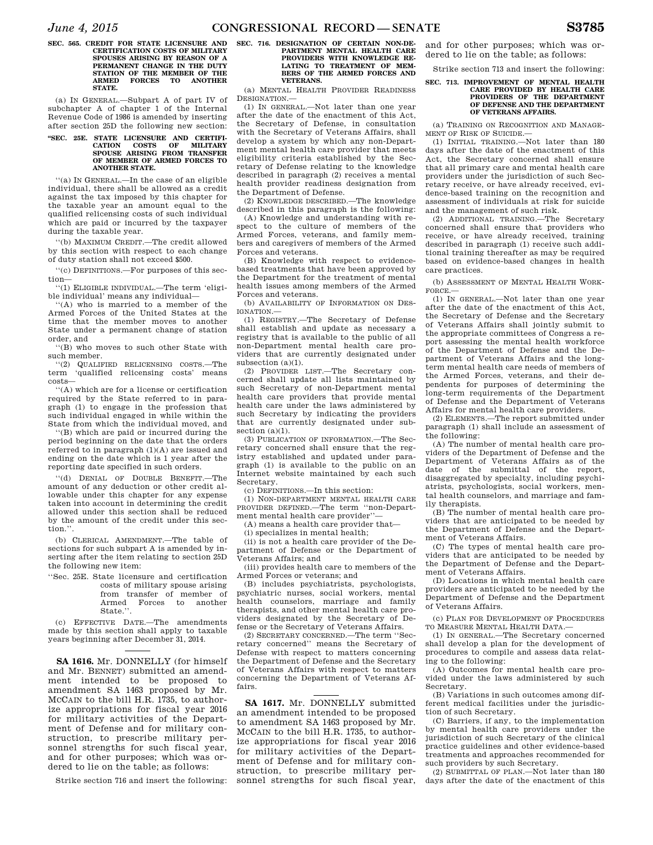#### **SEC. 565. CREDIT FOR STATE LICENSURE AND CERTIFICATION COSTS OF MILITARY SPOUSES ARISING BY REASON OF A PERMANENT CHANGE IN THE DUTY STATION OF THE MEMBER OF THE ARMED FORCES TO ANOTHER STATE.**

(a) IN GENERAL.—Subpart A of part IV of subchapter A of chapter 1 of the Internal Revenue Code of 1986 is amended by inserting after section 25D the following new section:

## **'SEC. 25E. STATE LICENSURE AND CERTIFI-<br>CATION COSTS OF MILITARY CATION COSTS OF MILITARY SPOUSE ARISING FROM TRANSFER OF MEMBER OF ARMED FORCES TO ANOTHER STATE.**

''(a) IN GENERAL.—In the case of an eligible individual, there shall be allowed as a credit against the tax imposed by this chapter for the taxable year an amount equal to the qualified relicensing costs of such individual which are paid or incurred by the taxpayer during the taxable year.

''(b) MAXIMUM CREDIT.—The credit allowed by this section with respect to each change of duty station shall not exceed \$500.

''(c) DEFINITIONS.—For purposes of this section—

''(1) ELIGIBLE INDIVIDUAL.—The term 'eligible individual' means any individual—

''(A) who is married to a member of the Armed Forces of the United States at the time that the member moves to another State under a permanent change of station order, and

''(B) who moves to such other State with such member.

''(2) QUALIFIED RELICENSING COSTS.—The term 'qualified relicensing costs' means costs—

''(A) which are for a license or certification required by the State referred to in paragraph (1) to engage in the profession that such individual engaged in while within the State from which the individual moved, and

''(B) which are paid or incurred during the period beginning on the date that the orders referred to in paragraph (1)(A) are issued and ending on the date which is 1 year after the reporting date specified in such orders.

''(d) DENIAL OF DOUBLE BENEFIT.—The amount of any deduction or other credit allowable under this chapter for any expense taken into account in determining the credit allowed under this section shall be reduced by the amount of the credit under this section.''.

(b) CLERICAL AMENDMENT.—The table of sections for such subpart A is amended by inserting after the item relating to section 25D the following new item:

''Sec. 25E. State licensure and certification costs of military spouse arising from transfer of member of<br>Armed Forces to another Armed Forces to State.''.

(c) EFFECTIVE DATE.—The amendments made by this section shall apply to taxable years beginning after December 31, 2014.

**SA 1616.** Mr. DONNELLY (for himself and Mr. BENNET) submitted an amendment intended to be proposed to amendment SA 1463 proposed by Mr. MCCAIN to the bill H.R. 1735, to authorize appropriations for fiscal year 2016 for military activities of the Department of Defense and for military construction, to prescribe military personnel strengths for such fiscal year, and for other purposes; which was ordered to lie on the table; as follows:

Strike section 716 and insert the following:

## **SEC. 716. DESIGNATION OF CERTAIN NON-DE-PARTMENT MENTAL HEALTH CARE PROVIDERS WITH KNOWLEDGE RE-LATING TO TREATMENT OF MEM-BERS OF THE ARMED FORCES AND VETERANS.**

(a) MENTAL HEALTH PROVIDER READINESS DESIGNATION.—

(1) IN GENERAL.—Not later than one year after the date of the enactment of this Act, the Secretary of Defense, in consultation with the Secretary of Veterans Affairs, shall develop a system by which any non-Department mental health care provider that meets eligibility criteria established by the Secretary of Defense relating to the knowledge described in paragraph (2) receives a mental health provider readiness designation from the Department of Defense.

(2) KNOWLEDGE DESCRIBED.—The knowledge described in this paragraph is the following:

(A) Knowledge and understanding with respect to the culture of members of the Armed Forces, veterans, and family members and caregivers of members of the Armed Forces and veterans.

(B) Knowledge with respect to evidencebased treatments that have been approved by the Department for the treatment of mental health issues among members of the Armed Forces and veterans.

(b) AVAILABILITY OF INFORMATION ON DES-IGNATION.—

(1) REGISTRY.—The Secretary of Defense shall establish and update as necessary a registry that is available to the public of all non-Department mental health care providers that are currently designated under subsection (a)(1).

(2) PROVIDER LIST.—The Secretary concerned shall update all lists maintained by such Secretary of non-Department mental health care providers that provide mental health care under the laws administered by such Secretary by indicating the providers that are currently designated under subsection  $(a)(1)$ .

(3) PUBLICATION OF INFORMATION.—The Secretary concerned shall ensure that the registry established and updated under paragraph (1) is available to the public on an Internet website maintained by each such Secretary.

(c) DEFINITIONS.—In this section:

(1) NON-DEPARTMENT MENTAL HEALTH CARE PROVIDER DEFINED.—The term ''non-Department mental health care provider".

(A) means a health care provider that—

(i) specializes in mental health;

(ii) is not a health care provider of the Department of Defense or the Department of Veterans Affairs; and

(iii) provides health care to members of the Armed Forces or veterans; and

(B) includes psychiatrists, psychologists, psychiatric nurses, social workers, mental health counselors, marriage and family therapists, and other mental health care providers designated by the Secretary of Defense or the Secretary of Veterans Affairs.

(2) SECRETARY CONCERNED.—The term ''Secretary concerned'' means the Secretary of Defense with respect to matters concerning the Department of Defense and the Secretary of Veterans Affairs with respect to matters concerning the Department of Veterans Affairs.

**SA 1617.** Mr. DONNELLY submitted an amendment intended to be proposed to amendment SA 1463 proposed by Mr. MCCAIN to the bill H.R. 1735, to authorize appropriations for fiscal year 2016 for military activities of the Department of Defense and for military construction, to prescribe military personnel strengths for such fiscal year,

and for other purposes; which was ordered to lie on the table; as follows:

Strike section 713 and insert the following:

## **SEC. 713. IMPROVEMENT OF MENTAL HEALTH CARE PROVIDED BY HEALTH CARE PROVIDERS OF THE DEPARTMENT OF DEFENSE AND THE DEPARTMENT OF VETERANS AFFAIRS.**

(a) TRAINING ON RECOGNITION AND MANAGE-MENT OF RISK OF SUICIDE —

(1) INITIAL TRAINING.—Not later than 180 days after the date of the enactment of this Act, the Secretary concerned shall ensure that all primary care and mental health care providers under the jurisdiction of such Secretary receive, or have already received, evidence-based training on the recognition and assessment of individuals at risk for suicide and the management of such risk.

(2) ADDITIONAL TRAINING.—The Secretary concerned shall ensure that providers who receive, or have already received, training described in paragraph (1) receive such additional training thereafter as may be required based on evidence-based changes in health care practices.

(b) ASSESSMENT OF MENTAL HEALTH WORK-FORCE.—

(1) IN GENERAL.—Not later than one year after the date of the enactment of this Act, the Secretary of Defense and the Secretary of Veterans Affairs shall jointly submit to the appropriate committees of Congress a report assessing the mental health workforce of the Department of Defense and the Department of Veterans Affairs and the longterm mental health care needs of members of the Armed Forces, veterans, and their dependents for purposes of determining the long-term requirements of the Department of Defense and the Department of Veterans Affairs for mental health care providers.

(2) ELEMENTS.—The report submitted under paragraph (1) shall include an assessment of the following:

(A) The number of mental health care providers of the Department of Defense and the Department of Veterans Affairs as of the date of the submittal of the report, disaggregated by specialty, including psychiatrists, psychologists, social workers, mental health counselors, and marriage and family therapists.

(B) The number of mental health care providers that are anticipated to be needed by the Department of Defense and the Department of Veterans Affairs.

(C) The types of mental health care providers that are anticipated to be needed by the Department of Defense and the Department of Veterans Affairs.

(D) Locations in which mental health care providers are anticipated to be needed by the Department of Defense and the Department of Veterans Affairs.

(c) PLAN FOR DEVELOPMENT OF PROCEDURES TO MEASURE MENTAL HEALTH DATA.—

(1) IN GENERAL.—The Secretary concerned shall develop a plan for the development of procedures to compile and assess data relating to the following:

(A) Outcomes for mental health care provided under the laws administered by such Secretary.

(B) Variations in such outcomes among different medical facilities under the jurisdiction of such Secretary.

(C) Barriers, if any, to the implementation by mental health care providers under the jurisdiction of such Secretary of the clinical practice guidelines and other evidence-based treatments and approaches recommended for such providers by such Secretary.

(2) SUBMITTAL OF PLAN.—Not later than 180 days after the date of the enactment of this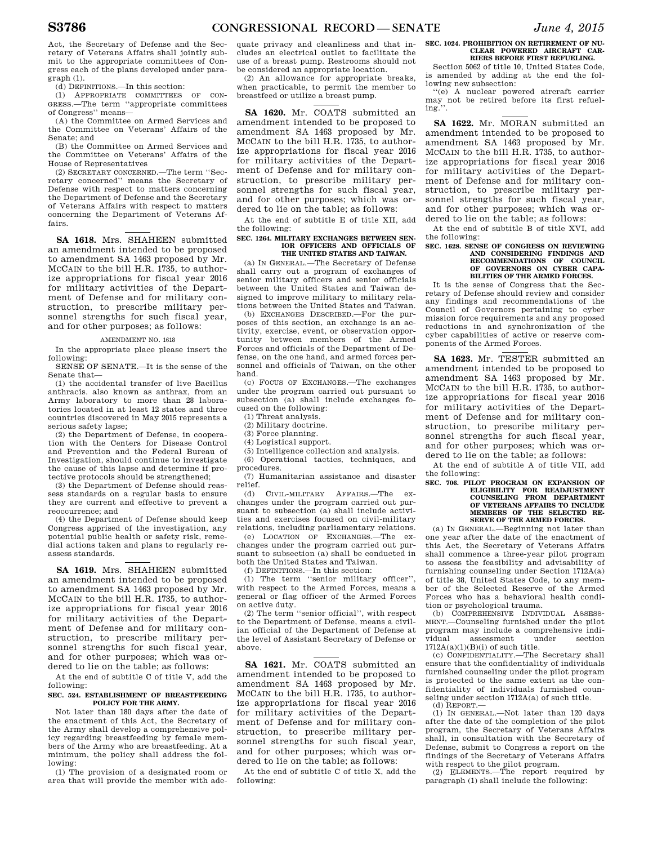Act, the Secretary of Defense and the Secretary of Veterans Affairs shall jointly submit to the appropriate committees of Congress each of the plans developed under paragraph (1).

(d) DEFINITIONS.—In this section:

(1) APPROPRIATE COMMITTEES OF CON-GRESS.—The term ''appropriate committees of Congress'' means—

(A) the Committee on Armed Services and the Committee on Veterans' Affairs of the Senate; and

(B) the Committee on Armed Services and the Committee on Veterans' Affairs of the House of Representatives

(2) SECRETARY CONCERNED.—The term ''Secretary concerned'' means the Secretary of Defense with respect to matters concerning the Department of Defense and the Secretary of Veterans Affairs with respect to matters concerning the Department of Veterans Affairs.

**SA 1618.** Mrs. SHAHEEN submitted an amendment intended to be proposed to amendment SA 1463 proposed by Mr. MCCAIN to the bill H.R. 1735, to authorize appropriations for fiscal year 2016 for military activities of the Department of Defense and for military construction, to prescribe military personnel strengths for such fiscal year, and for other purposes; as follows:

## AMENDMENT NO. 1618

In the appropriate place please insert the following:

SENSE OF SENATE.—It is the sense of the Senate that—

(1) the accidental transfer of live Bacillus anthracis. also known as anthrax, from an Army laboratory to more than 28 laboratories located in at least 12 states and three countries discovered in May 2015 represents a serious safety lapse;

(2) the Department of Defense, in cooperation with the Centers for Disease Control and Prevention and the Federal Bureau of Investigation, should continue to investigate the cause of this lapse and determine if protective protocols should be strengthened;

(3) the Department of Defense should reassess standards on a regular basis to ensure they are current and effective to prevent a reoccurrence; and

(4) the Department of Defense should keep Congress apprised of the investigation, any potential public health or safety risk, remedial actions taken and plans to regularly reassess standards.

**SA 1619.** Mrs. SHAHEEN submitted an amendment intended to be proposed to amendment SA 1463 proposed by Mr. MCCAIN to the bill H.R. 1735, to authorize appropriations for fiscal year 2016 for military activities of the Department of Defense and for military construction, to prescribe military personnel strengths for such fiscal year, and for other purposes; which was ordered to lie on the table; as follows:

At the end of subtitle C of title V, add the following:

## **SEC. 524. ESTABLISHMENT OF BREASTFEEDING POLICY FOR THE ARMY.**

Not later than 180 days after the date of the enactment of this Act, the Secretary of the Army shall develop a comprehensive policy regarding breastfeeding by female members of the Army who are breastfeeding. At a minimum, the policy shall address the following:

(1) The provision of a designated room or area that will provide the member with ade-

quate privacy and cleanliness and that includes an electrical outlet to facilitate the use of a breast pump. Restrooms should not be considered an appropriate location.

(2) An allowance for appropriate breaks, when practicable, to permit the member to breastfeed or utilize a breast pump.

**SA 1620.** Mr. COATS submitted an amendment intended to be proposed to amendment SA 1463 proposed by Mr. MCCAIN to the bill H.R. 1735, to authorize appropriations for fiscal year 2016 for military activities of the Department of Defense and for military construction, to prescribe military personnel strengths for such fiscal year, and for other purposes; which was ordered to lie on the table; as follows:

At the end of subtitle E of title XII, add the following:

## **SEC. 1264. MILITARY EXCHANGES BETWEEN SEN-IOR OFFICERS AND OFFICIALS OF THE UNITED STATES AND TAIWAN.**

(a) IN GENERAL.—The Secretary of Defense shall carry out a program of exchanges of senior military officers and senior officials between the United States and Taiwan designed to improve military to military relations between the United States and Taiwan.

(b) EXCHANGES DESCRIBED.—For the purposes of this section, an exchange is an activity, exercise, event, or observation opportunity between members of the Armed Forces and officials of the Department of Defense, on the one hand, and armed forces personnel and officials of Taiwan, on the other hand.

(c) FOCUS OF EXCHANGES.—The exchanges under the program carried out pursuant to subsection (a) shall include exchanges focused on the following:

(1) Threat analysis.

(2) Military doctrine.

(3) Force planning.

(4) Logistical support.

(5) Intelligence collection and analysis.

(6) Operational tactics, techniques, and procedures.

(7) Humanitarian assistance and disaster relief.

(d) CIVIL-MILITARY AFFAIRS.—The exchanges under the program carried out pursuant to subsection (a) shall include activities and exercises focused on civil-military relations, including parliamentary relations.

(e) LOCATION OF EXCHANGES.—The exchanges under the program carried out pursuant to subsection (a) shall be conducted in both the United States and Taiwan.

(f) DEFINITIONS.—In this section: (1) The term ''senior military officer'', with respect to the Armed Forces, means a general or flag officer of the Armed Forces on active duty.

(2) The term ''senior official'', with respect to the Department of Defense, means a civilian official of the Department of Defense at the level of Assistant Secretary of Defense or above.

**SA 1621.** Mr. COATS submitted an amendment intended to be proposed to amendment SA 1463 proposed by Mr. MCCAIN to the bill H.R. 1735, to authorize appropriations for fiscal year 2016 for military activities of the Department of Defense and for military construction, to prescribe military personnel strengths for such fiscal year, and for other purposes; which was ordered to lie on the table; as follows:

At the end of subtitle C of title X, add the following:

#### **SEC. 1024. PROHIBITION ON RETIREMENT OF NU-CLEAR POWERED AIRCRAFT CAR-RIERS BEFORE FIRST REFUELING.**

Section 5062 of title 10, United States Code, is amended by adding at the end the following new subsection:

''(e) A nuclear powered aircraft carrier may not be retired before its first refueling.''.

**SA 1622.** Mr. MORAN submitted an amendment intended to be proposed to amendment SA 1463 proposed by Mr. MCCAIN to the bill H.R. 1735, to authorize appropriations for fiscal year 2016 for military activities of the Department of Defense and for military construction, to prescribe military personnel strengths for such fiscal year, and for other purposes; which was ordered to lie on the table; as follows:

At the end of subtitle B of title XVI, add the following:

# **SEC. 1628. SENSE OF CONGRESS ON REVIEWING AND CONSIDERING FINDINGS AND RECOMMENDATIONS OF COUNCIL OF GOVERNORS ON CYBER CAPA-BILITIES OF THE ARMED FORCES.**

It is the sense of Congress that the Secretary of Defense should review and consider any findings and recommendations of the Council of Governors pertaining to cyber mission force requirements and any proposed reductions in and synchronization of the cyber capabilities of active or reserve components of the Armed Forces.

**SA 1623.** Mr. TESTER submitted an amendment intended to be proposed to amendment SA 1463 proposed by Mr. MCCAIN to the bill H.R. 1735, to authorize appropriations for fiscal year 2016 for military activities of the Department of Defense and for military construction, to prescribe military personnel strengths for such fiscal year, and for other purposes; which was ordered to lie on the table; as follows:

At the end of subtitle A of title VII, add the following:

# **SEC. 706. PILOT PROGRAM ON EXPANSION OF ELIGIBILITY FOR READJUSTMENT COUNSELING FROM DEPARTMENT OF VETERANS AFFAIRS TO INCLUDE MEMBERS OF THE SELECTED RE-SERVE OF THE ARMED FORCES.**

(a) IN GENERAL.—Beginning not later than one year after the date of the enactment of this Act, the Secretary of Veterans Affairs shall commence a three-year pilot program to assess the feasibility and advisability of furnishing counseling under Section 1712A(a) of title 38, United States Code, to any member of the Selected Reserve of the Armed Forces who has a behavioral health condition or psychological trauma.

(b) COMPREHENSIVE INDIVIDUAL ASSESS-MENT.—Counseling furnished under the pilot program may include a comprehensive individual assessment under section  $1712A(a)(1)(B)(i)$  of such title.

(c) CONFIDENTIALITY.—The Secretary shall ensure that the confidentiality of individuals furnished counseling under the pilot program is protected to the same extent as the confidentiality of individuals furnished counseling under section 1712A(a) of such title.

(d) REPORT.— (1) IN GENERAL.—Not later than 120 days after the date of the completion of the pilot program, the Secretary of Veterans Affairs shall, in consultation with the Secretary of Defense, submit to Congress a report on the findings of the Secretary of Veterans Affairs with respect to the pilot program.

(2) ELEMENTS.—The report required by paragraph (1) shall include the following: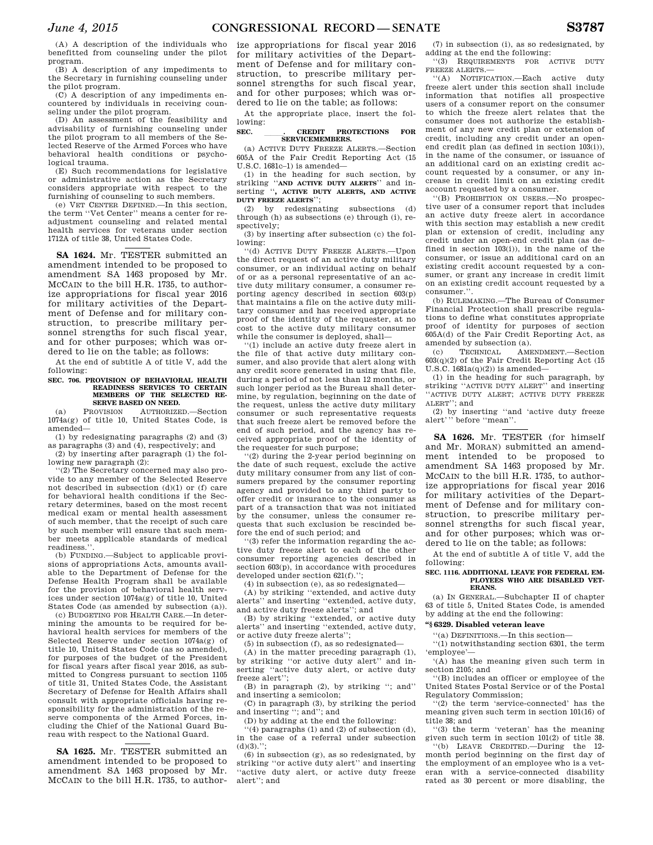(A) A description of the individuals who benefitted from counseling under the pilot program.

(B) A description of any impediments to the Secretary in furnishing counseling under the pilot program.

(C) A description of any impediments encountered by individuals in receiving counseling under the pilot program.

(D) An assessment of the feasibility and advisability of furnishing counseling under the pilot program to all members of the Selected Reserve of the Armed Forces who have behavioral health conditions or psychological trauma.

(E) Such recommendations for legislative or administrative action as the Secretary considers appropriate with respect to the furnishing of counseling to such members.

(e) VET CENTER DEFINED.—In this section, the term ''Vet Center'' means a center for readjustment counseling and related mental health services for veterans under section 1712A of title 38, United States Code.

**SA 1624.** Mr. TESTER submitted an amendment intended to be proposed to amendment SA 1463 proposed by Mr. MCCAIN to the bill H.R. 1735, to authorize appropriations for fiscal year 2016 for military activities of the Department of Defense and for military construction, to prescribe military personnel strengths for such fiscal year, and for other purposes; which was ordered to lie on the table; as follows:

At the end of subtitle A of title V, add the following:

## **SEC. 706. PROVISION OF BEHAVIORAL HEALTH READINESS SERVICES TO CERTAIN MEMBERS OF THE SELECTED RE-SERVE BASED ON NEED.**<br>PROVISION AUTHORIZE

(a) PROVISION AUTHORIZED.—Section 1074a(g) of title 10, United States Code, is amended—

(1) by redesignating paragraphs (2) and (3) as paragraphs (3) and (4), respectively; and

(2) by inserting after paragraph (1) the following new paragraph (2):

''(2) The Secretary concerned may also provide to any member of the Selected Reserve not described in subsection (d)(1) or (f) care for behavioral health conditions if the Secretary determines, based on the most recent medical exam or mental health assessment of such member, that the receipt of such care by such member will ensure that such member meets applicable standards of medical readiness.

(b) FUNDING.—Subject to applicable provisions of appropriations Acts, amounts available to the Department of Defense for the Defense Health Program shall be available for the provision of behavioral health services under section 1074a(g) of title 10, United States Code (as amended by subsection (a)).

(c) BUDGETING FOR HEALTH CARE.—In determining the amounts to be required for behavioral health services for members of the Selected Reserve under section 1074a(g) of title 10, United States Code (as so amended), for purposes of the budget of the President for fiscal years after fiscal year 2016, as submitted to Congress pursuant to section 1105 of title 31, United States Code, the Assistant Secretary of Defense for Health Affairs shall consult with appropriate officials having responsibility for the administration of the reserve components of the Armed Forces, including the Chief of the National Guard Bureau with respect to the National Guard.

**SA 1625.** Mr. TESTER submitted an amendment intended to be proposed to amendment SA 1463 proposed by Mr. MCCAIN to the bill H.R. 1735, to author-

ize appropriations for fiscal year 2016 for military activities of the Department of Defense and for military construction, to prescribe military personnel strengths for such fiscal year, and for other purposes; which was ordered to lie on the table; as follows:

At the appropriate place, insert the following:

# **SEC.** lll**. CREDIT PROTECTIONS FOR SERVICEMEMBERS.**

(a) ACTIVE DUTY FREEZE ALERTS.—Section 605A of the Fair Credit Reporting Act (15 U.S.C. 1681c–1) is amended—

(1) in the heading for such section, by striking ''**AND ACTIVE DUTY ALERTS**'' and inserting ''**, ACTIVE DUTY ALERTS, AND ACTIVE DUTY FREEZE ALERTS**'';

(2) by redesignating subsections (d) through (h) as subsections (e) through (i), respectively;

(3) by inserting after subsection (c) the following:

''(d) ACTIVE DUTY FREEZE ALERTS.—Upon the direct request of an active duty military consumer, or an individual acting on behalf of or as a personal representative of an active duty military consumer, a consumer reporting agency described in section 603(p) that maintains a file on the active duty military consumer and has received appropriate proof of the identity of the requester, at no cost to the active duty military consumer while the consumer is deployed, shall—

''(1) include an active duty freeze alert in the file of that active duty military consumer, and also provide that alert along with any credit score generated in using that file, during a period of not less than 12 months, or such longer period as the Bureau shall determine, by regulation, beginning on the date of the request, unless the active duty military consumer or such representative requests that such freeze alert be removed before the end of such period, and the agency has received appropriate proof of the identity of the requester for such purpose;

''(2) during the 2-year period beginning on the date of such request, exclude the active duty military consumer from any list of consumers prepared by the consumer reporting agency and provided to any third party to offer credit or insurance to the consumer as part of a transaction that was not initiated by the consumer, unless the consumer requests that such exclusion be rescinded before the end of such period; and

''(3) refer the information regarding the active duty freeze alert to each of the other consumer reporting agencies described in section  $603(p)$ , in accordance with procedures developed under section 621(f).'';

(4) in subsection (e), as so redesignated—

(A) by striking ''extended, and active duty alerts'' and inserting ''extended, active duty, and active duty freeze alerts''; and

(B) by striking ''extended, or active duty alerts'' and inserting ''extended, active duty, or active duty freeze alerts'';

(5) in subsection (f), as so redesignated—

(A) in the matter preceding paragraph (1), by striking ''or active duty alert'' and inserting ''active duty alert, or active duty freeze alert'';

(B) in paragraph (2), by striking ''; and'' and inserting a semicolon;

(C) in paragraph (3), by striking the period and inserting ''; and''; and

(D) by adding at the end the following:

''(4) paragraphs (1) and (2) of subsection (d), in the case of a referral under subsection  $(d)(3)$ .":

(6) in subsection (g), as so redesignated, by striking ''or active duty alert'' and inserting ''active duty alert, or active duty freeze alert''; and

(7) in subsection (i), as so redesignated, by adding at the end the following:

''(3) REQUIREMENTS FOR ACTIVE DUTY FREEZE ALERTS.—

''(A) NOTIFICATION.—Each active duty freeze alert under this section shall include information that notifies all prospective users of a consumer report on the consumer to which the freeze alert relates that the consumer does not authorize the establishment of any new credit plan or extension of credit, including any credit under an openend credit plan (as defined in section 103(i)), in the name of the consumer, or issuance of an additional card on an existing credit account requested by a consumer, or any increase in credit limit on an existing credit account requested by a consumer.

''(B) PROHIBITION ON USERS.—No prospective user of a consumer report that includes an active duty freeze alert in accordance with this section may establish a new credit plan or extension of credit, including any credit under an open-end credit plan (as defined in section 103(i)), in the name of the consumer, or issue an additional card on an existing credit account requested by a consumer, or grant any increase in credit limit on an existing credit account requested by a consumer.''.

(b) RULEMAKING.—The Bureau of Consumer Financial Protection shall prescribe regulations to define what constitutes appropriate proof of identity for purposes of section 605A(d) of the Fair Credit Reporting Act, as amended by subsection (a).

(c) TECHNICAL AMENDMENT.—Section 603(q)(2) of the Fair Credit Reporting Act (15 U.S.C.  $1681a(q)(2)$ ) is amended-

(1) in the heading for such paragraph, by striking ''ACTIVE DUTY ALERT'' and inserting 'ACTIVE DUTY ALERT; ACTIVE DUTY FREEZE ALERT''; and

(2) by inserting ''and 'active duty freeze alert''' before ''mean''.

**SA 1626.** Mr. TESTER (for himself and Mr. MORAN) submitted an amendment intended to be proposed to amendment SA 1463 proposed by Mr. MCCAIN to the bill H.R. 1735, to authorize appropriations for fiscal year 2016 for military activities of the Department of Defense and for military construction, to prescribe military personnel strengths for such fiscal year, and for other purposes; which was ordered to lie on the table; as follows:

At the end of subtitle A of title V, add the following:

#### **SEC. 1116. ADDITIONAL LEAVE FOR FEDERAL EM-PLOYEES WHO ARE DISABLED VET-ERANS.**

(a) IN GENERAL.—Subchapter II of chapter 63 of title 5, United States Code, is amended by adding at the end the following:

## **''§ 6329. Disabled veteran leave**

''(a) DEFINITIONS.—In this section—

''(1) notwithstanding section 6301, the term 'employee'—

'(A) has the meaning given such term in section 2105; and

''(B) includes an officer or employee of the United States Postal Service or of the Postal Regulatory Commission;

''(2) the term 'service-connected' has the meaning given such term in section 101(16) of title 38; and

''(3) the term 'veteran' has the meaning given such term in section 101(2) of title 38. ''(b) LEAVE CREDITED.—During the 12-

month period beginning on the first day of the employment of an employee who is a veteran with a service-connected disability rated as 30 percent or more disabling, the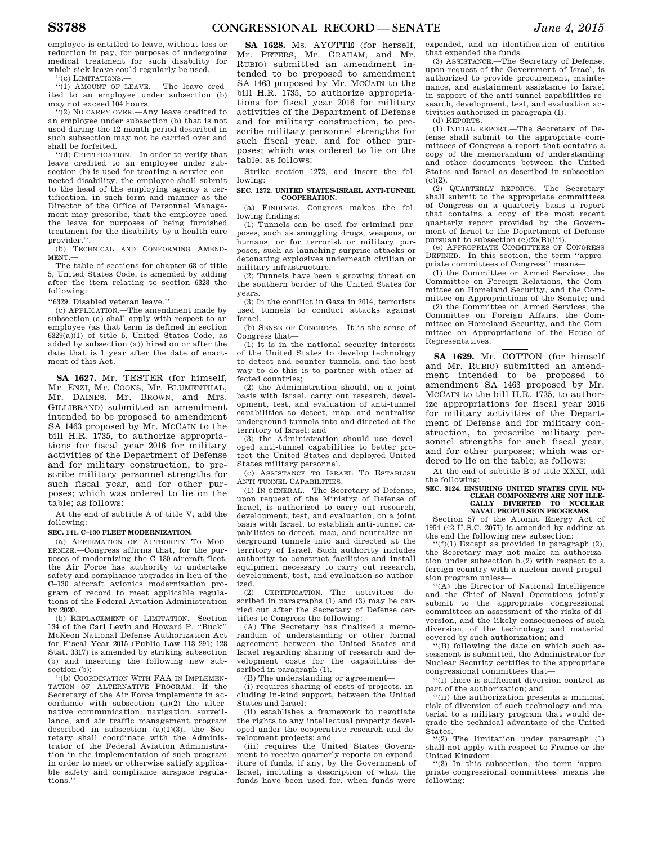employee is entitled to leave, without loss or reduction in pay, for purposes of undergoing medical treatment for such disability for which sick leave could regularly be used.

''(c) LIMITATIONS.—

''(1) AMOUNT OF LEAVE.— The leave credited to an employee under subsection (b) may not exceed 104 hours.

''(2) NO CARRY OVER.—Any leave credited to an employee under subsection (b) that is not used during the 12-month period described in such subsection may not be carried over and shall be forfeited.

''(d) CERTIFICATION.—In order to verify that leave credited to an employee under subsection (b) is used for treating a service-connected disability, the employee shall submit to the head of the employing agency a certification, in such form and manner as the Director of the Office of Personnel Management may prescribe, that the employee used the leave for purposes of being furnished treatment for the disability by a health care provider.''.

(b) TECHNICAL AND CONFORMING AMEND-MENT.—

The table of sections for chapter 63 of title 5, United States Code, is amended by adding after the item relating to section 6328 the following:

''6329. Disabled veteran leave.''.

(c) APPLICATION.—The amendment made by subsection (a) shall apply with respect to an employee (as that term is defined in section 6329(a)(1) of title 5, United States Code, as added by subsection (a)) hired on or after the date that is 1 year after the date of enactment of this Act.

**SA 1627.** Mr. TESTER (for himself, Mr. ENZI, Mr. COONS, Mr. BLUMENTHAL, Mr. DAINES, Mr. BROWN, and Mrs. GILLIBRAND) submitted an amendment intended to be proposed to amendment SA 1463 proposed by Mr. MCCAIN to the bill H.R. 1735, to authorize appropriations for fiscal year 2016 for military activities of the Department of Defense and for military construction, to prescribe military personnel strengths for such fiscal year, and for other purposes; which was ordered to lie on the table; as follows:

At the end of subtitle A of title V, add the following:

**SEC. 141. C–130 FLEET MODERNIZATION.** 

(a) AFFIRMATION OF AUTHORITY TO MOD-ERNIZE.—Congress affirms that, for the purposes of modernizing the C–130 aircraft fleet, the Air Force has authority to undertake safety and compliance upgrades in lieu of the C–130 aircraft avionics modernization program of record to meet applicable regulations of the Federal Aviation Administration by 2020.

(b) REPLACEMENT OF LIMITATION.—Section 134 of the Carl Levin and Howard P. ''Buck'' McKeon National Defense Authorization Act for Fiscal Year 2015 (Public Law 113–291; 128 Stat. 3317) is amended by striking subsection (b) and inserting the following new subsection (b):

''(b) COORDINATION WITH FAA IN IMPLEMEN-TATION OF ALTERNATIVE PROGRAM.—If the Secretary of the Air Force implements in accordance with subsection  $(a)(2)$  the alternative communication, navigation, surveillance, and air traffic management program described in subsection  $(a)(1)(3)$ , the Secretary shall coordinate with the Administrator of the Federal Aviation Administration in the implementation of such program in order to meet or otherwise satisfy applicable safety and compliance airspace regulations.''

**SA 1628.** Ms. AYOTTE (for herself, Mr. PETERS, Mr. GRAHAM, and Mr. RUBIO) submitted an amendment intended to be proposed to amendment SA 1463 proposed by Mr. MCCAIN to the bill H.R. 1735, to authorize appropriations for fiscal year 2016 for military activities of the Department of Defense and for military construction, to prescribe military personnel strengths for such fiscal year, and for other purposes; which was ordered to lie on the table; as follows:

Strike section 1272, and insert the following:

#### **SEC. 1272. UNITED STATES-ISRAEL ANTI-TUNNEL COOPERATION.**

(a) FINDINGS.—Congress makes the following findings:

(1) Tunnels can be used for criminal purposes, such as smuggling drugs, weapons, or humans, or for terrorist or military purposes, such as launching surprise attacks or detonating explosives underneath civilian or military infrastructure.

(2) Tunnels have been a growing threat on the southern border of the United States for years.

(3) In the conflict in Gaza in 2014, terrorists used tunnels to conduct attacks against Israel.

(b) SENSE OF CONGRESS.—It is the sense of Congress that—

(1) it is in the national security interests of the United States to develop technology to detect and counter tunnels, and the best way to do this is to partner with other affected countries;

(2) the Administration should, on a joint basis with Israel, carry out research, development, test, and evaluation of anti-tunnel capabilities to detect, map, and neutralize underground tunnels into and directed at the territory of Israel; and

(3) the Administration should use developed anti-tunnel capabilities to better protect the United States and deployed United States military personnel.

(c) ASSISTANCE TO ISRAEL TO ESTABLISH ANTI-TUNNEL CAPABILITIES.—

(1) IN GENERAL.—The Secretary of Defense, upon request of the Ministry of Defense of Israel, is authorized to carry out research, development, test, and evaluation, on a joint basis with Israel, to establish anti-tunnel capabilities to detect, map, and neutralize underground tunnels into and directed at the territory of Israel. Such authority includes authority to construct facilities and install equipment necessary to carry out research. development, test, and evaluation so authorized.

(2) CERTIFICATION.—The activities described in paragraphs (1) and (3) may be carried out after the Secretary of Defense certifies to Congress the following:

(A) The Secretary has finalized a memorandum of understanding or other formal agreement between the United States and Israel regarding sharing of research and development costs for the capabilities described in paragraph (1).

(B) The understanding or agreement—

(i) requires sharing of costs of projects, including in-kind support, between the United States and Israel;

(ii) establishes a framework to negotiate the rights to any intellectual property developed under the cooperative research and development projects; and

(iii) requires the United States Government to receive quarterly reports on expenditure of funds, if any, by the Government of Israel, including a description of what the funds have been used for, when funds were

expended, and an identification of entities that expended the funds. (3) ASSISTANCE.—The Secretary of Defense,

upon request of the Government of Israel, is authorized to provide procurement, maintenance, and sustainment assistance to Israel in support of the anti-tunnel capabilities research, development, test, and evaluation activities authorized in paragraph (1). (d) REPORTS.—

(1) INITIAL REPORT.—The Secretary of Defense shall submit to the appropriate committees of Congress a report that contains a copy of the memorandum of understanding and other documents between the United States and Israel as described in subsection  $(c)(2)$ .

(2) QUARTERLY REPORTS.—The Secretary shall submit to the appropriate committees of Congress on a quarterly basis a report that contains a copy of the most recent quarterly report provided by the Government of Israel to the Department of Defense pursuant to subsection  $(c)(2)(B)(iii)$ .

(e) APPROPRIATE COMMITTEES OF CONGRESS DEFINED.—In this section, the term ''appropriate committees of Congress'' means—

(1) the Committee on Armed Services, the Committee on Foreign Relations, the Committee on Homeland Security, and the Committee on Appropriations of the Senate; and

(2) the Committee on Armed Services, the Committee on Foreign Affairs, the Committee on Homeland Security, and the Committee on Appropriations of the House of Representatives.

**SA 1629.** Mr. COTTON (for himself and Mr. RUBIO) submitted an amendment intended to be proposed to amendment SA 1463 proposed by Mr. MCCAIN to the bill H.R. 1735, to authorize appropriations for fiscal year 2016 for military activities of the Department of Defense and for military construction, to prescribe military personnel strengths for such fiscal year, and for other purposes; which was ordered to lie on the table; as follows:

At the end of subtitle B of title XXXI, add the following:

#### **SEC. 3124. ENSURING UNITED STATES CIVIL NU-CLEAR COMPONENTS ARE NOT ILLE-GALLY DIVERTED TO NUCLEAR NAVAL PROPULSION PROGRAMS.**

Section 57 of the Atomic Energy Act of 1954 (42 U.S.C. 2077) is amended by adding at the end the following new subsection:

 $(f)(1)$  Except as provided in paragraph  $(2)$ , the Secretary may not make an authorization under subsection b.(2) with respect to a foreign country with a nuclear naval propulsion program unless—

''(A) the Director of National Intelligence and the Chief of Naval Operations jointly submit to the appropriate congressional committees an assessment of the risks of diversion, and the likely consequences of such diversion, of the technology and material covered by such authorization; and

''(B) following the date on which such assessment is submitted, the Administrator for Nuclear Security certifies to the appropriate congressional committees that—

''(i) there is sufficient diversion control as part of the authorization; and

''(ii) the authorization presents a minimal risk of diversion of such technology and material to a military program that would degrade the technical advantage of the United States.

''(2) The limitation under paragraph (1) shall not apply with respect to France or the United Kingdom.

'(3) In this subsection, the term 'appropriate congressional committees' means the following: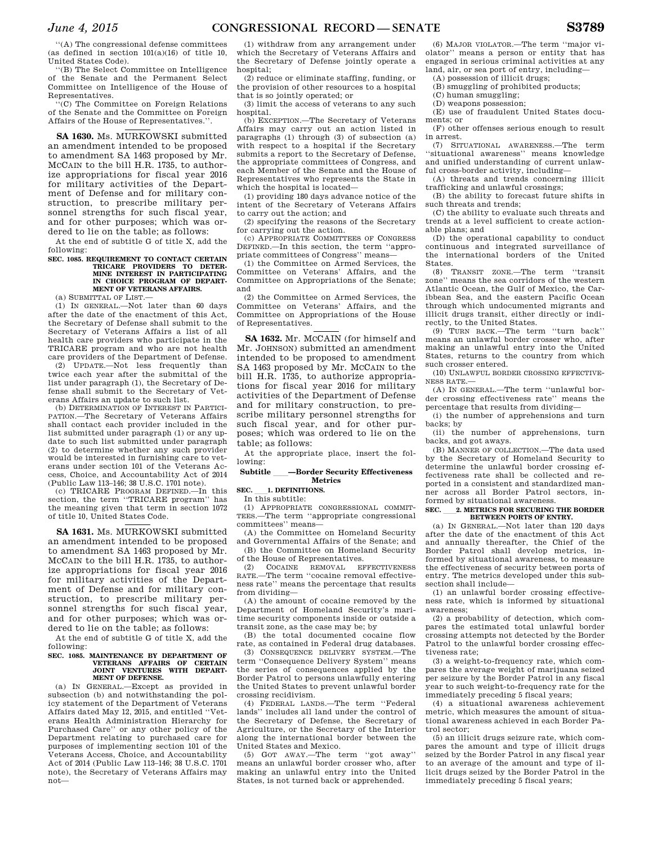''(A) The congressional defense committees (as defined in section  $101(a)(16)$  of title 10, United States Code).

''(B) The Select Committee on Intelligence of the Senate and the Permanent Select Committee on Intelligence of the House of Representatives.

''(C) The Committee on Foreign Relations of the Senate and the Committee on Foreign Affairs of the House of Representatives.''.

**SA 1630.** Ms. MURKOWSKI submitted an amendment intended to be proposed to amendment SA 1463 proposed by Mr. MCCAIN to the bill H.R. 1735, to authorize appropriations for fiscal year 2016 for military activities of the Department of Defense and for military construction, to prescribe military personnel strengths for such fiscal year, and for other purposes; which was ordered to lie on the table; as follows:

At the end of subtitle G of title X, add the following:

## **SEC. 1085. REQUIREMENT TO CONTACT CERTAIN TRICARE PROVIDERS TO DETER-MINE INTEREST IN PARTICIPATING IN CHOICE PROGRAM OF DEPART-MENT OF VETERANS AFFAIRS.**

(a) SUBMITTAL OF LIST.—

(1) IN GENERAL.—Not later than 60 days after the date of the enactment of this Act, the Secretary of Defense shall submit to the Secretary of Veterans Affairs a list of all health care providers who participate in the TRICARE program and who are not health care providers of the Department of Defense. (2) UPDATE.—Not less frequently than

twice each year after the submittal of the list under paragraph (1), the Secretary of Defense shall submit to the Secretary of Veterans Affairs an update to such list.

(b) DETERMINATION OF INTEREST IN PARTICI-PATION.—The Secretary of Veterans Affairs shall contact each provider included in the list submitted under paragraph (1) or any update to such list submitted under paragraph (2) to determine whether any such provider would be interested in furnishing care to veterans under section 101 of the Veterans Access, Choice, and Accountability Act of 2014 (Public Law 113–146; 38 U.S.C. 1701 note).

(c) TRICARE PROGRAM DEFINED.—In this section, the term ''TRICARE program'' has the meaning given that term in section 1072 of title 10, United States Code.

**SA 1631.** Ms. MURKOWSKI submitted an amendment intended to be proposed to amendment SA 1463 proposed by Mr. MCCAIN to the bill H.R. 1735, to authorize appropriations for fiscal year 2016 for military activities of the Department of Defense and for military construction, to prescribe military personnel strengths for such fiscal year, and for other purposes; which was ordered to lie on the table; as follows:

At the end of subtitle G of title X, add the following:

## **SEC. 1085. MAINTENANCE BY DEPARTMENT OF VETERANS AFFAIRS OF CERTAIN JOINT VENTURES WITH DEPART-MENT OF DEFENSE.**

(a) IN GENERAL.—Except as provided in subsection (b) and notwithstanding the policy statement of the Department of Veterans Affairs dated May 12, 2015, and entitled ''Veterans Health Administration Hierarchy for Purchased Care'' or any other policy of the Department relating to purchased care for purposes of implementing section 101 of the Veterans Access, Choice, and Accountability Act of 2014 (Public Law 113–146; 38 U.S.C. 1701 note), the Secretary of Veterans Affairs may not—

(1) withdraw from any arrangement under which the Secretary of Veterans Affairs and the Secretary of Defense jointly operate a hospital;

(2) reduce or eliminate staffing, funding, or the provision of other resources to a hospital that is so jointly operated; or

(3) limit the access of veterans to any such hospital.

(b) EXCEPTION.—The Secretary of Veterans Affairs may carry out an action listed in paragraphs (1) through (3) of subsection (a) with respect to a hospital if the Secretary submits a report to the Secretary of Defense, the appropriate committees of Congress, and each Member of the Senate and the House of Representatives who represents the State in which the hospital is located—

(1) providing 180 days advance notice of the intent of the Secretary of Veterans Affairs to carry out the action; and

(2) specifying the reasons of the Secretary for carrying out the action.

(c) APPROPRIATE COMMITTEES OF CONGRESS DEFINED.—In this section, the term ''appropriate committees of Congress'' means—

(1) the Committee on Armed Services, the Committee on Veterans' Affairs, and the Committee on Appropriations of the Senate; and

(2) the Committee on Armed Services, the Committee on Veterans' Affairs, and the Committee on Appropriations of the House of Representatives.

**SA 1632.** Mr. MCCAIN (for himself and Mr. JOHNSON) submitted an amendment intended to be proposed to amendment SA 1463 proposed by Mr. MCCAIN to the bill H.R. 1735, to authorize appropriations for fiscal year 2016 for military activities of the Department of Defense and for military construction, to prescribe military personnel strengths for such fiscal year, and for other purposes; which was ordered to lie on the table; as follows:

At the appropriate place, insert the following:

## **Subtitle —Border Security Effectiveness Metrics**

**SEC.** 1. DEFINITIONS. In this subtitle:

(1) APPROPRIATE CONGRESSIONAL COMMIT-TEES.—The term ''appropriate congressional committees'' means—

(A) the Committee on Homeland Security and Governmental Affairs of the Senate; and (B) the Committee on Homeland Security of the House of Representatives.

(2) COCAINE REMOVAL EFFECTIVENESS RATE.—The term ''cocaine removal effectiveness rate'' means the percentage that results from dividing—

(A) the amount of cocaine removed by the Department of Homeland Security's maritime security components inside or outside a transit zone, as the case may be; by

(B) the total documented cocaine flow rate, as contained in Federal drug databases.

(3) CONSEQUENCE DELIVERY SYSTEM.—The term ''Consequence Delivery System'' means the series of consequences applied by the Border Patrol to persons unlawfully entering the United States to prevent unlawful border crossing recidivism.

(4) FEDERAL LANDS.—The term ''Federal lands'' includes all land under the control of the Secretary of Defense, the Secretary of Agriculture, or the Secretary of the Interior along the international border between the United States and Mexico.

(5) GOT AWAY.—The term ''got away'' means an unlawful border crosser who, after making an unlawful entry into the United States, is not turned back or apprehended.

(6) MAJOR VIOLATOR.—The term ''major violator'' means a person or entity that has engaged in serious criminal activities at any land, air, or sea port of entry, including—

(A) possession of illicit drugs;

(B) smuggling of prohibited products;

(C) human smuggling;

(D) weapons possession;

(E) use of fraudulent United States documents; or

(F) other offenses serious enough to result in arrest. (7) SITUATIONAL AWARENESS.—The term

''situational awareness'' means knowledge and unified understanding of current unlawful cross-border activity, including—

(A) threats and trends concerning illicit trafficking and unlawful crossings;

(B) the ability to forecast future shifts in such threats and trends;

(C) the ability to evaluate such threats and trends at a level sufficient to create actionable plans; and

(D) the operational capability to conduct continuous and integrated surveillance of the international borders of the United States.

(8) TRANSIT ZONE.—The term ''transit zone'' means the sea corridors of the western Atlantic Ocean, the Gulf of Mexico, the Caribbean Sea, and the eastern Pacific Ocean through which undocumented migrants and illicit drugs transit, either directly or indirectly, to the United States.

(9) TURN BACK.—The term ''turn back'' means an unlawful border crosser who, after making an unlawful entry into the United States, returns to the country from which such crosser entered.

(10) UNLAWFUL BORDER CROSSING EFFECTIVE-NESS RATE.—

(A) IN GENERAL.—The term ''unlawful border crossing effectiveness rate'' means the percentage that results from dividing—

(i) the number of apprehensions and turn backs; by

(ii) the number of apprehensions, turn backs, and got aways.

(B) MANNER OF COLLECTION.—The data used by the Secretary of Homeland Security to determine the unlawful border crossing effectiveness rate shall be collected and reported in a consistent and standardized manner across all Border Patrol sectors, informed by situational awareness.

## SEC. **2. METRICS FOR SECURING THE BORDER BETWEEN PORTS OF ENTRY.**

(a) IN GENERAL.—Not later than 120 days after the date of the enactment of this Act and annually thereafter, the Chief of the Border Patrol shall develop metrics, informed by situational awareness, to measure the effectiveness of security between ports of entry. The metrics developed under this subsection shall include—

(1) an unlawful border crossing effectiveness rate, which is informed by situational awareness;

(2) a probability of detection, which compares the estimated total unlawful border crossing attempts not detected by the Border Patrol to the unlawful border crossing effectiveness rate;

(3) a weight-to-frequency rate, which compares the average weight of marijuana seized per seizure by the Border Patrol in any fiscal year to such weight-to-frequency rate for the immediately preceding 5 fiscal years;

(4) a situational awareness achievement metric, which measures the amount of situational awareness achieved in each Border Patrol sector;

(5) an illicit drugs seizure rate, which compares the amount and type of illicit drugs seized by the Border Patrol in any fiscal year to an average of the amount and type of illicit drugs seized by the Border Patrol in the immediately preceding 5 fiscal years;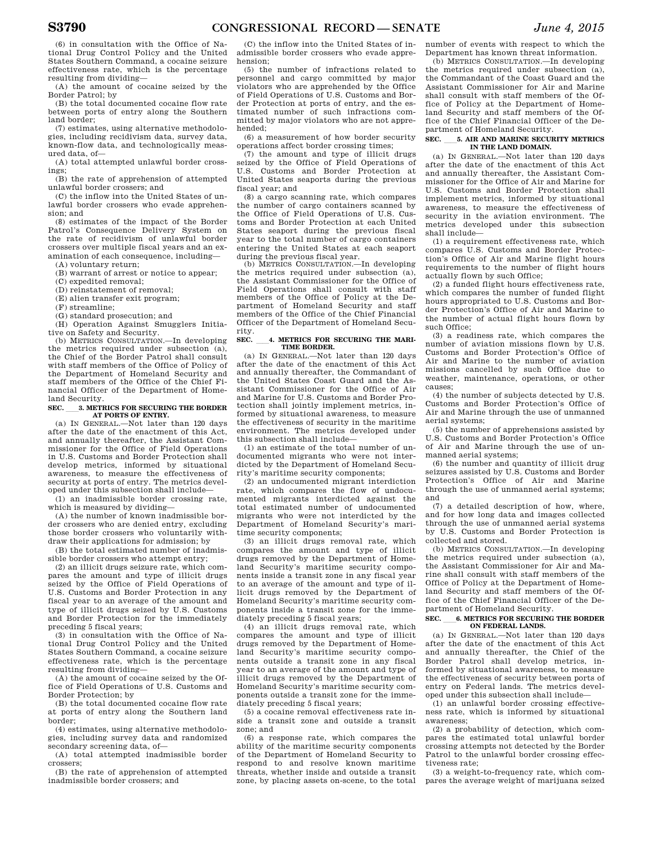(6) in consultation with the Office of National Drug Control Policy and the United States Southern Command, a cocaine seizure effectiveness rate, which is the percentage resulting from dividing—

(A) the amount of cocaine seized by the Border Patrol; by

(B) the total documented cocaine flow rate between ports of entry along the Southern land border;

(7) estimates, using alternative methodologies, including recidivism data, survey data, known-flow data, and technologically measured data, of—

(A) total attempted unlawful border crossings;

(B) the rate of apprehension of attempted unlawful border crossers; and

(C) the inflow into the United States of unlawful border crossers who evade apprehension; and

(8) estimates of the impact of the Border Patrol's Consequence Delivery System on the rate of recidivism of unlawful border crossers over multiple fiscal years and an examination of each consequence, including—

(A) voluntary return;

(B) warrant of arrest or notice to appear;

(C) expedited removal;

(D) reinstatement of removal;

(E) alien transfer exit program;

(F) streamline;

(G) standard prosecution; and

(H) Operation Against Smugglers Initiative on Safety and Security.

(b) METRICS CONSULTATION.—In developing the metrics required under subsection (a), the Chief of the Border Patrol shall consult with staff members of the Office of Policy of the Department of Homeland Security and staff members of the Office of the Chief Financial Officer of the Department of Homeland Security.

## SEC. **3. METRICS FOR SECURING THE BORDER AT PORTS OF ENTRY.**

(a) IN GENERAL.—Not later than 120 days after the date of the enactment of this Act, and annually thereafter, the Assistant Commissioner for the Office of Field Operations in U.S. Customs and Border Protection shall develop metrics, informed by situational awareness, to measure the effectiveness of security at ports of entry. The metrics developed under this subsection shall include—

(1) an inadmissible border crossing rate, which is measured by dividing—

(A) the number of known inadmissible border crossers who are denied entry, excluding those border crossers who voluntarily withdraw their applications for admission; by

(B) the total estimated number of inadmissible border crossers who attempt entry;

(2) an illicit drugs seizure rate, which compares the amount and type of illicit drugs seized by the Office of Field Operations of U.S. Customs and Border Protection in any fiscal year to an average of the amount and type of illicit drugs seized by U.S. Customs and Border Protection for the immediately preceding 5 fiscal years;

(3) in consultation with the Office of National Drug Control Policy and the United States Southern Command, a cocaine seizure effectiveness rate, which is the percentage resulting from dividing—

(A) the amount of cocaine seized by the Office of Field Operations of U.S. Customs and Border Protection; by

(B) the total documented cocaine flow rate at ports of entry along the Southern land border;

(4) estimates, using alternative methodologies, including survey data and randomized secondary screening data, of—

(A) total attempted inadmissible border crossers;

(B) the rate of apprehension of attempted inadmissible border crossers; and

(C) the inflow into the United States of inadmissible border crossers who evade apprehension;

(5) the number of infractions related to personnel and cargo committed by major violators who are apprehended by the Office of Field Operations of U.S. Customs and Border Protection at ports of entry, and the estimated number of such infractions committed by major violators who are not apprehended;

(6) a measurement of how border security operations affect border crossing times;

(7) the amount and type of illicit drugs seized by the Office of Field Operations of U.S. Customs and Border Protection at United States seaports during the previous fiscal year; and

(8) a cargo scanning rate, which compares the number of cargo containers scanned by the Office of Field Operations of U.S. Customs and Border Protection at each United States seaport during the previous fiscal year to the total number of cargo containers entering the United States at each seaport during the previous fiscal year.

(b) METRICS CONSULTATION.—In developing the metrics required under subsection (a), the Assistant Commissioner for the Office of Field Operations shall consult with staff members of the Office of Policy at the Department of Homeland Security and staff members of the Office of the Chief Financial Officer of the Department of Homeland Security.

## SEC. 4. METRICS FOR SECURING THE MARI-**TIME BORDER.**

(a) IN GENERAL.—Not later than 120 days after the date of the enactment of this Act and annually thereafter, the Commandant of the United States Coast Guard and the Assistant Commissioner for the Office of Air and Marine for U.S. Customs and Border Protection shall jointly implement metrics, informed by situational awareness, to measure the effectiveness of security in the maritime environment. The metrics developed under this subsection shall include—

(1) an estimate of the total number of undocumented migrants who were not interdicted by the Department of Homeland Security's maritime security components;

(2) an undocumented migrant interdiction rate, which compares the flow of undocumented migrants interdicted against the total estimated number of undocumented migrants who were not interdicted by the Department of Homeland Security's maritime security components;

(3) an illicit drugs removal rate, which compares the amount and type of illicit drugs removed by the Department of Homeland Security's maritime security components inside a transit zone in any fiscal year to an average of the amount and type of illicit drugs removed by the Department of Homeland Security's maritime security components inside a transit zone for the immediately preceding 5 fiscal years;

(4) an illicit drugs removal rate, which compares the amount and type of illicit drugs removed by the Department of Homeland Security's maritime security components outside a transit zone in any fiscal year to an average of the amount and type of illicit drugs removed by the Department of Homeland Security's maritime security components outside a transit zone for the immediately preceding 5 fiscal years;

(5) a cocaine removal effectiveness rate inside a transit zone and outside a transit zone; and

(6) a response rate, which compares the ability of the maritime security components of the Department of Homeland Security to respond to and resolve known maritime threats, whether inside and outside a transit zone, by placing assets on-scene, to the total

number of events with respect to which the Department has known threat information. (b) METRICS CONSULTATION.—In developing the metrics required under subsection (a),

the Commandant of the Coast Guard and the Assistant Commissioner for Air and Marine shall consult with staff members of the Office of Policy at the Department of Homeland Security and staff members of the Office of the Chief Financial Officer of the Department of Homeland Security.

## **SEC.** ll**5. AIR AND MARINE SECURITY METRICS IN THE LAND DOMAIN.**

(a) IN GENERAL.—Not later than 120 days after the date of the enactment of this Act and annually thereafter, the Assistant Commissioner for the Office of Air and Marine for U.S. Customs and Border Protection shall implement metrics, informed by situational awareness, to measure the effectiveness of security in the aviation environment. The metrics developed under this subsection shall include—

(1) a requirement effectiveness rate, which compares U.S. Customs and Border Protection's Office of Air and Marine flight hours requirements to the number of flight hours actually flown by such Office;

(2) a funded flight hours effectiveness rate, which compares the number of funded flight hours appropriated to U.S. Customs and Border Protection's Office of Air and Marine to the number of actual flight hours flown by such Office;

(3) a readiness rate, which compares the number of aviation missions flown by U.S. Customs and Border Protection's Office of Air and Marine to the number of aviation missions cancelled by such Office due to weather, maintenance, operations, or other causes;

(4) the number of subjects detected by U.S. Customs and Border Protection's Office of Air and Marine through the use of unmanned aerial systems;

(5) the number of apprehensions assisted by U.S. Customs and Border Protection's Office of Air and Marine through the use of unmanned aerial systems;

(6) the number and quantity of illicit drug seizures assisted by U.S. Customs and Border Protection's Office of Air and Marine through the use of unmanned aerial systems; and

(7) a detailed description of how, where, and for how long data and images collected through the use of unmanned aerial systems by U.S. Customs and Border Protection is collected and stored.

(b) METRICS CONSULTATION.—In developing the metrics required under subsection (a), the Assistant Commissioner for Air and Marine shall consult with staff members of the Office of Policy at the Department of Homeland Security and staff members of the Office of the Chief Financial Officer of the Department of Homeland Security.

## **SEC. 6. METRICS FOR SECURING THE BORDER ON FEDERAL LANDS.**

(a) IN GENERAL.—Not later than 120 days after the date of the enactment of this Act and annually thereafter, the Chief of the Border Patrol shall develop metrics, informed by situational awareness, to measure the effectiveness of security between ports of entry on Federal lands. The metrics developed under this subsection shall include—

(1) an unlawful border crossing effectiveness rate, which is informed by situational awareness;

(2) a probability of detection, which compares the estimated total unlawful border crossing attempts not detected by the Border Patrol to the unlawful border crossing effectiveness rate;

(3) a weight-to-frequency rate, which compares the average weight of marijuana seized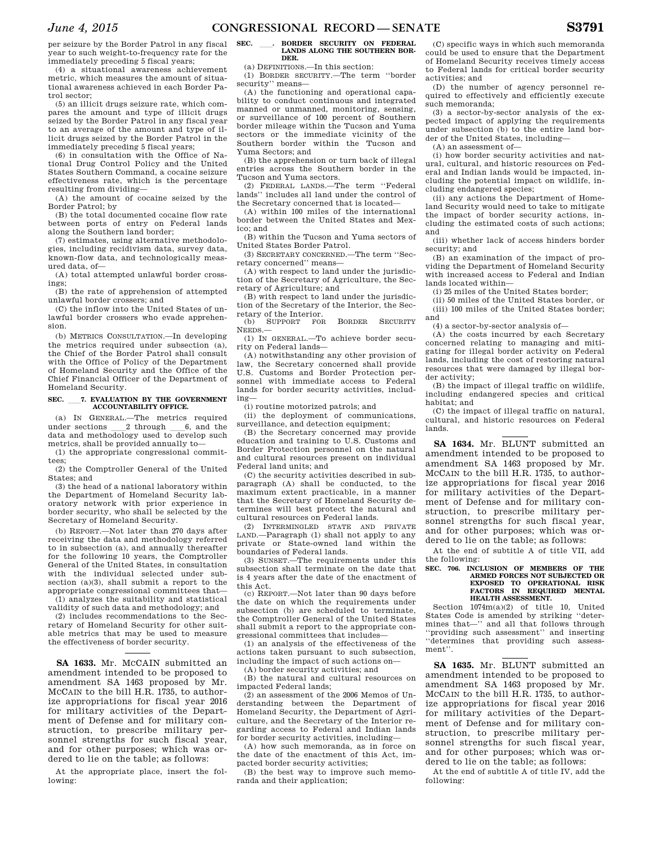per seizure by the Border Patrol in any fiscal year to such weight-to-frequency rate for the immediately preceding 5 fiscal years;

(4) a situational awareness achievement metric, which measures the amount of situational awareness achieved in each Border Patrol sector;

(5) an illicit drugs seizure rate, which compares the amount and type of illicit drugs seized by the Border Patrol in any fiscal year to an average of the amount and type of illicit drugs seized by the Border Patrol in the immediately preceding 5 fiscal years;

(6) in consultation with the Office of National Drug Control Policy and the United States Southern Command, a cocaine seizure effectiveness rate, which is the percentage resulting from dividing—

(A) the amount of cocaine seized by the Border Patrol; by

(B) the total documented cocaine flow rate between ports of entry on Federal lands along the Southern land border;

(7) estimates, using alternative methodologies, including recidivism data, survey data, known-flow data, and technologically measured data, of—

(A) total attempted unlawful border crossings;

(B) the rate of apprehension of attempted unlawful border crossers; and

(C) the inflow into the United States of unlawful border crossers who evade apprehension.

(b) METRICS CONSULTATION.—In developing the metrics required under subsection (a), the Chief of the Border Patrol shall consult with the Office of Policy of the Department of Homeland Security and the Office of the Chief Financial Officer of the Department of Homeland Security.

#### SEC. \_\_\_ 7. EVALUATION BY THE GOVERNMENT **ACCOUNTABILITY OFFICE.**

(a) IN GENERAL.—The metrics required under sections 2 through 6, and the data and methodology used to develop such metrics, shall be provided annually to—

(1) the appropriate congressional committees;

(2) the Comptroller General of the United States; and

(3) the head of a national laboratory within the Department of Homeland Security laboratory network with prior experience in border security, who shall be selected by the Secretary of Homeland Security.

(b) REPORT.—Not later than 270 days after receiving the data and methodology referred to in subsection (a), and annually thereafter for the following 10 years, the Comptroller General of the United States, in consultation with the individual selected under subsection (a)(3), shall submit a report to the appropriate congressional committees that— (1) analyzes the suitability and statistical

validity of such data and methodology; and

(2) includes recommendations to the Secretary of Homeland Security for other suitable metrics that may be used to measure the effectiveness of border security.

**SA 1633.** Mr. MCCAIN submitted an amendment intended to be proposed to amendment SA 1463 proposed by Mr. MCCAIN to the bill H.R. 1735, to authorize appropriations for fiscal year 2016 for military activities of the Department of Defense and for military construction, to prescribe military personnel strengths for such fiscal year, and for other purposes; which was ordered to lie on the table; as follows:

At the appropriate place, insert the following:

## SEC. \_\_\_\_. BORDER SECURITY ON FEDERAL LANDS ALONG THE SOUTHERN BOR-**DER.**

(a) DEFINITIONS.—In this section:

(1) BORDER SECURITY.—The term ''border security'' means—

(A) the functioning and operational capability to conduct continuous and integrated manned or unmanned, monitoring, sensing, or surveillance of 100 percent of Southern border mileage within the Tucson and Yuma sectors or the immediate vicinity of the Southern border within the Tucson and Yuma Sectors; and

(B) the apprehension or turn back of illegal entries across the Southern border in the Tucson and Yuma sectors.

(2) FEDERAL LANDS.—The term ''Federal lands'' includes all land under the control of the Secretary concerned that is located—

(A) within 100 miles of the international border between the United States and Mexico; and

(B) within the Tucson and Yuma sectors of United States Border Patrol.

(3) SECRETARY CONCERNED.—The term ''Secretary concerned'' means—

(A) with respect to land under the jurisdiction of the Secretary of Agriculture, the Secretary of Agriculture; and

(B) with respect to land under the jurisdiction of the Secretary of the Interior, the Sec-

retary of the Interior.<br>(b) SUPPORT FOR (b) SUPPORT FOR BORDER SECURITY NEEDS.—

(1) IN GENERAL.—To achieve border security on Federal lands—

(A) notwithstanding any other provision of law, the Secretary concerned shall provide U.S. Customs and Border Protection personnel with immediate access to Federal lands for border security activities, including—

(i) routine motorized patrols; and

(ii) the deployment of communications, surveillance, and detection equipment;

(B) the Secretary concerned may provide education and training to U.S. Customs and Border Protection personnel on the natural and cultural resources present on individual Federal land units; and

(C) the security activities described in subparagraph (A) shall be conducted, to the maximum extent practicable, in a manner that the Secretary of Homeland Security determines will best protect the natural and cultural resources on Federal lands.

(2) INTERMINGLED STATE AND PRIVATE LAND.—Paragraph (1) shall not apply to any private or State-owned land within the boundaries of Federal lands.

(3) SUNSET.—The requirements under this subsection shall terminate on the date that is 4 years after the date of the enactment of this Act.

(c) REPORT.—Not later than 90 days before the date on which the requirements under subsection (b) are scheduled to terminate, the Comptroller General of the United States shall submit a report to the appropriate congressional committees that includes—

(1) an analysis of the effectiveness of the actions taken pursuant to such subsection, including the impact of such actions on—

(A) border security activities; and

(B) the natural and cultural resources on impacted Federal lands;

(2) an assessment of the 2006 Memos of Understanding between the Department of Homeland Security, the Department of Agriculture, and the Secretary of the Interior regarding access to Federal and Indian lands for border security activities, including—

(A) how such memoranda, as in force on the date of the enactment of this Act, impacted border security activities;

(B) the best way to improve such memoranda and their application;

(C) specific ways in which such memoranda could be used to ensure that the Department of Homeland Security receives timely access to Federal lands for critical border security activities; and

(D) the number of agency personnel required to effectively and efficiently execute such memoranda;

(3) a sector-by-sector analysis of the expected impact of applying the requirements under subsection (b) to the entire land border of the United States, including—

(A) an assessment of—

(i) how border security activities and natural, cultural, and historic resources on Federal and Indian lands would be impacted, including the potential impact on wildlife, including endangered species;

(ii) any actions the Department of Homeland Security would need to take to mitigate the impact of border security actions, including the estimated costs of such actions; and

(iii) whether lack of access hinders border security; and

(B) an examination of the impact of providing the Department of Homeland Security with increased access to Federal and Indian lands located within—

(i) 25 miles of the United States border;

(ii) 50 miles of the United States border, or (iii) 100 miles of the United States border; and

(4) a sector-by-sector analysis of—

(A) the costs incurred by each Secretary concerned relating to managing and mitigating for illegal border activity on Federal lands, including the cost of restoring natural resources that were damaged by illegal border activity;

(B) the impact of illegal traffic on wildlife, including endangered species and critical habitat; and

(C) the impact of illegal traffic on natural, cultural, and historic resources on Federal lands.

**SA 1634.** Mr. BLUNT submitted an amendment intended to be proposed to amendment SA 1463 proposed by Mr. MCCAIN to the bill H.R. 1735, to authorize appropriations for fiscal year 2016 for military activities of the Department of Defense and for military construction, to prescribe military personnel strengths for such fiscal year, and for other purposes; which was ordered to lie on the table; as follows:

At the end of subtitle A of title VII, add the following:

## **SEC. 706. INCLUSION OF MEMBERS OF THE ARMED FORCES NOT SUBJECTED OR EXPOSED TO OPERATIONAL RISK FACTORS IN REQUIRED MENTAL HEALTH ASSESSMENT.**

Section 1074m(a)(2) of title 10, United States Code is amended by striking ''determines that—'' and all that follows through ''providing such assessment'' and inserting ''determines that providing such assessment''.

**SA 1635.** Mr. BLUNT submitted an amendment intended to be proposed to amendment SA 1463 proposed by Mr. MCCAIN to the bill H.R. 1735, to authorize appropriations for fiscal year 2016 for military activities of the Department of Defense and for military construction, to prescribe military personnel strengths for such fiscal year, and for other purposes; which was ordered to lie on the table; as follows:

At the end of subtitle A of title IV, add the following: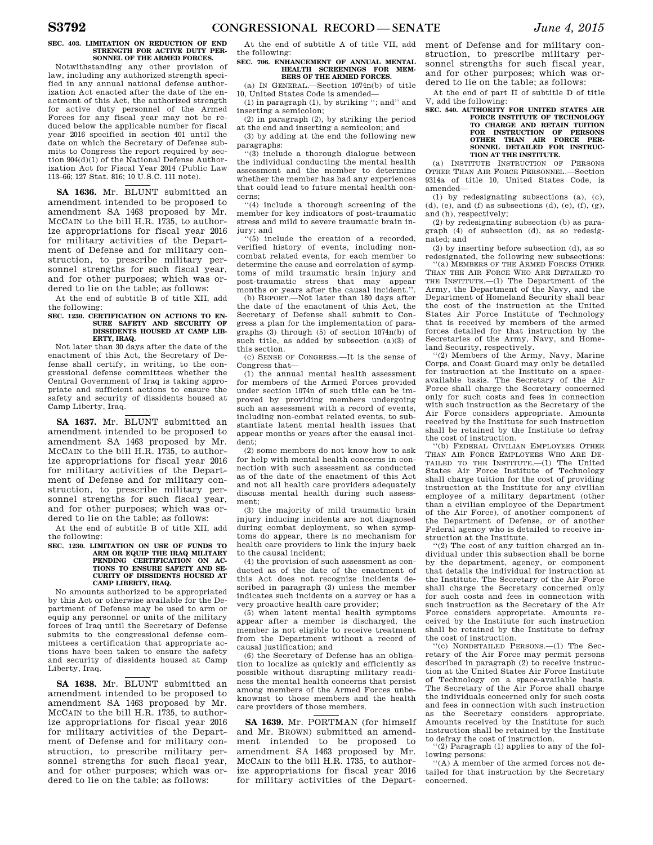#### **SEC. 403. LIMITATION ON REDUCTION OF END STRENGTH FOR ACTIVE DUTY PER-SONNEL OF THE ARMED FORCES.**

Notwithstanding any other provision of law, including any authorized strength specified in any annual national defense authorization Act enacted after the date of the enactment of this Act, the authorized strength for active duty personnel of the Armed Forces for any fiscal year may not be reduced below the applicable number for fiscal year 2016 specified in section 401 until the date on which the Secretary of Defense submits to Congress the report required by section 904(d)(1) of the National Defense Authorization Act for Fiscal Year 2014 (Public Law 113–66; 127 Stat. 816; 10 U.S.C. 111 note).

**SA 1636.** Mr. BLUNT submitted an amendment intended to be proposed to amendment SA 1463 proposed by Mr. MCCAIN to the bill H.R. 1735, to authorize appropriations for fiscal year 2016 for military activities of the Department of Defense and for military construction, to prescribe military personnel strengths for such fiscal year, and for other purposes; which was ordered to lie on the table; as follows:

At the end of subtitle B of title XII, add the following:

#### **SEC. 1230. CERTIFICATION ON ACTIONS TO EN-SURE SAFETY AND SECURITY OF DISSIDENTS HOUSED AT CAMP LIB-ERTY, IRAQ.**

Not later than 30 days after the date of the enactment of this Act, the Secretary of Defense shall certify, in writing, to the congressional defense committees whether the Central Government of Iraq is taking appropriate and sufficient actions to ensure the safety and security of dissidents housed at Camp Liberty, Iraq.

**SA 1637.** Mr. BLUNT submitted an amendment intended to be proposed to amendment SA 1463 proposed by Mr. MCCAIN to the bill H.R. 1735, to authorize appropriations for fiscal year 2016 for military activities of the Department of Defense and for military construction, to prescribe military personnel strengths for such fiscal year, and for other purposes; which was ordered to lie on the table; as follows:

At the end of subtitle B of title XII, add the following:

# **SEC. 1230. LIMITATION ON USE OF FUNDS TO ARM OR EQUIP THE IRAQ MILITARY PENDING CERTIFICATION ON AC-TIONS TO ENSURE SAFETY AND SE-CURITY OF DISSIDENTS HOUSED AT CAMP LIBERTY, IRAQ.**

No amounts authorized to be appropriated by this Act or otherwise available for the Department of Defense may be used to arm or equip any personnel or units of the military forces of Iraq until the Secretary of Defense submits to the congressional defense committees a certification that appropriate actions have been taken to ensure the safety and security of dissidents housed at Camp Liberty, Iraq.

**SA 1638.** Mr. BLUNT submitted an amendment intended to be proposed to amendment SA 1463 proposed by Mr. MCCAIN to the bill H.R. 1735, to authorize appropriations for fiscal year 2016 for military activities of the Department of Defense and for military construction, to prescribe military personnel strengths for such fiscal year, and for other purposes; which was ordered to lie on the table; as follows:

At the end of subtitle A of title VII, add the following:

# **SEC. 706. ENHANCEMENT OF ANNUAL MENTAL HEALTH SCREENINGS FOR MEM-BERS OF THE ARMED FORCES.**

(a) IN GENERAL.—Section 1074n(b) of title 10, United States Code is amended— (1) in paragraph (1), by striking ''; and'' and

inserting a semicolon;

(2) in paragraph (2), by striking the period at the end and inserting a semicolon; and

(3) by adding at the end the following new paragraphs:

''(3) include a thorough dialogue between the individual conducting the mental health assessment and the member to determine whether the member has had any experiences that could lead to future mental health concerns;

''(4) include a thorough screening of the member for key indicators of post-traumatic stress and mild to severe traumatic brain injury; and

''(5) include the creation of a recorded, verified history of events, including noncombat related events, for each member to determine the cause and correlation of symptoms of mild traumatic brain injury and post-traumatic stress that may appear months or years after the causal incident.''.

(b) REPORT.—Not later than 180 days after the date of the enactment of this Act, the Secretary of Defense shall submit to Congress a plan for the implementation of paragraphs (3) through (5) of section 1074n(b) of such title, as added by subsection (a)(3) of this section.

(c) SENSE OF CONGRESS.—It is the sense of Congress that—

(1) the annual mental health assessment for members of the Armed Forces provided under section 1074n of such title can be improved by providing members undergoing such an assessment with a record of events, including non-combat related events, to substantiate latent mental health issues that appear months or years after the causal incident;

(2) some members do not know how to ask for help with mental health concerns in connection with such assessment as conducted as of the date of the enactment of this Act and not all health care providers adequately discuss mental health during such assessment;

(3) the majority of mild traumatic brain injury inducing incidents are not diagnosed during combat deployment, so when symptoms do appear, there is no mechanism for health care providers to link the injury back to the causal incident;

(4) the provision of such assessment as conducted as of the date of the enactment of this Act does not recognize incidents described in paragraph (3) unless the member indicates such incidents on a survey or has a very proactive health care provider;

(5) when latent mental health symptoms appear after a member is discharged, the member is not eligible to receive treatment from the Department without a record of causal justification; and

(6) the Secretary of Defense has an obligation to localize as quickly and efficiently as possible without disrupting military readiness the mental health concerns that persist among members of the Armed Forces unbeknownst to those members and the health care providers of those members.

**SA 1639.** Mr. PORTMAN (for himself and Mr. BROWN) submitted an amendment intended to be proposed to amendment SA 1463 proposed by Mr. MCCAIN to the bill H.R. 1735, to authorize appropriations for fiscal year 2016 for military activities of the Depart-

ment of Defense and for military construction, to prescribe military personnel strengths for such fiscal year, and for other purposes; which was ordered to lie on the table; as follows:

At the end of part II of subtitle D of title V, add the following:

**SEC. 540. AUTHORITY FOR UNITED STATES AIR FORCE INSTITUTE OF TECHNOLOGY TO CHARGE AND RETAIN TUITION FOR INSTRUCTION OF PERSONS OTHER THAN AIR FORCE PER-SONNEL DETAILED FOR INSTRUC-TION AT THE INSTITUTE.** 

(a) INSTITUTE INSTRUCTION OF PERSONS OTHER THAN AIR FORCE PERSONNEL.—Section 9314a of title 10, United States Code, is amended—

(1) by redesignating subsections (a), (c),  $(d)$ ,  $(e)$ , and  $(f)$  as subsections  $(d)$ ,  $(e)$ ,  $(f)$ ,  $(g)$ , and (h), respectively;

(2) by redesignating subsection (b) as paragraph (4) of subsection (d), as so redesignated; and

(3) by inserting before subsection (d), as so redesignated, the following new subsections:

''(a) MEMBERS OF THE ARMED FORCES OTHER THAN THE AIR FORCE WHO ARE DETAILED TO THE INSTITUTE.—(1) The Department of the Army, the Department of the Navy, and the Department of Homeland Security shall bear the cost of the instruction at the United States Air Force Institute of Technology that is received by members of the armed forces detailed for that instruction by the Secretaries of the Army, Navy, and Homeland Security, respectively.

''(2) Members of the Army, Navy, Marine Corps, and Coast Guard may only be detailed for instruction at the Institute on a spaceavailable basis. The Secretary of the Air Force shall charge the Secretary concerned only for such costs and fees in connection with such instruction as the Secretary of the Air Force considers appropriate. Amounts received by the Institute for such instruction shall be retained by the Institute to defray the cost of instruction.

''(b) FEDERAL CIVILIAN EMPLOYEES OTHER THAN AIR FORCE EMPLOYEES WHO ARE DE-TAILED TO THE INSTITUTE.—(1) The United States Air Force Institute of Technology shall charge tuition for the cost of providing instruction at the Institute for any civilian employee of a military department (other than a civilian employee of the Department of the Air Force), of another component of the Department of Defense, or of another Federal agency who is detailed to receive instruction at the Institute.

'(2) The cost of any tuition charged an individual under this subsection shall be borne by the department, agency, or component that details the individual for instruction at the Institute. The Secretary of the Air Force shall charge the Secretary concerned only for such costs and fees in connection with such instruction as the Secretary of the Air Force considers appropriate. Amounts received by the Institute for such instruction shall be retained by the Institute to defray the cost of instruction.

''(c) NONDETAILED PERSONS.—(1) The Secretary of the Air Force may permit persons described in paragraph (2) to receive instruction at the United States Air Force Institute of Technology on a space-available basis. The Secretary of the Air Force shall charge the individuals concerned only for such costs and fees in connection with such instruction as the Secretary considers appropriate. Amounts received by the Institute for such instruction shall be retained by the Institute to defray the cost of instruction.

(2) Paragraph (1) applies to any of the following persons:

''(A) A member of the armed forces not detailed for that instruction by the Secretary concerned.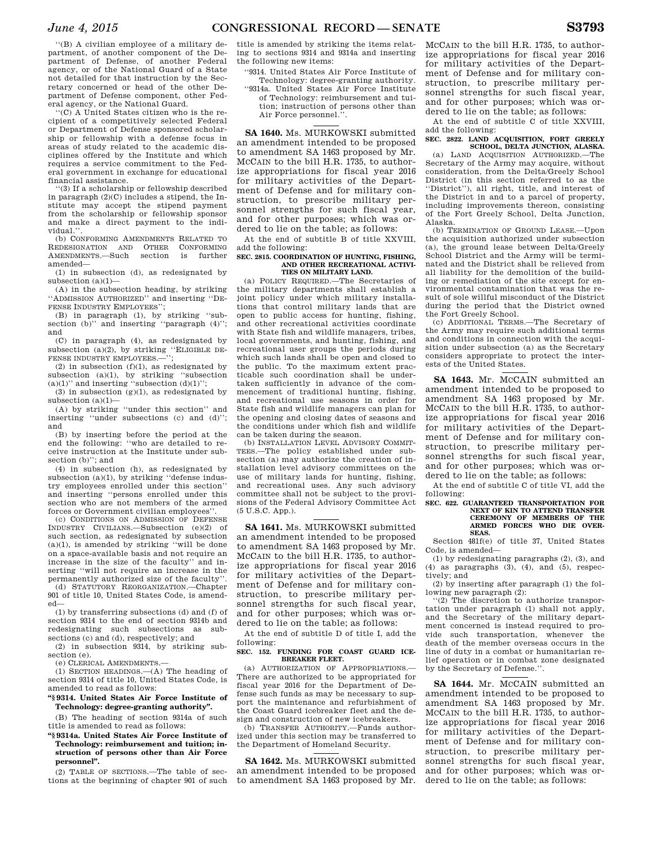''(C) A United States citizen who is the recipient of a competitively selected Federal or Department of Defense sponsored scholarship or fellowship with a defense focus in areas of study related to the academic disciplines offered by the Institute and which requires a service commitment to the Federal government in exchange for educational financial assistance.

''(3) If a scholarship or fellowship described in paragraph (2)(C) includes a stipend, the Institute may accept the stipend payment from the scholarship or fellowship sponsor and make a direct payment to the individual."

(b) CONFORMING AMENDMENTS RELATED TO REDESIGNATION AND OTHER CONFORMING AMENDMENTS.—Such section is further amended—

(1) in subsection (d), as redesignated by subsection  $(a)(1)$ —

(A) in the subsection heading, by striking ''ADMISSION AUTHORIZED'' and inserting ''DE-FENSE INDUSTRY EMPLOYEES'';

(B) in paragraph (1), by striking ''subsection (b)" and inserting "paragraph (4)"; and

(C) in paragraph (4), as redesignated by subsection  $(a)(2)$ , by striking "ELIGIBLE DE-FENSE INDUSTRY EMPLOYEES.

(2) in subsection  $(f)(1)$ , as redesignated by subsection  $(a)(1)$ , by striking "subsection  $(a)(1)$ " and inserting "subsection  $(d)(1)$ "

(3) in subsection  $(g)(1)$ , as redesignated by subsection (a)(1)—

(A) by striking ''under this section'' and inserting ''under subsections (c) and (d)''; and

(B) by inserting before the period at the end the following: ''who are detailed to receive instruction at the Institute under subsection (b)''; and

(4) in subsection (h), as redesignated by subsection  $(a)(1)$ , by striking "defense industry employees enrolled under this section'' and inserting ''persons enrolled under this section who are not members of the armed forces or Government civilian employees''.

(c) CONDITIONS ON ADMISSION OF DEFENSE INDUSTRY CIVILIANS.—Subsection (e)(2) of such section, as redesignated by subsection  $(a)(1)$ , is amended by striking "will be done on a space-available basis and not require an increase in the size of the faculty'' and inserting ''will not require an increase in the permanently authorized size of the faculty''.

(d) STATUTORY REORGANIZATION.—Chapter 901 of title 10, United States Code, is amended—

(1) by transferring subsections (d) and (f) of section 9314 to the end of section 9314b and redesignating such subsections as subsections (c) and (d), respectively; and

(2) in subsection 9314, by striking subsection (e).

(e) CLERICAL AMENDMENTS.—

(1) SECTION HEADINGS.—(A) The heading of section 9314 of title 10, United States Code, is amended to read as follows:

## **''§ 9314. United States Air Force Institute of Technology: degree-granting authority''.**

(B) The heading of section 9314a of such title is amended to read as follows:

**''§ 9314a. United States Air Force Institute of Technology: reimbursement and tuition; instruction of persons other than Air Force personnel''.** 

(2) TABLE OF SECTIONS.—The table of sections at the beginning of chapter 901 of such

title is amended by striking the items relating to sections 9314 and 9314a and inserting the following new items:

''9314. United States Air Force Institute of Technology: degree-granting authority.

''9314a. United States Air Force Institute of Technology: reimbursement and tuition; instruction of persons other than

# Air Force personnel."

**SA 1640.** Ms. MURKOWSKI submitted an amendment intended to be proposed to amendment SA 1463 proposed by Mr. MCCAIN to the bill H.R. 1735, to authorize appropriations for fiscal year 2016 for military activities of the Department of Defense and for military construction, to prescribe military personnel strengths for such fiscal year, and for other purposes; which was ordered to lie on the table; as follows:

At the end of subtitle B of title XXVIII, add the following:

#### **SEC. 2815. COORDINATION OF HUNTING, FISHING, AND OTHER RECREATIONAL ACTIVI-TIES ON MILITARY LAND.**

(a) POLICY REQUIRED.—The Secretaries of the military departments shall establish a joint policy under which military installations that control military lands that are open to public access for hunting, fishing, and other recreational activities coordinate with State fish and wildlife managers, tribes, local governments, and hunting, fishing, and recreational user groups the periods during which such lands shall be open and closed to the public. To the maximum extent practicable such coordination shall be undertaken sufficiently in advance of the commencement of traditional hunting, fishing, and recreational use seasons in order for State fish and wildlife managers can plan for the opening and closing dates of seasons and the conditions under which fish and wildlife can be taken during the season.

(b) INSTALLATION LEVEL ADVISORY COMMIT-TEES.—The policy established under subsection (a) may authorize the creation of installation level advisory committees on the use of military lands for hunting, fishing, and recreational uses. Any such advisory committee shall not be subject to the provisions of the Federal Advisory Committee Act (5 U.S.C. App.).

**SA 1641.** Ms. MURKOWSKI submitted an amendment intended to be proposed to amendment SA 1463 proposed by Mr. MCCAIN to the bill H.R. 1735, to authorize appropriations for fiscal year 2016 for military activities of the Department of Defense and for military construction, to prescribe military personnel strengths for such fiscal year, and for other purposes; which was ordered to lie on the table; as follows:

At the end of subtitle D of title I, add the following:

#### **SEC. 152. FUNDING FOR COAST GUARD ICE-BREAKER FLEET.**

(a) AUTHORIZATION OF APPROPRIATIONS.— There are authorized to be appropriated for fiscal year 2016 for the Department of Defense such funds as may be necessary to support the maintenance and refurbishment of the Coast Guard icebreaker fleet and the design and construction of new icebreakers.

(b) TRANSFER AUTHORITY.—Funds authorized under this section may be transferred to the Department of Homeland Security.

**SA 1642.** Ms. MURKOWSKI submitted an amendment intended to be proposed to amendment SA 1463 proposed by Mr.

MCCAIN to the bill H.R. 1735, to authorize appropriations for fiscal year 2016 for military activities of the Department of Defense and for military construction, to prescribe military personnel strengths for such fiscal year, and for other purposes; which was ordered to lie on the table; as follows:

At the end of subtitle C of title XXVIII, add the following:

## **SEC. 2822. LAND ACQUISITION, FORT GREELY SCHOOL, DELTA JUNCTION, ALASKA.**

(a) LAND ACQUISITION AUTHORIZED.—The Secretary of the Army may acquire, without consideration, from the Delta/Greely School District (in this section referred to as the ''District''), all right, title, and interest of the District in and to a parcel of property, including improvements thereon, consisting of the Fort Greely School, Delta Junction, Alaska.

(b) TERMINATION OF GROUND LEASE.—Upon the acquisition authorized under subsection (a), the ground lease between Delta/Greely School District and the Army will be terminated and the District shall be relieved from all liability for the demolition of the building or remediation of the site except for environmental contamination that was the result of sole willful misconduct of the District during the period that the District owned the Fort Greely School.

(c) ADDITIONAL TERMS.—The Secretary of the Army may require such additional terms and conditions in connection with the acquisition under subsection (a) as the Secretary considers appropriate to protect the interests of the United States.

**SA 1643.** Mr. MCCAIN submitted an amendment intended to be proposed to amendment SA 1463 proposed by Mr. MCCAIN to the bill H.R. 1735, to authorize appropriations for fiscal year 2016 for military activities of the Department of Defense and for military construction, to prescribe military personnel strengths for such fiscal year, and for other purposes; which was ordered to lie on the table; as follows:

At the end of subtitle C of title VI, add the following:

#### **SEC. 622. GUARANTEED TRANSPORTATION FOR NEXT OF KIN TO ATTEND TRANSFER CEREMONY OF MEMBERS OF THE ARMED FORCES WHO DIE OVER-SEAS.**

Section 481f(e) of title 37, United States Code, is amended—

(1) by redesignating paragraphs (2), (3), and  $(4)$  as paragraphs  $(3)$ ,  $(4)$ , and  $(5)$ , respectively; and

(2) by inserting after paragraph (1) the following new paragraph (2):

''(2) The discretion to authorize transportation under paragraph (1) shall not apply, and the Secretary of the military department concerned is instead required to provide such transportation, whenever the death of the member overseas occurs in the line of duty in a combat or humanitarian relief operation or in combat zone designated by the Secretary of Defense.''.

**SA 1644.** Mr. MCCAIN submitted an amendment intended to be proposed to amendment SA 1463 proposed by Mr. MCCAIN to the bill H.R. 1735, to authorize appropriations for fiscal year 2016 for military activities of the Department of Defense and for military construction, to prescribe military personnel strengths for such fiscal year, and for other purposes; which was ordered to lie on the table; as follows: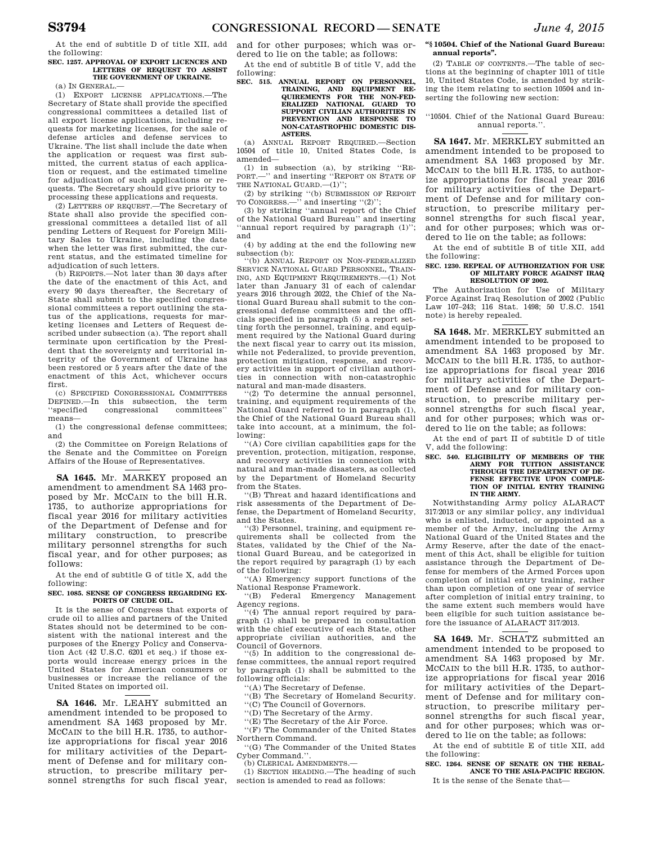At the end of subtitle D of title XII, add the following:

## **SEC. 1257. APPROVAL OF EXPORT LICENCES AND LETTERS OF REQUEST TO ASSIST THE GOVERNMENT OF UKRAINE.**

 $(a)$  IN GENERAL.

(1) EXPORT LICENSE APPLICATIONS.—The Secretary of State shall provide the specified congressional committees a detailed list of all export license applications, including requests for marketing licenses, for the sale of defense articles and defense services to Ukraine. The list shall include the date when the application or request was first submitted, the current status of each application or request, and the estimated timeline for adjudication of such applications or requests. The Secretary should give priority to processing these applications and requests.

(2) LETTERS OF REQUEST.—The Secretary of State shall also provide the specified congressional committees a detailed list of all pending Letters of Request for Foreign Military Sales to Ukraine, including the date when the letter was first submitted, the current status, and the estimated timeline for adjudication of such letters.

(b) REPORTS.—Not later than 30 days after the date of the enactment of this Act, and every 90 days thereafter, the Secretary of State shall submit to the specified congressional committees a report outlining the status of the applications, requests for marketing licenses and Letters of Request described under subsection (a). The report shall terminate upon certification by the President that the sovereignty and territorial integrity of the Government of Ukraine has been restored or 5 years after the date of the enactment of this Act, whichever occurs first.

(c) SPECIFIED CONGRESSIONAL COMMITTEES DEFINED.—In this subsection, the term ''specified congressional committees'' means—

(1) the congressional defense committees; and

(2) the Committee on Foreign Relations of the Senate and the Committee on Foreign Affairs of the House of Representatives.

**SA 1645.** Mr. MARKEY proposed an amendment to amendment SA 1463 proposed by Mr. MCCAIN to the bill H.R. 1735, to authorize appropriations for fiscal year 2016 for military activities of the Department of Defense and for military construction, to prescribe military personnel strengths for such fiscal year, and for other purposes; as follows:

At the end of subtitle G of title X, add the following:

### SEC. 1085. SENSE OF CONGRESS REGARDING EX. **PORTS OF CRUDE OIL.**

It is the sense of Congress that exports of crude oil to allies and partners of the United States should not be determined to be consistent with the national interest and the purposes of the Energy Policy and Conservation Act (42 U.S.C. 6201 et seq.) if those exports would increase energy prices in the United States for American consumers or businesses or increase the reliance of the United States on imported oil.

**SA 1646.** Mr. LEAHY submitted an amendment intended to be proposed to amendment SA 1463 proposed by Mr. MCCAIN to the bill H.R. 1735, to authorize appropriations for fiscal year 2016 for military activities of the Department of Defense and for military construction, to prescribe military personnel strengths for such fiscal year,

and for other purposes; which was ordered to lie on the table; as follows:

At the end of subtitle B of title V, add the following:

**SEC. 515. ANNUAL REPORT ON PERSONNEL, TRAINING, AND EQUIPMENT RE-QUIREMENTS FOR THE NON-FED-ERALIZED NATIONAL GUARD TO SUPPORT CIVILIAN AUTHORITIES IN PREVENTION AND RESPONSE TO NON-CATASTROPHIC DOMESTIC DIS-ASTERS.** 

(a) ANNUAL REPORT REQUIRED.—Section 10504 of title 10, United States Code, is amended—

(1) in subsection (a), by striking ''RE-PORT.—'' and inserting ''REPORT ON STATE OF THE NATIONAL GUARD.—(1)'';

(2) by striking ''(b) SUBMISSION OF REPORT TO CONGRESS.—'' and inserting ''(2)'';

(3) by striking ''annual report of the Chief of the National Guard Bureau'' and inserting ''annual report required by paragraph (1)''; and

(4) by adding at the end the following new subsection (b):

''(b) ANNUAL REPORT ON NON-FEDERALIZED SERVICE NATIONAL GUARD PERSONNEL, TRAIN-ING, AND EQUIPMENT REQUIREMENTS.—(1) Not later than January 31 of each of calendar years 2016 through 2022, the Chief of the National Guard Bureau shall submit to the congressional defense committees and the officials specified in paragraph (5) a report setting forth the personnel, training, and equipment required by the National Guard during the next fiscal year to carry out its mission, while not Federalized, to provide prevention, protection mitigation, response, and recovery activities in support of civilian authori-ties in connection with non-catastrophic natural and man-made disasters.

''(2) To determine the annual personnel, training, and equipment requirements of the National Guard referred to in paragraph (1), the Chief of the National Guard Bureau shall take into account, at a minimum, the following:

''(A) Core civilian capabilities gaps for the prevention, protection, mitigation, response, and recovery activities in connection with natural and man-made disasters, as collected by the Department of Homeland Security from the States.

''(B) Threat and hazard identifications and risk assessments of the Department of Defense, the Department of Homeland Security, and the States.

''(3) Personnel, training, and equipment requirements shall be collected from the States, validated by the Chief of the National Guard Bureau, and be categorized in the report required by paragraph (1) by each of the following:

''(A) Emergency support functions of the National Response Framework.

''(B) Federal Emergency Management Agency regions.<br>"(4) The annual report required by para-

graph (1) shall be prepared in consultation with the chief executive of each State, other appropriate civilian authorities, and the Council of Governors.

''(5) In addition to the congressional defense committees, the annual report required by paragraph (1) shall be submitted to the following officials:

''(A) The Secretary of Defense.

''(B) The Secretary of Homeland Security.

''(C) The Council of Governors.

''(D) The Secretary of the Army. ''(E) The Secretary of the Air Force.

''(F) The Commander of the United States Northern Command.

''(G) The Commander of the United States Cyber Command.''.

(b) CLERICAL AMENDMENTS.

(1) SECTION HEADING.—The heading of such section is amended to read as follows:

## **''§ 10504. Chief of the National Guard Bureau: annual reports''.**

(2) TABLE OF CONTENTS.—The table of sections at the beginning of chapter 1011 of title 10, United States Code, is amended by striking the item relating to section 10504 and inserting the following new section:

''10504. Chief of the National Guard Bureau: annual reports.''.

**SA 1647.** Mr. MERKLEY submitted an amendment intended to be proposed to amendment SA 1463 proposed by Mr. MCCAIN to the bill H.R. 1735, to authorize appropriations for fiscal year 2016 for military activities of the Department of Defense and for military construction, to prescribe military personnel strengths for such fiscal year, and for other purposes; which was ordered to lie on the table; as follows:

At the end of subtitle B of title XII, add the following:

#### **SEC. 1230. REPEAL OF AUTHORIZATION FOR USE OF MILITARY FORCE AGAINST IRAQ RESOLUTION OF 2002.**

The Authorization for Use of Military Force Against Iraq Resolution of 2002 (Public Law 107–243; 116 Stat. 1498; 50 U.S.C. 1541 note) is hereby repealed.

**SA 1648.** Mr. MERKLEY submitted an amendment intended to be proposed to amendment SA 1463 proposed by Mr. MCCAIN to the bill H.R. 1735, to authorize appropriations for fiscal year 2016 for military activities of the Department of Defense and for military construction, to prescribe military personnel strengths for such fiscal year, and for other purposes; which was ordered to lie on the table; as follows:

At the end of part II of subtitle D of title V, add the following:

#### **SEC. 540. ELIGIBILITY OF MEMBERS OF THE ARMY FOR TUITION ASSISTANCE THROUGH THE DEPARTMENT OF DE-FENSE EFFECTIVE UPON COMPLE-TION OF INITIAL ENTRY TRAINING IN THE ARMY.**

Notwithstanding Army policy ALARACT 317/2013 or any similar policy, any individual who is enlisted, inducted, or appointed as a member of the Army, including the Army National Guard of the United States and the Army Reserve, after the date of the enactment of this Act, shall be eligible for tuition assistance through the Department of Defense for members of the Armed Forces upon completion of initial entry training, rather than upon completion of one year of service after completion of initial entry training, to the same extent such members would have been eligible for such tuition assistance before the issuance of ALARACT 317/2013.

**SA 1649.** Mr. SCHATZ submitted an amendment intended to be proposed to amendment SA 1463 proposed by Mr. MCCAIN to the bill H.R. 1735, to authorize appropriations for fiscal year 2016 for military activities of the Department of Defense and for military construction, to prescribe military personnel strengths for such fiscal year, and for other purposes; which was ordered to lie on the table; as follows:

At the end of subtitle E of title XII, add the following:

**SEC. 1264. SENSE OF SENATE ON THE REBAL-ANCE TO THE ASIA-PACIFIC REGION.** 

It is the sense of the Senate that—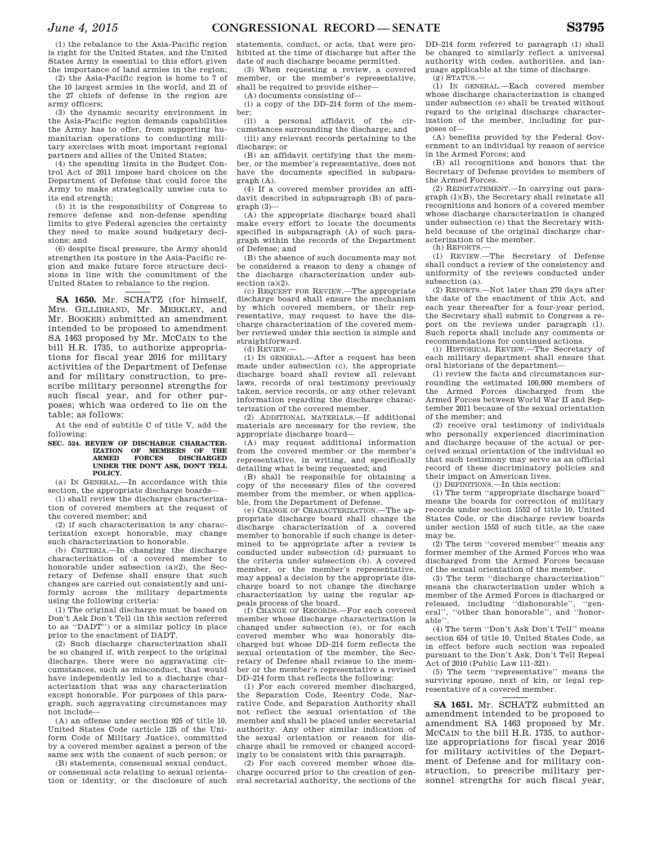(1) the rebalance to the Asia-Pacific region is right for the United States, and the United States Army is essential to this effort given the importance of land armies in the region;

(2) the Asia-Pacific region is home to 7 of the 10 largest armies in the world, and 21 of the 27 chiefs of defense in the region are army officers;

(3) the dynamic security environment in the Asia-Pacific region demands capabilities the Army has to offer, from supporting humanitarian operations to conducting military exercises with most important regional partners and allies of the United States;

(4) the spending limits in the Budget Control Act of 2011 impose hard choices on the Department of Defense that could force the Army to make strategically unwise cuts to its end strength;

(5) it is the responsibility of Congress to remove defense and non-defense spending limits to give Federal agencies the certainty they need to make sound budgetary decisions; and

(6) despite fiscal pressure, the Army should strengthen its posture in the Asia-Pacific region and make future force structure decisions in line with the commitment of the United States to rebalance to the region.

**SA 1650.** Mr. SCHATZ (for himself, Mrs. GILLIBRAND, Mr. MERKLEY, and Mr. BOOKER) submitted an amendment intended to be proposed to amendment SA 1463 proposed by Mr. MCCAIN to the bill H.R. 1735, to authorize appropriations for fiscal year 2016 for military activities of the Department of Defense and for military construction, to prescribe military personnel strengths for such fiscal year, and for other purposes; which was ordered to lie on the table; as follows:

At the end of subtitle C of title V, add the following:

## SEC. 524. REVIEW OF DISCHARGE CHARACTER-<br>IZATION OF MEMBERS OF THE **INEMBERS OF ARMED FORCES DISCHARGED UNDER THE DON'T ASK, DON'T TELL POLICY.**

(a) IN GENERAL.—In accordance with this section, the appropriate discharge boards—

(1) shall review the discharge characterization of covered members at the request of the covered member; and

(2) if such characterization is any characterization except honorable, may change such characterization to honorable.

(b) CRITERIA.—In changing the discharge characterization of a covered member to honorable under subsection (a)(2), the Secretary of Defense shall ensure that such changes are carried out consistently and uniformly across the military departments using the following criteria:

(1) The original discharge must be based on Don't Ask Don't Tell (in this section referred to as ''DADT'') or a similar policy in place prior to the enactment of DADT.

(2) Such discharge characterization shall be so changed if, with respect to the original discharge, there were no aggravating circumstances, such as misconduct, that would have independently led to a discharge characterization that was any characterization except honorable. For purposes of this paragraph, such aggravating circumstances may not include—

(A) an offense under section 925 of title 10, United States Code (article 125 of the Uniform Code of Military Justice), committed by a covered member against a person of the same sex with the consent of such person; or

(B) statements, consensual sexual conduct, or consensual acts relating to sexual orientation or identity, or the disclosure of such

statements, conduct, or acts, that were prohibited at the time of discharge but after the date of such discharge became permitted.

(3) When requesting a review, a covered member, or the member's representative, shall be required to provide either—

(A) documents consisting of—

 $(i)$  a copy of the DD–214 form of the member;<br> $(i)$ 

a personal affidavit of the circumstances surrounding the discharge; and

(iii) any relevant records pertaining to the discharge; or

(B) an affidavit certifying that the member, or the member's representative, does not have the documents specified in subparagraph (A).

(4) If a covered member provides an affidavit described in subparagraph (B) of paragraph (3)—

(A) the appropriate discharge board shall make every effort to locate the documents specified in subparagraph (A) of such paragraph within the records of the Department of Defense; and

(B) the absence of such documents may not be considered a reason to deny a change of the discharge characterization under subsection (a)(2).

(c) REQUEST FOR REVIEW.—The appropriate discharge board shall ensure the mechanism by which covered members, or their representative, may request to have the discharge characterization of the covered member reviewed under this section is simple and straightforward.

 $(d)$  REVIEW.

(1) IN GENERAL.—After a request has been made under subsection (c), the appropriate discharge board shall review all relevant laws, records of oral testimony previously taken, service records, or any other relevant information regarding the discharge characterization of the covered member.

(2) ADDITIONAL MATERIALS.—If additional materials are necessary for the review, the appropriate discharge board—

(A) may request additional information from the covered member or the member's representative, in writing, and specifically detailing what is being requested; and

(B) shall be responsible for obtaining a copy of the necessary files of the covered member from the member, or when applicable, from the Department of Defense.<br>(e) CHANGE OF CHARACTERIZATION —The an-

(e) CHANGE OF CHARACTERIZATION. propriate discharge board shall change the discharge characterization of a covered member to honorable if such change is determined to be appropriate after a review is conducted under subsection (d) pursuant to the criteria under subsection (b). A covered member, or the member's representative, may appeal a decision by the appropriate discharge board to not change the discharge characterization by using the regular appeals process of the board.

(f) CHANGE OF RECORDS.—For each covered member whose discharge characterization is changed under subsection (e), or for each covered member who was honorably discharged but whose DD–214 form reflects the sexual orientation of the member, the Secretary of Defense shall reissue to the member or the member's representative a revised DD–214 form that reflects the following:

(1) For each covered member discharged, the Separation Code, Reentry Code, Narrative Code, and Separation Authority shall not reflect the sexual orientation of the member and shall be placed under secretarial authority. Any other similar indication of the sexual orientation or reason for discharge shall be removed or changed accordingly to be consistent with this paragraph.

(2) For each covered member whose discharge occurred prior to the creation of general secretarial authority, the sections of the DD–214 form referred to paragraph (1) shall be changed to similarly reflect a universal authority with codes, authorities, and language applicable at the time of discharge.

(g) STATUS.—

(1) IN GENERAL.—Each covered member whose discharge characterization is changed under subsection (e) shall be treated without regard to the original discharge characterization of the member, including for purposes of—

(A) benefits provided by the Federal Government to an individual by reason of service in the Armed Forces; and

(B) all recognitions and honors that the Secretary of Defense provides to members of the Armed Forces.

(2) REINSTATEMENT.—In carrying out paragraph (1)(B), the Secretary shall reinstate all recognitions and honors of a covered member whose discharge characterization is changed under subsection (e) that the Secretary withheld because of the original discharge characterization of the member.

(h) REPORTS.—

(1) REVIEW.—The Secretary of Defense shall conduct a review of the consistency and uniformity of the reviews conducted under subsection (a).

(2) REPORTS.—Not later than 270 days after the date of the enactment of this Act, and each year thereafter for a four-year period, the Secretary shall submit to Congress a report on the reviews under paragraph (1). Such reports shall include any comments or recommendations for continued actions.

(i) HISTORICAL REVIEW.—The Secretary of each military department shall ensure that oral historians of the department—

(1) review the facts and circumstances surrounding the estimated 100,000 members of the Armed Forces discharged from the Armed Forces between World War II and September 2011 because of the sexual orientation of the member; and

(2) receive oral testimony of individuals who personally experienced discrimination and discharge because of the actual or perceived sexual orientation of the individual so that such testimony may serve as an official record of these discriminatory policies and their impact on American lives.

(j) DEFINITIONS.—In this section:

(1) The term ''appropriate discharge board'' means the boards for correction of military records under section 1552 of title 10, United States Code, or the discharge review boards under section 1553 of such title, as the case may be.

(2) The term ''covered member'' means any former member of the Armed Forces who was discharged from the Armed Forces because of the sexual orientation of the member.

(3) The term ''discharge characterization'' means the characterization under which a member of the Armed Forces is discharged or released, including ''dishonorable'', ''general'', ''other than honorable'', and ''honorable''.

(4) The term ''Don't Ask Don't Tell'' means section 654 of title 10, United States Code, as in effect before such section was repealed pursuant to the Don't Ask, Don't Tell Repeal Act of 2010 (Public Law 111–321).

(5) The term ''representative'' means the surviving spouse, next of kin, or legal representative of a covered member.

**SA 1651.** Mr. SCHATZ submitted an amendment intended to be proposed to amendment SA 1463 proposed by Mr. MCCAIN to the bill H.R. 1735, to authorize appropriations for fiscal year 2016 for military activities of the Department of Defense and for military construction, to prescribe military personnel strengths for such fiscal year,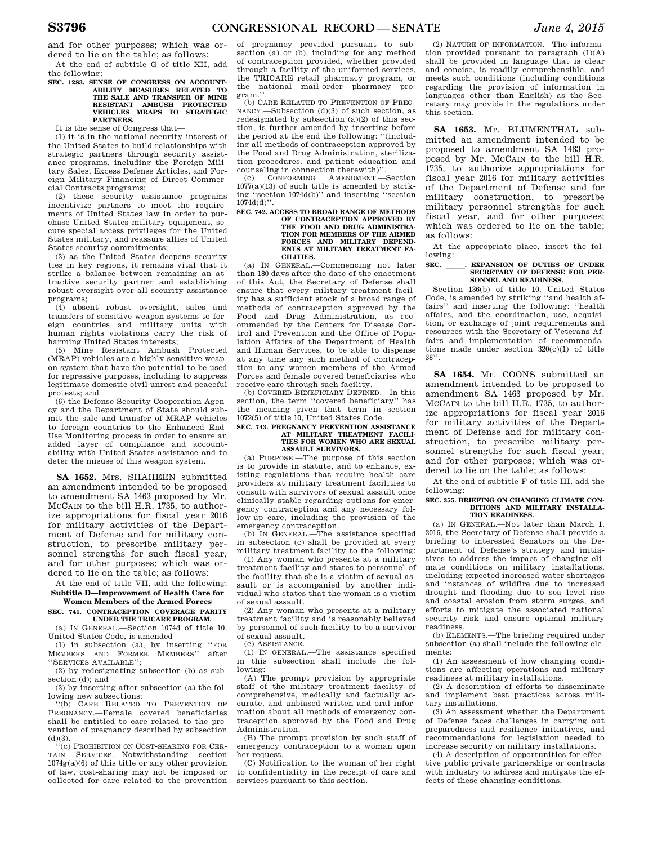and for other purposes; which was ordered to lie on the table; as follows:

At the end of subtitle G of title XII, add the following:

#### **SEC. 1283. SENSE OF CONGRESS ON ACCOUNT-ABILITY MEASURES RELATED TO THE SALE AND TRANSFER OF MINE RESISTANT AMBUSH PROTECTED VEHICLES MRAPS TO STRATEGIC PARTNERS.**

It is the sense of Congress that—

(1) it is in the national security interest of the United States to build relationships with strategic partners through security assistance programs, including the Foreign Military Sales, Excess Defense Articles, and Foreign Military Financing of Direct Commercial Contracts programs;

(2) these security assistance programs incentivize partners to meet the requirements of United States law in order to purchase United States military equipment, secure special access privileges for the United States military, and reassure allies of United States security commitments;

(3) as the United States deepens security ties in key regions, it remains vital that it strike a balance between remaining an attractive security partner and establishing robust oversight over all security assistance programs;

(4) absent robust oversight, sales and transfers of sensitive weapon systems to foreign countries and military units with human rights violations carry the risk of harming United States interests;

(5) Mine Resistant Ambush Protected (MRAP) vehicles are a highly sensitive weapon system that have the potential to be used for repressive purposes, including to suppress legitimate domestic civil unrest and peaceful protests; and

(6) the Defense Security Cooperation Agency and the Department of State should submit the sale and transfer of MRAP vehicles to foreign countries to the Enhanced End-Use Monitoring process in order to ensure an added layer of compliance and accountability with United States assistance and to deter the misuse of this weapon system.

**SA 1652.** Mrs. SHAHEEN submitted an amendment intended to be proposed to amendment SA 1463 proposed by Mr. MCCAIN to the bill H.R. 1735, to authorize appropriations for fiscal year 2016 for military activities of the Department of Defense and for military construction, to prescribe military personnel strengths for such fiscal year, and for other purposes; which was ordered to lie on the table; as follows:

At the end of title VII, add the following: **Subtitle D—Improvement of Health Care for Women Members of the Armed Forces** 

# **SEC. 741. CONTRACEPTION COVERAGE PARITY**

**UNDER THE TRICARE PROGRAM.**  (a) IN GENERAL.—Section 1074d of title 10,

United States Code, is amended—

(1) in subsection (a), by inserting ''FOR MEMBERS AND FORMER MEMBERS' ''SERVICES AVAILABLE'';

(2) by redesignating subsection (b) as subsection (d); and

(3) by inserting after subsection (a) the following new subsections:<br>"(b) CARE RELATED

CARE RELATED TO PREVENTION OF PREGNANCY.—Female covered beneficiaries shall be entitled to care related to the prevention of pregnancy described by subsection  $(d)(3)$ .

''(c) PROHIBITION ON COST-SHARING FOR CER-TAIN SERVICES.—Notwithstanding section 1074g(a)(6) of this title or any other provision of law, cost-sharing may not be imposed or collected for care related to the prevention

of pregnancy provided pursuant to subsection (a) or (b), including for any method of contraception provided, whether provided through a facility of the uniformed services, the TRICARE retail pharmacy program, or the national mail-order pharmacy program.

(b) CARE RELATED TO PREVENTION OF PREG-NANCY.—Subsection (d)(3) of such section, as redesignated by subsection  $(a)(2)$  of this section, is further amended by inserting before the period at the end the following: ''(including all methods of contraception approved by the Food and Drug Administration, sterilization procedures, and patient education and counseling in connection therewith)"<br>
(c) CONFORMING AMENDMENT.

(c) CONFORMING AMENDMENT.—Section  $1077(a)(13)$  of such title is amended by striking ''section 1074d(b)'' and inserting ''section 1074d(d)''.

#### **SEC. 742. ACCESS TO BROAD RANGE OF METHODS OF CONTRACEPTION APPROVED BY THE FOOD AND DRUG ADMINISTRA-TION FOR MEMBERS OF THE ARMED FORCES AND MILITARY DEPEND-ENTS AT MILITARY TREATMENT FA-CILITIES.**

(a) IN GENERAL.—Commencing not later than 180 days after the date of the enactment of this Act, the Secretary of Defense shall ensure that every military treatment facility has a sufficient stock of a broad range of methods of contraception approved by the Food and Drug Administration, as recommended by the Centers for Disease Control and Prevention and the Office of Population Affairs of the Department of Health and Human Services, to be able to dispense at any time any such method of contraception to any women members of the Armed Forces and female covered beneficiaries who receive care through such facility.

(b) COVERED BENEFICIARY DEFINED.—In this section, the term ''covered beneficiary'' has the meaning given that term in section 1072(5) of title 10, United States Code.

## **SEC. 743. PREGNANCY PREVENTION ASSISTANCE AT MILITARY TREATMENT FACILI-TIES FOR WOMEN WHO ARE SEXUAL ASSAULT SURVIVORS.**

(a) PURPOSE.—The purpose of this section is to provide in statute, and to enhance, existing regulations that require health care providers at military treatment facilities to consult with survivors of sexual assault once clinically stable regarding options for emergency contraception and any necessary follow-up care, including the provision of the

emergency contraception. (b) IN GENERAL.—The assistance specified in subsection (c) shall be provided at every military treatment facility to the following:

(1) Any woman who presents at a military treatment facility and states to personnel of the facility that she is a victim of sexual assault or is accompanied by another individual who states that the woman is a victim of sexual assault.

(2) Any woman who presents at a military treatment facility and is reasonably believed by personnel of such facility to be a survivor of sexual assault.

(c) ASSISTANCE.—

(1) IN GENERAL.—The assistance specified in this subsection shall include the following:

(A) The prompt provision by appropriate staff of the military treatment facility of comprehensive, medically and factually accurate, and unbiased written and oral information about all methods of emergency contraception approved by the Food and Drug Administration.

(B) The prompt provision by such staff of emergency contraception to a woman upon her request.

(C) Notification to the woman of her right to confidentiality in the receipt of care and services pursuant to this section.

(2) NATURE OF INFORMATION.—The information provided pursuant to paragraph (1)(A) shall be provided in language that is clear and concise, is readily comprehensible, and meets such conditions (including conditions regarding the provision of information in languages other than English) as the Secretary may provide in the regulations under this section.

**SA 1653.** Mr. BLUMENTHAL submitted an amendment intended to be proposed to amendment SA 1463 proposed by Mr. MCCAIN to the bill H.R. 1735, to authorize appropriations for fiscal year 2016 for military activities of the Department of Defense and for military construction, to prescribe military personnel strengths for such fiscal year, and for other purposes; which was ordered to lie on the table; as follows:

At the appropriate place, insert the following:

#### SEC. \_\_\_\_\_. EXPANSION OF DUTIES OF UNDER **SECRETARY OF DEFENSE FOR PER-SONNEL AND READINESS.**

Section 136(b) of title 10, United States Code, is amended by striking ''and health affairs'' and inserting the following: ''health affairs, and the coordination, use, acquisition, or exchange of joint requirements and resources with the Secretary of Veterans Affairs and implementation of recommendations made under section 320(c)(1) of title 38''.

**SA 1654.** Mr. COONS submitted an amendment intended to be proposed to amendment SA 1463 proposed by Mr. MCCAIN to the bill H.R. 1735, to authorize appropriations for fiscal year 2016 for military activities of the Department of Defense and for military construction, to prescribe military personnel strengths for such fiscal year, and for other purposes; which was ordered to lie on the table; as follows:

At the end of subtitle F of title III, add the following:

#### **SEC. 355. BRIEFING ON CHANGING CLIMATE CON-DITIONS AND MILITARY INSTALLA-TION READINESS.**

(a) IN GENERAL.—Not later than March 1, 2016, the Secretary of Defense shall provide a briefing to interested Senators on the Department of Defense's strategy and initiatives to address the impact of changing climate conditions on military installations, including expected increased water shortages and instances of wildfire due to increased drought and flooding due to sea level rise and coastal erosion from storm surges, and efforts to mitigate the associated national security risk and ensure optimal military readiness.

(b) ELEMENTS.—The briefing required under subsection (a) shall include the following elements:

(1) An assessment of how changing conditions are affecting operations and military readiness at military installations.

(2) A description of efforts to disseminate and implement best practices across military installations.

(3) An assessment whether the Department of Defense faces challenges in carrying out preparedness and resilience initiatives, and recommendations for legislation needed to increase security on military installations.

(4) A description of opportunities for effective public private partnerships or contracts with industry to address and mitigate the effects of these changing conditions.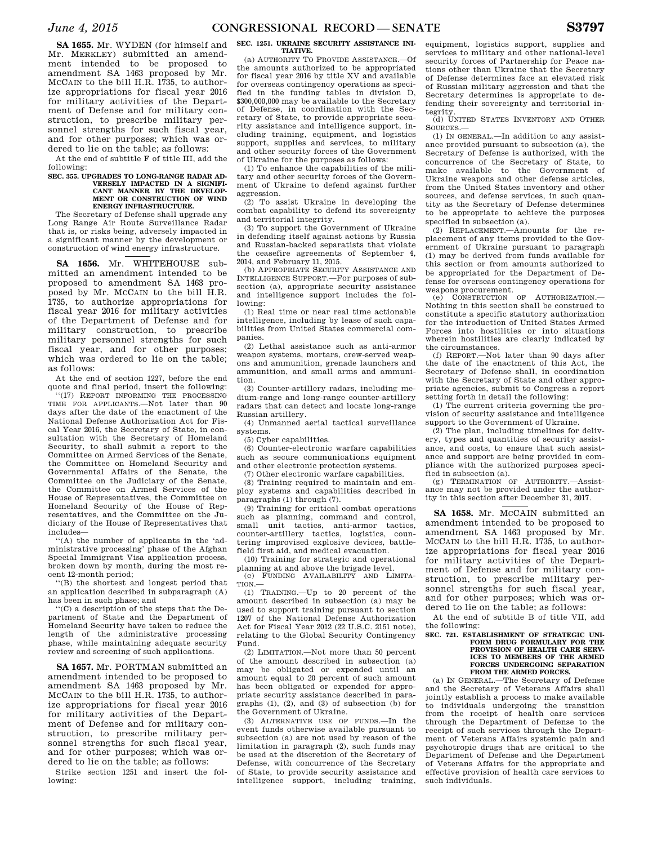**SA 1655.** Mr. WYDEN (for himself and Mr. MERKLEY) submitted an amendment intended to be proposed to amendment SA 1463 proposed by Mr. MCCAIN to the bill H.R. 1735, to authorize appropriations for fiscal year 2016 for military activities of the Department of Defense and for military construction, to prescribe military personnel strengths for such fiscal year, and for other purposes; which was ordered to lie on the table; as follows:

At the end of subtitle F of title III, add the following:

#### SEC. 355. UPGRADES TO LONG-RANGE RADAR AD-**VERSELY IMPACTED IN A SIGNIFI-CANT MANNER BY THE DEVELOP-MENT OR CONSTRUCTION OF WIND ENERGY INFRASTRUCTURE.**

The Secretary of Defense shall upgrade any Long Range Air Route Surveillance Radar that is, or risks being, adversely impacted in a significant manner by the development or construction of wind energy infrastructure.

**SA 1656.** Mr. WHITEHOUSE submitted an amendment intended to be proposed to amendment SA 1463 proposed by Mr. MCCAIN to the bill H.R. 1735, to authorize appropriations for fiscal year 2016 for military activities of the Department of Defense and for military construction, to prescribe military personnel strengths for such fiscal year, and for other purposes; which was ordered to lie on the table; as follows:

At the end of section 1227, before the end quote and final period, insert the following:

''(17) REPORT INFORMING THE PROCESSING TIME FOR APPLICANTS.—Not later than 90 days after the date of the enactment of the National Defense Authorization Act for Fiscal Year 2016, the Secretary of State, in consultation with the Secretary of Homeland Security, to shall submit a report to the Committee on Armed Services of the Senate, the Committee on Homeland Security and Governmental Affairs of the Senate, the Committee on the Judiciary of the Senate, the Committee on Armed Services of the House of Representatives, the Committee on Homeland Security of the House of Representatives, and the Committee on the Judiciary of the House of Representatives that includes—

''(A) the number of applicants in the 'administrative processing' phase of the Afghan Special Immigrant Visa application process, broken down by month, during the most recent 12-month period;

''(B) the shortest and longest period that an application described in subparagraph (A) has been in such phase; and

''(C) a description of the steps that the Department of State and the Department of Homeland Security have taken to reduce the length of the administrative processing phase, while maintaining adequate security review and screening of such applications.

**SA 1657.** Mr. PORTMAN submitted an amendment intended to be proposed to amendment SA 1463 proposed by Mr. MCCAIN to the bill H.R. 1735, to authorize appropriations for fiscal year 2016 for military activities of the Department of Defense and for military construction, to prescribe military personnel strengths for such fiscal year, and for other purposes; which was ordered to lie on the table; as follows:

Strike section 1251 and insert the following:

## **SEC. 1251. UKRAINE SECURITY ASSISTANCE INI-TIATIVE.**

(a) AUTHORITY TO PROVIDE ASSISTANCE.—Of the amounts authorized to be appropriated for fiscal year 2016 by title XV and available for overseas contingency operations as specified in the funding tables in division D, \$300,000,000 may be available to the Secretary of Defense, in coordination with the Secretary of State, to provide appropriate security assistance and intelligence support, including training, equipment, and logistics support, supplies and services, to military and other security forces of the Government of Ukraine for the purposes as follows:

(1) To enhance the capabilities of the military and other security forces of the Government of Ukraine to defend against further aggression.

(2) To assist Ukraine in developing the combat capability to defend its sovereignty and territorial integrity.

(3) To support the Government of Ukraine in defending itself against actions by Russia and Russian-backed separatists that violate the ceasefire agreements of September 4, 2014, and February 11, 2015.

(b) APPROPRIATE SECURITY ASSISTANCE AND INTELLIGENCE SUPPORT.—For purposes of subsection (a), appropriate security assistance and intelligence support includes the following:

(1) Real time or near real time actionable intelligence, including by lease of such capabilities from United States commercial companies.

(2) Lethal assistance such as anti-armor weapon systems, mortars, crew-served weapons and ammunition, grenade launchers and ammunition, and small arms and ammunition.

(3) Counter-artillery radars, including medium-range and long-range counter-artillery radars that can detect and locate long-range Russian artillery.

(4) Unmanned aerial tactical surveillance systems.

(5) Cyber capabilities.

(6) Counter-electronic warfare capabilities such as secure communications equipment and other electronic protection systems.

(7) Other electronic warfare capabilities.

(8) Training required to maintain and employ systems and capabilities described in paragraphs (1) through (7).

(9) Training for critical combat operations such as planning, command and control, small unit tactics, anti-armor tactics, counter-artillery tactics, logistics, countering improvised explosive devices, battlefield first aid, and medical evacuation.

(10) Training for strategic and operational planning at and above the brigade level.

(c) FUNDING AVAILABILITY AND LIMITA- $TION -$ 

(1) TRAINING.—Up to 20 percent of the amount described in subsection (a) may be used to support training pursuant to section 1207 of the National Defense Authorization Act for Fiscal Year 2012 (22 U.S.C. 2151 note), relating to the Global Security Contingency Fund.

(2) LIMITATION.—Not more than 50 percent of the amount described in subsection (a) may be obligated or expended until an amount equal to 20 percent of such amount has been obligated or expended for appropriate security assistance described in paragraphs  $(1)$ ,  $(2)$ , and  $(3)$  of subsection  $(b)$  for the Government of Ukraine.

(3) ALTERNATIVE USE OF FUNDS.—In the event funds otherwise available pursuant to subsection (a) are not used by reason of the limitation in paragraph (2), such funds may be used at the discretion of the Secretary of Defense, with concurrence of the Secretary of State, to provide security assistance and intelligence support, including training,

equipment, logistics support, supplies and services to military and other national-level security forces of Partnership for Peace nations other than Ukraine that the Secretary of Defense determines face an elevated risk of Russian military aggression and that the Secretary determines is appropriate to defending their sovereignty and territorial integrity.

(d) UNITED STATES INVENTORY AND OTHER SOURCES.—

(1) IN GENERAL.—In addition to any assistance provided pursuant to subsection (a), the Secretary of Defense is authorized, with the concurrence of the Secretary of State, to make available to the Government of Ukraine weapons and other defense articles, from the United States inventory and other sources, and defense services, in such quantity as the Secretary of Defense determines to be appropriate to achieve the purposes specified in subsection (a).

(2) REPLACEMENT.—Amounts for the replacement of any items provided to the Government of Ukraine pursuant to paragraph (1) may be derived from funds available for this section or from amounts authorized to be appropriated for the Department of Defense for overseas contingency operations for weapons procurement.<br>(e) CONSTRUCTION

CONSTRUCTION OF AUTHORIZATION. Nothing in this section shall be construed to constitute a specific statutory authorization for the introduction of United States Armed Forces into hostilities or into situations wherein hostilities are clearly indicated by the circumstances.

(f) REPORT.—Not later than 90 days after the date of the enactment of this Act, the Secretary of Defense shall, in coordination with the Secretary of State and other appropriate agencies, submit to Congress a report setting forth in detail the following:

(1) The current criteria governing the provision of security assistance and intelligence support to the Government of Ukraine.

(2) The plan, including timelines for delivery, types and quantities of security assistance, and costs, to ensure that such assistance and support are being provided in compliance with the authorized purposes specified in subsection (a).

(g) TERMINATION OF AUTHORITY.—Assistance may not be provided under the authority in this section after December 31, 2017.

**SA 1658.** Mr. MCCAIN submitted an amendment intended to be proposed to amendment SA 1463 proposed by Mr. MCCAIN to the bill H.R. 1735, to authorize appropriations for fiscal year 2016 for military activities of the Department of Defense and for military construction, to prescribe military personnel strengths for such fiscal year, and for other purposes; which was ordered to lie on the table; as follows:

At the end of subtitle B of title VII, add the following:

## **SEC. 721. ESTABLISHMENT OF STRATEGIC UNI-FORM DRUG FORMULARY FOR THE PROVISION OF HEALTH CARE SERV-ICES TO MEMBERS OF THE ARMED FORCES UNDERGOING SEPARATION FROM THE ARMED FORCES.**

(a) IN GENERAL.—The Secretary of Defense and the Secretary of Veterans Affairs shall jointly establish a process to make available to individuals undergoing the transition from the receipt of health care services through the Department of Defense to the receipt of such services through the Department of Veterans Affairs systemic pain and psychotropic drugs that are critical to the Department of Defense and the Department of Veterans Affairs for the appropriate and effective provision of health care services to such individuals.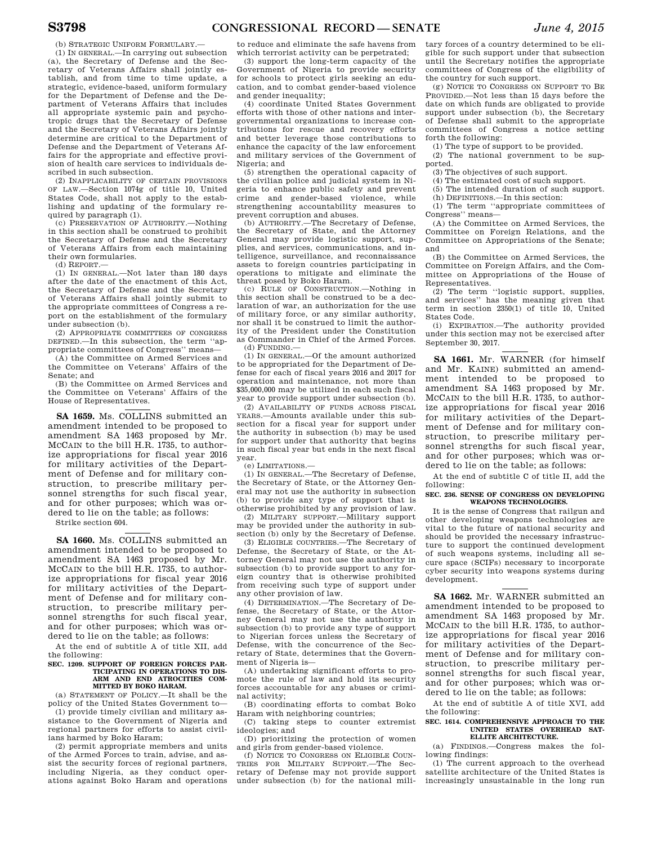(b) STRATEGIC UNIFORM FORMULARY.—

(1) IN GENERAL.—In carrying out subsection (a), the Secretary of Defense and the Secretary of Veterans Affairs shall jointly establish, and from time to time update, a strategic, evidence-based, uniform formulary for the Department of Defense and the Department of Veterans Affairs that includes all appropriate systemic pain and psychotropic drugs that the Secretary of Defense and the Secretary of Veterans Affairs jointly determine are critical to the Department of Defense and the Department of Veterans Affairs for the appropriate and effective provision of health care services to individuals described in such subsection.

(2) INAPPLICABILITY OF CERTAIN PROVISIONS OF LAW.—Section 1074g of title 10, United States Code, shall not apply to the establishing and updating of the formulary required by paragraph (1).

(c) PRESERVATION OF AUTHORITY.—Nothing in this section shall be construed to prohibit the Secretary of Defense and the Secretary of Veterans Affairs from each maintaining their own formularies.

(d) REPORT.—

(1) IN GENERAL.—Not later than 180 days after the date of the enactment of this Act, the Secretary of Defense and the Secretary of Veterans Affairs shall jointly submit to the appropriate committees of Congress a report on the establishment of the formulary under subsection (b).

(2) APPROPRIATE COMMITTEES OF CONGRESS DEFINED.—In this subsection, the term ''appropriate committees of Congress'' means—

(A) the Committee on Armed Services and the Committee on Veterans' Affairs of the Senate; and

(B) the Committee on Armed Services and the Committee on Veterans' Affairs of the House of Representatives.

**SA 1659.** Ms. COLLINS submitted an amendment intended to be proposed to amendment SA 1463 proposed by Mr. MCCAIN to the bill H.R. 1735, to authorize appropriations for fiscal year 2016 for military activities of the Department of Defense and for military construction, to prescribe military personnel strengths for such fiscal year, and for other purposes; which was ordered to lie on the table; as follows:

Strike section 604.

**SA 1660.** Ms. COLLINS submitted an amendment intended to be proposed to amendment SA 1463 proposed by Mr. MCCAIN to the bill H.R. 1735, to authorize appropriations for fiscal year 2016 for military activities of the Department of Defense and for military construction, to prescribe military personnel strengths for such fiscal year, and for other purposes; which was ordered to lie on the table; as follows:

At the end of subtitle A of title XII, add the following:

#### **SEC. 1209. SUPPORT OF FOREIGN FORCES PAR-TICIPATING IN OPERATIONS TO DIS-ARM AND END ATROCITIES COM-MITTED BY BOKO HARAM.**

(a) STATEMENT OF POLICY.—It shall be the policy of the United States Government to—

(1) provide timely civilian and military assistance to the Government of Nigeria and regional partners for efforts to assist civilians harmed by Boko Haram;

(2) permit appropriate members and units of the Armed Forces to train, advise, and assist the security forces of regional partners, including Nigeria, as they conduct operations against Boko Haram and operations to reduce and eliminate the safe havens from which terrorist activity can be perpetrated;

(3) support the long-term capacity of the Government of Nigeria to provide security for schools to protect girls seeking an education, and to combat gender-based violence and gender inequality;

(4) coordinate United States Government efforts with those of other nations and intergovernmental organizations to increase contributions for rescue and recovery efforts and better leverage those contributions to enhance the capacity of the law enforcement and military services of the Government of Nigeria; and

(5) strengthen the operational capacity of the civilian police and judicial system in Nigeria to enhance public safety and prevent crime and gender-based violence, while strengthening accountability measures to prevent corruption and abuses.

(b) AUTHORITY.—The Secretary of Defense, the Secretary of State, and the Attorney General may provide logistic support, supplies, and services, communications, and intelligence, surveillance, and reconnaissance assets to foreign countries participating in operations to mitigate and eliminate the threat posed by Boko Haram.

(c) RULE OF CONSTRUCTION.—Nothing in this section shall be construed to be a declaration of war, an authorization for the use of military force, or any similar authority, nor shall it be construed to limit the authority of the President under the Constitution as Commander in Chief of the Armed Forces. (d) FUNDING.—

(1) IN GENERAL.—Of the amount authorized to be appropriated for the Department of Defense for each of fiscal years 2016 and 2017 for operation and maintenance, not more than \$35,000,000 may be utilized in each such fiscal year to provide support under subsection (b).

(2) AVAILABILITY OF FUNDS ACROSS FISCAL YEARS.—Amounts available under this subsection for a fiscal year for support under the authority in subsection (b) may be used for support under that authority that begins in such fiscal year but ends in the next fiscal year.

## (e) LIMITATIONS.—

(1) IN GENERAL.—The Secretary of Defense, the Secretary of State, or the Attorney General may not use the authority in subsection (b) to provide any type of support that is otherwise prohibited by any provision of law.

(2) MILITARY SUPPORT.—Military support may be provided under the authority in subsection (b) only by the Secretary of Defense.

(3) ELIGIBLE COUNTRIES.—The Secretary of Defense, the Secretary of State, or the Attorney General may not use the authority in subsection (b) to provide support to any foreign country that is otherwise prohibited from receiving such type of support under any other provision of law.

(4) DETERMINATION.—The Secretary of Defense, the Secretary of State, or the Attorney General may not use the authority in subsection (b) to provide any type of support to Nigerian forces unless the Secretary of Defense, with the concurrence of the Secretary of State, determines that the Government of Nigeria is—

(A) undertaking significant efforts to promote the rule of law and hold its security forces accountable for any abuses or criminal activity;

(B) coordinating efforts to combat Boko Haram with neighboring countries;

(C) taking steps to counter extremist ideologies; and

(D) prioritizing the protection of women and girls from gender-based violence.

(f) NOTICE TO CONGRESS ON ELIGIBLE COUN-TRIES FOR MILITARY SUPPORT.—The Secretary of Defense may not provide support under subsection (b) for the national military forces of a country determined to be eligible for such support under that subsection until the Secretary notifies the appropriate committees of Congress of the eligibility of the country for such support.

(g) NOTICE TO CONGRESS ON SUPPORT TO BE PROVIDED.—Not less than 15 days before the date on which funds are obligated to provide support under subsection (b), the Secretary of Defense shall submit to the appropriate committees of Congress a notice setting forth the following:

(1) The type of support to be provided. (2) The national government to be sup-

ported.

(3) The objectives of such support.

(4) The estimated cost of such support.

(5) The intended duration of such support.

(h) DEFINITIONS.—In this section: (1) The term ''appropriate committees of

Congress'' means— (A) the Committee on Armed Services, the

Committee on Foreign Relations, and the Committee on Appropriations of the Senate; and

(B) the Committee on Armed Services, the Committee on Foreign Affairs, and the Committee on Appropriations of the House of Representatives.

(2) The term ''logistic support, supplies, and services'' has the meaning given that term in section 2350(1) of title 10, United States Code.

(i) EXPIRATION.—The authority provided under this section may not be exercised after September 30, 2017.

**SA 1661.** Mr. WARNER (for himself and Mr. KAINE) submitted an amendment intended to be proposed to amendment SA 1463 proposed by Mr. MCCAIN to the bill H.R. 1735, to authorize appropriations for fiscal year 2016 for military activities of the Department of Defense and for military construction, to prescribe military personnel strengths for such fiscal year, and for other purposes; which was ordered to lie on the table; as follows:

At the end of subtitle C of title II, add the following:

#### **SEC. 236. SENSE OF CONGRESS ON DEVELOPING WEAPONS TECHNOLOGIES.**

It is the sense of Congress that railgun and other developing weapons technologies are vital to the future of national security and should be provided the necessary infrastructure to support the continued development of such weapons systems, including all secure space (SCIFs) necessary to incorporate cyber security into weapons systems during development.

**SA 1662.** Mr. WARNER submitted an amendment intended to be proposed to amendment SA 1463 proposed by Mr. MCCAIN to the bill H.R. 1735, to authorize appropriations for fiscal year 2016 for military activities of the Department of Defense and for military construction, to prescribe military personnel strengths for such fiscal year, and for other purposes; which was ordered to lie on the table; as follows:

At the end of subtitle A of title XVI, add the following:

#### **SEC. 1614. COMPREHENSIVE APPROACH TO THE UNITED STATES OVERHEAD SAT-ELLITE ARCHITECTURE.**

(a) FINDINGS.—Congress makes the following findings:

(1) The current approach to the overhead satellite architecture of the United States is increasingly unsustainable in the long run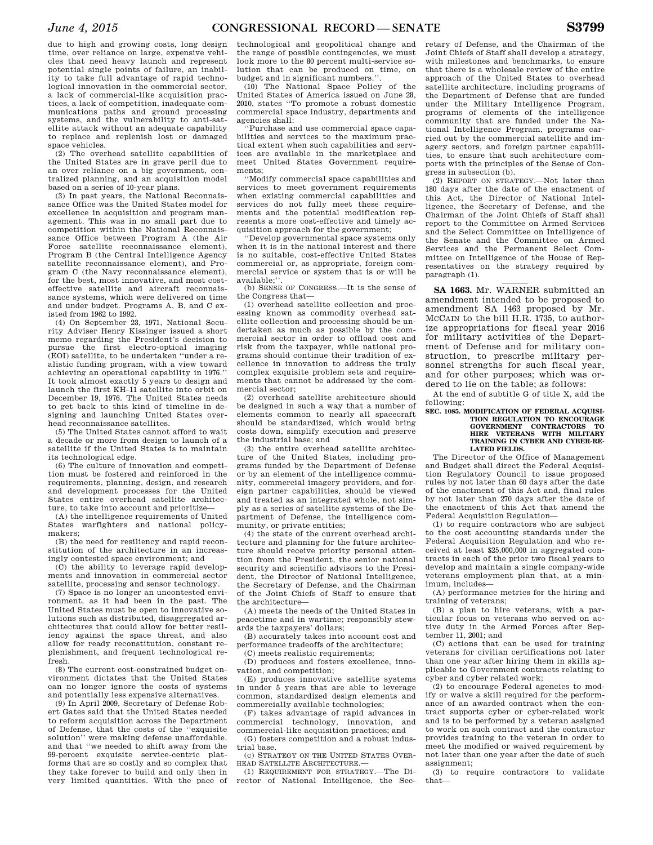due to high and growing costs, long design time, over reliance on large, expensive vehicles that need heavy launch and represent potential single points of failure, an inability to take full advantage of rapid technological innovation in the commercial sector, a lack of commercial-like acquisition practices, a lack of competition, inadequate communications paths and ground processing systems, and the vulnerability to anti-satellite attack without an adequate capability to replace and replenish lost or damaged space vehicles.

(2) The overhead satellite capabilities of the United States are in grave peril due to an over reliance on a big government, centralized planning, and an acquisition model based on a series of 10-year plans.

(3) In past years, the National Reconnaissance Office was the United States model for excellence in acquisition and program management. This was in no small part due to competition within the National Reconnaissance Office between Program A (the Air Force satellite reconnaissance element), Program B (the Central Intelligence Agency satellite reconnaissance element), and Program C (the Navy reconnaissance element), for the best, most innovative, and most costeffective satellite and aircraft reconnaissance systems, which were delivered on time and under budget. Programs A, B, and C existed from 1962 to 1992.

(4) On September 23, 1971, National Security Adviser Henry Kissinger issued a short memo regarding the President's decision to pursue the first electro-optical imaging (EOI) satellite, to be undertaken ''under a realistic funding program, with a view toward achieving an operational capability in 1976.'' It took almost exactly 5 years to design and launch the first KH–11 satellite into orbit on December 19, 1976. The United States needs to get back to this kind of timeline in designing and launching United States overhead reconnaissance satellites.

(5) The United States cannot afford to wait a decade or more from design to launch of a satellite if the United States is to maintain its technological edge.

(6) The culture of innovation and competition must be fostered and reinforced in the requirements, planning, design, and research and development processes for the United States entire overhead satellite architecture, to take into account and prioritize—

(A) the intelligence requirements of United States warfighters and national policymakers;

(B) the need for resiliency and rapid reconstitution of the architecture in an increasingly contested space environment; and

(C) the ability to leverage rapid developments and innovation in commercial sector satellite, processing and sensor technology.

(7) Space is no longer an uncontested environment, as it had been in the past. The United States must be open to innovative solutions such as distributed, disaggregated architectures that could allow for better resiliency against the space threat, and also allow for ready reconstitution, constant replenishment, and frequent technological refresh.

(8) The current cost-constrained budget environment dictates that the United States can no longer ignore the costs of systems and potentially less expensive alternatives.

(9) In April 2009, Secretary of Defense Robert Gates said that the United States needed to reform acquisition across the Department of Defense, that the costs of the ''exquisite solution'' were making defense unaffordable, and that ''we needed to shift away from the 99-percent exquisite service-centric platforms that are so costly and so complex that they take forever to build and only then in very limited quantities. With the pace of

technological and geopolitical change and the range of possible contingencies, we must look more to the 80 percent multi-service solution that can be produced on time, on budget and in significant numbers.'

(10) The National Space Policy of the United States of America issued on June 28, 2010, states ''To promote a robust domestic commercial space industry, departments and agencies shall:

''Purchase and use commercial space capabilities and services to the maximum practical extent when such capabilities and services are available in the marketplace and meet United States Government requirements;

''Modify commercial space capabilities and services to meet government requirements when existing commercial capabilities and services do not fully meet these requirements and the potential modification represents a more cost-effective and timely acquisition approach for the government;

''Develop governmental space systems only when it is in the national interest and there is no suitable, cost-effective United States commercial or, as appropriate, foreign commercial service or system that is or will be available;''.

(b) SENSE OF CONGRESS.—It is the sense of the Congress that—

(1) overhead satellite collection and processing known as commodity overhead satellite collection and processing should be undertaken as much as possible by the commercial sector in order to offload cost and risk from the taxpayer, while national programs should continue their tradition of excellence in innovation to address the truly complex exquisite problem sets and requirements that cannot be addressed by the commercial sector;

(2) overhead satellite architecture should be designed in such a way that a number of elements common to nearly all spacecraft should be standardized, which would bring costs down, simplify execution and preserve the industrial base; and

(3) the entire overhead satellite architecture of the United States, including programs funded by the Department of Defense or by an element of the intelligence community, commercial imagery providers, and foreign partner capabilities, should be viewed and treated as an integrated whole, not simply as a series of satellite systems of the Department of Defense, the intelligence community, or private entities;

(4) the state of the current overhead architecture and planning for the future architecture should receive priority personal attention from the President, the senior national security and scientific advisors to the President, the Director of National Intelligence, the Secretary of Defense, and the Chairman of the Joint Chiefs of Staff to ensure that the architecture—

(A) meets the needs of the United States in peacetime and in wartime; responsibly stewards the taxpayers' dollars;

(B) accurately takes into account cost and performance tradeoffs of the architecture;

(C) meets realistic requirements;

(D) produces and fosters excellence, innovation, and competition;

(E) produces innovative satellite systems in under 5 years that are able to leverage common, standardized design elements and commercially available technologies;

(F) takes advantage of rapid advances in commercial technology, innovation, and commercial-like acquisition practices; and

(G) fosters competition and a robust industrial base.

(c) STRATEGY ON THE UNITED STATES OVER-HEAD SATELLITE ARCHITECTURE.—

(1) REQUIREMENT FOR STRATEGY.—The Director of National Intelligence, the Sec-

retary of Defense, and the Chairman of the Joint Chiefs of Staff shall develop a strategy, with milestones and benchmarks, to ensure that there is a wholesale review of the entire approach of the United States to overhead satellite architecture, including programs of the Department of Defense that are funded under the Military Intelligence Program, programs of elements of the intelligence community that are funded under the National Intelligence Program, programs carried out by the commercial satellite and imagery sectors, and foreign partner capabilities, to ensure that such architecture comports with the principles of the Sense of Congress in subsection (b).

(2) REPORT ON STRATEGY.—Not later than 180 days after the date of the enactment of this Act, the Director of National Intelligence, the Secretary of Defense, and the Chairman of the Joint Chiefs of Staff shall report to the Committee on Armed Services and the Select Committee on Intelligence of the Senate and the Committee on Armed Services and the Permanent Select Committee on Intelligence of the House of Representatives on the strategy required by paragraph (1).

**SA 1663.** Mr. WARNER submitted an amendment intended to be proposed to amendment SA 1463 proposed by Mr. MCCAIN to the bill H.R. 1735, to authorize appropriations for fiscal year 2016 for military activities of the Department of Defense and for military construction, to prescribe military personnel strengths for such fiscal year, and for other purposes; which was ordered to lie on the table; as follows:

At the end of subtitle G of title X, add the following:

#### **SEC. 1085. MODIFICATION OF FEDERAL ACQUISI-TION REGULATION TO ENCOURAGE GOVERNMENT CONTRACTORS TO HIRE VETERANS WITH MILITARY TRAINING IN CYBER AND CYBER-RE-LATED FIELDS.**

The Director of the Office of Management and Budget shall direct the Federal Acquisition Regulatory Council to issue proposed rules by not later than 60 days after the date of the enactment of this Act and, final rules by not later than 270 days after the date of the enactment of this Act that amend the Federal Acquisition Regulation—

(1) to require contractors who are subject to the cost accounting standards under the Federal Acquisition Regulation and who received at least \$25,000,000 in aggregated contracts in each of the prior two fiscal years to develop and maintain a single company-wide veterans employment plan that, at a minimum, includes—

(A) performance metrics for the hiring and training of veterans;

(B) a plan to hire veterans, with a particular focus on veterans who served on active duty in the Armed Forces after September 11, 2001; and

(C) actions that can be used for training veterans for civilian certifications not later than one year after hiring them in skills applicable to Government contracts relating to cyber and cyber related work;

(2) to encourage Federal agencies to modify or waive a skill required for the performance of an awarded contract when the contract supports cyber or cyber-related work and is to be performed by a veteran assigned to work on such contract and the contractor provides training to the veteran in order to meet the modified or waived requirement by not later than one year after the date of such assignment;

(3) to require contractors to validate that—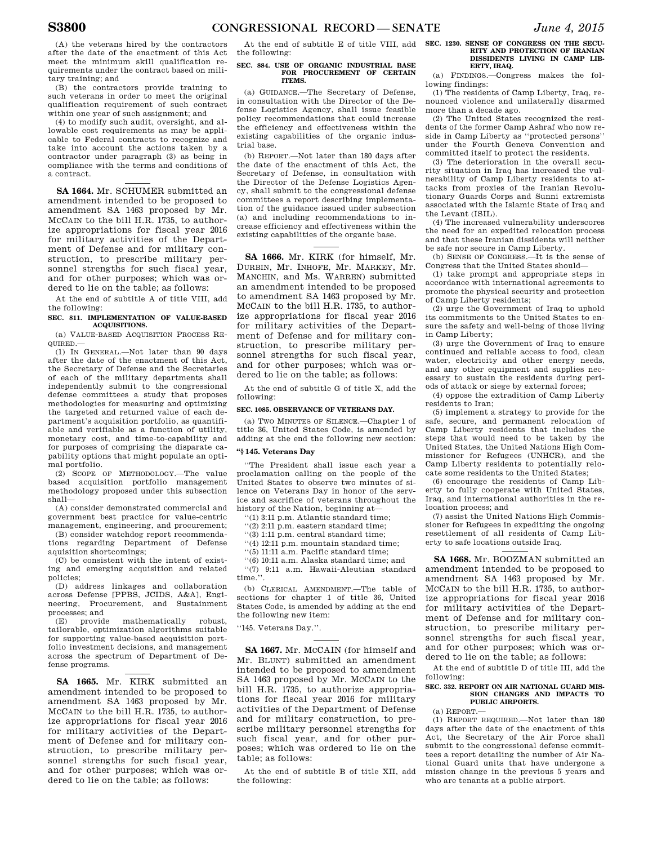(A) the veterans hired by the contractors after the date of the enactment of this Act meet the minimum skill qualification requirements under the contract based on military training; and

(B) the contractors provide training to such veterans in order to meet the original qualification requirement of such contract within one year of such assignment; and

(4) to modify such audit, oversight, and allowable cost requirements as may be applicable to Federal contracts to recognize and take into account the actions taken by a contractor under paragraph (3) as being in compliance with the terms and conditions of a contract.

**SA 1664.** Mr. SCHUMER submitted an amendment intended to be proposed to amendment SA 1463 proposed by Mr. MCCAIN to the bill H.R. 1735, to authorize appropriations for fiscal year 2016 for military activities of the Department of Defense and for military construction, to prescribe military personnel strengths for such fiscal year, and for other purposes; which was ordered to lie on the table; as follows:

At the end of subtitle A of title VIII, add the following:

#### **SEC. 811. IMPLEMENTATION OF VALUE-BASED ACQUISITIONS.**

(a) VALUE-BASED ACQUISITION PROCESS RE-QUIRED.—

(1) IN GENERAL.—Not later than 90 days after the date of the enactment of this Act, the Secretary of Defense and the Secretaries of each of the military departments shall independently submit to the congressional defense committees a study that proposes methodologies for measuring and optimizing the targeted and returned value of each department's acquisition portfolio, as quantifiable and verifiable as a function of utility, monetary cost, and time-to-capability and for purposes of comprising the disparate capability options that might populate an optimal portfolio.

(2) SCOPE OF METHODOLOGY.—The value based acquisition portfolio management methodology proposed under this subsection shall—

(A) consider demonstrated commercial and government best practice for value-centric management, engineering, and procurement;

(B) consider watchdog report recommendations regarding Department of Defense aquisition shortcomings;

(C) be consistent with the intent of existing and emerging acquisition and related policies;

(D) address linkages and collaboration across Defense [PPBS, JCIDS, A&A], Engineering, Procurement, and Sustainment processes; and

(E) provide mathematically robust, tailorable, optimization algorithms suitable for supporting value-based acquisition portfolio investment decisions, and management across the spectrum of Department of Defense programs.

**SA 1665.** Mr. KIRK submitted an amendment intended to be proposed to amendment SA 1463 proposed by Mr. MCCAIN to the bill H.R. 1735, to authorize appropriations for fiscal year 2016 for military activities of the Department of Defense and for military construction, to prescribe military personnel strengths for such fiscal year, and for other purposes; which was ordered to lie on the table; as follows:

At the end of subtitle E of title VIII, add **SEC. 1230. SENSE OF CONGRESS ON THE SECU**the following:

#### **SEC. 884. USE OF ORGANIC INDUSTRIAL BASE FOR PROCUREMENT OF CERTAIN ITEMS.**

(a) GUIDANCE.—The Secretary of Defense, in consultation with the Director of the Defense Logistics Agency, shall issue feasible policy recommendations that could increase the efficiency and effectiveness within the existing capabilities of the organic industrial base.

(b) REPORT.—Not later than 180 days after the date of the enactment of this Act, the Secretary of Defense, in consultation with the Director of the Defense Logistics Agency, shall submit to the congressional defense committees a report describing implementation of the guidance issued under subsection (a) and including recommendations to increase efficiency and effectiveness within the existing capabilities of the organic base.

**SA 1666.** Mr. KIRK (for himself, Mr. DURBIN, Mr. INHOFE, Mr. MARKEY, Mr. MANCHIN, and Ms. WARREN) submitted an amendment intended to be proposed to amendment SA 1463 proposed by Mr. MCCAIN to the bill H.R. 1735, to authorize appropriations for fiscal year 2016 for military activities of the Department of Defense and for military construction, to prescribe military personnel strengths for such fiscal year, and for other purposes; which was ordered to lie on the table; as follows:

At the end of subtitle G of title X, add the following:

## **SEC. 1085. OBSERVANCE OF VETERANS DAY.**

(a) TWO MINUTES OF SILENCE.—Chapter 1 of title 36, United States Code, is amended by adding at the end the following new section:

## **''§ 145. Veterans Day**

''The President shall issue each year a proclamation calling on the people of the United States to observe two minutes of silence on Veterans Day in honor of the service and sacrifice of veterans throughout the history of the Nation, beginning at—

''(1) 3:11 p.m. Atlantic standard time;

''(2) 2:11 p.m. eastern standard time;

''(3) 1:11 p.m. central standard time;

''(4) 12:11 p.m. mountain standard time;

''(5) 11:11 a.m. Pacific standard time;

''(6) 10:11 a.m. Alaska standard time; and ''(7) 9:11 a.m. Hawaii-Aleutian standard time.

(b) CLERICAL AMENDMENT.—The table of sections for chapter 1 of title 36, United States Code, is amended by adding at the end the following new item:

''145. Veterans Day.''.

**SA 1667.** Mr. MCCAIN (for himself and Mr. BLUNT) submitted an amendment intended to be proposed to amendment SA 1463 proposed by Mr. MCCAIN to the bill H.R. 1735, to authorize appropriations for fiscal year 2016 for military activities of the Department of Defense and for military construction, to prescribe military personnel strengths for such fiscal year, and for other purposes; which was ordered to lie on the table; as follows:

At the end of subtitle B of title XII, add the following:

**RITY AND PROTECTION OF IRANIAN DISSIDENTS LIVING IN CAMP LIB-ERTY, IRAQ.** 

(a) FINDINGS.—Congress makes the following findings:

(1) The residents of Camp Liberty, Iraq, renounced violence and unilaterally disarmed more than a decade ago.

(2) The United States recognized the residents of the former Camp Ashraf who now reside in Camp Liberty as ''protected persons'' under the Fourth Geneva Convention and committed itself to protect the residents.

(3) The deterioration in the overall security situation in Iraq has increased the vulnerability of Camp Liberty residents to attacks from proxies of the Iranian Revolutionary Guards Corps and Sunni extremists associated with the Islamic State of Iraq and the Levant (ISIL).

(4) The increased vulnerability underscores the need for an expedited relocation process and that these Iranian dissidents will neither be safe nor secure in Camp Liberty.

(b) SENSE OF CONGRESS.—It is the sense of Congress that the United States should—

(1) take prompt and appropriate steps in accordance with international agreements to promote the physical security and protection of Camp Liberty residents;

(2) urge the Government of Iraq to uphold its commitments to the United States to ensure the safety and well-being of those living in Camp Liberty;

(3) urge the Government of Iraq to ensure continued and reliable access to food, clean water, electricity and other energy needs, and any other equipment and supplies necessary to sustain the residents during periods of attack or siege by external forces;

(4) oppose the extradition of Camp Liberty residents to Iran;

(5) implement a strategy to provide for the safe, secure, and permanent relocation of Camp Liberty residents that includes the steps that would need to be taken by the United States, the United Nations High Commissioner for Refugees (UNHCR), and the Camp Liberty residents to potentially relocate some residents to the United States;

(6) encourage the residents of Camp Liberty to fully cooperate with United States, Iraq, and international authorities in the relocation process; and

(7) assist the United Nations High Commissioner for Refugees in expediting the ongoing resettlement of all residents of Camp Liberty to safe locations outside Iraq.

**SA 1668.** Mr. BOOZMAN submitted an amendment intended to be proposed to amendment SA 1463 proposed by Mr. MCCAIN to the bill H.R. 1735, to authorize appropriations for fiscal year 2016 for military activities of the Department of Defense and for military construction, to prescribe military personnel strengths for such fiscal year, and for other purposes; which was ordered to lie on the table; as follows:

At the end of subtitle D of title III, add the following:

## **SEC. 332. REPORT ON AIR NATIONAL GUARD MIS-SION CHANGES AND IMPACTS TO PUBLIC AIRPORTS.**

 $(a)$  REPORT $-$ 

(1) REPORT REQUIRED.—Not later than 180 days after the date of the enactment of this Act, the Secretary of the Air Force shall submit to the congressional defense committees a report detailing the number of Air National Guard units that have undergone a mission change in the previous 5 years and who are tenants at a public airport.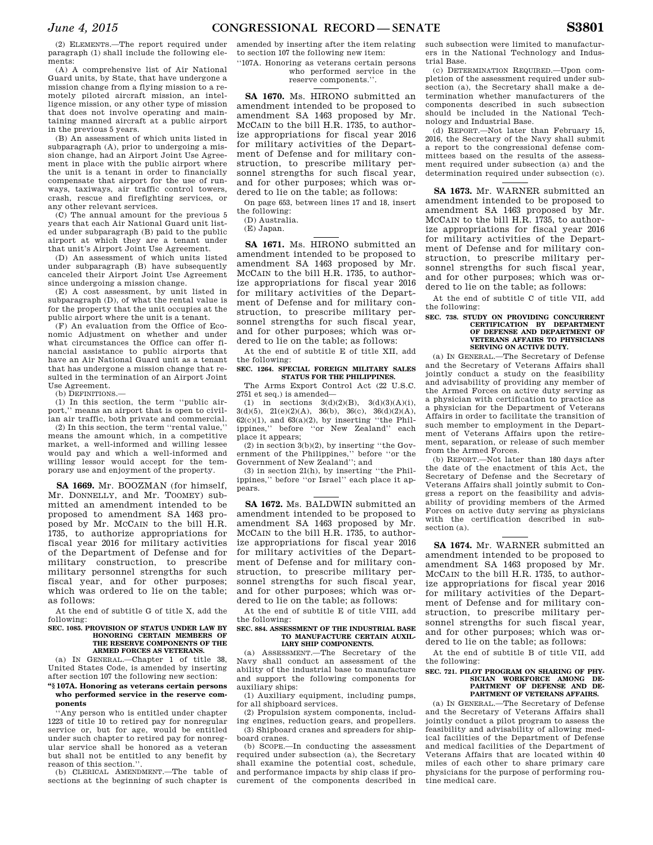(2) ELEMENTS.—The report required under paragraph (1) shall include the following elements:

(A) A comprehensive list of Air National Guard units, by State, that have undergone a mission change from a flying mission to a remotely piloted aircraft mission, an intelligence mission, or any other type of mission that does not involve operating and maintaining manned aircraft at a public airport in the previous 5 years.

(B) An assessment of which units listed in subparagraph (A), prior to undergoing a mission change, had an Airport Joint Use Agreement in place with the public airport where the unit is a tenant in order to financially compensate that airport for the use of runways, taxiways, air traffic control towers, crash, rescue and firefighting services, or any other relevant services.

(C) The annual amount for the previous 5 years that each Air National Guard unit listed under subparagraph (B) paid to the public airport at which they are a tenant under that unit's Airport Joint Use Agreement.

(D) An assessment of which units listed under subparagraph (B) have subsequently canceled their Airport Joint Use Agreement since undergoing a mission change.

(E) A cost assessment, by unit listed in subparagraph (D), of what the rental value is for the property that the unit occupies at the public airport where the unit is a tenant.

(F) An evaluation from the Office of Economic Adjustment on whether and under what circumstances the Office can offer financial assistance to public airports that have an Air National Guard unit as a tenant that has undergone a mission change that resulted in the termination of an Airport Joint Use Agreement.

(b) DEFINITIONS.

(1) In this section, the term ''public airport,'' means an airport that is open to civilian air traffic, both private and commercial.

(2) In this section, the term ''rental value,'' means the amount which, in a competitive market, a well-informed and willing lessee would pay and which a well-informed and willing lessor would accept for the temporary use and enjoyment of the property.

**SA 1669.** Mr. BOOZMAN (for himself, Mr. DONNELLY, and Mr. TOOMEY) submitted an amendment intended to be proposed to amendment SA 1463 proposed by Mr. MCCAIN to the bill H.R. 1735, to authorize appropriations for fiscal year 2016 for military activities of the Department of Defense and for military construction, to prescribe military personnel strengths for such fiscal year, and for other purposes; which was ordered to lie on the table; as follows:

At the end of subtitle G of title X, add the following:

## **SEC. 1085. PROVISION OF STATUS UNDER LAW BY HONORING CERTAIN MEMBERS OF THE RESERVE COMPONENTS OF THE ARMED FORCES AS VETERANS.**

(a) IN GENERAL.—Chapter 1 of title 38, United States Code, is amended by inserting after section 107 the following new section:

## **''§ 107A. Honoring as veterans certain persons who performed service in the reserve components**

''Any person who is entitled under chapter 1223 of title 10 to retired pay for nonregular service or, but for age, would be entitled under such chapter to retired pay for nonregular service shall be honored as a veteran but shall not be entitled to any benefit by reason of this section.''.

(b) CLERICAL AMENDMENT.—The table of sections at the beginning of such chapter is amended by inserting after the item relating to section 107 the following new item:

''107A. Honoring as veterans certain persons who performed service in the reserve components.''.

**SA 1670.** Ms. HIRONO submitted an amendment intended to be proposed to amendment SA 1463 proposed by Mr. MCCAIN to the bill H.R. 1735, to authorize appropriations for fiscal year 2016 for military activities of the Department of Defense and for military construction, to prescribe military personnel strengths for such fiscal year, and for other purposes; which was ordered to lie on the table; as follows:

On page 653, between lines 17 and 18, insert the following:

(D) Australia.

(E) Japan.

**SA 1671.** Ms. HIRONO submitted an amendment intended to be proposed to amendment SA 1463 proposed by Mr. MCCAIN to the bill H.R. 1735, to authorize appropriations for fiscal year 2016 for military activities of the Department of Defense and for military construction, to prescribe military personnel strengths for such fiscal year, and for other purposes; which was ordered to lie on the table; as follows:

At the end of subtitle E of title XII, add the following:

**SEC. 1264. SPECIAL FOREIGN MILITARY SALES STATUS FOR THE PHILIPPINES.** 

The Arms Export Control Act (22 U.S.C. 2751 et seq.) is amended—

(1) in sections  $3(d)(2)(B)$ ,  $3(d)(3)(A)(i)$ ,  $3(d)(5)$ ,  $21(e)(2)(A)$ ,  $36(b)$ ,  $36(c)$ ,  $36(d)(2)(A)$ ,  $62(c)(1)$ , and  $63(a)(2)$ , by inserting "the Philippines,'' before ''or New Zealand'' each place it appears;

 $(2)$  in section  $3(b)(2)$ , by inserting "the Government of the Philippines,'' before ''or the Government of New Zealand''; and

(3) in section 21(h), by inserting ''the Philippines,'' before ''or Israel'' each place it appears.

**SA 1672.** Ms. BALDWIN submitted an amendment intended to be proposed to amendment SA 1463 proposed by Mr. MCCAIN to the bill H.R. 1735, to authorize appropriations for fiscal year 2016 for military activities of the Department of Defense and for military construction, to prescribe military personnel strengths for such fiscal year, and for other purposes; which was ordered to lie on the table; as follows:

At the end of subtitle E of title VIII, add the following:

## **SEC. 884. ASSESSMENT OF THE INDUSTRIAL BASE TO MANUFACTURE CERTAIN AUXIL-IARY SHIP COMPONENTS.**

(a) ASSESSMENT.—The Secretary of the Navy shall conduct an assessment of the ability of the industrial base to manufacture and support the following components for auxiliary ships:

(1) Auxiliary equipment, including pumps, for all shipboard services.

(2) Propulsion system components, including engines, reduction gears, and propellers. (3) Shipboard cranes and spreaders for shipboard cranes.

(b) SCOPE.—In conducting the assessment required under subsection (a), the Secretary shall examine the potential cost, schedule, and performance impacts by ship class if procurement of the components described in such subsection were limited to manufacturers in the National Technology and Industrial Base.

(c) DETERMINATION REQUIRED.—Upon completion of the assessment required under subsection (a), the Secretary shall make a determination whether manufacturers of the components described in such subsection should be included in the National Technology and Industrial Base.

(d) REPORT.—Not later than February 15, 2016, the Secretary of the Navy shall submit a report to the congressional defense committees based on the results of the assessment required under subsection (a) and the determination required under subsection (c).

**SA 1673.** Mr. WARNER submitted an amendment intended to be proposed to amendment SA 1463 proposed by Mr. MCCAIN to the bill H.R. 1735, to authorize appropriations for fiscal year 2016 for military activities of the Department of Defense and for military construction, to prescribe military personnel strengths for such fiscal year, and for other purposes; which was ordered to lie on the table; as follows:

At the end of subtitle C of title VII, add the following:

#### **SEC. 738. STUDY ON PROVIDING CONCURRENT CERTIFICATION BY DEPARTMENT OF DEFENSE AND DEPARTMENT OF VETERANS AFFAIRS TO PHYSICIANS SERVING ON ACTIVE DUTY.**

(a) IN GENERAL.—The Secretary of Defense and the Secretary of Veterans Affairs shall jointly conduct a study on the feasibility and advisability of providing any member of the Armed Forces on active duty serving as a physician with certification to practice as a physician for the Department of Veterans Affairs in order to facilitate the transition of such member to employment in the Department of Veterans Affairs upon the retirement, separation, or release of such member from the Armed Forces.

(b) REPORT.—Not later than 180 days after the date of the enactment of this Act, the Secretary of Defense and the Secretary of Veterans Affairs shall jointly submit to Congress a report on the feasibility and advisability of providing members of the Armed Forces on active duty serving as physicians with the certification described in subsection (a).

**SA 1674.** Mr. WARNER submitted an amendment intended to be proposed to amendment SA 1463 proposed by Mr. MCCAIN to the bill H.R. 1735, to authorize appropriations for fiscal year 2016 for military activities of the Department of Defense and for military construction, to prescribe military personnel strengths for such fiscal year, and for other purposes; which was ordered to lie on the table; as follows:

At the end of subtitle B of title VII, add the following:

#### **SEC. 721. PILOT PROGRAM ON SHARING OF PHY-SICIAN WORKFORCE AMONG DE-PARTMENT OF DEFENSE AND DE-PARTMENT OF VETERANS AFFAIRS.**

(a) IN GENERAL.—The Secretary of Defense and the Secretary of Veterans Affairs shall jointly conduct a pilot program to assess the feasibility and advisability of allowing medical facilities of the Department of Defense and medical facilities of the Department of Veterans Affairs that are located within 40 miles of each other to share primary care physicians for the purpose of performing routine medical care.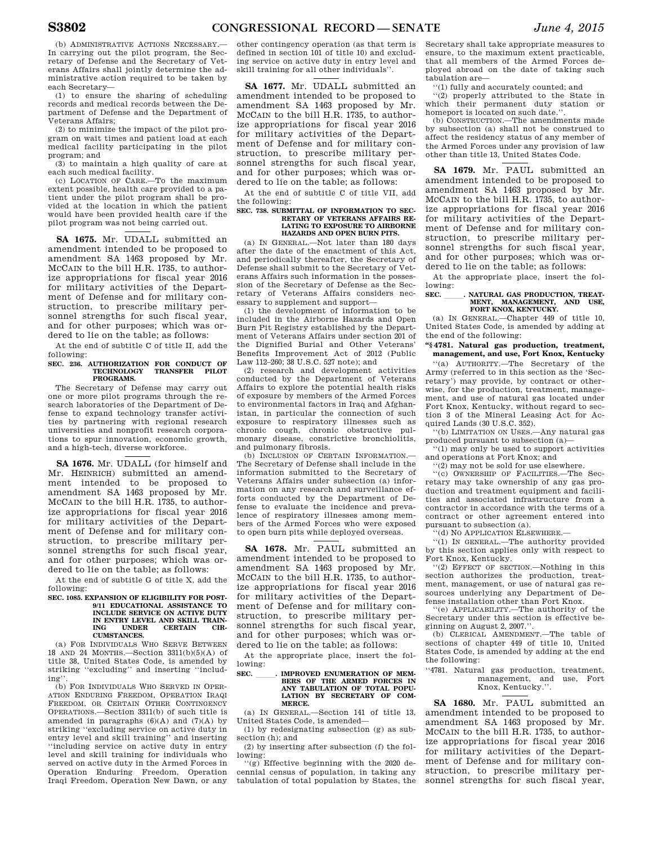(b) ADMINISTRATIVE ACTIONS NECESSARY. In carrying out the pilot program, the Secretary of Defense and the Secretary of Veterans Affairs shall jointly determine the administrative action required to be taken by each Secretary—

(1) to ensure the sharing of scheduling records and medical records between the Department of Defense and the Department of Veterans Affairs;

(2) to minimize the impact of the pilot program on wait times and patient load at each medical facility participating in the pilot program; and

(3) to maintain a high quality of care at each such medical facility. (c) LOCATION OF CARE.—To the maximum

extent possible, health care provided to a patient under the pilot program shall be provided at the location in which the patient would have been provided health care if the pilot program was not being carried out.

**SA 1675.** Mr. UDALL submitted an amendment intended to be proposed to amendment SA 1463 proposed by Mr. MCCAIN to the bill H.R. 1735, to authorize appropriations for fiscal year 2016 for military activities of the Department of Defense and for military construction, to prescribe military personnel strengths for such fiscal year, and for other purposes; which was ordered to lie on the table; as follows:

At the end of subtitle C of title II, add the following:

# **SEC. 236. AUTHORIZATION FOR CONDUCT OF TECHNOLOGY TRANSFER PILOT PROGRAMS.**

The Secretary of Defense may carry out one or more pilot programs through the research laboratories of the Department of Defense to expand technology transfer activities by partnering with regional research universities and nonprofit research corporations to spur innovation, economic growth, and a high-tech, diverse workforce.

**SA 1676.** Mr. UDALL (for himself and Mr. HEINRICH) submitted an amendment intended to be proposed to amendment SA 1463 proposed by Mr. MCCAIN to the bill H.R. 1735, to authorize appropriations for fiscal year 2016 for military activities of the Department of Defense and for military construction, to prescribe military personnel strengths for such fiscal year and for other purposes; which was ordered to lie on the table; as follows:

At the end of subtitle G of title X, add the following:

## **SEC. 1085. EXPANSION OF ELIGIBILITY FOR POST-9/11 EDUCATIONAL ASSISTANCE TO INCLUDE SERVICE ON ACTIVE DUTY IN ENTRY LEVEL AND SKILL TRAIN-CERTAIN CUMSTANCES.**

(a) FOR INDIVIDUALS WHO SERVE BETWEEN 18 AND 24 MONTHS.—Section 3311(b)(5)(A) of title 38, United States Code, is amended by striking ''excluding'' and inserting ''including''.

(b) FOR INDIVIDUALS WHO SERVED IN OPER-ATION ENDURING FREEDOM, OPERATION IRAQI FREEDOM, OR CERTAIN OTHER CONTINGENCY OPERATIONS.—Section 3311(b) of such title is amended in paragraphs  $(6)(A)$  and  $(7)(A)$  by striking ''excluding service on active duty in entry level and skill training'' and inserting ''including service on active duty in entry level and skill training for individuals who served on active duty in the Armed Forces in Operation Enduring Freedom, Operation Iraqi Freedom, Operation New Dawn, or any

other contingency operation (as that term is defined in section 101 of title 10) and excluding service on active duty in entry level and skill training for all other individuals''.

**SA 1677.** Mr. UDALL submitted an amendment intended to be proposed to amendment SA 1463 proposed by Mr. MCCAIN to the bill H.R. 1735, to authorize appropriations for fiscal year 2016 for military activities of the Department of Defense and for military construction, to prescribe military personnel strengths for such fiscal year, and for other purposes; which was ordered to lie on the table; as follows:

At the end of subtitle C of title VII, add the following:

#### **SEC. 738. SUBMITTAL OF INFORMATION TO SEC-RETARY OF VETERANS AFFAIRS RE-LATING TO EXPOSURE TO AIRBORNE HAZARDS AND OPEN BURN PITS.**

(a) IN GENERAL.—Not later than 180 days after the date of the enactment of this Act, and periodically thereafter, the Secretary of Defense shall submit to the Secretary of Veterans Affairs such information in the possession of the Secretary of Defense as the Secretary of Veterans Affairs considers necessary to supplement and support—

(1) the development of information to be included in the Airborne Hazards and Open Burn Pit Registry established by the Department of Veterans Affairs under section 201 of the Dignified Burial and Other Veterans' Benefits Improvement Act of 2012 (Public Law 112–260; 38 U.S.C. 527 note); and

(2) research and development activities conducted by the Department of Veterans Affairs to explore the potential health risks of exposure by members of the Armed Forces to environmental factors in Iraq and Afghanistan, in particular the connection of such exposure to respiratory illnesses such as chronic cough, chronic obstructive pulmonary disease, constrictive bronchiolitis, and pulmonary fibrosis.

(b) INCLUSION OF CERTAIN INFORMATION.— The Secretary of Defense shall include in the information submitted to the Secretary of Veterans Affairs under subsection (a) information on any research and surveillance efforts conducted by the Department of Defense to evaluate the incidence and prevalence of respiratory illnesses among members of the Armed Forces who were exposed to open burn pits while deployed overseas.

**SA 1678.** Mr. PAUL submitted an amendment intended to be proposed to amendment SA 1463 proposed by Mr. MCCAIN to the bill H.R. 1735, to authorize appropriations for fiscal year 2016 for military activities of the Department of Defense and for military construction, to prescribe military personnel strengths for such fiscal year, and for other purposes; which was ordered to lie on the table; as follows:

At the appropriate place, insert the following:

## **SEC. \_\_\_\_\_\_. IMPROVED ENUMERATION OF MEM-**<br>**BERS OF THE ARMED FORCES IN ANY TABULATION OF TOTAL POPU-LATION BY SECRETARY OF COM-MERCE.**

(a) IN GENERAL.—Section 141 of title 13, United States Code, is amended—

(1) by redesignating subsection (g) as subsection (h); and

(2) by inserting after subsection (f) the following:

''(g) Effective beginning with the 2020 decennial census of population, in taking any tabulation of total population by States, the Secretary shall take appropriate measures to ensure, to the maximum extent practicable, that all members of the Armed Forces deployed abroad on the date of taking such tabulation are—

''(1) fully and accurately counted; and

''(2) properly attributed to the State in which their permanent duty station or homeport is located on such date."

(b) CONSTRUCTION.—The amendments made by subsection (a) shall not be construed to affect the residency status of any member of the Armed Forces under any provision of law other than title 13, United States Code.

**SA 1679.** Mr. PAUL submitted an amendment intended to be proposed to amendment SA 1463 proposed by Mr. MCCAIN to the bill H.R. 1735, to authorize appropriations for fiscal year 2016 for military activities of the Department of Defense and for military construction, to prescribe military personnel strengths for such fiscal year, and for other purposes; which was ordered to lie on the table; as follows:

At the appropriate place, insert the following:

## SEC. \_\_\_\_\_\_. NATURAL GAS PRODUCTION, TREAT-<br>MENT, MANAGEMENT, AND USE, FORT KNOX, KENTUCKY.

(a) IN GENERAL.—Chapter 449 of title 10, United States Code, is amended by adding at the end of the following:

**''§ 4781. Natural gas production, treatment, management, and use, Fort Knox, Kentucky** 

''(a) AUTHORITY.—The Secretary of the Army (referred to in this section as the 'Secretary') may provide, by contract or otherwise, for the production, treatment, management, and use of natural gas located under Fort Knox, Kentucky, without regard to section 3 of the Mineral Leasing Act for Acquired Lands (30 U.S.C. 352).

''(b) LIMITATION ON USES.—Any natural gas produced pursuant to subsection (a)—

''(1) may only be used to support activities and operations at Fort Knox; and

''(2) may not be sold for use elsewhere.

''(c) OWNERSHIP OF FACILITIES.—The Secretary may take ownership of any gas production and treatment equipment and facilities and associated infrastructure from a contractor in accordance with the terms of a contract or other agreement entered into pursuant to subsection (a).

''(d) NO APPLICATION ELSEWHERE.—

''(1) IN GENERAL.—The authority provided by this section applies only with respect to Fort Knox, Kentucky.

''(2) EFFECT OF SECTION.—Nothing in this section authorizes the production, treatment, management, or use of natural gas resources underlying any Department of Defense installation other than Fort Knox.

''(e) APPLICABILITY.—The authority of the Secretary under this section is effective beginning on August 2, 2007.''.

(b) CLERICAL AMENDMENT.—The table of sections of chapter 449 of title 10, United States Code, is amended by adding at the end the following:

## ''4781. Natural gas production, treatment, management, and use, Fort Knox, Kentucky.''.

**SA 1680.** Mr. PAUL submitted an amendment intended to be proposed to amendment SA 1463 proposed by Mr. MCCAIN to the bill H.R. 1735, to authorize appropriations for fiscal year 2016 for military activities of the Department of Defense and for military construction, to prescribe military personnel strengths for such fiscal year,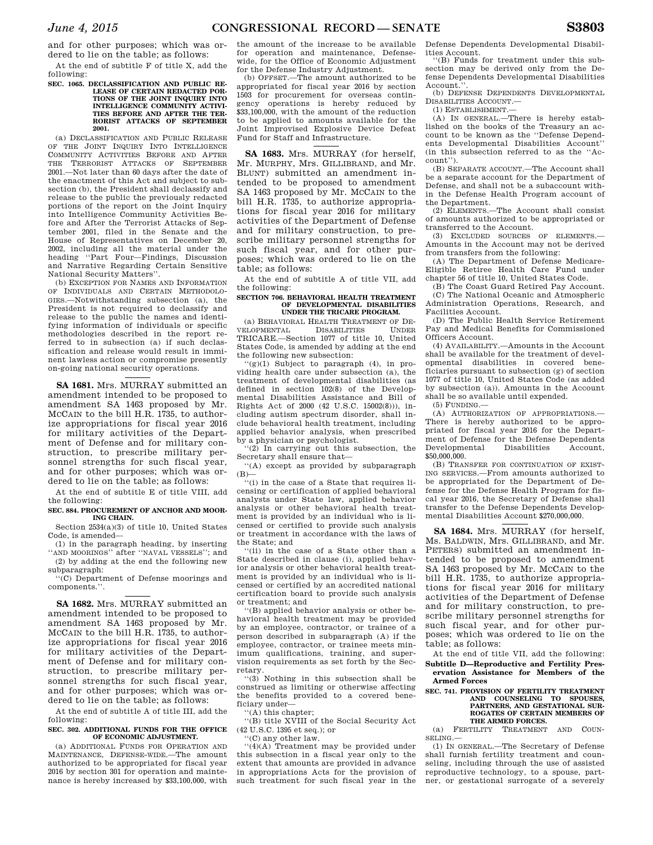and for other purposes; which was ordered to lie on the table; as follows:

At the end of subtitle F of title X, add the following:

#### **SEC. 1065. DECLASSIFICATION AND PUBLIC RE-LEASE OF CERTAIN REDACTED POR-TIONS OF THE JOINT INQUIRY INTO INTELLIGENCE COMMUNITY ACTIVI-TIES BEFORE AND AFTER THE TER-RORIST ATTACKS OF SEPTEMBER 2001.**

(a) DECLASSIFICATION AND PUBLIC RELEASE<br>OF THE JOINT INQUIRY INTO INTELLIGENCE THE JOINT INQUIRY INTO INTELLIGENCE COMMUNITY ACTIVITIES BEFORE AND AFTER THE TERRORIST ATTACKS OF SEPTEMBER 2001.—Not later than 60 days after the date of the enactment of this Act and subject to subsection (b), the President shall declassify and release to the public the previously redacted portions of the report on the Joint Inquiry into Intelligence Community Activities Before and After the Terrorist Attacks of September 2001, filed in the Senate and the House of Representatives on December 20, 2002, including all the material under the heading ''Part Four—Findings, Discussion and Narrative Regarding Certain Sensitive National Security Matters''.

(b) EXCEPTION FOR NAMES AND INFORMATION OF INDIVIDUALS AND CERTAIN METHODOLO-GIES.—Notwithstanding subsection (a), the President is not required to declassify and release to the public the names and identifying information of individuals or specific methodologies described in the report referred to in subsection (a) if such declassification and release would result in imminent lawless action or compromise presently on-going national security operations.

**SA 1681.** Mrs. MURRAY submitted an amendment intended to be proposed to amendment SA 1463 proposed by Mr. MCCAIN to the bill H.R. 1735, to authorize appropriations for fiscal year 2016 for military activities of the Department of Defense and for military construction, to prescribe military personnel strengths for such fiscal year, and for other purposes; which was ordered to lie on the table; as follows:

At the end of subtitle E of title VIII, add the following:

## **SEC. 884. PROCUREMENT OF ANCHOR AND MOOR-ING CHAIN.**

Section 2534(a)(3) of title 10, United States Code, is amended—

(1) in the paragraph heading, by inserting ''AND MOORINGS'' after ''NAVAL VESSELS''; and (2) by adding at the end the following new

subparagraph: ''(C) Department of Defense moorings and

components.''.

**SA 1682.** Mrs. MURRAY submitted an amendment intended to be proposed to amendment SA 1463 proposed by Mr. MCCAIN to the bill H.R. 1735, to authorize appropriations for fiscal year 2016 for military activities of the Department of Defense and for military construction, to prescribe military personnel strengths for such fiscal year, and for other purposes; which was ordered to lie on the table; as follows:

At the end of subtitle A of title III, add the following:

## **SEC. 302. ADDITIONAL FUNDS FOR THE OFFICE OF ECONOMIC ADJUSTMENT.**

(a) ADDITIONAL FUNDS FOR OPERATION AND MAINTENANCE, DEFENSE-WIDE.—The amount authorized to be appropriated for fiscal year 2016 by section 301 for operation and maintenance is hereby increased by \$33,100,000, with the amount of the increase to be available for operation and maintenance, Defensewide, for the Office of Economic Adjustment for the Defense Industry Adjustment.

(b) OFFSET.—The amount authorized to be appropriated for fiscal year 2016 by section 1503 for procurement for overseas contingency operations is hereby reduced by \$33,100,000, with the amount of the reduction to be applied to amounts available for the Joint Improvised Explosive Device Defeat Fund for Staff and Infrastructure.

**SA 1683.** Mrs. MURRAY (for herself, Mr. MURPHY, Mrs. GILLIBRAND, and Mr. BLUNT) submitted an amendment intended to be proposed to amendment SA 1463 proposed by Mr. MCCAIN to the bill H.R. 1735, to authorize appropriations for fiscal year 2016 for military activities of the Department of Defense and for military construction, to prescribe military personnel strengths for such fiscal year, and for other purposes; which was ordered to lie on the table; as follows:

At the end of subtitle A of title VII, add the following:

#### **SECTION 706. BEHAVIORAL HEALTH TREATMENT OF DEVELOPMENTAL DISABILITIES UNDER THE TRICARE PROGRAM.**

(a) BEHAVIORAL HEALTH TREATMENT OF DE-<br>ELOPMENTAL DISABILITIES UNDER VELOPMENTAL TRICARE.—Section 1077 of title 10, United States Code, is amended by adding at the end the following new subsection:

''(g)(1) Subject to paragraph (4), in providing health care under subsection (a), the treatment of developmental disabilities (as defined in section 102(8) of the Developmental Disabilities Assistance and Bill of Rights Act of 2000 (42 U.S.C. 15002(8))), including autism spectrum disorder, shall include behavioral health treatment, including applied behavior analysis, when prescribed by a physician or psychologist.

 $(2)$  In carrying out this subsection, the Secretary shall ensure that—

''(A) except as provided by subparagraph  $(B)$ —

 $\cdot$ <sup>''</sup>(i) in the case of a State that requires licensing or certification of applied behavioral analysts under State law, applied behavior analysis or other behavioral health treatment is provided by an individual who is licensed or certified to provide such analysis or treatment in accordance with the laws of the State; and

''(ii) in the case of a State other than a State described in clause (i), applied behavior analysis or other behavioral health treatment is provided by an individual who is licensed or certified by an accredited national certification board to provide such analysis or treatment; and

''(B) applied behavior analysis or other behavioral health treatment may be provided by an employee, contractor, or trainee of a person described in subparagraph (A) if the employee, contractor, or trainee meets minimum qualifications, training, and supervision requirements as set forth by the Secretary.

''(3) Nothing in this subsection shall be construed as limiting or otherwise affecting the benefits provided to a covered beneficiary under—

''(A) this chapter;

''(B) title XVIII of the Social Security Act (42 U.S.C. 1395 et seq.); or

''(C) any other law.

''(4)(A) Treatment may be provided under this subsection in a fiscal year only to the extent that amounts are provided in advance in appropriations Acts for the provision of such treatment for such fiscal year in the Defense Dependents Developmental Disabilities Account.

''(B) Funds for treatment under this subsection may be derived only from the Defense Dependents Developmental Disabilities Account.

(b) DEFENSE DEPENDENTS DEVELOPMENTAL DISABILITIES ACCOUNT.—

(1) ESTABLISHMENT.—

(A) IN GENERAL.—There is hereby established on the books of the Treasury an account to be known as the ''Defense Dependents Developmental Disabilities Account'' (in this subsection referred to as the ''Account'').

(B) SEPARATE ACCOUNT.—The Account shall be a separate account for the Department of Defense, and shall not be a subaccount within the Defense Health Program account of the Department.

(2) ELEMENTS.—The Account shall consist of amounts authorized to be appropriated or transferred to the Account.

(3) EXCLUDED SOURCES OF ELEMENTS.— Amounts in the Account may not be derived from transfers from the following:

(A) The Department of Defense Medicare-Eligible Retiree Health Care Fund under chapter 56 of title 10, United States Code.

(B) The Coast Guard Retired Pay Account. (C) The National Oceanic and Atmospheric Administration Operations, Research, and Facilities Account.

(D) The Public Health Service Retirement Pay and Medical Benefits for Commissioned Officers Account.

(4) AVAILABILITY.—Amounts in the Account shall be available for the treatment of developmental disabilities in covered beneficiaries pursuant to subsection (g) of section 1077 of title 10, United States Code (as added by subsection (a)). Amounts in the Account shall be so available until expended. (5) FUNDING.—

(A) AUTHORIZATION OF APPROPRIATIONS.— There is hereby authorized to be appropriated for fiscal year 2016 for the Department of Defense for the Defense Dependents<br>Developmental Disabilities Account, Developmental Disabilities Account, \$50,000,000.

(B) TRANSFER FOR CONTINUATION OF EXIST-ING SERVICES.—From amounts authorized to be appropriated for the Department of Defense for the Defense Health Program for fiscal year 2016, the Secretary of Defense shall transfer to the Defense Dependents Developmental Disabilities Account \$270,000,000.

**SA 1684.** Mrs. MURRAY (for herself, Ms. BALDWIN, Mrs. GILLIBRAND, and Mr. PETERS) submitted an amendment intended to be proposed to amendment SA 1463 proposed by Mr. MCCAIN to the bill H.R. 1735, to authorize appropriations for fiscal year 2016 for military activities of the Department of Defense and for military construction, to prescribe military personnel strengths for such fiscal year, and for other purposes; which was ordered to lie on the table; as follows:

At the end of title VII, add the following: **Subtitle D—Reproductive and Fertility Preservation Assistance for Members of the Armed Forces** 

## **SEC. 741. PROVISION OF FERTILITY TREATMENT AND COUNSELING TO SPOUSES, PARTNERS, AND GESTATIONAL SUR-ROGATES OF CERTAIN MEMBERS OF THE ARMED FORCES.**

(a) FERTILITY TREATMENT AND COUN-SELING.—

(1) IN GENERAL.—The Secretary of Defense shall furnish fertility treatment and counseling, including through the use of assisted reproductive technology, to a spouse, partner, or gestational surrogate of a severely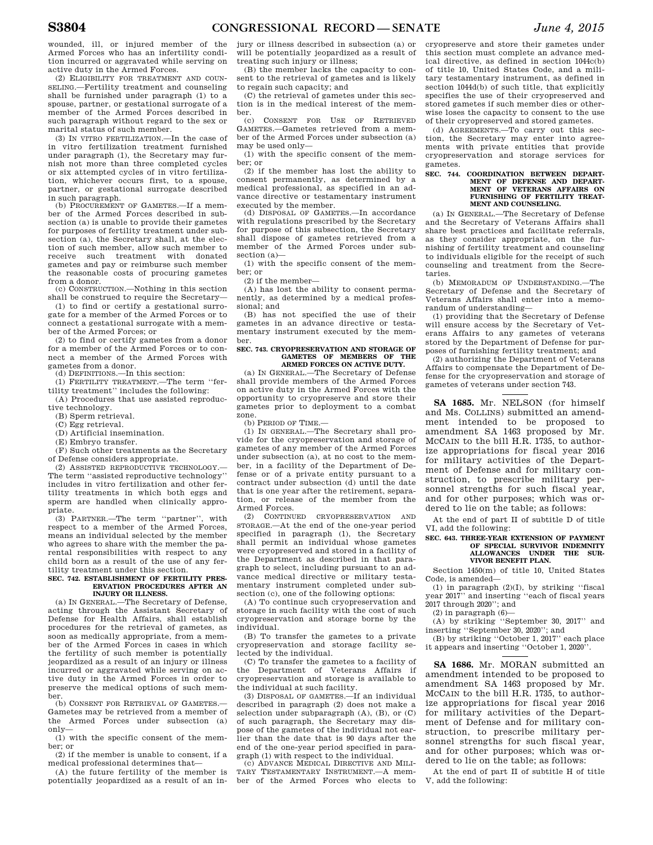wounded, ill, or injured member of the Armed Forces who has an infertility condition incurred or aggravated while serving on active duty in the Armed Forces.

(2) ELIGIBILITY FOR TREATMENT AND COUN-SELING.—Fertility treatment and counseling shall be furnished under paragraph (1) to a spouse, partner, or gestational surrogate of a member of the Armed Forces described in such paragraph without regard to the sex or marital status of such member.

(3) IN VITRO FERTILIZATION.—In the case of in vitro fertilization treatment furnished under paragraph (1), the Secretary may furnish not more than three completed cycles or six attempted cycles of in vitro fertilization, whichever occurs first, to a spouse, partner, or gestational surrogate described in such paragraph.

(b) PROCUREMENT OF GAMETES.—If a member of the Armed Forces described in subsection (a) is unable to provide their gametes for purposes of fertility treatment under subsection (a), the Secretary shall, at the election of such member, allow such member to receive such treatment with donated gametes and pay or reimburse such member the reasonable costs of procuring gametes from a donor.

(c) CONSTRUCTION.—Nothing in this section shall be construed to require the Secretary—

(1) to find or certify a gestational surrogate for a member of the Armed Forces or to connect a gestational surrogate with a member of the Armed Forces; or

(2) to find or certify gametes from a donor for a member of the Armed Forces or to connect a member of the Armed Forces with gametes from a donor.

(d) DEFINITIONS.—In this section:

(1) FERTILITY TREATMENT.—The term ''fertility treatment'' includes the following:

(A) Procedures that use assisted reproductive technology.

(B) Sperm retrieval.

(C) Egg retrieval.

(D) Artificial insemination.

(E) Embryo transfer.

(F) Such other treatments as the Secretary of Defense considers appropriate.

(2) ASSISTED REPRODUCTIVE TECHNOLOGY.— The term ''assisted reproductive technology'' includes in vitro fertilization and other fertility treatments in which both eggs and sperm are handled when clinically appropriate.

(3) PARTNER.—The term ''partner'', with respect to a member of the Armed Forces, means an individual selected by the member who agrees to share with the member the parental responsibilities with respect to any child born as a result of the use of any fertility treatment under this section.

## **SEC. 742. ESTABLISHMENT OF FERTILITY PRES-ERVATION PROCEDURES AFTER AN INJURY OR ILLNESS.**

(a) IN GENERAL.—The Secretary of Defense, acting through the Assistant Secretary of Defense for Health Affairs, shall establish procedures for the retrieval of gametes, as soon as medically appropriate, from a member of the Armed Forces in cases in which the fertility of such member is potentially jeopardized as a result of an injury or illness incurred or aggravated while serving on active duty in the Armed Forces in order to preserve the medical options of such member.

(b) CONSENT FOR RETRIEVAL OF GAMETES.— Gametes may be retrieved from a member of the Armed Forces under subsection (a) only—

(1) with the specific consent of the member; or

(2) if the member is unable to consent, if a medical professional determines that—

(A) the future fertility of the member is potentially jeopardized as a result of an injury or illness described in subsection (a) or will be potentially jeopardized as a result of treating such injury or illness;

(B) the member lacks the capacity to consent to the retrieval of gametes and is likely to regain such capacity; and

(C) the retrieval of gametes under this section is in the medical interest of the member.<br> $(c)$ 

(c) CONSENT FOR USE OF RETRIEVED GAMETES.—Gametes retrieved from a member of the Armed Forces under subsection (a) may be used only—

(1) with the specific consent of the member; or

(2) if the member has lost the ability to consent permanently, as determined by a medical professional, as specified in an advance directive or testamentary instrument executed by the member.

(d) DISPOSAL OF GAMETES.—In accordance with regulations prescribed by the Secretary for purpose of this subsection, the Secretary shall dispose of gametes retrieved from a member of the Armed Forces under subsection (a)—

(1) with the specific consent of the member; or

(2) if the member—

(A) has lost the ability to consent permanently, as determined by a medical professional; and

(B) has not specified the use of their gametes in an advance directive or testamentary instrument executed by the member.

## **SEC. 743. CRYOPRESERVATION AND STORAGE OF GAMETES OF MEMBERS OF THE ARMED FORCES ON ACTIVE DUTY.**

(a) IN GENERAL.—The Secretary of Defense shall provide members of the Armed Forces on active duty in the Armed Forces with the opportunity to cryopreserve and store their gametes prior to deployment to a combat zone.

(b) PERIOD OF TIME.—

(1) IN GENERAL.—The Secretary shall provide for the cryopreservation and storage of gametes of any member of the Armed Forces under subsection (a), at no cost to the member, in a facility of the Department of Defense or of a private entity pursuant to a contract under subsection (d) until the date that is one year after the retirement, separation, or release of the member from the Armed Forces.

(2) CONTINUED CRYOPRESERVATION AND STORAGE.—At the end of the one-year period specified in paragraph (1), the Secretary shall permit an individual whose gametes were cryopreserved and stored in a facility of the Department as described in that paragraph to select, including pursuant to an advance medical directive or military testamentary instrument completed under subsection (c), one of the following options:

(A) To continue such cryopreservation and storage in such facility with the cost of such cryopreservation and storage borne by the individual.

(B) To transfer the gametes to a private cryopreservation and storage facility selected by the individual.

(C) To transfer the gametes to a facility of the Department of Veterans Affairs if cryopreservation and storage is available to the individual at such facility.

(3) DISPOSAL OF GAMETES.—If an individual described in paragraph (2) does not make a selection under subparagraph  $(A)$ ,  $(B)$ , or  $(C)$ of such paragraph, the Secretary may dispose of the gametes of the individual not earlier than the date that is 90 days after the end of the one-year period specified in paragraph (1) with respect to the individual.

(c) ADVANCE MEDICAL DIRECTIVE AND MILI-TARY TESTAMENTARY INSTRUMENT.—A member of the Armed Forces who elects to

cryopreserve and store their gametes under this section must complete an advance medical directive, as defined in section 1044c(b) of title 10, United States Code, and a military testamentary instrument, as defined in section 1044d(b) of such title, that explicitly specifies the use of their cryopreserved and stored gametes if such member dies or otherwise loses the capacity to consent to the use of their cryopreserved and stored gametes.

(d) AGREEMENTS.—To carry out this section, the Secretary may enter into agreements with private entities that provide cryopreservation and storage services for gametes.

## **SEC. 744. COORDINATION BETWEEN DEPART-MENT OF DEFENSE AND DEPART-MENT OF VETERANS AFFAIRS ON FURNISHING OF FERTILITY TREAT-MENT AND COUNSELING.**

(a) IN GENERAL.—The Secretary of Defense and the Secretary of Veterans Affairs shall share best practices and facilitate referrals, as they consider appropriate, on the furnishing of fertility treatment and counseling to individuals eligible for the receipt of such counseling and treatment from the Secretaries.

(b) MEMORADUM OF UNDERSTANDING.—The Secretary of Defense and the Secretary of Veterans Affairs shall enter into a memorandum of understanding—

(1) providing that the Secretary of Defense will ensure access by the Secretary of Veterans Affairs to any gametes of veterans stored by the Department of Defense for purposes of furnishing fertility treatment; and

(2) authorizing the Department of Veterans Affairs to compensate the Department of Defense for the cryopreservation and storage of gametes of veterans under section 743.

**SA 1685.** Mr. NELSON (for himself and Ms. COLLINS) submitted an amendment intended to be proposed to amendment SA 1463 proposed by Mr. MCCAIN to the bill H.R. 1735, to authorize appropriations for fiscal year 2016 for military activities of the Department of Defense and for military construction, to prescribe military personnel strengths for such fiscal year, and for other purposes; which was ordered to lie on the table; as follows:

At the end of part II of subtitle D of title VI, add the following:

## **SEC. 643. THREE-YEAR EXTENSION OF PAYMENT OF SPECIAL SURVIVOR INDEMNITY ALLOWANCES UNDER THE SUR-VIVOR BENEFIT PLAN.**

Section 1450(m) of title 10, United States Code, is amended—

(1) in paragraph (2)(I), by striking ''fiscal year 2017'' and inserting ''each of fiscal years 2017 through 2020''; and

 $(2)$  in paragraph  $(6)$ —

(A) by striking ''September 30, 2017'' and inserting ''September 30, 2020''; and

(B) by striking ''October 1, 2017'' each place it appears and inserting ''October 1, 2020''.

**SA 1686.** Mr. MORAN submitted an amendment intended to be proposed to amendment SA 1463 proposed by Mr. MCCAIN to the bill H.R. 1735, to authorize appropriations for fiscal year 2016 for military activities of the Department of Defense and for military construction, to prescribe military personnel strengths for such fiscal year, and for other purposes; which was ordered to lie on the table; as follows:

At the end of part II of subtitle H of title V, add the following: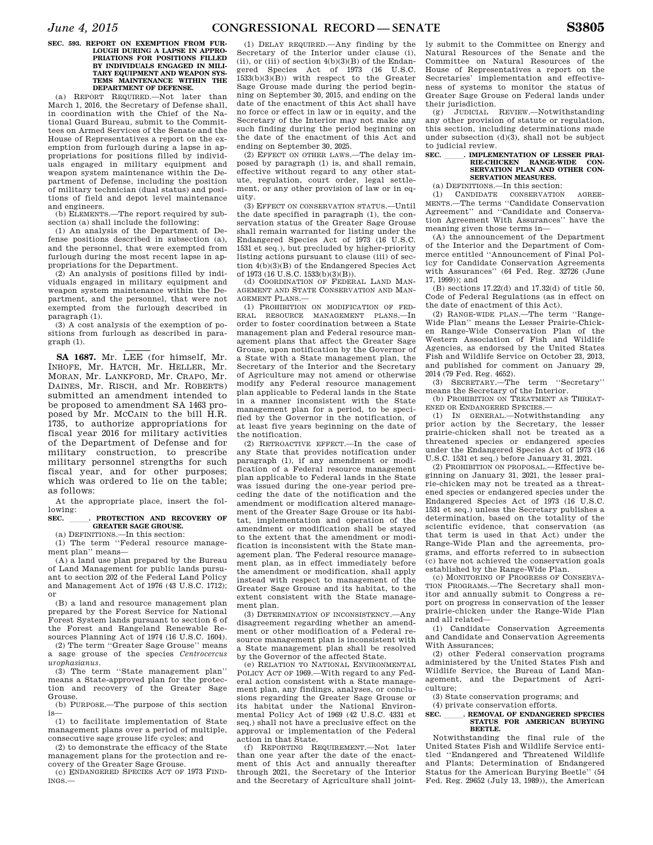## **SEC. 593. REPORT ON EXEMPTION FROM FUR-LOUGH DURING A LAPSE IN APPRO-PRIATIONS FOR POSITIONS FILLED BY INDIVIDUALS ENGAGED IN MILI-TARY EQUIPMENT AND WEAPON SYS-TEMS MAINTENANCE WITHIN THE DEPARTMENT OF DEFENSE.**

(a) REPORT REQUIRED.—Not later than March 1, 2016, the Secretary of Defense shall, in coordination with the Chief of the National Guard Bureau, submit to the Committees on Armed Services of the Senate and the House of Representatives a report on the exemption from furlough during a lapse in appropriations for positions filled by individuals engaged in military equipment and weapon system maintenance within the Department of Defense, including the position of military technician (dual status) and positions of field and depot level maintenance and engineers.<br>(b) ELEMENTS.

-The report required by subsection (a) shall include the following:

(1) An analysis of the Department of Defense positions described in subsection (a), and the personnel, that were exempted from furlough during the most recent lapse in appropriations for the Department.

(2) An analysis of positions filled by individuals engaged in military equipment and weapon system maintenance within the Department, and the personnel, that were not exempted from the furlough described in paragraph (1).

(3) A cost analysis of the exemption of positions from furlough as described in paragraph (1).

**SA 1687.** Mr. LEE (for himself, Mr. INHOFE, Mr. HATCH, Mr. HELLER, Mr. MORAN, Mr. LANKFORD, Mr. CRAPO, Mr. DAINES, Mr. RISCH, and Mr. ROBERTS) submitted an amendment intended to be proposed to amendment SA 1463 proposed by Mr. MCCAIN to the bill H.R. 1735, to authorize appropriations for fiscal year 2016 for military activities of the Department of Defense and for military construction, to prescribe military personnel strengths for such fiscal year, and for other purposes; which was ordered to lie on the table; as follows:

At the appropriate place, insert the following:

SEC. **. PROTECTION AND RECOVERY OF GREATER SAGE GROUSE.** 

(a) DEFINITIONS.—In this section:

(1) The term ''Federal resource management plan'' means—

(A) a land use plan prepared by the Bureau of Land Management for public lands pursuant to section 202 of the Federal Land Policy and Management Act of 1976 (43 U.S.C. 1712); or

(B) a land and resource management plan prepared by the Forest Service for National Forest System lands pursuant to section 6 of the Forest and Rangeland Renewable Resources Planning Act of 1974 (16 U.S.C. 1604).

(2) The term ''Greater Sage Grouse'' means a sage grouse of the species *Centrocercus urophasianus*.

(3) The term ''State management plan'' means a State-approved plan for the protection and recovery of the Greater Sage Grouse.

(b) PURPOSE.—The purpose of this section is—

(1) to facilitate implementation of State management plans over a period of multiple, consecutive sage grouse life cycles; and

(2) to demonstrate the efficacy of the State management plans for the protection and recovery of the Greater Sage Grouse.

(c) ENDANGERED SPECIES ACT OF 1973 FIND-INGS.—

(1) DELAY REQUIRED.—Any finding by the Secretary of the Interior under clause (i), (ii), or (iii) of section  $4(b)(3)(B)$  of the Endangered Species Act of 1973 (16 U.S.C. 1533(b)(3)(B)) with respect to the Greater Sage Grouse made during the period beginning on September 30, 2015, and ending on the date of the enactment of this Act shall have no force or effect in law or in equity, and the Secretary of the Interior may not make any such finding during the period beginning on the date of the enactment of this Act and ending on September 30, 2025.

(2) EFFECT ON OTHER LAWS.—The delay imposed by paragraph (1) is, and shall remain, effective without regard to any other statute, regulation, court order, legal settlement, or any other provision of law or in equity.

(3) EFFECT ON CONSERVATION STATUS.—Until the date specified in paragraph (1), the conservation status of the Greater Sage Grouse shall remain warranted for listing under the Endangered Species Act of 1973 (16 U.S.C. 1531 et seq.), but precluded by higher-priority listing actions pursuant to clause (iii) of section 4(b)(3)(B) of the Endangered Species Act of 1973 (16 U.S.C. 1533(b)(3)(B)).

(d) COORDINATION OF FEDERAL LAND MAN-AGEMENT AND STATE CONSERVATION AND MAN-AGEMENT PLANS.—

(1) PROHIBITION ON MODIFICATION OF FED-ERAL RESOURCE MANAGEMENT PLANS.—In order to foster coordination between a State management plan and Federal resource management plans that affect the Greater Sage Grouse, upon notification by the Governor of a State with a State management plan, the Secretary of the Interior and the Secretary of Agriculture may not amend or otherwise modify any Federal resource management plan applicable to Federal lands in the State in a manner inconsistent with the State management plan for a period, to be specified by the Governor in the notification, of at least five years beginning on the date of the notification.

(2) RETROACTIVE EFFECT.—In the case of any State that provides notification under paragraph (1), if any amendment or modification of a Federal resource management plan applicable to Federal lands in the State was issued during the one-year period preceding the date of the notification and the amendment or modification altered management of the Greater Sage Grouse or its habitat, implementation and operation of the amendment or modification shall be stayed to the extent that the amendment or modification is inconsistent with the State management plan. The Federal resource management plan, as in effect immediately before the amendment or modification, shall apply instead with respect to management of the Greater Sage Grouse and its habitat, to the extent consistent with the State management plan.

(3) DETERMINATION OF INCONSISTENCY.—Any disagreement regarding whether an amendment or other modification of a Federal resource management plan is inconsistent with a State management plan shall be resolved by the Governor of the affected State.

(e) RELATION TO NATIONAL ENVIRONMENTAL POLICY ACT OF 1969.—With regard to any Federal action consistent with a State management plan, any findings, analyses, or conclusions regarding the Greater Sage Grouse or its habitat under the National Environmental Policy Act of 1969 (42 U.S.C. 4331 et seq.) shall not have a preclusive effect on the approval or implementation of the Federal action in that State.

(f) REPORTING REQUIREMENT.—Not later than one year after the date of the enactment of this Act and annually thereafter through 2021, the Secretary of the Interior and the Secretary of Agriculture shall jointly submit to the Committee on Energy and Natural Resources of the Senate and the Committee on Natural Resources of the House of Representatives a report on the Secretaries' implementation and effectiveness of systems to monitor the status of Greater Sage Grouse on Federal lands under their jurisdiction.

(g) JUDICIAL REVIEW.—Notwithstanding any other provision of statute or regulation, this section, including determinations made under subsection (d)(3), shall not be subject to judicial review.

## **SEC.** MPLEMENTATION OF LESSER PRAI-<br>RIE-CHICKEN RANGE-WIDE CON-**RIE-CHICKEN RANGE-WIDE SERVATION PLAN AND OTHER CON-SERVATION MEASURES.**

(a) DEFINITIONS.—In this section:

(1) CANDIDATE CONSERVATION AGREE-MENTS.—The terms ''Candidate Conservation Agreement'' and "Candidate and Conserva-<br>tion Agreement With Assurances" have the tion Agreement With Assurances' meaning given those terms in—

(A) the announcement of the Department of the Interior and the Department of Commerce entitled ''Announcement of Final Policy for Candidate Conservation Agreements with Assurances'' (64 Fed. Reg. 32726 (June  $17, 1999)$ ); and

(B) sections 17.22(d) and 17.32(d) of title 50, Code of Federal Regulations (as in effect on the date of enactment of this Act).

(2) RANGE-WIDE PLAN.—The term ''Range-Wide Plan'' means the Lesser Prairie-Chicken Range-Wide Conservation Plan of the Western Association of Fish and Wildlife Agencies, as endorsed by the United States Fish and Wildlife Service on October 23, 2013, and published for comment on January 29, 2014 (79 Fed. Reg. 4652).

(3) SECRETARY.—The term ''Secretary''

means the Secretary of the Interior. (b) PROHIBITION ON TREATMENT AS THREAT-ENED OR ENDANGERED SPECIES.—

(1) IN GENERAL.—Notwithstanding any prior action by the Secretary, the lesser prairie-chicken shall not be treated as a threatened species or endangered species under the Endangered Species Act of 1973 (16 U.S.C. 1531 et seq.) before January 31, 2021.

(2) PROHIBITION ON PROPOSAL.—Effective beginning on January 31, 2021, the lesser prairie-chicken may not be treated as a threatened species or endangered species under the Endangered Species Act of 1973 (16 U.S.C. 1531 et seq.) unless the Secretary publishes a determination, based on the totality of the scientific evidence, that conservation (as that term is used in that Act) under the Range-Wide Plan and the agreements, programs, and efforts referred to in subsection (c) have not achieved the conservation goals established by the Range-Wide Plan.

(c) MONITORING OF PROGRESS OF CONSERVA-TION PROGRAMS.—The Secretary shall monitor and annually submit to Congress a report on progress in conservation of the lesser prairie-chicken under the Range-Wide Plan and all related—

(1) Candidate Conservation Agreements and Candidate and Conservation Agreements With Assurances;

(2) other Federal conservation programs administered by the United States Fish and Wildlife Service, the Bureau of Land Management, and the Department of Agriculture;

(3) State conservation programs; and

## (4) private conservation efforts. **SEC. \_\_\_\_\_\_. REMOVAL OF ENDANGERED SPECIES**<br>**STATUS FOR AMERICAN BURYING BEETLE.**

Notwithstanding the final rule of the United States Fish and Wildlife Service entitled ''Endangered and Threatened Wildlife and Plants; Determination of Endangered Status for the American Burying Beetle'' (54 Fed. Reg. 29652 (July 13, 1989)), the American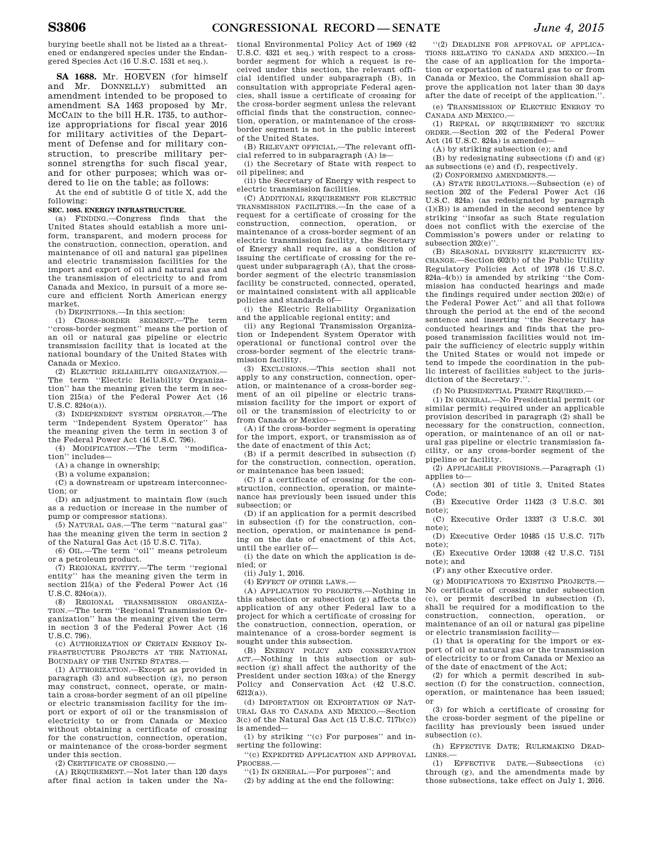burying beetle shall not be listed as a threatened or endangered species under the Endangered Species Act (16 U.S.C. 1531 et seq.).

**SA 1688.** Mr. HOEVEN (for himself and Mr. DONNELLY) submitted an amendment intended to be proposed to amendment SA 1463 proposed by Mr. MCCAIN to the bill H.R. 1735, to authorize appropriations for fiscal year 2016 for military activities of the Department of Defense and for military construction, to prescribe military personnel strengths for such fiscal year, and for other purposes; which was ordered to lie on the table; as follows:

At the end of subtitle G of title X, add the following:

## **SEC. 1085. ENERGY INFRASTRUCTURE.**

(a) FINDING.—Congress finds that the United States should establish a more uniform, transparent, and modern process for the construction, connection, operation, and maintenance of oil and natural gas pipelines and electric transmission facilities for the import and export of oil and natural gas and the transmission of electricity to and from Canada and Mexico, in pursuit of a more secure and efficient North American energy market.

(b) DEFINITIONS.—In this section:

(1) CROSS-BORDER SEGMENT.—The term ''cross-border segment'' means the portion of an oil or natural gas pipeline or electric transmission facility that is located at the national boundary of the United States with Canada or Mexico.

(2) ELECTRIC RELIABILITY ORGANIZATION.— The term ''Electric Reliability Organization'' has the meaning given the term in section 215(a) of the Federal Power Act (16 U.S.C. 824o(a)).

(3) INDEPENDENT SYSTEM OPERATOR.—The term ''Independent System Operator'' has the meaning given the term in section 3 of the Federal Power Act (16 U.S.C. 796).

(4) MODIFICATION.—The term ''modification'' includes—

(A) a change in ownership;

(B) a volume expansion;

(C) a downstream or upstream interconnection; or

(D) an adjustment to maintain flow (such as a reduction or increase in the number of pump or compressor stations).

(5) NATURAL GAS.—The term ''natural gas'' has the meaning given the term in section 2 of the Natural Gas Act (15 U.S.C. 717a).

(6) OIL.—The term ''oil'' means petroleum or a petroleum product.

(7) REGIONAL ENTITY.—The term ''regional entity'' has the meaning given the term in section 215(a) of the Federal Power Act (16 U.S.C. 824o(a)).

(8) REGIONAL TRANSMISSION ORGANIZA-TION.—The term ''Regional Transmission Organization'' has the meaning given the term in section 3 of the Federal Power Act (16 U.S.C. 796).

(c) AUTHORIZATION OF CERTAIN ENERGY IN-FRASTRUCTURE PROJECTS AT THE NATIONAL BOUNDARY OF THE UNITED STATES.

(1) AUTHORIZATION.—Except as provided in paragraph (3) and subsection (g), no person may construct, connect, operate, or maintain a cross-border segment of an oil pipeline or electric transmission facility for the import or export of oil or the transmission of electricity to or from Canada or Mexico without obtaining a certificate of crossing for the construction, connection, operation, or maintenance of the cross-border segment under this section.

(2) CERTIFICATE OF CROSSING.—

(A) REQUIREMENT.—Not later than 120 days after final action is taken under the Na-

tional Environmental Policy Act of 1969 (42 U.S.C. 4321 et seq.) with respect to a crossborder segment for which a request is received under this section, the relevant official identified under subparagraph (B), in consultation with appropriate Federal agencies, shall issue a certificate of crossing for the cross-border segment unless the relevant official finds that the construction, connection, operation, or maintenance of the crossborder segment is not in the public interest of the United States.

(B) RELEVANT OFFICIAL.—The relevant official referred to in subparagraph (A) is—

(i) the Secretary of State with respect to oil pipelines; and

(ii) the Secretary of Energy with respect to electric transmission facilities.

(C) ADDITIONAL REQUIREMENT FOR ELECTRIC TRANSMISSION FACILITIES.—In the case of a request for a certificate of crossing for the construction, connection, operation, or maintenance of a cross-border segment of an electric transmission facility, the Secretary of Energy shall require, as a condition of issuing the certificate of crossing for the request under subparagraph (A), that the crossborder segment of the electric transmission facility be constructed, connected, operated, or maintained consistent with all applicable policies and standards of—

(i) the Electric Reliability Organization and the applicable regional entity; and

(ii) any Regional Transmission Organization or Independent System Operator with operational or functional control over the cross-border segment of the electric transmission facility.

(3) EXCLUSIONS.—This section shall not apply to any construction, connection, operation, or maintenance of a cross-border segment of an oil pipeline or electric transmission facility for the import or export of oil or the transmission of electricity to or from Canada or Mexico—

(A) if the cross-border segment is operating for the import, export, or transmission as of the date of enactment of this Act;

(B) if a permit described in subsection (f) for the construction, connection, operation, or maintenance has been issued;

(C) if a certificate of crossing for the construction, connection, operation, or maintenance has previously been issued under this subsection; or

(D) if an application for a permit described in subsection (f) for the construction, connection, operation, or maintenance is pending on the date of enactment of this Act, until the earlier of—

(i) the date on which the application is denied; or

(ii) July 1, 2016.

(4) EFFECT OF OTHER LAWS.—

(A) APPLICATION TO PROJECTS.—Nothing in this subsection or subsection (g) affects the application of any other Federal law to a project for which a certificate of crossing for the construction, connection, operation, or maintenance of a cross-border segment is sought under this subsection.

(B) ENERGY POLICY AND CONSERVATION ACT.—Nothing in this subsection or subsection (g) shall affect the authority of the President under section 103(a) of the Energy Policy and Conservation Act (42 U.S.C. 6212(a)).

(d) IMPORTATION OR EXPORTATION OF NAT-URAL GAS TO CANADA AND MEXICO.—Section  $3(\ensuremath{\text{c}})$  of the Natural Gas Act (15 U.S.C. 717b(c)) is amended—

(1) by striking ''(c) For purposes'' and inserting the following:

''(c) EXPEDITED APPLICATION AND APPROVAL PROCESS.—

''(1) IN GENERAL.—For purposes''; and (2) by adding at the end the following:

''(2) DEADLINE FOR APPROVAL OF APPLICA-TIONS RELATING TO CANADA AND MEXICO.—In the case of an application for the importation or exportation of natural gas to or from Canada or Mexico, the Commission shall approve the application not later than 30 days after the date of receipt of the application.''.

(e) TRANSMISSION OF ELECTRIC ENERGY TO CANADA AND MEXICO.

(1) REPEAL OF REQUIREMENT TO SECURE ORDER.—Section 202 of the Federal Power Act (16 U.S.C. 824a) is amended—

(A) by striking subsection (e); and

(B) by redesignating subsections (f) and (g) as subsections (e) and (f), respectively.

(2) CONFORMING AMENDMENTS.—

(A) STATE REGULATIONS.—Subsection (e) of section 202 of the Federal Power Act (16 U.S.C. 824a) (as redesignated by paragraph (1)(B)) is amended in the second sentence by striking ''insofar as such State regulation does not conflict with the exercise of the Commission's powers under or relating to subsection  $202(e)$ <sup>"</sup>

(B) SEASONAL DIVERSITY ELECTRICITY EX-CHANGE.—Section 602(b) of the Public Utility Regulatory Policies Act of 1978 (16 U.S.C. 824a–4(b)) is amended by striking ''the Commission has conducted hearings and made the findings required under section 202(e) of the Federal Power Act'' and all that follows through the period at the end of the second sentence and inserting ''the Secretary has conducted hearings and finds that the proposed transmission facilities would not impair the sufficiency of electric supply within the United States or would not impede or tend to impede the coordination in the public interest of facilities subject to the jurisdiction of the Secretary.''.

(f) NO PRESIDENTIAL PERMIT REQUIRED.—

(1) IN GENERAL.—No Presidential permit (or similar permit) required under an applicable provision described in paragraph (2) shall be necessary for the construction, connection, operation, or maintenance of an oil or natural gas pipeline or electric transmission facility, or any cross-border segment of the pipeline or facility.

(2) APPLICABLE PROVISIONS.—Paragraph (1) applies to—

(A) section 301 of title 3, United States Code;

(B) Executive Order 11423 (3 U.S.C. 301 note);

(C) Executive Order 13337 (3 U.S.C. 301 note);

(D) Executive Order 10485 (15 U.S.C. 717b note);

(E) Executive Order 12038 (42 U.S.C. 7151 note); and

(F) any other Executive order.

(g) MODIFICATIONS TO EXISTING PROJECTS.— No certificate of crossing under subsection (c), or permit described in subsection (f), shall be required for a modification to the construction, connection, operation, or maintenance of an oil or natural gas pipeline or electric transmission facility—

(1) that is operating for the import or export of oil or natural gas or the transmission of electricity to or from Canada or Mexico as of the date of enactment of the Act;

(2) for which a permit described in subsection (f) for the construction, connection, operation, or maintenance has been issued; or

(3) for which a certificate of crossing for the cross-border segment of the pipeline or facility has previously been issued under subsection (c).

(h) EFFECTIVE DATE; RULEMAKING DEAD-LINES.—

(1)  $E$ FFECTIVE DATE.-Subsections through (g), and the amendments made by those subsections, take effect on July 1, 2016.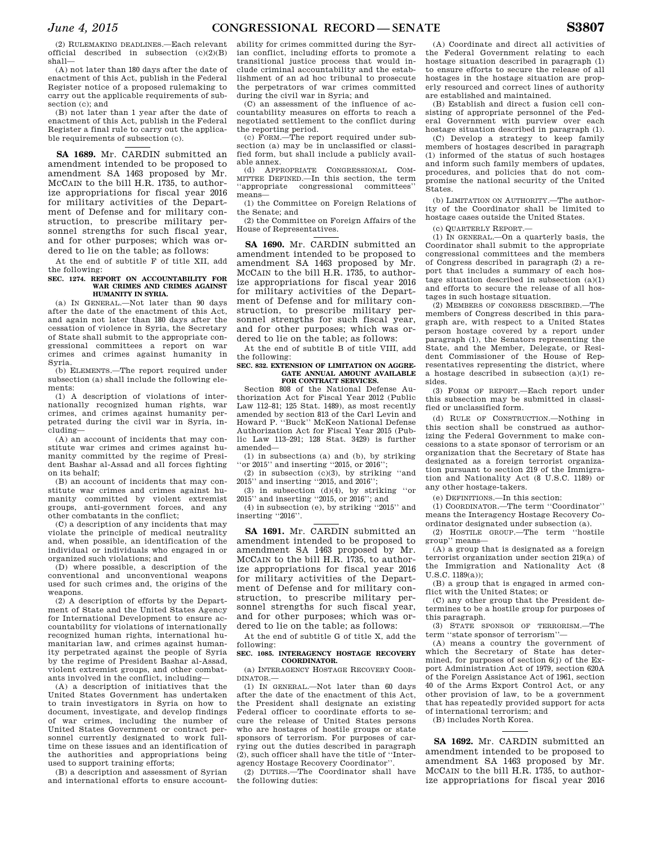(2) RULEMAKING DEADLINES.—Each relevant official described in subsection  $(c)(2)(B)$ shall—

(A) not later than 180 days after the date of enactment of this Act, publish in the Federal Register notice of a proposed rulemaking to carry out the applicable requirements of subsection (c); and

(B) not later than 1 year after the date of enactment of this Act, publish in the Federal Register a final rule to carry out the applicable requirements of subsection (c).

## **SA 1689.** Mr. CARDIN submitted an amendment intended to be proposed to amendment SA 1463 proposed by Mr. MCCAIN to the bill H.R. 1735, to authorize appropriations for fiscal year 2016 for military activities of the Department of Defense and for military construction, to prescribe military personnel strengths for such fiscal year, and for other purposes; which was ordered to lie on the table; as follows:

At the end of subtitle F of title XII, add the following:

## **SEC. 1274. REPORT ON ACCOUNTABILITY FOR WAR CRIMES AND CRIMES AGAINST HUMANITY IN SYRIA.**

(a) IN GENERAL.—Not later than 90 days after the date of the enactment of this Act, and again not later than 180 days after the cessation of violence in Syria, the Secretary of State shall submit to the appropriate congressional committees a report on war crimes and crimes against humanity in Syria.

(b) ELEMENTS.—The report required under subsection (a) shall include the following elements:

(1) A description of violations of internationally recognized human rights, war crimes, and crimes against humanity perpetrated during the civil war in Syria, including—

(A) an account of incidents that may constitute war crimes and crimes against humanity committed by the regime of President Bashar al-Assad and all forces fighting on its behalf;

(B) an account of incidents that may constitute war crimes and crimes against humanity committed by violent extremist groups, anti-government forces, and any other combatants in the conflict;

(C) a description of any incidents that may violate the principle of medical neutrality and, when possible, an identification of the individual or individuals who engaged in or organized such violations; and

(D) where possible, a description of the conventional and unconventional weapons used for such crimes and, the origins of the weapons.

(2) A description of efforts by the Department of State and the United States Agency for International Development to ensure accountability for violations of internationally recognized human rights, international humanitarian law, and crimes against humanity perpetrated against the people of Syria by the regime of President Bashar al-Assad, violent extremist groups, and other combatants involved in the conflict, including—

(A) a description of initiatives that the United States Government has undertaken to train investigators in Syria on how to document, investigate, and develop findings of war crimes, including the number of United States Government or contract personnel currently designated to work fulltime on these issues and an identification of the authorities and appropriations being used to support training efforts;

(B) a description and assessment of Syrian and international efforts to ensure account-

ability for crimes committed during the Syrian conflict, including efforts to promote a transitional justice process that would include criminal accountability and the establishment of an ad hoc tribunal to prosecute the perpetrators of war crimes committed during the civil war in Syria; and

(C) an assessment of the influence of accountability measures on efforts to reach a negotiated settlement to the conflict during the reporting period.

(c) FORM.—The report required under subsection (a) may be in unclassified or classified form, but shall include a publicly available annex.

(d) APPROPRIATE CONGRESSIONAL COM-MITTEE DEFINED.—In this section, the term ''appropriate congressional committees'' means—

(1) the Committee on Foreign Relations of the Senate; and

(2) the Committee on Foreign Affairs of the House of Representatives.

**SA 1690.** Mr. CARDIN submitted an amendment intended to be proposed to amendment SA 1463 proposed by Mr. MCCAIN to the bill H.R. 1735, to authorize appropriations for fiscal year 2016 for military activities of the Department of Defense and for military construction, to prescribe military personnel strengths for such fiscal year, and for other purposes; which was ordered to lie on the table; as follows:

At the end of subtitle B of title VIII, add the following:

#### **SEC. 832. EXTENSION OF LIMITATION ON AGGRE-GATE ANNUAL AMOUNT AVAILABLE FOR CONTRACT SERVICES.**

Section 808 of the National Defense Authorization Act for Fiscal Year 2012 (Public Law 112–81; 125 Stat. 1489), as most recently amended by section 813 of the Carl Levin and Howard P. ''Buck'' McKeon National Defense Authorization Act for Fiscal Year 2015 (Public Law 113–291; 128 Stat. 3429) is further amended—

(1) in subsections (a) and (b), by striking "or 2015" and inserting "2015, or 2016";

(2) in subsection  $(c)(3)$ , by striking "and 2015'' and inserting ''2015, and 2016'';

(3) in subsection  $(d)(4)$ , by striking "or 2015'' and inserting ''2015, or 2016''; and

(4) in subsection (e), by striking ''2015'' and inserting ''2016''.

**SA 1691.** Mr. CARDIN submitted an amendment intended to be proposed to amendment SA 1463 proposed by Mr. MCCAIN to the bill H.R. 1735, to authorize appropriations for fiscal year 2016 for military activities of the Department of Defense and for military construction, to prescribe military personnel strengths for such fiscal year, and for other purposes; which was ordered to lie on the table; as follows:

At the end of subtitle G of title X, add the following:

## **SEC. 1085. INTERAGENCY HOSTAGE RECOVERY COORDINATOR.**

(a) INTERAGENCY HOSTAGE RECOVERY COOR-DINATOR.—

(1) IN GENERAL.—Not later than 60 days after the date of the enactment of this Act, the President shall designate an existing Federal officer to coordinate efforts to secure the release of United States persons who are hostages of hostile groups or state sponsors of terrorism. For purposes of carrying out the duties described in paragraph (2), such officer shall have the title of ''Interagency Hostage Recovery Coordinator''.

(2) DUTIES.—The Coordinator shall have the following duties:

(A) Coordinate and direct all activities of the Federal Government relating to each hostage situation described in paragraph (1) to ensure efforts to secure the release of all hostages in the hostage situation are properly resourced and correct lines of authority are established and maintained.

(B) Establish and direct a fusion cell consisting of appropriate personnel of the Federal Government with purview over each hostage situation described in paragraph (1).

(C) Develop a strategy to keep family members of hostages described in paragraph (1) informed of the status of such hostages and inform such family members of updates, procedures, and policies that do not compromise the national security of the United States.

(b) LIMITATION ON AUTHORITY.—The authority of the Coordinator shall be limited to hostage cases outside the United States.

(c) QUARTERLY REPORT.—

(1) IN GENERAL.—On a quarterly basis, the Coordinator shall submit to the appropriate congressional committees and the members of Congress described in paragraph (2) a report that includes a summary of each hostage situation described in subsection (a)(1) and efforts to secure the release of all hostages in such hostage situation.

(2) MEMBERS OF CONGRESS DESCRIBED.—The members of Congress described in this paragraph are, with respect to a United States person hostage covered by a report under paragraph (1), the Senators representing the State, and the Member, Delegate, or Resident Commissioner of the House of Representatives representing the district, where a hostage described in subsection (a)(1) resides.

(3) FORM OF REPORT.—Each report under this subsection may be submitted in classified or unclassified form.

(d) RULE OF CONSTRUCTION.—Nothing in this section shall be construed as authorizing the Federal Government to make concessions to a state sponsor of terrorism or an organization that the Secretary of State has designated as a foreign terrorist organization pursuant to section 219 of the Immigration and Nationality Act (8 U.S.C. 1189) or any other hostage-takers.

(e) DEFINITIONS.—In this section:

(1) COORDINATOR.—The term ''Coordinator'' means the Interagency Hostage Recovery Coordinator designated under subsection (a).

(2) HOSTILE GROUP.—The term ''hostile group'' means—

(A) a group that is designated as a foreign terrorist organization under section 219(a) of the Immigration and Nationality Act (8 U.S.C. 1189(a));

(B) a group that is engaged in armed conflict with the United States; or

(C) any other group that the President determines to be a hostile group for purposes of this paragraph.

(3) STATE SPONSOR OF TERRORISM.—The term ''state sponsor of terrorism''—

(A) means a country the government of which the Secretary of State has determined, for purposes of section 6(i) of the Export Administration Act of 1979, section 620A of the Foreign Assistance Act of 1961, section 40 of the Arms Export Control Act, or any other provision of law, to be a government that has repeatedly provided support for acts of international terrorism; and

(B) includes North Korea.

**SA 1692.** Mr. CARDIN submitted an amendment intended to be proposed to amendment SA 1463 proposed by Mr. MCCAIN to the bill H.R. 1735, to authorize appropriations for fiscal year 2016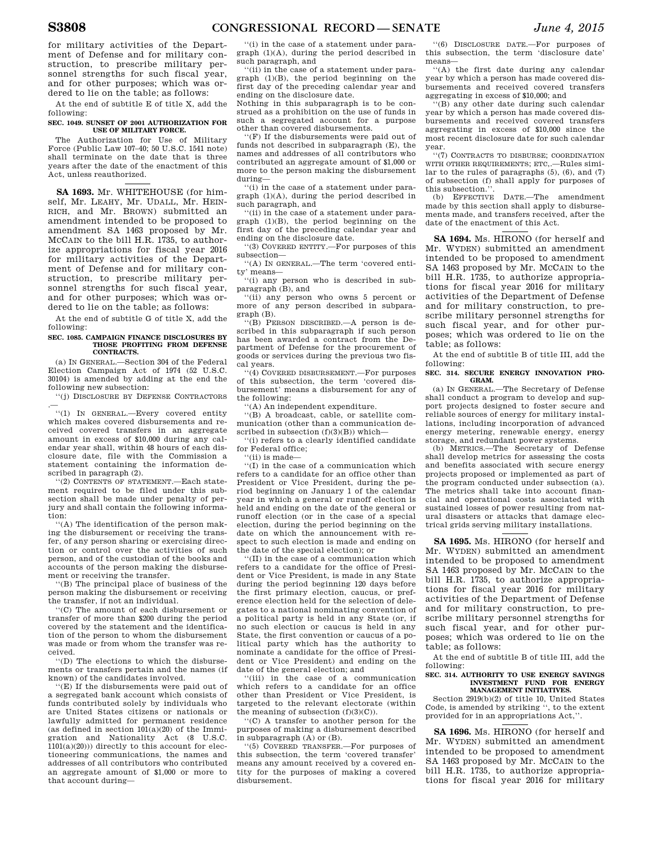for military activities of the Department of Defense and for military construction, to prescribe military personnel strengths for such fiscal year, and for other purposes; which was ordered to lie on the table; as follows:

At the end of subtitle E of title X, add the following:

## **SEC. 1049. SUNSET OF 2001 AUTHORIZATION FOR USE OF MILITARY FORCE.**

The Authorization for Use of Military Force (Public Law 107–40; 50 U.S.C. 1541 note) shall terminate on the date that is three years after the date of the enactment of this Act, unless reauthorized.

**SA 1693.** Mr. WHITEHOUSE (for himself, Mr. LEAHY, Mr. UDALL, Mr. HEIN-RICH, and Mr. BROWN) submitted an amendment intended to be proposed to amendment SA 1463 proposed by Mr. MCCAIN to the bill H.R. 1735, to authorize appropriations for fiscal year 2016 for military activities of the Department of Defense and for military construction, to prescribe military personnel strengths for such fiscal year, and for other purposes; which was ordered to lie on the table; as follows:

At the end of subtitle G of title X, add the following:

#### **SEC. 1085. CAMPAIGN FINANCE DISCLOSURES BY THOSE PROFITING FROM DEFENSE CONTRACTS.**

(a) IN GENERAL.—Section 304 of the Federal Election Campaign Act of 1974 (52 U.S.C. 30104) is amended by adding at the end the following new subsection:

''(j) DISCLOSURE BY DEFENSE CONTRACTORS

.— ''(1) IN GENERAL.—Every covered entity which makes covered disbursements and received covered transfers in an aggregate amount in excess of \$10,000 during any calendar year shall, within 48 hours of each disclosure date, file with the Commission a statement containing the information described in paragraph (2).

''(2) CONTENTS OF STATEMENT.—Each statement required to be filed under this subsection shall be made under penalty of perjury and shall contain the following information:

''(A) The identification of the person making the disbursement or receiving the transfer, of any person sharing or exercising direction or control over the activities of such person, and of the custodian of the books and accounts of the person making the disbursement or receiving the transfer.

''(B) The principal place of business of the person making the disbursement or receiving the transfer, if not an individual.

''(C) The amount of each disbursement or transfer of more than \$200 during the period covered by the statement and the identification of the person to whom the disbursement was made or from whom the transfer was received.

''(D) The elections to which the disbursements or transfers pertain and the names (if known) of the candidates involved.

''(E) If the disbursements were paid out of a segregated bank account which consists of funds contributed solely by individuals who are United States citizens or nationals or lawfully admitted for permanent residence (as defined in section  $101(a)(20)$  of the Immigration and Nationality Act (8 U.S.C.  $1101(a)(20))$ ) directly to this account for electioneering communications, the names and addresses of all contributors who contributed an aggregate amount of \$1,000 or more to that account during—

''(i) in the case of a statement under paragraph (1)(A), during the period described in such paragraph, and

''(ii) in the case of a statement under paragraph (1)(B), the period beginning on the first day of the preceding calendar year and ending on the disclosure date.

Nothing in this subparagraph is to be construed as a prohibition on the use of funds in such a segregated account for a purpose other than covered disbursements.

''(F) If the disbursements were paid out of funds not described in subparagraph (E), the names and addresses of all contributors who contributed an aggregate amount of \$1,000 or more to the person making the disbursement during—

''(i) in the case of a statement under paragraph (1)(A), during the period described in such paragraph, and

''(ii) in the case of a statement under paragraph (1)(B), the period beginning on the first day of the preceding calendar year and ending on the disclosure date.

''(3) COVERED ENTITY.—For purposes of this subsection—

''(A) IN GENERAL.—The term 'covered entity' means—

''(i) any person who is described in subparagraph (B), and

''(ii) any person who owns 5 percent or more of any person described in subparagraph (B).

''(B) PERSON DESCRIBED.—A person is described in this subparagraph if such person has been awarded a contract from the Department of Defense for the procurement of goods or services during the previous two fiscal years.

''(4) COVERED DISBURSEMENT.—For purposes of this subsection, the term 'covered disbursement' means a disbursement for any of the following:

''(A) An independent expenditure.

''(B) A broadcast, cable, or satellite communication (other than a communication described in subsection  $(f)(3)(B)$ ) which-

''(i) refers to a clearly identified candidate for Federal office;

''(ii) is made—

''(I) in the case of a communication which refers to a candidate for an office other than President or Vice President, during the period beginning on January 1 of the calendar year in which a general or runoff election is held and ending on the date of the general or runoff election (or in the case of a special election, during the period beginning on the date on which the announcement with respect to such election is made and ending on the date of the special election); or

'(II) in the case of a communication which refers to a candidate for the office of President or Vice President, is made in any State during the period beginning 120 days before the first primary election, caucus, or preference election held for the selection of delegates to a national nominating convention of a political party is held in any State (or, if no such election or caucus is held in any State, the first convention or caucus of a political party which has the authority to nominate a candidate for the office of President or Vice President) and ending on the date of the general election; and

''(iii) in the case of a communication which refers to a candidate for an office other than President or Vice President, is targeted to the relevant electorate (within the meaning of subsection  $(f)(3)(C)$ .

''(C) A transfer to another person for the purposes of making a disbursement described in subparagraph (A) or (B).

''(5) COVERED TRANSFER.—For purposes of this subsection, the term 'covered transfer' means any amount received by a covered entity for the purposes of making a covered disbursement.

''(6) DISCLOSURE DATE.—For purposes of this subsection, the term 'disclosure date' means—

''(A) the first date during any calendar year by which a person has made covered disbursements and received covered transfers aggregating in excess of \$10,000; and

 $\overline{B}$  any other date during such calendar year by which a person has made covered disbursements and received covered transfers aggregating in excess of \$10,000 since the most recent disclosure date for such calendar year.

''(7) CONTRACTS TO DISBURSE; COORDINATION WITH OTHER REQUIREMENTS; ETC,.—Rules similar to the rules of paragraphs (5), (6), and (7) of subsection (f) shall apply for purposes of this subsection.''.

(b) EFFECTIVE DATE.—The amendment made by this section shall apply to disbursements made, and transfers received, after the date of the enactment of this Act.

**SA 1694.** Ms. HIRONO (for herself and Mr. WYDEN) submitted an amendment intended to be proposed to amendment SA 1463 proposed by Mr. MCCAIN to the bill H.R. 1735, to authorize appropriations for fiscal year 2016 for military activities of the Department of Defense and for military construction, to prescribe military personnel strengths for such fiscal year, and for other purposes; which was ordered to lie on the table; as follows:

At the end of subtitle B of title III, add the following:

**SEC. 314. SECURE ENERGY INNOVATION PRO-GRAM.** 

(a) IN GENERAL.—The Secretary of Defense shall conduct a program to develop and support projects designed to foster secure and reliable sources of energy for military installations, including incorporation of advanced energy metering, renewable energy, energy storage, and redundant power systems.

(b) METRICS.—The Secretary of Defense shall develop metrics for assessing the costs and benefits associated with secure energy projects proposed or implemented as part of the program conducted under subsection (a). The metrics shall take into account financial and operational costs associated with sustained losses of power resulting from natural disasters or attacks that damage electrical grids serving military installations.

**SA 1695.** Ms. HIRONO (for herself and Mr. WYDEN) submitted an amendment intended to be proposed to amendment SA 1463 proposed by Mr. MCCAIN to the bill H.R. 1735, to authorize appropriations for fiscal year 2016 for military activities of the Department of Defense and for military construction, to prescribe military personnel strengths for such fiscal year, and for other purposes; which was ordered to lie on the table; as follows:

At the end of subtitle B of title III, add the following:

# **SEC. 314. AUTHORITY TO USE ENERGY SAVINGS INVESTMENT FUND FOR ENERGY MANAGEMENT INITIATIVES.**

Section 2919(b)(2) of title 10, United States Code, is amended by striking '', to the extent provided for in an appropriations Act,''.

**SA 1696.** Ms. HIRONO (for herself and Mr. WYDEN) submitted an amendment intended to be proposed to amendment SA 1463 proposed by Mr. MCCAIN to the bill H.R. 1735, to authorize appropriations for fiscal year 2016 for military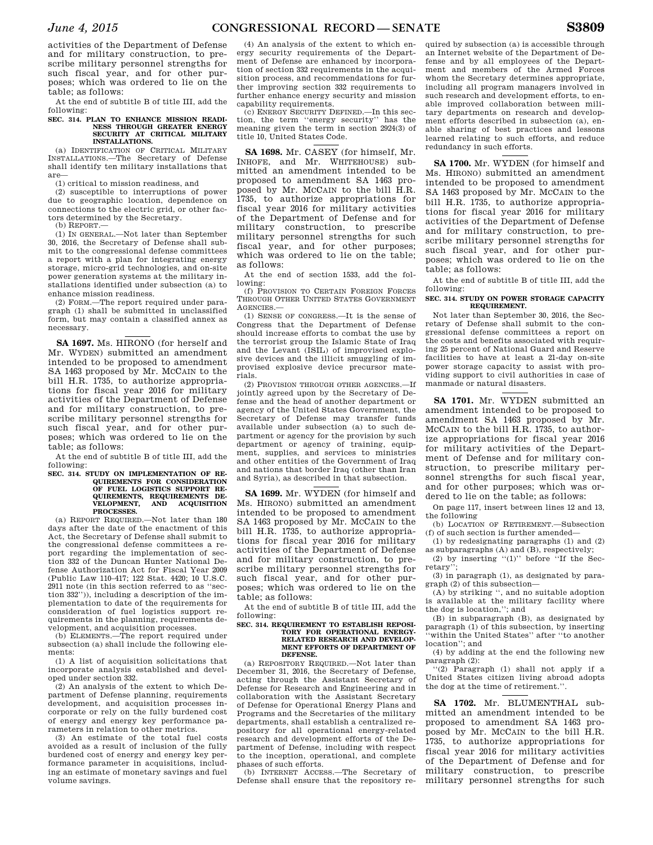activities of the Department of Defense and for military construction, to prescribe military personnel strengths for such fiscal year, and for other purposes; which was ordered to lie on the table; as follows:

At the end of subtitle B of title III, add the following:

## **SEC. 314. PLAN TO ENHANCE MISSION READI-NESS THROUGH GREATER ENERGY SECURITY AT CRITICAL MILITARY INSTALLATIONS.**

(a) IDENTIFICATION OF CRITICAL MILITARY INSTALLATIONS.—The Secretary of Defense shall identify ten military installations that are—

(1) critical to mission readiness, and

(2) susceptible to interruptions of power due to geographic location, dependence on connections to the electric grid, or other factors determined by the Secretary.

(b) REPORT.—

(1) IN GENERAL.—Not later than September 30, 2016, the Secretary of Defense shall submit to the congressional defense committees a report with a plan for integrating energy storage, micro-grid technologies, and on-site power generation systems at the military installations identified under subsection (a) to enhance mission readiness.

(2) FORM.—The report required under paragraph (1) shall be submitted in unclassified form, but may contain a classified annex as necessary.

**SA 1697.** Ms. HIRONO (for herself and Mr. WYDEN) submitted an amendment intended to be proposed to amendment SA 1463 proposed by Mr. MCCAIN to the bill H.R. 1735, to authorize appropriations for fiscal year 2016 for military activities of the Department of Defense and for military construction, to prescribe military personnel strengths for such fiscal year, and for other purposes; which was ordered to lie on the table; as follows:

At the end of subtitle B of title III, add the following:

#### **SEC. 314. STUDY ON IMPLEMENTATION OF RE-QUIREMENTS FOR CONSIDERATION OF FUEL LOGISTICS SUPPORT RE-QUIREMENTS, REQUIREMENTS DE-VELOPMENT, AND ACQUISITION PROCESSES.**

(a) REPORT REQUIRED.—Not later than 180 days after the date of the enactment of this Act, the Secretary of Defense shall submit to the congressional defense committees a report regarding the implementation of section 332 of the Duncan Hunter National Defense Authorization Act for Fiscal Year 2009 (Public Law 110–417; 122 Stat. 4420; 10 U.S.C. 2911 note (in this section referred to as ''section 332'')), including a description of the implementation to date of the requirements for consideration of fuel logistics support requirements in the planning, requirements development, and acquisition processes.

(b) ELEMENTS.—The report required under subsection (a) shall include the following elements:

(1) A list of acquisition solicitations that incorporate analysis established and developed under section 332.

(2) An analysis of the extent to which Department of Defense planning, requirements development, and acquisition processes incorporate or rely on the fully burdened cost of energy and energy key performance parameters in relation to other metrics.

(3) An estimate of the total fuel costs avoided as a result of inclusion of the fully burdened cost of energy and energy key performance parameter in acquisitions, including an estimate of monetary savings and fuel volume savings.

(4) An analysis of the extent to which energy security requirements of the Department of Defense are enhanced by incorporation of section 332 requirements in the acquisition process, and recommendations for further improving section 332 requirements to further enhance energy security and mission capability requirements.

(c) ENERGY SECURITY DEFINED.—In this section, the term ''energy security'' has the meaning given the term in section 2924(3) of title 10, United States Code.

**SA 1698.** Mr. CASEY (for himself, Mr. INHOFE, and Mr. WHITEHOUSE) submitted an amendment intended to be proposed to amendment SA 1463 proposed by Mr. MCCAIN to the bill H.R. 1735, to authorize appropriations for fiscal year 2016 for military activities of the Department of Defense and for military construction, to prescribe military personnel strengths for such fiscal year, and for other purposes; which was ordered to lie on the table; as follows:

At the end of section 1533, add the following:

(f) PROVISION TO CERTAIN FOREIGN FORCES THROUGH OTHER UNITED STATES GOVERNMENT AGENCIES.—

(1) SENSE OF CONGRESS.—It is the sense of Congress that the Department of Defense should increase efforts to combat the use by the terrorist group the Islamic State of Iraq and the Levant (ISIL) of improvised explosive devices and the illicit smuggling of improvised explosive device precursor materials.

(2) PROVISION THROUGH OTHER AGENCIES.—If jointly agreed upon by the Secretary of Defense and the head of another department or agency of the United States Government, the Secretary of Defense may transfer funds available under subsection (a) to such department or agency for the provision by such department or agency of training, equipment, supplies, and services to ministries and other entities of the Government of Iraq and nations that border Iraq (other than Iran and Syria), as described in that subsection.

**SA 1699.** Mr. WYDEN (for himself and Ms. HIRONO) submitted an amendment intended to be proposed to amendment SA 1463 proposed by Mr. MCCAIN to the bill H.R. 1735, to authorize appropriations for fiscal year 2016 for military activities of the Department of Defense and for military construction, to prescribe military personnel strengths for such fiscal year, and for other purposes; which was ordered to lie on the table; as follows:

At the end of subtitle B of title III, add the following:

#### **SEC. 314. REQUIREMENT TO ESTABLISH REPOSI-TORY FOR OPERATIONAL ENERGY-RELATED RESEARCH AND DEVELOP-MENT EFFORTS OF DEPARTMENT OF DEFENSE.**

(a) REPOSITORY REQUIRED.—Not later than December 31, 2016, the Secretary of Defense, acting through the Assistant Secretary of Defense for Research and Engineering and in collaboration with the Assistant Secretary of Defense for Operational Energy Plans and Programs and the Secretaries of the military departments, shall establish a centralized repository for all operational energy-related research and development efforts of the Department of Defense, including with respect to the inception, operational, and complete phases of such efforts.

(b) INTERNET ACCESS.—The Secretary of Defense shall ensure that the repository re-

quired by subsection (a) is accessible through an Internet website of the Department of Defense and by all employees of the Department and members of the Armed Forces whom the Secretary determines appropriate, including all program managers involved in such research and development efforts, to enable improved collaboration between military departments on research and development efforts described in subsection (a), enable sharing of best practices and lessons learned relating to such efforts, and reduce redundancy in such efforts.

**SA 1700.** Mr. WYDEN (for himself and Ms. HIRONO) submitted an amendment intended to be proposed to amendment SA 1463 proposed by Mr. MCCAIN to the bill H.R. 1735, to authorize appropriations for fiscal year 2016 for military activities of the Department of Defense and for military construction, to prescribe military personnel strengths for such fiscal year, and for other purposes; which was ordered to lie on the table; as follows:

At the end of subtitle B of title III, add the following:

## **SEC. 314. STUDY ON POWER STORAGE CAPACITY REQUIREMENT.**

Not later than September 30, 2016, the Secretary of Defense shall submit to the congressional defense committees a report on the costs and benefits associated with requiring 25 percent of National Guard and Reserve facilities to have at least a 21-day on-site power storage capacity to assist with providing support to civil authorities in case of manmade or natural disasters.

**SA 1701.** Mr. WYDEN submitted an amendment intended to be proposed to amendment SA 1463 proposed by Mr. MCCAIN to the bill H.R. 1735, to authorize appropriations for fiscal year 2016 for military activities of the Department of Defense and for military construction, to prescribe military personnel strengths for such fiscal year, and for other purposes; which was ordered to lie on the table; as follows:

On page 117, insert between lines 12 and 13, the following

(b) LOCATION OF RETIREMENT.—Subsection (f) of such section is further amended—

(1) by redesignating paragraphs (1) and (2) as subparagraphs (A) and (B), respectively;

(2) by inserting  $(1)$  before  $\cdot$  If the Secretary'';

(3) in paragraph (1), as designated by paragraph (2) of this subsection—

(A) by striking '', and no suitable adoption is available at the military facility where the dog is location,''; and

(B) in subparagraph (B), as designated by paragraph (1) of this subsection, by inserting 'within the United States'' after "to another location''; and

(4) by adding at the end the following new paragraph (2):

''(2) Paragraph (1) shall not apply if a United States citizen living abroad adopts the dog at the time of retirement.''.

**SA 1702.** Mr. BLUMENTHAL submitted an amendment intended to be proposed to amendment SA 1463 proposed by Mr. MCCAIN to the bill H.R. 1735, to authorize appropriations for fiscal year 2016 for military activities of the Department of Defense and for military construction, to prescribe military personnel strengths for such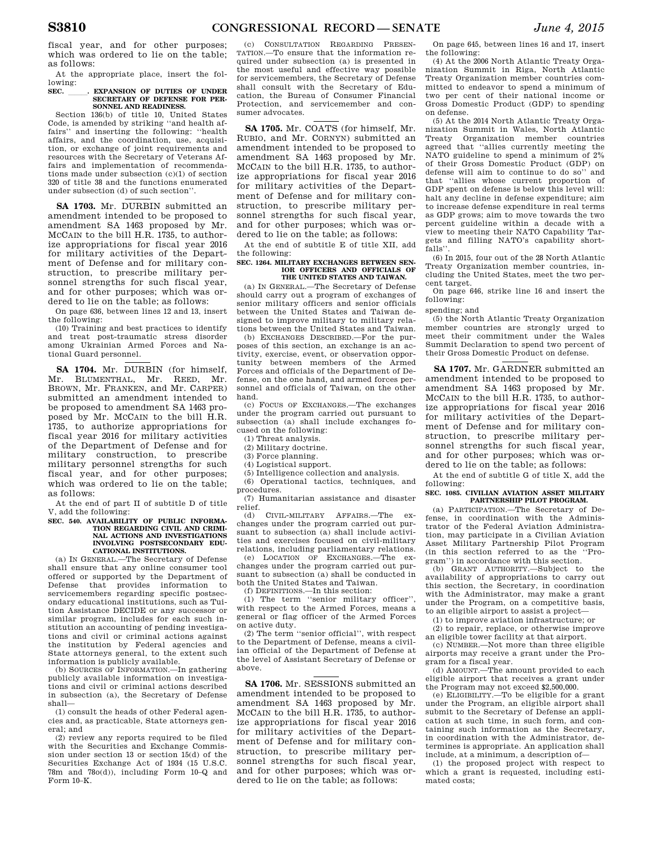At the appropriate place, insert the following:

## **SEC.** \_\_\_\_\_\_. EXPANSION OF DUTIES OF UNDER SECRETARY OF DEFENSE FOR PER-**SONNEL AND READINESS.**

Section 136(b) of title 10, United States Code, is amended by striking ''and health affairs'' and inserting the following: ''health affairs, and the coordination, use, acquisition, or exchange of joint requirements and resources with the Secretary of Veterans Affairs and implementation of recommendations made under subsection (c)(1) of section 320 of title 38 and the functions enumerated under subsection (d) of such section''.

**SA 1703.** Mr. DURBIN submitted an amendment intended to be proposed to amendment SA 1463 proposed by Mr. MCCAIN to the bill H.R. 1735, to authorize appropriations for fiscal year 2016 for military activities of the Department of Defense and for military construction, to prescribe military personnel strengths for such fiscal year, and for other purposes; which was ordered to lie on the table; as follows:

On page 636, between lines 12 and 13, insert the following:

(10) Training and best practices to identify and treat post-traumatic stress disorder among Ukrainian Armed Forces and National Guard personnel.

**SA 1704.** Mr. DURBIN (for himself, Mr. BLUMENTHAL, Mr. REED, Mr. BROWN, Mr. FRANKEN, and Mr. CARPER) submitted an amendment intended to be proposed to amendment SA 1463 proposed by Mr. MCCAIN to the bill H.R. 1735, to authorize appropriations for fiscal year 2016 for military activities of the Department of Defense and for military construction, to prescribe military personnel strengths for such fiscal year, and for other purposes; which was ordered to lie on the table; as follows:

At the end of part II of subtitle D of title V, add the following:

#### **SEC. 540. AVAILABILITY OF PUBLIC INFORMA-TION REGARDING CIVIL AND CRIMI-NAL ACTIONS AND INVESTIGATIONS INVOLVING POSTSECONDARY EDU-CATIONAL INSTITUTIONS.**

(a) IN GENERAL.—The Secretary of Defense shall ensure that any online consumer tool offered or supported by the Department of Defense that provides information to servicemembers regarding specific postsecondary educational institutions, such as Tuition Assistance DECIDE or any successor or similar program, includes for each such institution an accounting of pending investigations and civil or criminal actions against the institution by Federal agencies and State attorneys general, to the extent such information is publicly available.

(b) SOURCES OF INFORMATION.—In gathering publicly available information on investigations and civil or criminal actions described in subsection (a), the Secretary of Defense shall—

(1) consult the heads of other Federal agencies and, as practicable, State attorneys general; and

(2) review any reports required to be filed with the Securities and Exchange Commission under section 13 or section 15(d) of the Securities Exchange Act of 1934 (15 U.S.C. 78m and 78o(d)), including Form 10–Q and Form 10–K.

(c) CONSULTATION REGARDING PRESEN-TATION.—To ensure that the information required under subsection (a) is presented in the most useful and effective way possible for servicemembers, the Secretary of Defense shall consult with the Secretary of Education, the Bureau of Consumer Financial Protection, and servicemember and consumer advocates.

**SA 1705.** Mr. COATS (for himself, Mr. RUBIO, and Mr. CORNYN) submitted an amendment intended to be proposed to amendment SA 1463 proposed by Mr. MCCAIN to the bill H.R. 1735, to authorize appropriations for fiscal year 2016 for military activities of the Department of Defense and for military construction, to prescribe military personnel strengths for such fiscal year, and for other purposes; which was ordered to lie on the table; as follows:

At the end of subtitle E of title XII, add the following:

#### **SEC. 1264. MILITARY EXCHANGES BETWEEN SEN-IOR OFFICERS AND OFFICIALS OF THE UNITED STATES AND TAIWAN.**

(a) IN GENERAL.—The Secretary of Defense should carry out a program of exchanges of senior military officers and senior officials between the United States and Taiwan designed to improve military to military relations between the United States and Taiwan.

(b) EXCHANGES DESCRIBED.—For the purposes of this section, an exchange is an activity, exercise, event, or observation opportunity between members of the Armed Forces and officials of the Department of Defense, on the one hand, and armed forces personnel and officials of Taiwan, on the other hand.

(c) FOCUS OF EXCHANGES.—The exchanges under the program carried out pursuant to subsection (a) shall include exchanges focused on the following:

(1) Threat analysis.

(2) Military doctrine.

(3) Force planning.

(4) Logistical support.

(5) Intelligence collection and analysis. (6) Operational tactics, techniques, and procedures.

(7) Humanitarian assistance and disaster relief.

 $(d)$  CIVIL-MILITARY AFFAIRS.—The changes under the program carried out pursuant to subsection (a) shall include activities and exercises focused on civil-military

relations, including parliamentary relations. (e) LOCATION OF EXCHANGES.—The exchanges under the program carried out pursuant to subsection (a) shall be conducted in both the United States and Taiwan.

(f) DEFINITIONS.—In this section:

(1) The term ''senior military officer'', with respect to the Armed Forces, means a general or flag officer of the Armed Forces on active duty.

(2) The term ''senior official'', with respect to the Department of Defense, means a civilian official of the Department of Defense at the level of Assistant Secretary of Defense or above.

**SA 1706.** Mr. SESSIONS submitted an amendment intended to be proposed to amendment SA 1463 proposed by Mr. MCCAIN to the bill H.R. 1735, to authorize appropriations for fiscal year 2016 for military activities of the Department of Defense and for military construction, to prescribe military personnel strengths for such fiscal year, and for other purposes; which was ordered to lie on the table; as follows:

On page 645, between lines 16 and 17, insert the following:

(4) At the 2006 North Atlantic Treaty Organization Summit in Riga, North Atlantic Treaty Organization member countries committed to endeavor to spend a minimum of two per cent of their national income or Gross Domestic Product (GDP) to spending on defense.

(5) At the 2014 North Atlantic Treaty Organization Summit in Wales, North Atlantic Treaty Organization member countries agreed that ''allies currently meeting the NATO guideline to spend a minimum of 2% of their Gross Domestic Product (GDP) on defense will aim to continue to do so'' and that ''allies whose current proportion of GDP spent on defense is below this level will: halt any decline in defense expenditure; aim to increase defense expenditure in real terms as GDP grows; aim to move towards the two percent guideline within a decade with a view to meeting their NATO Capability Targets and filling NATO's capability shortfalls'

(6) In 2015, four out of the 28 North Atlantic Treaty Organization member countries, including the United States, meet the two percent target.

On page 646, strike line 16 and insert the following:

spending; and

(5) the North Atlantic Treaty Organization member countries are strongly urged to meet their commitment under the Wales Summit Declaration to spend two percent of their Gross Domestic Product on defense.

**SA 1707.** Mr. GARDNER submitted an amendment intended to be proposed to amendment SA 1463 proposed by Mr. MCCAIN to the bill H.R. 1735, to authorize appropriations for fiscal year 2016 for military activities of the Department of Defense and for military construction, to prescribe military personnel strengths for such fiscal year, and for other purposes; which was ordered to lie on the table; as follows:

At the end of subtitle G of title X, add the following:

## **SEC. 1085. CIVILIAN AVIATION ASSET MILITARY PARTNERSHIP PILOT PROGRAM.**

(a) PARTICIPATION.—The Secretary of Defense, in coordination with the Administrator of the Federal Aviation Administration, may participate in a Civilian Aviation Asset Military Partnership Pilot Program<br>(in this section referred to as the "Pro- $(in this section referred to as the$ gram'') in accordance with this section.

(b) GRANT AUTHORITY.—Subject to the availability of appropriations to carry out this section, the Secretary, in coordination with the Administrator, may make a grant under the Program, on a competitive basis, to an eligible airport to assist a project—

(1) to improve aviation infrastructure; or

(2) to repair, replace, or otherwise improve an eligible tower facility at that airport.

(c) NUMBER.—Not more than three eligible airports may receive a grant under the Program for a fiscal year.

(d) AMOUNT.—The amount provided to each eligible airport that receives a grant under the Program may not exceed \$2,500,000.

(e) ELIGIBILITY.—To be eligible for a grant under the Program, an eligible airport shall submit to the Secretary of Defense an application at such time, in such form, and containing such information as the Secretary, in coordination with the Administrator, determines is appropriate. An application shall include, at a minimum, a description of—

(1) the proposed project with respect to which a grant is requested, including estimated costs;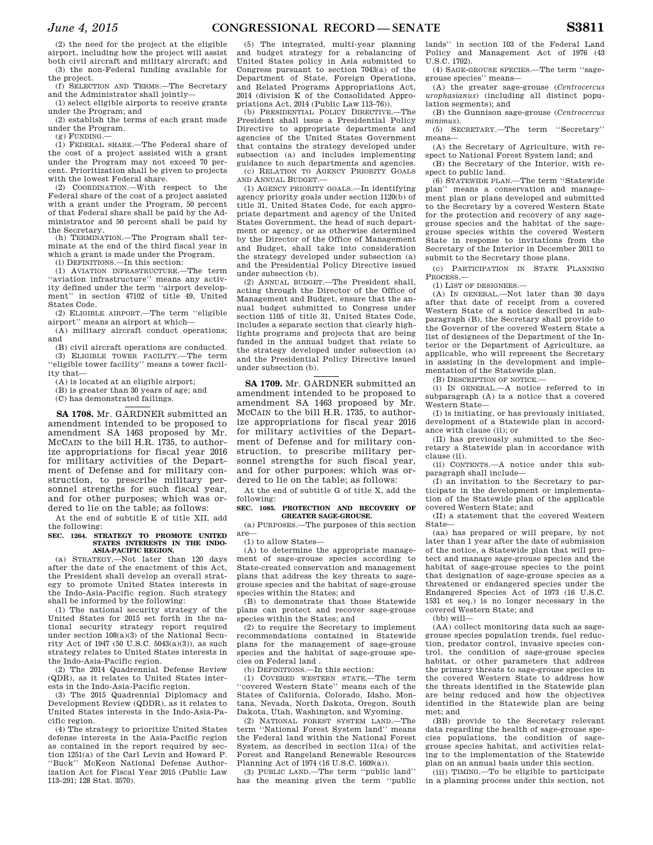(2) the need for the project at the eligible airport, including how the project will assist both civil aircraft and military aircraft; and (3) the non-Federal funding available for

the project. (f) SELECTION AND TERMS.—The Secretary

and the Administrator shall jointly— (1) select eligible airports to receive grants

under the Program; and

(2) establish the terms of each grant made under the Program.  $(g)$  FUNDING.

(1) FEDERAL SHARE.—The Federal share of the cost of a project assisted with a grant under the Program may not exceed 70 percent. Prioritization shall be given to projects with the lowest Federal share.

(2) COORDINATION.—With respect to the Federal share of the cost of a project assisted with a grant under the Program, 50 percent of that Federal share shall be paid by the Administrator and 50 percent shall be paid by the Secretary.

(h) TERMINATION.—The Program shall terminate at the end of the third fiscal year in which a grant is made under the Program.

(i) DEFINITIONS.—In this section:

(1) AVIATION INFRASTRUCTURE.—The term ''aviation infrastructure'' means any activity defined under the term ''airport development'' in section 47102 of title 49, United States Code.

(2) ELIGIBLE AIRPORT.—The term ''eligible airport'' means an airport at which—

(A) military aircraft conduct operations; and

(B) civil aircraft operations are conducted. (3) ELIGIBLE TOWER FACILITY.—The term ''eligible tower facility'' means a tower facility that—

(A) is located at an eligible airport;

(B) is greater than 30 years of age; and

(C) has demonstrated failings.

**SA 1708.** Mr. GARDNER submitted an amendment intended to be proposed to amendment SA 1463 proposed by Mr. MCCAIN to the bill H.R. 1735, to authorize appropriations for fiscal year 2016 for military activities of the Department of Defense and for military construction, to prescribe military personnel strengths for such fiscal year, and for other purposes; which was ordered to lie on the table; as follows:

At the end of subtitle E of title XII, add the following:

#### **SEC. 1264. STRATEGY TO PROMOTE UNITED STATES INTERESTS IN THE INDO-ASIA-PACIFIC REGION.**

(a) STRATEGY.—Not later than 120 days after the date of the enactment of this Act, the President shall develop an overall strategy to promote United States interests in the Indo-Asia-Pacific region. Such strategy shall be informed by the following:

(1) The national security strategy of the United States for 2015 set forth in the national security strategy report required under section 108(a)(3) of the National Security Act of 1947 (50 U.S.C. 5043(a)(3)), as such strategy relates to United States interests in the Indo-Asia-Pacific region.

(2) The 2014 Quadrennial Defense Review (QDR), as it relates to United States interests in the Indo-Asia-Pacific region.

(3) The 2015 Quadrennial Diplomacy and Development Review (QDDR), as it relates to United States interests in the Indo-Asia-Pacific region.

(4) The strategy to prioritize United States defense interests in the Asia-Pacific region as contained in the report required by section 1251(a) of the Carl Levin and Howard P. ''Buck'' McKeon National Defense Authorization Act for Fiscal Year 2015 (Public Law 113–291; 128 Stat. 3570).

(5) The integrated, multi-year planning and budget strategy for a rebalancing of United States policy in Asia submitted to Congress pursuant to section 7043(a) of the Department of State, Foreign Operations, and Related Programs Appropriations Act, 2014 (division K of the Consolidated Appropriations Act, 2014 (Public Law 113–76)).

(b) PRESIDENTIAL POLICY DIRECTIVE.—The President shall issue a Presidential Policy Directive to appropriate departments and agencies of the United States Government that contains the strategy developed under subsection (a) and includes implementing guidance to such departments and agencies. (c) RELATION TO AGENCY PRIORITY GOALS

AND ANNUAL BUDGET.—

(1) AGENCY PRIORITY GOALS.—In identifying agency priority goals under section 1120(b) of title 31, United States Code, for each appropriate department and agency of the United States Government, the head of such department or agency, or as otherwise determined by the Director of the Office of Management and Budget, shall take into consideration the strategy developed under subsection (a) and the Presidential Policy Directive issued under subsection (b).

(2) ANNUAL BUDGET.—The President shall, acting through the Director of the Office of Management and Budget, ensure that the annual budget submitted to Congress under section 1105 of title 31, United States Code, includes a separate section that clearly highlights programs and projects that are being funded in the annual budget that relate to the strategy developed under subsection (a) and the Presidential Policy Directive issued under subsection (b).

**SA 1709.** Mr. GARDNER submitted an amendment intended to be proposed to amendment SA 1463 proposed by Mr. MCCAIN to the bill H.R. 1735, to authorize appropriations for fiscal year 2016 for military activities of the Department of Defense and for military construction, to prescribe military personnel strengths for such fiscal year, and for other purposes; which was ordered to lie on the table; as follows:

At the end of subtitle G of title X, add the following:

## **SEC. 1085. PROTECTION AND RECOVERY OF GREATER SAGE-GROUSE.**

(a) PURPOSES.—The purposes of this section are—

(1) to allow States—

(A) to determine the appropriate management of sage-grouse species according to State-created conservation and management plans that address the key threats to sagegrouse species and the habitat of sage-grouse species within the States; and

(B) to demonstrate that those Statewide plans can protect and recover sage-grouse species within the States; and

(2) to require the Secretary to implement recommendations contained in Statewide plans for the management of sage-grouse species and the habitat of sage-grouse species on Federal land .

(b) DEFINITIONS.—In this section:

(1) COVERED WESTERN STATE.—The term ''covered Western State'' means each of the States of California, Colorado, Idaho, Montana, Nevada, North Dakota, Oregon, South Dakota, Utah, Washington, and Wyoming.

(2) NATIONAL FOREST SYSTEM LAND.—The term ''National Forest System land'' means the Federal land within the National Forest System, as described in section 11(a) of the Forest and Rangeland Renewable Resources Planning Act of 1974 (16 U.S.C. 1609(a)).

(3) PUBLIC LAND.—The term ''public land'' has the meaning given the term ''public

lands'' in section 103 of the Federal Land Policy and Management Act of 1976 (43 U.S.C. 1702).

(4) SAGE-GROUSE SPECIES.—The term ''sagegrouse species'' means—

(A) the greater sage-grouse (*Centrocercus urophasianus*) (including all distinct population segments); and

(B) the Gunnison sage-grouse (*Centrocercus minimus*).

(5) SECRETARY.—The term ''Secretary'' means—

(A) the Secretary of Agriculture, with respect to National Forest System land; and

(B) the Secretary of the Interior, with respect to public land.

(6) STATEWIDE PLAN.—The term ''Statewide plan'' means a conservation and management plan or plans developed and submitted to the Secretary by a covered Western State for the protection and recovery of any sagegrouse species and the habitat of the sagegrouse species within the covered Western State in response to invitations from the Secretary of the Interior in December 2011 to submit to the Secretary those plans.

(c) PARTICIPATION IN STATE PLANNING PROCESS.—

(1) LIST OF DESIGNEES.—

(A) IN GENERAL.—Not later than 30 days after that date of receipt from a covered Western State of a notice described in subparagraph (B), the Secretary shall provide to the Governor of the covered Western State a list of designees of the Department of the Interior or the Department of Agriculture, as applicable, who will represent the Secretary in assisting in the development and implementation of the Statewide plan.

(B) DESCRIPTION OF NOTICE.—

(i) IN GENERAL.—A notice referred to in subparagraph (A) is a notice that a covered Western State—

(I) is initiating, or has previously initiated, development of a Statewide plan in accordance with clause (ii); or

(II) has previously submitted to the Secretary a Statewide plan in accordance with clause (ii).

(ii) CONTENTS.—A notice under this subparagraph shall include—

(I) an invitation to the Secretary to participate in the development or implementation of the Statewide plan of the applicable covered Western State; and

(II) a statement that the covered Western State—

(aa) has prepared or will prepare, by not later than 1 year after the date of submission of the notice, a Statewide plan that will protect and manage sage-grouse species and the habitat of sage-grouse species to the point that designation of sage-grouse species as a threatened or endangered species under the Endangered Species Act of 1973 (16 U.S.C. 1531 et seq.) is no longer necessary in the covered Western State; and

 $(hh)$  will $-$ 

(AA) collect monitoring data such as sagegrouse species population trends, fuel reduction, predator control, invasive species control, the condition of sage-grouse species habitat, or other parameters that address the primary threats to sage-grouse species in the covered Western State to address how the threats identified in the Statewide plan are being reduced and how the objectives identified in the Statewide plan are being met; and

(BB) provide to the Secretary relevant data regarding the health of sage-grouse species populations, the condition of sagegrouse species habitat, and activities relating to the implementation of the Statewide plan on an annual basis under this section.

(iii) TIMING.—To be eligible to participate in a planning process under this section, not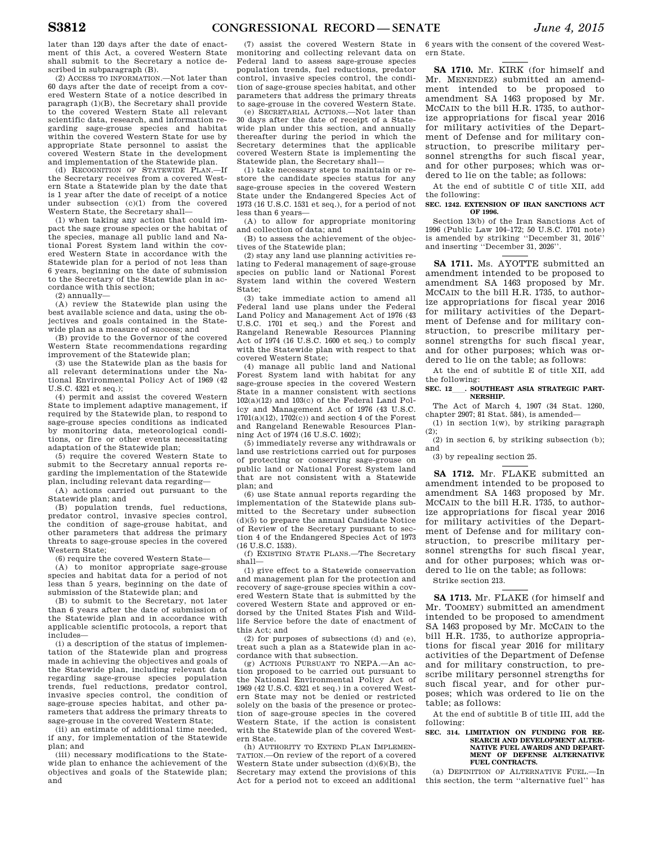later than 120 days after the date of enactment of this Act, a covered Western State shall submit to the Secretary a notice described in subparagraph (B).

(2) ACCESS TO INFORMATION.—Not later than 60 days after the date of receipt from a covered Western State of a notice described in paragraph (1)(B), the Secretary shall provide to the covered Western State all relevant scientific data, research, and information regarding sage-grouse species and habitat within the covered Western State for use by appropriate State personnel to assist the covered Western State in the development and implementation of the Statewide plan.

(d) RECOGNITION OF STATEWIDE PLAN.—If the Secretary receives from a covered Western State a Statewide plan by the date that is 1 year after the date of receipt of a notice under subsection (c)(1) from the covered Western State, the Secretary shall—

(1) when taking any action that could impact the sage grouse species or the habitat of the species, manage all public land and National Forest System land within the covered Western State in accordance with the Statewide plan for a period of not less than 6 years, beginning on the date of submission to the Secretary of the Statewide plan in accordance with this section;

(2) annually—

(A) review the Statewide plan using the best available science and data, using the objectives and goals contained in the Statewide plan as a measure of success; and

(B) provide to the Governor of the covered Western State recommendations regarding improvement of the Statewide plan;

(3) use the Statewide plan as the basis for all relevant determinations under the National Environmental Policy Act of 1969 (42 U.S.C. 4321 et seq.);

(4) permit and assist the covered Western State to implement adaptive management, if required by the Statewide plan, to respond to sage-grouse species conditions as indicated by monitoring data, meteorological conditions, or fire or other events necessitating adaptation of the Statewide plan;

(5) require the covered Western State to submit to the Secretary annual reports regarding the implementation of the Statewide plan, including relevant data regarding—

(A) actions carried out pursuant to the Statewide plan; and

(B) population trends, fuel reductions, predator control, invasive species control, the condition of sage-grouse habitat, and other parameters that address the primary threats to sage-grouse species in the covered Western State;

(6) require the covered Western State—

(A) to monitor appropriate sage-grouse species and habitat data for a period of not less than 5 years, beginning on the date of submission of the Statewide plan; and

(B) to submit to the Secretary, not later than 6 years after the date of submission of the Statewide plan and in accordance with applicable scientific protocols, a report that includes—

(i) a description of the status of implementation of the Statewide plan and progress made in achieving the objectives and goals of the Statewide plan, including relevant data regarding sage-grouse species population trends, fuel reductions, predator control, invasive species control, the condition of sage-grouse species habitat, and other parameters that address the primary threats to sage-grouse in the covered Western State;

(ii) an estimate of additional time needed, if any, for implementation of the Statewide plan; and

(iii) necessary modifications to the Statewide plan to enhance the achievement of the objectives and goals of the Statewide plan; and

(7) assist the covered Western State in monitoring and collecting relevant data on Federal land to assess sage-grouse species population trends, fuel reductions, predator control, invasive species control, the condition of sage-grouse species habitat, and other parameters that address the primary threats to sage-grouse in the covered Western State.

(e) SECRETARIAL ACTIONS.—Not later than 30 days after the date of receipt of a Statewide plan under this section, and annually thereafter during the period in which the Secretary determines that the applicable covered Western State is implementing the Statewide plan, the Secretary shall—

(1) take necessary steps to maintain or restore the candidate species status for any sage-grouse species in the covered Western State under the Endangered Species Act of 1973 (16 U.S.C. 1531 et seq.), for a period of not less than 6 years—

(A) to allow for appropriate monitoring and collection of data; and

(B) to assess the achievement of the objectives of the Statewide plan;

(2) stay any land use planning activities relating to Federal management of sage-grouse species on public land or National Forest System land within the covered Western State;

(3) take immediate action to amend all Federal land use plans under the Federal Land Policy and Management Act of 1976 (43 U.S.C. 1701 et seq.) and the Forest and Rangeland Renewable Resources Planning Act of 1974 (16 U.S.C. 1600 et seq.) to comply with the Statewide plan with respect to that covered Western State;

(4) manage all public land and National Forest System land with habitat for any sage-grouse species in the covered Western State in a manner consistent with sections 102(a)(12) and 103(c) of the Federal Land Policy and Management Act of 1976 (43 U.S.C.  $1701(a)(12)$ ,  $1702(c)$  and section 4 of the Forest and Rangeland Renewable Resources Planning Act of 1974 (16 U.S.C. 1602);

(5) immediately reverse any withdrawals or land use restrictions carried out for purposes of protecting or conserving sage-grouse on public land or National Forest System land that are not consistent with a Statewide plan; and

(6) use State annual reports regarding the implementation of the Statewide plans submitted to the Secretary under subsection (d)(5) to prepare the annual Candidate Notice of Review of the Secretary pursuant to section 4 of the Endangered Species Act of 1973 (16 U.S.C. 1533).

(f) EXISTING STATE PLANS.—The Secretary shall—

(1) give effect to a Statewide conservation and management plan for the protection and recovery of sage-grouse species within a covered Western State that is submitted by the covered Western State and approved or endorsed by the United States Fish and Wildlife Service before the date of enactment of this Act; and

(2) for purposes of subsections (d) and (e), treat such a plan as a Statewide plan in accordance with that subsection.

(g) ACTIONS PURSUANT TO NEPA.—An action proposed to be carried out pursuant to the National Environmental Policy Act of 1969 (42 U.S.C. 4321 et seq.) in a covered Western State may not be denied or restricted solely on the basis of the presence or protection of sage-grouse species in the covered Western State, if the action is consistent with the Statewide plan of the covered Western State.

(h) AUTHORITY TO EXTEND PLAN IMPLEMEN-TATION.—On review of the report of a covered Western State under subsection  $(d)(6)(B)$ , the Secretary may extend the provisions of this Act for a period not to exceed an additional

6 years with the consent of the covered Western State.

**SA 1710.** Mr. KIRK (for himself and Mr. MENENDEZ) submitted an amendment intended to be proposed to amendment SA 1463 proposed by Mr. MCCAIN to the bill H.R. 1735, to authorize appropriations for fiscal year 2016 for military activities of the Department of Defense and for military construction, to prescribe military personnel strengths for such fiscal year, and for other purposes; which was ordered to lie on the table; as follows:

At the end of subtitle C of title XII, add the following:

#### **SEC. 1242. EXTENSION OF IRAN SANCTIONS ACT OF 1996.**

Section 13(b) of the Iran Sanctions Act of 1996 (Public Law 104–172; 50 U.S.C. 1701 note) is amended by striking ''December 31, 2016'' and inserting ''December 31, 2026''.

**SA 1711.** Ms. AYOTTE submitted an amendment intended to be proposed to amendment SA 1463 proposed by Mr. MCCAIN to the bill H.R. 1735, to authorize appropriations for fiscal year 2016 for military activities of the Department of Defense and for military construction, to prescribe military personnel strengths for such fiscal year, and for other purposes; which was ordered to lie on the table; as follows:

At the end of subtitle E of title XII, add the following:

SEC. 12 **. SOUTHEAST ASIA STRATEGIC PART-NERSHIP.** 

The Act of March 4, 1907 (34 Stat. 1260, chapter 2907; 81 Stat. 584), is amended—

(1) in section  $1(w)$ , by striking paragraph  $(2)$ :

 $(2)$  in section 6, by striking subsection (b); and

(3) by repealing section 25.

**SA 1712.** Mr. FLAKE submitted an amendment intended to be proposed to amendment SA 1463 proposed by Mr. MCCAIN to the bill H.R. 1735, to authorize appropriations for fiscal year 2016 for military activities of the Department of Defense and for military construction, to prescribe military personnel strengths for such fiscal year, and for other purposes; which was ordered to lie on the table; as follows:

Strike section 213.

**SA 1713.** Mr. FLAKE (for himself and Mr. TOOMEY) submitted an amendment intended to be proposed to amendment SA 1463 proposed by Mr. MCCAIN to the bill H.R. 1735, to authorize appropriations for fiscal year 2016 for military activities of the Department of Defense and for military construction, to prescribe military personnel strengths for such fiscal year, and for other purposes; which was ordered to lie on the table; as follows:

At the end of subtitle B of title III, add the following:

#### **SEC. 314. LIMITATION ON FUNDING FOR RE-SEARCH AND DEVELOPMENT ALTER-NATIVE FUEL AWARDS AND DEPART-MENT OF DEFENSE ALTERNATIVE FUEL CONTRACTS.**

(a) DEFINITION OF ALTERNATIVE FUEL.—In this section, the term ''alternative fuel'' has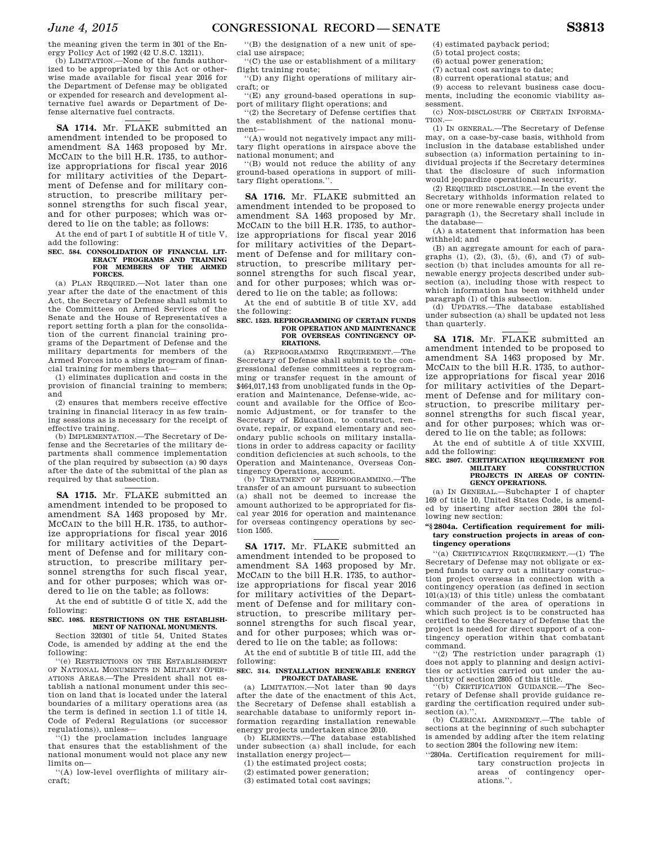the meaning given the term in 301 of the Energy Policy Act of 1992 (42 U.S.C. 13211).

(b) LIMITATION.—None of the funds authorized to be appropriated by this Act or otherwise made available for fiscal year 2016 for the Department of Defense may be obligated or expended for research and development alternative fuel awards or Department of Defense alternative fuel contracts.

**SA 1714.** Mr. FLAKE submitted an amendment intended to be proposed to amendment SA 1463 proposed by Mr. MCCAIN to the bill H.R. 1735, to authorize appropriations for fiscal year 2016 for military activities of the Department of Defense and for military construction, to prescribe military personnel strengths for such fiscal year, and for other purposes; which was ordered to lie on the table; as follows:

At the end of part I of subtitle H of title V, add the following:

#### **SEC. 584. CONSOLIDATION OF FINANCIAL LIT-ERACY PROGRAMS AND TRAINING FOR MEMBERS OF THE ARMED FORCES.**

(a) PLAN REQUIRED-Not later than one year after the date of the enactment of this Act, the Secretary of Defense shall submit to the Committees on Armed Services of the Senate and the House of Representatives a report setting forth a plan for the consolidation of the current financial training programs of the Department of Defense and the military departments for members of the Armed Forces into a single program of financial training for members that—

(1) eliminates duplication and costs in the provision of financial training to members; and

(2) ensures that members receive effective training in financial literacy in as few training sessions as is necessary for the receipt of effective training.

(b) IMPLEMENTATION.—The Secretary of Defense and the Secretaries of the military departments shall commence implementation of the plan required by subsection (a) 90 days after the date of the submittal of the plan as required by that subsection.

**SA 1715.** Mr. FLAKE submitted an amendment intended to be proposed to amendment SA 1463 proposed by Mr. MCCAIN to the bill H.R. 1735, to authorize appropriations for fiscal year 2016 for military activities of the Department of Defense and for military construction, to prescribe military personnel strengths for such fiscal year, and for other purposes; which was ordered to lie on the table; as follows:

At the end of subtitle G of title X, add the following:

## **SEC. 1085. RESTRICTIONS ON THE ESTABLISH-MENT OF NATIONAL MONUMENTS.**

Section 320301 of title 54, United States Code, is amended by adding at the end the following:

''(e) RESTRICTIONS ON THE ESTABLISHMENT OF NATIONAL MONUMENTS IN MILITARY OPER-ATIONS AREAS.—The President shall not establish a national monument under this section on land that is located under the lateral boundaries of a military operations area (as the term is defined in section 1.1 of title 14, Code of Federal Regulations (or successor regulations)), unless—

 $(1)$  the proclamation includes language that ensures that the establishment of the national monument would not place any new limits on—

''(A) low-level overflights of military aircraft;

''(B) the designation of a new unit of special use airspace;

''(C) the use or establishment of a military flight training route;

''(D) any flight operations of military aircraft; or

''(E) any ground-based operations in support of military flight operations; and

''(2) the Secretary of Defense certifies that the establishment of the national monument—

''(A) would not negatively impact any military flight operations in airspace above the national monument; and

''(B) would not reduce the ability of any ground-based operations in support of military flight operations.''.

**SA 1716.** Mr. FLAKE submitted an amendment intended to be proposed to amendment SA 1463 proposed by Mr. MCCAIN to the bill H.R. 1735, to authorize appropriations for fiscal year 2016 for military activities of the Department of Defense and for military construction, to prescribe military personnel strengths for such fiscal year, and for other purposes; which was ordered to lie on the table; as follows:

At the end of subtitle B of title XV, add the following:

#### **SEC. 1523. REPROGRAMMING OF CERTAIN FUNDS FOR OPERATION AND MAINTENANCE FOR OVERSEAS CONTINGENCY OP-ERATIONS.**

(a) REPROGRAMMING REQUIREMENT.—The Secretary of Defense shall submit to the congressional defense committees a reprogramming or transfer request in the amount of \$464,017,143 from unobligated funds in the Operation and Maintenance, Defense-wide, account and available for the Office of Economic Adjustment, or for transfer to the Secretary of Education, to construct, renovate, repair, or expand elementary and secondary public schools on military installations in order to address capacity or facility condition deficiencies at such schools, to the Operation and Maintenance, Overseas Contingency Operations, account.

(b) TREATMENT OF REPROGRAMMING.—The transfer of an amount pursuant to subsection (a) shall not be deemed to increase the amount authorized to be appropriated for fiscal year 2016 for operation and maintenance for overseas contingency operations by section 1505.

**SA 1717.** Mr. FLAKE submitted an amendment intended to be proposed to amendment SA 1463 proposed by Mr. MCCAIN to the bill H.R. 1735, to authorize appropriations for fiscal year 2016 for military activities of the Department of Defense and for military construction, to prescribe military personnel strengths for such fiscal year, and for other purposes; which was ordered to lie on the table; as follows:

At the end of subtitle B of title III, add the following:

## **SEC. 314. INSTALLATION RENEWABLE ENERGY PROJECT DATABASE.**

(a) LIMITATION.—Not later than 90 days after the date of the enactment of this Act, the Secretary of Defense shall establish a searchable database to uniformly report information regarding installation renewable energy projects undertaken since 2010.

(b) ELEMENTS.—The database established under subsection (a) shall include, for each installation energy project—

(1) the estimated project costs;

(2) estimated power generation;

(3) estimated total cost savings;

(4) estimated payback period;

- (5) total project costs;
- (6) actual power generation;
- (7) actual cost savings to date;
- (8) current operational status; and

(9) access to relevant business case documents, including the economic viability assessment.

(c) NON-DISCLOSURE OF CERTAIN INFORMA-TION.

(1) IN GENERAL.—The Secretary of Defense may, on a case-by-case basis, withhold from inclusion in the database established under subsection (a) information pertaining to individual projects if the Secretary determines that the disclosure of such information would jeopardize operational security.

(2) REQUIRED DISCLOSURE.—In the event the Secretary withholds information related to one or more renewable energy projects under paragraph (1), the Secretary shall include in the database-

(A) a statement that information has been withheld; and

(B) an aggregate amount for each of paragraphs  $(1)$ ,  $(2)$ ,  $(3)$ ,  $(5)$ ,  $(6)$ , and  $(7)$  of subsection (b) that includes amounts for all renewable energy projects described under subsection (a), including those with respect to which information has been withheld under paragraph (1) of this subsection.

(d) UPDATES.—The database established under subsection (a) shall be updated not less than quarterly.

**SA 1718.** Mr. FLAKE submitted an amendment intended to be proposed to amendment SA 1463 proposed by Mr. MCCAIN to the bill H.R. 1735, to authorize appropriations for fiscal year 2016 for military activities of the Department of Defense and for military construction, to prescribe military personnel strengths for such fiscal year, and for other purposes; which was ordered to lie on the table; as follows:

At the end of subtitle A of title XXVIII, add the following:

## **SEC. 2807. CERTIFICATION REQUIREMENT FOR MILITARY CONSTRUCTION PROJECTS IN AREAS OF CONTIN-GENCY OPERATIONS.**

(a) IN GENERAL.—Subchapter I of chapter 169 of title 10, United States Code, is amended by inserting after section 2804 the following new section:

## **''§ 2804a. Certification requirement for military construction projects in areas of contingency operations**

''(a) CERTIFICATION REQUIREMENT.—(1) The Secretary of Defense may not obligate or expend funds to carry out a military construction project overseas in connection with a contingency operation (as defined in section 101(a)(13) of this title) unless the combatant commander of the area of operations in which such project is to be constructed has certified to the Secretary of Defense that the project is needed for direct support of a contingency operation within that combatant command.

 $(2)$  The restriction under paragraph  $(1)$ does not apply to planning and design activities or activities carried out under the authority of section 2805 of this title.

''(b) CERTIFICATION GUIDANCE.—The Secretary of Defense shall provide guidance regarding the certification required under subsection (a)."

(b) CLERICAL AMENDMENT.—The table of sections at the beginning of such subchapter is amended by adding after the item relating to section 2804 the following new item:

''2804a. Certification requirement for military construction projects in areas of contingency operations.''.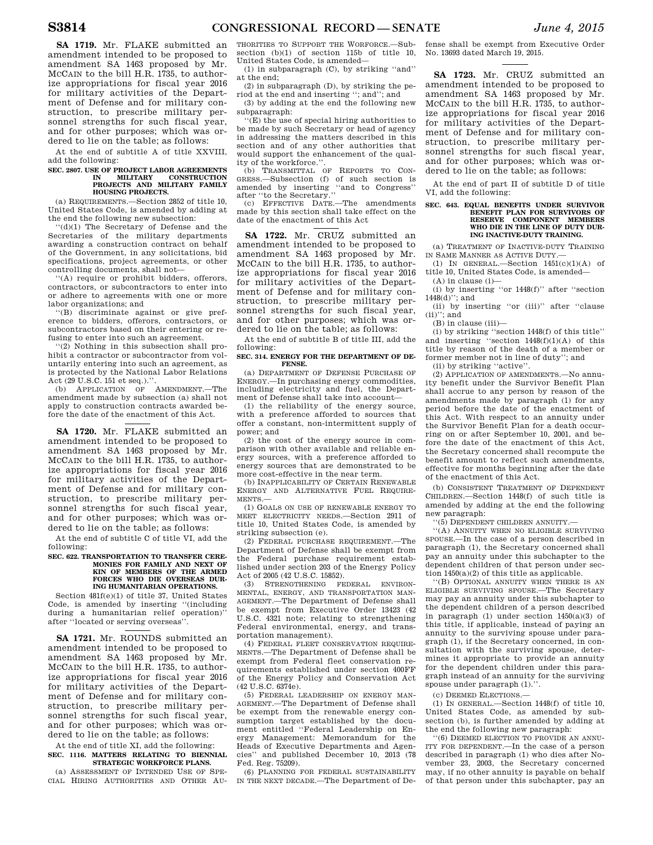**SA 1719.** Mr. FLAKE submitted an amendment intended to be proposed to amendment SA 1463 proposed by Mr. MCCAIN to the bill H.R. 1735, to authorize appropriations for fiscal year 2016 for military activities of the Department of Defense and for military construction, to prescribe military personnel strengths for such fiscal year, and for other purposes; which was ordered to lie on the table; as follows:

At the end of subtitle A of title XXVIII, add the following:

### **SEC. 2807. USE OF PROJECT LABOR AGREEMENTS IN MILITARY CONSTRUCTION PROJECTS AND MILITARY FAMILY HOUSING PROJECTS.**

(a) REQUIREMENTS.—Section 2852 of title 10, United States Code, is amended by adding at the end the following new subsection:

''(d)(1) The Secretary of Defense and the Secretaries of the military departments awarding a construction contract on behalf of the Government, in any solicitations, bid specifications, project agreements, or other controlling documents, shall not—

''(A) require or prohibit bidders, offerors, contractors, or subcontractors to enter into or adhere to agreements with one or more labor organizations; and

''(B) discriminate against or give preference to bidders, offerors, contractors, or subcontractors based on their entering or refusing to enter into such an agreement.

''(2) Nothing in this subsection shall prohibit a contractor or subcontractor from voluntarily entering into such an agreement, as is protected by the National Labor Relations Act (29 U.S.C. 151 et seq.).''.

(b) APPLICATION OF AMENDMENT.—The amendment made by subsection (a) shall not apply to construction contracts awarded before the date of the enactment of this Act.

**SA 1720.** Mr. FLAKE submitted an amendment intended to be proposed to amendment SA 1463 proposed by Mr. MCCAIN to the bill H.R. 1735, to authorize appropriations for fiscal year 2016 for military activities of the Department of Defense and for military construction, to prescribe military personnel strengths for such fiscal year, and for other purposes; which was ordered to lie on the table; as follows:

At the end of subtitle C of title VI, add the following:

#### **SEC. 622. TRANSPORTATION TO TRANSFER CERE-MONIES FOR FAMILY AND NEXT OF KIN OF MEMBERS OF THE ARMED FORCES WHO DIE OVERSEAS DUR-ING HUMANITARIAN OPERATIONS.**

Section 481f(e)(1) of title 37, United States Code, is amended by inserting ''(including during a humanitarian relief operation) after ''located or serving overseas''.

**SA 1721.** Mr. ROUNDS submitted an amendment intended to be proposed to amendment SA 1463 proposed by Mr. MCCAIN to the bill H.R. 1735, to authorize appropriations for fiscal year 2016 for military activities of the Department of Defense and for military construction, to prescribe military personnel strengths for such fiscal year, and for other purposes; which was ordered to lie on the table; as follows:

At the end of title XI, add the following: **SEC. 1116. MATTERS RELATING TO BIENNIAL STRATEGIC WORKFORCE PLANS.** 

(a) ASSESSMENT OF INTENDED USE OF SPE-CIAL HIRING AUTHORITIES AND OTHER AU- THORITIES TO SUPPORT THE WORFORCE.—Subsection (b)(1) of section 115b of title 10, United States Code, is amended—

(1) in subparagraph (C), by striking ''and'' at the end;

(2) in subparagraph (D), by striking the period at the end and inserting ''; and''; and

(3) by adding at the end the following new subparagraph:

''(E) the use of special hiring authorities to be made by such Secretary or head of agency in addressing the matters described in this section and of any other authorities that would support the enhancement of the quality of the workforce."

(b) TRANSMITTAL OF REPORTS TO CON-GRESS.—Subsection (f) of such section is amended by inserting ''and to Congress'' after ''to the Secretary.''

(c) EFFECTIVE DATE.—The amendments made by this section shall take effect on the date of the enactment of this Act

**SA 1722.** Mr. CRUZ submitted an amendment intended to be proposed to amendment SA 1463 proposed by Mr. MCCAIN to the bill H.R. 1735, to authorize appropriations for fiscal year 2016 for military activities of the Department of Defense and for military construction, to prescribe military personnel strengths for such fiscal year, and for other purposes; which was ordered to lie on the table; as follows:

At the end of subtitle B of title III, add the following:

## **SEC. 314. ENERGY FOR THE DEPARTMENT OF DE-FENSE.**

(a) DEPARTMENT OF DEFENSE PURCHASE OF ENERGY.—In purchasing energy commodities, including electricity and fuel, the Department of Defense shall take into account—

(1) the reliability of the energy source, with a preference afforded to sources that offer a constant, non-intermittent supply of power; and

(2) the cost of the energy source in comparison with other available and reliable energy sources, with a preference afforded to energy sources that are demonstrated to be more cost-effective in the near term.

(b) INAPPLICABILITY OF CERTAIN RENEWABLE ENERGY AND ALTERNATIVE FUEL REQUIRE-MENTS.—

(1) GOALS ON USE OF RENEWABLE ENERGY TO MEET ELECTRICITY NEEDS.—Section 2911 of title 10, United States Code, is amended by striking subsection (e).

(2) FEDERAL PURCHASE REQUIREMENT.—The Department of Defense shall be exempt from the Federal purchase requirement established under section 203 of the Energy Policy Act of 2005 (42 U.S.C. 15852).

(3) STRENGTHENING FEDERAL ENVIRON-MENTAL, ENERGY, AND TRANSPORTATION MAN-AGEMENT.—The Department of Defense shall be exempt from Executive Order 13423 (42 U.S.C. 4321 note; relating to strengthening Federal environmental, energy, and transportation management).

(4) FEDERAL FLEET CONSERVATION REQUIRE-MENTS.—The Department of Defense shall be exempt from Federal fleet conservation requirements established under section 400FF of the Energy Policy and Conservation Act (42 U.S.C. 6374e).

(5) FEDERAL LEADERSHIP ON ENERGY MAN-AGEMENT.—The Department of Defense shall be exempt from the renewable energy consumption target established by the document entitled ''Federal Leadership on Energy Management: Memorandum for the Heads of Executive Departments and Agencies'' and published December 10, 2013 (78 Fed. Reg. 75209).

(6) PLANNING FOR FEDERAL SUSTAINABILITY IN THE NEXT DECADE.—The Department of De-

fense shall be exempt from Executive Order No. 13693 dated March 19, 2015.

**SA 1723.** Mr. CRUZ submitted an amendment intended to be proposed to amendment SA 1463 proposed by Mr. MCCAIN to the bill H.R. 1735, to authorize appropriations for fiscal year 2016 for military activities of the Department of Defense and for military construction, to prescribe military personnel strengths for such fiscal year, and for other purposes; which was ordered to lie on the table; as follows:

At the end of part II of subtitle D of title VI, add the following:

## **SEC. 643. EQUAL BENEFITS UNDER SURVIVOR BENEFIT PLAN FOR SURVIVORS OF RESERVE COMPONENT MEMBERS WHO DIE IN THE LINE OF DUTY DUR-ING INACTIVE-DUTY TRAINING.**

(a) TREATMENT OF INACTIVE-DUTY TRAINING IN SAME MANNER AS ACTIVE DUTY.—

(1) IN GENERAL.—Section 1451(c)(1)(A) of title 10, United States Code, is amended—

(A) in clause (i)— (i) by inserting ''or 1448(f)'' after ''section

1448(d)''; and (ii) by inserting ''or (iii)'' after ''clause  $(ii)$ "; and

(B) in clause (iii)—

(i) by striking ''section 1448(f) of this title'' and inserting ''section 1448(f)(1)(A) of this title by reason of the death of a member or former member not in line of duty''; and

(ii) by striking ''active''.

(2) APPLICATION OF AMENDMENTS.—No annuity benefit under the Survivor Benefit Plan shall accrue to any person by reason of the amendments made by paragraph (1) for any period before the date of the enactment of this Act. With respect to an annuity under the Survivor Benefit Plan for a death occurring on or after September 10, 2001, and before the date of the enactment of this Act, the Secretary concerned shall recompute the benefit amount to reflect such amendments, effective for months beginning after the date of the enactment of this Act.

(b) CONSISTENT TREATMENT OF DEPENDENT CHILDREN.—Section 1448(f) of such title is amended by adding at the end the following new paragraph:

''(5) DEPENDENT CHILDREN ANNUITY.—

''(A) ANNUITY WHEN NO ELIGIBLE SURVIVING SPOUSE.—In the case of a person described in paragraph (1), the Secretary concerned shall pay an annuity under this subchapter to the dependent children of that person under section 1450(a)(2) of this title as applicable.

''(B) OPTIONAL ANNUITY WHEN THERE IS AN ELIGIBLE SURVIVING SPOUSE.—The Secretary may pay an annuity under this subchapter to the dependent children of a person described in paragraph (1) under section 1450(a)(3) of this title, if applicable, instead of paying an annuity to the surviving spouse under paragraph (1), if the Secretary concerned, in consultation with the surviving spouse, determines it appropriate to provide an annuity for the dependent children under this paragraph instead of an annuity for the surviving spouse under paragraph (1)."

(c) DEEMED ELECTIONS.—

(1) IN GENERAL.—Section 1448(f) of title 10, United States Code, as amended by subsection (b), is further amended by adding at the end the following new paragraph:

''(6) DEEMED ELECTION TO PROVIDE AN ANNU-ITY FOR DEPENDENT.—In the case of a person described in paragraph (1) who dies after November 23, 2003, the Secretary concerned may, if no other annuity is payable on behalf of that person under this subchapter, pay an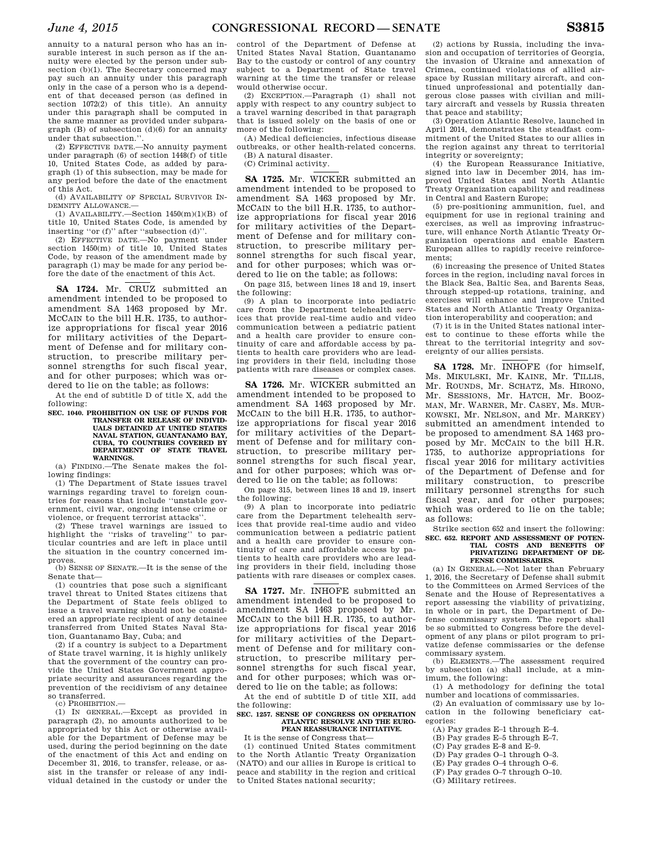annuity to a natural person who has an insurable interest in such person as if the annuity were elected by the person under subsection (b)(1). The Secretary concerned may pay such an annuity under this paragraph only in the case of a person who is a dependent of that deceased person (as defined in section 1072(2) of this title). An annuity under this paragraph shall be computed in the same manner as provided under subparagraph  $(B)$  of subsection  $(d)(6)$  for an annuity under that subsection.''.

(2) EFFECTIVE DATE.—No annuity payment under paragraph (6) of section 1448(f) of title 10, United States Code, as added by paragraph (1) of this subsection, may be made for any period before the date of the enactment of this Act.

(d) AVAILABILITY OF SPECIAL SURVIVOR IN-DEMNITY ALLOWANCE.—

(1) AVAILABILITY.—Section  $1450(m)(1)(B)$  of title 10, United States Code, is amended by inserting "or (f)" after "subsection (d)"

(2) EFFECTIVE DATE.—No payment under section 1450(m) of title 10, United States Code, by reason of the amendment made by paragraph (1) may be made for any period before the date of the enactment of this Act.

**SA 1724.** Mr. CRUZ submitted an amendment intended to be proposed to amendment SA 1463 proposed by Mr. MCCAIN to the bill H.R. 1735, to authorize appropriations for fiscal year 2016 for military activities of the Department of Defense and for military construction, to prescribe military personnel strengths for such fiscal year. and for other purposes; which was ordered to lie on the table; as follows:

At the end of subtitle D of title X, add the following:

**SEC. 1040. PROHIBITION ON USE OF FUNDS FOR TRANSFER OR RELEASE OF INDIVID-S DETAINED AT UNITED STATES NAVAL STATION, GUANTANAMO BAY, CUBA, TO COUNTRIES COVERED BY DEPARTMENT OF STATE TRAVEL WARNINGS.** 

(a) FINDING.—The Senate makes the following findings:

(1) The Department of State issues travel warnings regarding travel to foreign countries for reasons that include ''unstable government, civil war, ongoing intense crime or violence, or frequent terrorist attacks''.

(2) These travel warnings are issued to highlight the ''risks of traveling'' to particular countries and are left in place until the situation in the country concerned improves.

(b) SENSE OF SENATE.—It is the sense of the Senate that—

(1) countries that pose such a significant travel threat to United States citizens that the Department of State feels obliged to issue a travel warning should not be considered an appropriate recipient of any detainee transferred from United States Naval Station, Guantanamo Bay, Cuba; and

(2) if a country is subject to a Department of State travel warning, it is highly unlikely that the government of the country can provide the United States Government appropriate security and assurances regarding the prevention of the recidivism of any detainee so transferred.

(c) PROHIBITION.—

(1) IN GENERAL.—Except as provided in paragraph (2), no amounts authorized to be appropriated by this Act or otherwise available for the Department of Defense may be used, during the period beginning on the date of the enactment of this Act and ending on December 31, 2016, to transfer, release, or assist in the transfer or release of any individual detained in the custody or under the

control of the Department of Defense at United States Naval Station, Guantanamo Bay to the custody or control of any country subject to a Department of State travel warning at the time the transfer or release would otherwise occur.

(2) EXCEPTION.—Paragraph (1) shall not apply with respect to any country subject to a travel warning described in that paragraph that is issued solely on the basis of one or more of the following:

(A) Medical deficiencies, infectious disease outbreaks, or other health-related concerns. (B) A natural disaster.

(C) Criminal activity.

**SA 1725.** Mr. WICKER submitted an amendment intended to be proposed to amendment SA 1463 proposed by Mr. MCCAIN to the bill H.R. 1735, to authorize appropriations for fiscal year 2016 for military activities of the Department of Defense and for military construction, to prescribe military personnel strengths for such fiscal year, and for other purposes; which was ordered to lie on the table; as follows:

On page 315, between lines 18 and 19, insert the following:

(9) A plan to incorporate into pediatric care from the Department telehealth services that provide real-time audio and video communication between a pediatric patient and a health care provider to ensure continuity of care and affordable access by patients to health care providers who are leading providers in their field, including those patients with rare diseases or complex cases.

**SA 1726.** Mr. WICKER submitted an amendment intended to be proposed to amendment SA 1463 proposed by Mr. MCCAIN to the bill H.R. 1735, to authorize appropriations for fiscal year 2016 for military activities of the Department of Defense and for military construction, to prescribe military personnel strengths for such fiscal year, and for other purposes; which was ordered to lie on the table; as follows:

On page 315, between lines 18 and 19, insert the following:

(9) A plan to incorporate into pediatric care from the Department telehealth services that provide real-time audio and video communication between a pediatric patient and a health care provider to ensure continuity of care and affordable access by patients to health care providers who are leading providers in their field, including those patients with rare diseases or complex cases.

**SA 1727.** Mr. INHOFE submitted an amendment intended to be proposed to amendment SA 1463 proposed by Mr. MCCAIN to the bill H.R. 1735, to authorize appropriations for fiscal year 2016 for military activities of the Department of Defense and for military construction, to prescribe military personnel strengths for such fiscal year, and for other purposes; which was ordered to lie on the table; as follows:

At the end of subtitle D of title XII, add the following:

## **SEC. 1257. SENSE OF CONGRESS ON OPERATION ATLANTIC RESOLVE AND THE EURO-PEAN REASSURANCE INITIATIVE.**

It is the sense of Congress that—

(1) continued United States commitment to the North Atlantic Treaty Organization (NATO) and our allies in Europe is critical to peace and stability in the region and critical to United States national security;

(2) actions by Russia, including the invasion and occupation of territories of Georgia, the invasion of Ukraine and annexation of Crimea, continued violations of allied airspace by Russian military aircraft, and continued unprofessional and potentially dangerous close passes with civilian and military aircraft and vessels by Russia threaten that peace and stability;

(3) Operation Atlantic Resolve, launched in April 2014, demonstrates the steadfast commitment of the United States to our allies in the region against any threat to territorial integrity or sovereignty;

(4) the European Reassurance Initiative, signed into law in December 2014, has improved United States and North Atlantic Treaty Organization capability and readiness in Central and Eastern Europe;

(5) pre-positioning ammunition, fuel, and equipment for use in regional training and exercises, as well as improving infrastructure, will enhance North Atlantic Treaty Organization operations and enable Eastern European allies to rapidly receive reinforcements;

(6) increasing the presence of United States forces in the region, including naval forces in the Black Sea, Baltic Sea, and Barents Seas, through stepped-up rotations, training, and exercises will enhance and improve United States and North Atlantic Treaty Organization interoperability and cooperation; and

(7) it is in the United States national interest to continue to these efforts while the threat to the territorial integrity and sovereignty of our allies persists.

**SA 1728.** Mr. INHOFE (for himself, Ms. MIKULSKI, Mr. KAINE, Mr. TILLIS, Mr. ROUNDS, Mr. SCHATZ, Ms. HIRONO, Mr. SESSIONS, Mr. HATCH, Mr. BOOZ-MAN, Mr. WARNER, Mr. CASEY, Ms. MUR-KOWSKI, Mr. NELSON, and Mr. MARKEY) submitted an amendment intended to be proposed to amendment SA 1463 proposed by Mr. MCCAIN to the bill H.R. 1735, to authorize appropriations for fiscal year 2016 for military activities of the Department of Defense and for military construction, to prescribe military personnel strengths for such fiscal year, and for other purposes; which was ordered to lie on the table; as follows:

Strike section 652 and insert the following: **SEC. 652. REPORT AND ASSESSMENT OF POTEN-**

## **TIAL COSTS AND BENEFITS OF PRIVATIZING DEPARTMENT OF DE-FENSE COMMISSARIES.**

(a) IN GENERAL.—Not later than February 1, 2016, the Secretary of Defense shall submit to the Committees on Armed Services of the Senate and the House of Representatives a report assessing the viability of privatizing, in whole or in part, the Department of Defense commissary system. The report shall be so submitted to Congress before the development of any plans or pilot program to privatize defense commissaries or the defense commissary system.

(b) ELEMENTS.—The assessment required by subsection (a) shall include, at a minimum, the following:

(1) A methodology for defining the total number and locations of commissaries.

(2) An evaluation of commissary use by location in the following beneficiary categories:

- (A) Pay grades E–1 through E–4.
- (B) Pay grades E–5 through E–7. (C) Pay grades E–8 and E–9.
- (D) Pay grades O–1 through O–3.
- (E) Pay grades O–4 through O–6.
- (F) Pay grades O–7 through O–10.
- (G) Military retirees.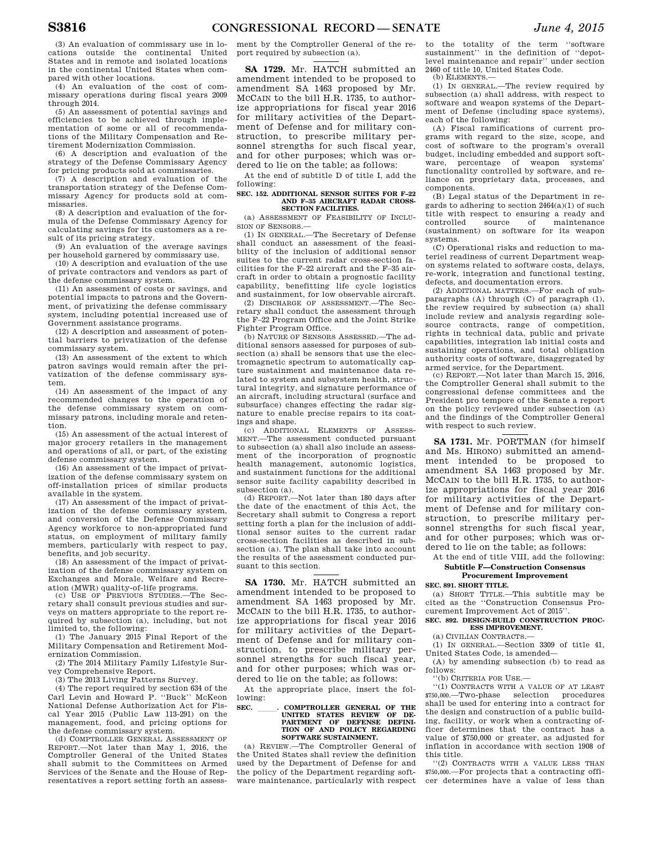(3) An evaluation of commissary use in locations outside the continental United States and in remote and isolated locations in the continental United States when compared with other locations.

(4) An evaluation of the cost of commissary operations during fiscal years 2009 through 2014.

(5) An assessment of potential savings and efficiencies to be achieved through implementation of some or all of recommendations of the Military Compensation and Retirement Modernization Commission.

(6) A description and evaluation of the strategy of the Defense Commissary Agency for pricing products sold at commissaries.

(7) A description and evaluation of the transportation strategy of the Defense Commissary Agency for products sold at commissaries.

(8) A description and evaluation of the formula of the Defense Commissary Agency for calculating savings for its customers as a result of its pricing strategy.

(9) An evaluation of the average savings per household garnered by commissary use.

(10) A description and evaluation of the use of private contractors and vendors as part of the defense commissary system.

(11) An assessment of costs or savings, and potential impacts to patrons and the Government, of privatizing the defense commissary system, including potential increased use of Government assistance programs.

(12) A description and assessment of potential barriers to privatization of the defense commissary system.

(13) An assessment of the extent to which patron savings would remain after the privatization of the defense commissary system.

(14) An assessment of the impact of any recommended changes to the operation of the defense commissary system on commissary patrons, including morale and retention.

(15) An assessment of the actual interest of major grocery retailers in the management and operations of all, or part, of the existing defense commissary system.

(16) An assessment of the impact of privatization of the defense commissary system on off-installation prices of similar products available in the system.

(17) An assessment of the impact of privatization of the defense commissary system, and conversion of the Defense Commissary Agency workforce to non-appropriated fund status, on employment of military family members, particularly with respect to pay, benefits, and job security.

(18) An assessment of the impact of privatization of the defense commissary system on Exchanges and Morale, Welfare and Recre-

ation (MWR) quality-of-life programs. (c) USE OF PREVIOUS STUDIES.—The Secretary shall consult previous studies and surveys on matters appropriate to the report required by subsection (a), including, but not limited to, the following:

(1) The January 2015 Final Report of the Military Compensation and Retirement Modernization Commission.

(2) The 2014 Military Family Lifestyle Survey Comprehensive Report.

(3) The 2013 Living Patterns Survey.

(4) The report required by section 634 of the Carl Levin and Howard P. ''Buck'' McKeon National Defense Authorization Act for Fiscal Year 2015 (Public Law 113-291) on the management, food, and pricing options for the defense commissary system.

(d) COMPTROLLER GENERAL ASSESSMENT OF REPORT.—Not later than May 1, 2016, the Comptroller General of the United States shall submit to the Committees on Armed Services of the Senate and the House of Representatives a report setting forth an assessment by the Comptroller General of the report required by subsection (a).

**SA 1729.** Mr. HATCH submitted an amendment intended to be proposed to amendment SA 1463 proposed by Mr. MCCAIN to the bill H.R. 1735, to authorize appropriations for fiscal year 2016 for military activities of the Department of Defense and for military construction, to prescribe military personnel strengths for such fiscal year, and for other purposes; which was ordered to lie on the table; as follows:

At the end of subtitle D of title I, add the following:

#### **SEC. 152. ADDITIONAL SENSOR SUITES FOR F–22 AND F–35 AIRCRAFT RADAR CROSS-SECTION FACILITIES.**

(a) ASSESSMENT OF FEASIBILITY OF INCLU-SION OF SENSORS.—

(1) IN GENERAL.—The Secretary of Defense shall conduct an assessment of the feasibility of the inclusion of additional sensor suites to the current radar cross-section facilities for the F–22 aircraft and the F–35 aircraft in order to obtain a prognostic facility capability, benefitting life cycle logistics and sustainment, for low observable aircraft.

(2) DISCHARGE OF ASSESSMENT.—The Secretary shall conduct the assessment through the F–22 Program Office and the Joint Strike Fighter Program Office.

(b) NATURE OF SENSORS ASSESSED.—The additional sensors assessed for purposes of subsection (a) shall be sensors that use the electromagnetic spectrum to automatically capture sustainment and maintenance data related to system and subsystem health, structural integrity, and signature performance of an aircraft, including structural (surface and subsurface) changes effecting the radar signature to enable precise repairs to its coatings and shape.

(c) ADDITIONAL ELEMENTS OF ASSESS-MENT.—The assessment conducted pursuant to subsection (a) shall also include an assessment of the incorporation of prognostic health management, autonomic logistics, and sustainment functions for the additional sensor suite facility capability described in subsection (a).

(d) REPORT.—Not later than 180 days after the date of the enactment of this Act, the Secretary shall submit to Congress a report setting forth a plan for the inclusion of additional sensor suites to the current radar cross-section facilities as described in subsection (a). The plan shall take into account the results of the assessment conducted pursuant to this section.

**SA 1730.** Mr. HATCH submitted an amendment intended to be proposed to amendment SA 1463 proposed by Mr. MCCAIN to the bill H.R. 1735, to authorize appropriations for fiscal year 2016 for military activities of the Department of Defense and for military construction, to prescribe military personnel strengths for such fiscal year, and for other purposes; which was ordered to lie on the table; as follows:

At the appropriate place, insert the following:

## **SEC. \_\_\_\_\_. COMPTROLLER GENERAL OF THE UNITED STATES REVIEW OF DE-PARTMENT OF DEFENSE DEFINI-TION OF AND POLICY REGARDING SOFTWARE SUSTAINMENT.**

(a) REVIEW.—The Comptroller General of the United States shall review the definition used by the Department of Defense for and the policy of the Department regarding software maintenance, particularly with respect to the totality of the term ''software sustainment'' in the definition of ''depotlevel maintenance and repair'' under section 2460 of title 10, United States Code.

(b) ELEMENTS.—

(1) IN GENERAL.—The review required by subsection (a) shall address, with respect to software and weapon systems of the Department of Defense (including space systems), each of the following:

(A) Fiscal ramifications of current programs with regard to the size, scope, and cost of software to the program's overall budget, including embedded and support software, percentage of weapon systems' functionality controlled by software, and reliance on proprietary data, processes, and components.

(B) Legal status of the Department in regards to adhering to section 2464(a)(1) of such title with respect to ensuring a ready and<br>controlled source of maintenance maintenance (sustainment) on software for its weapon systems.

(C) Operational risks and reduction to materiel readiness of current Department weapon systems related to software costs, delays, re-work, integration and functional testing, defects, and documentation errors.

(2) ADDITIONAL MATTERS.—For each of subparagraphs (A) through (C) of paragraph (1), the review required by subsection (a) shall include review and analysis regarding solesource contracts, range of competition, rights in technical data, public and private capabilities, integration lab initial costs and sustaining operations, and total obligation authority costs of software, disaggregated by armed service, for the Department. (c) REPORT.—Not later than March 15, 2016,

the Comptroller General shall submit to the congressional defense committees and the President pro tempore of the Senate a report on the policy reviewed under subsection (a) and the findings of the Comptroller General with respect to such review.

**SA 1731.** Mr. PORTMAN (for himself and Ms. HIRONO) submitted an amendment intended to be proposed to amendment SA 1463 proposed by Mr. MCCAIN to the bill H.R. 1735, to authorize appropriations for fiscal year 2016 for military activities of the Department of Defense and for military construction, to prescribe military personnel strengths for such fiscal year and for other purposes; which was ordered to lie on the table; as follows:

At the end of title VIII, add the following:

## **Subtitle F—Construction Consensus Procurement Improvement**

## **SEC. 891. SHORT TITLE.**

(a) SHORT TITLE.—This subtitle may be cited as the ''Construction Consensus Procurement Improvement Act of 2015''.

## **SEC. 892. DESIGN-BUILD CONSTRUCTION PROC-ESS IMPROVEMENT.**

(a) CIVILIAN CONTRACTS.—

(1) IN GENERAL.—Section 3309 of title 41,

United States Code, is amended— (A) by amending subsection (b) to read as

follows:

''(b) CRITERIA FOR USE.—

''(1) CONTRACTS WITH A VALUE OF AT LEAST \$750,000.—Two-phase selection procedures shall be used for entering into a contract for the design and construction of a public building, facility, or work when a contracting officer determines that the contract has a value of \$750,000 or greater, as adjusted for inflation in accordance with section 1908 of this title.

''(2) CONTRACTS WITH A VALUE LESS THAN \$750,000.—For projects that a contracting officer determines have a value of less than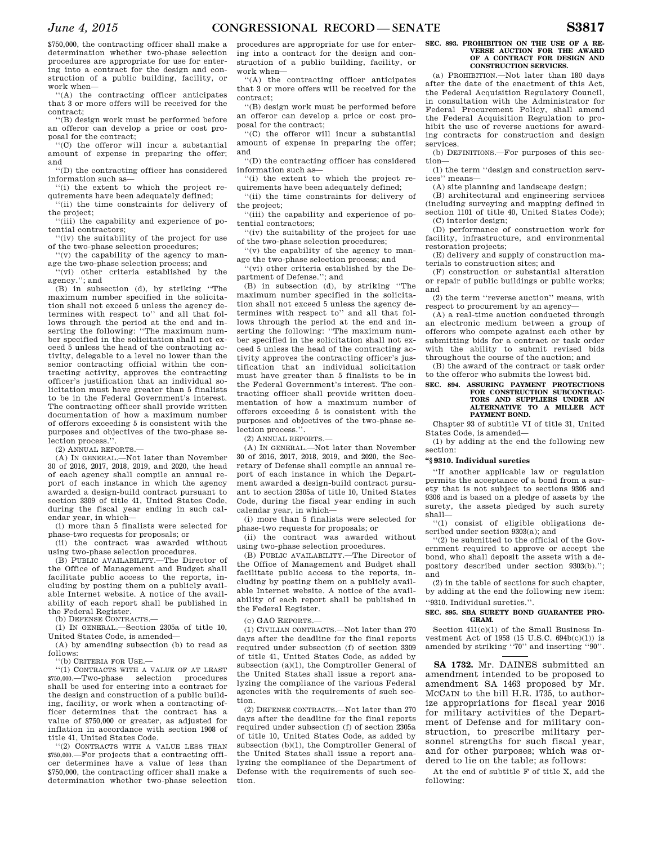\$750,000, the contracting officer shall make a determination whether two-phase selection procedures are appropriate for use for entering into a contract for the design and construction of a public building, facility, or work when—

''(A) the contracting officer anticipates that 3 or more offers will be received for the contract;

''(B) design work must be performed before an offeror can develop a price or cost proposal for the contract;

''(C) the offeror will incur a substantial amount of expense in preparing the offer; and

''(D) the contracting officer has considered information such as—

''(i) the extent to which the project requirements have been adequately defined;

''(ii) the time constraints for delivery of the project;

''(iii) the capability and experience of potential contractors;

''(iv) the suitability of the project for use of the two-phase selection procedures;

''(v) the capability of the agency to manage the two-phase selection process; and

''(vi) other criteria established by the agency.''; and

(B) in subsection (d), by striking ''The maximum number specified in the solicitation shall not exceed 5 unless the agency determines with respect to'' and all that follows through the period at the end and inserting the following: ''The maximum number specified in the solicitation shall not exceed 5 unless the head of the contracting activity, delegable to a level no lower than the senior contracting official within the contracting activity, approves the contracting officer's justification that an individual solicitation must have greater than 5 finalists to be in the Federal Government's interest. The contracting officer shall provide written documentation of how a maximum number of offerors exceeding 5 is consistent with the purposes and objectives of the two-phase selection process."

(2) ANNUAL REPORTS.—

(A) IN GENERAL.—Not later than November 30 of 2016, 2017, 2018, 2019, and 2020, the head of each agency shall compile an annual report of each instance in which the agency awarded a design-build contract pursuant to section 3309 of title 41, United States Code, during the fiscal year ending in such calendar year, in which—

(i) more than 5 finalists were selected for phase-two requests for proposals; or

(ii) the contract was awarded without using two-phase selection procedures.

(B) PUBLIC AVAILABILITY.—The Director of the Office of Management and Budget shall facilitate public access to the reports, including by posting them on a publicly available Internet website. A notice of the availability of each report shall be published in the Federal Register.

(b) DEFENSE CONTRACTS.—

(1) IN GENERAL.—Section 2305a of title 10, United States Code, is amended—

(A) by amending subsection (b) to read as follows:

 $''(h)$  CRITERIA FOR  $I$ SE $-$ 

''(1) CONTRACTS WITH A VALUE OF AT LEAST \$750,000.—Two-phase selection procedures shall be used for entering into a contract for the design and construction of a public building, facility, or work when a contracting officer determines that the contract has a value of \$750,000 or greater, as adjusted for inflation in accordance with section 1908 of title 41, United States Code.

''(2) CONTRACTS WITH A VALUE LESS THAN \$750,000.—For projects that a contracting officer determines have a value of less than \$750,000, the contracting officer shall make a determination whether two-phase selection

procedures are appropriate for use for entering into a contract for the design and construction of a public building, facility, or work when—

''(A) the contracting officer anticipates that 3 or more offers will be received for the contract;

''(B) design work must be performed before an offeror can develop a price or cost proposal for the contract;

''(C) the offeror will incur a substantial amount of expense in preparing the offer; and

''(D) the contracting officer has considered information such as—

''(i) the extent to which the project requirements have been adequately defined;

''(ii) the time constraints for delivery of the project;

''(iii) the capability and experience of potential contractors;

''(iv) the suitability of the project for use of the two-phase selection procedures;

''(v) the capability of the agency to manage the two-phase selection process; and

''(vi) other criteria established by the Department of Defense.''; and

(B) in subsection (d), by striking ''The maximum number specified in the solicitation shall not exceed 5 unless the agency determines with respect to'' and all that follows through the period at the end and inserting the following: "The maximum number specified in the solicitation shall not exceed 5 unless the head of the contracting activity approves the contracting officer's justification that an individual solicitation must have greater than 5 finalists to be in the Federal Government's interest. The contracting officer shall provide written documentation of how a maximum number of offerors exceeding 5 is consistent with the purposes and objectives of the two-phase selection process.''.

(2) ANNUAL REPORTS.—

(A) IN GENERAL.—Not later than November 30 of 2016, 2017, 2018, 2019, and 2020, the Secretary of Defense shall compile an annual report of each instance in which the Department awarded a design-build contract pursuant to section 2305a of title 10, United States Code, during the fiscal year ending in such calendar year, in which—

(i) more than 5 finalists were selected for phase-two requests for proposals; or

(ii) the contract was awarded without using two-phase selection procedures.

(B) PUBLIC AVAILABILITY.—The Director of the Office of Management and Budget shall facilitate public access to the reports, including by posting them on a publicly available Internet website. A notice of the availability of each report shall be published in the Federal Register.

 $(c)$  GAO REPORTS  $-$ 

(1) CIVILIAN CONTRACTS.—Not later than 270 days after the deadline for the final reports required under subsection (f) of section 3309 of title 41, United States Code, as added by subsection (a)(1), the Comptroller General of the United States shall issue a report analyzing the compliance of the various Federal agencies with the requirements of such section.

(2) DEFENSE CONTRACTS.—Not later than 270 days after the deadline for the final reports required under subsection (f) of section 2305a of title 10, United States Code, as added by subsection (b)(1), the Comptroller General of the United States shall issue a report analyzing the compliance of the Department of Defense with the requirements of such section.

## **SEC. 893. PROHIBITION ON THE USE OF A RE-VERSE AUCTION FOR THE AWARD OF A CONTRACT FOR DESIGN AND CONSTRUCTION SERVICES.**

(a) PROHIBITION.—Not later than 180 days after the date of the enactment of this Act, the Federal Acquisition Regulatory Council, in consultation with the Administrator for Federal Procurement Policy, shall amend the Federal Acquisition Regulation to prohibit the use of reverse auctions for awarding contracts for construction and design services.

(b) DEFINITIONS.—For purposes of this section—

(1) the term ''design and construction services'' means—

(A) site planning and landscape design;

(B) architectural and engineering services (including surveying and mapping defined in section 1101 of title 40, United States Code);

(C) interior design; (D) performance of construction work for facility, infrastructure, and environmental

restoration projects; (E) delivery and supply of construction ma-

terials to construction sites; and

(F) construction or substantial alteration or repair of public buildings or public works; and

(2) the term ''reverse auction'' means, with respect to procurement by an agency—

(A) a real-time auction conducted through an electronic medium between a group of offerors who compete against each other by submitting bids for a contract or task order with the ability to submit revised bids throughout the course of the auction; and

(B) the award of the contract or task order to the offeror who submits the lowest bid.

## **SEC. 894. ASSURING PAYMENT PROTECTIONS FOR CONSTRUCTION SUBCONTRAC-TORS AND SUPPLIERS UNDER AN ALTERNATIVE TO A MILLER ACT PAYMENT BOND.**

Chapter 93 of subtitle VI of title 31, United States Code, is amended—

(1) by adding at the end the following new section:

## **''§ 9310. Individual sureties**

''If another applicable law or regulation permits the acceptance of a bond from a surety that is not subject to sections 9305 and 9306 and is based on a pledge of assets by the surety, the assets pledged by such surety shall—

''(1) consist of eligible obligations described under section 9303(a); and

''(2) be submitted to the official of the Government required to approve or accept the bond, who shall deposit the assets with a depository described under section 9303(b).''; and

(2) in the table of sections for such chapter, by adding at the end the following new item: ''9310. Individual sureties.''.

## **SEC. 895. SBA SURETY BOND GUARANTEE PRO-GRAM.**

Section 411(c)(1) of the Small Business Investment Act of 1958 (15 U.S.C. 694b(c)(1)) is amended by striking ''70'' and inserting ''90''.

**SA 1732.** Mr. DAINES submitted an amendment intended to be proposed to amendment SA 1463 proposed by Mr. MCCAIN to the bill H.R. 1735, to authorize appropriations for fiscal year 2016 for military activities of the Department of Defense and for military construction, to prescribe military personnel strengths for such fiscal year, and for other purposes; which was ordered to lie on the table; as follows:

At the end of subtitle F of title X, add the following: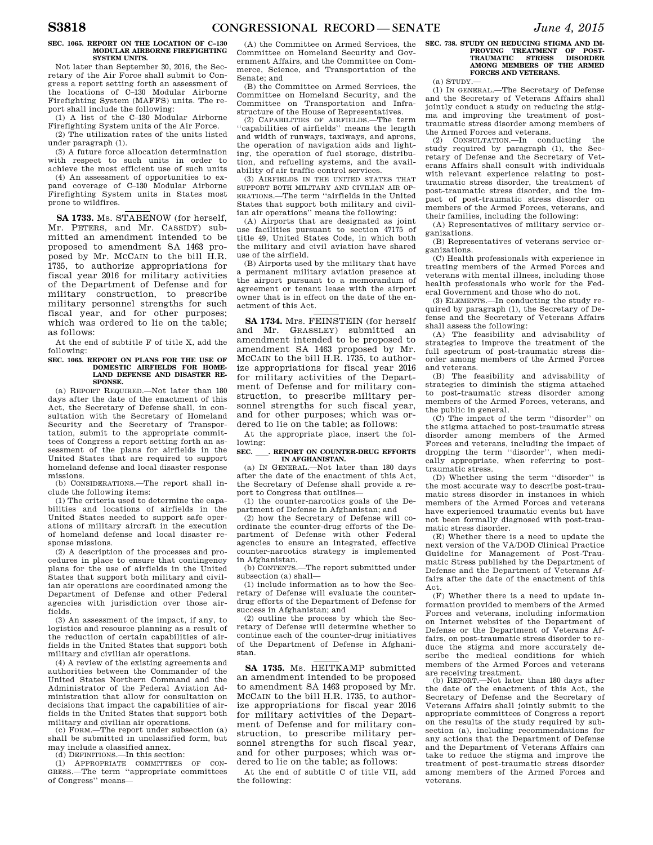#### **SEC. 1065. REPORT ON THE LOCATION OF C–130 MODULAR AIRBORNE FIREFIGHTING SYSTEM UNITS.**

Not later than September 30, 2016, the Secretary of the Air Force shall submit to Congress a report setting forth an assessment of the locations of C–130 Modular Airborne Firefighting System (MAFFS) units. The report shall include the following:

(1) A list of the C–130 Modular Airborne Firefighting System units of the Air Force.

(2) The utilization rates of the units listed under paragraph (1).

(3) A future force allocation determination with respect to such units in order to achieve the most efficient use of such units

(4) An assessment of opportunities to expand coverage of C–130 Modular Airborne Firefighting System units in States most prone to wildfires.

**SA 1733.** Ms. STABENOW (for herself, Mr. PETERS, and Mr. CASSIDY) submitted an amendment intended to be proposed to amendment SA 1463 proposed by Mr. MCCAIN to the bill H.R. 1735, to authorize appropriations for fiscal year 2016 for military activities of the Department of Defense and for military construction, to prescribe military personnel strengths for such fiscal year, and for other purposes; which was ordered to lie on the table; as follows:

At the end of subtitle F of title X, add the following:

#### **SEC. 1065. REPORT ON PLANS FOR THE USE OF DOMESTIC AIRFIELDS FOR HOME-LAND DEFENSE AND DISASTER RE-SPONSE.**

(a) REPORT REQUIRED.—Not later than 180 days after the date of the enactment of this Act, the Secretary of Defense shall, in consultation with the Secretary of Homeland Security and the Secretary of Transportation, submit to the appropriate committees of Congress a report setting forth an assessment of the plans for airfields in the United States that are required to support homeland defense and local disaster response missions.

(b) CONSIDERATIONS.—The report shall include the following items:

(1) The criteria used to determine the capabilities and locations of airfields in the United States needed to support safe operations of military aircraft in the execution of homeland defense and local disaster response missions.

(2) A description of the processes and procedures in place to ensure that contingency plans for the use of airfields in the United States that support both military and civilian air operations are coordinated among the Department of Defense and other Federal agencies with jurisdiction over those airfields.

(3) An assessment of the impact, if any, to logistics and resource planning as a result of the reduction of certain capabilities of airfields in the United States that support both military and civilian air operations.

(4) A review of the existing agreements and authorities between the Commander of the United States Northern Command and the Administrator of the Federal Aviation Administration that allow for consultation on decisions that impact the capabilities of airfields in the United States that support both military and civilian air operations.

(c) FORM.—The report under subsection (a) shall be submitted in unclassified form, but may include a classified annex.

(d) DEFINITIONS.—In this section:

(1) APPROPRIATE COMMITTEES OF CON-GRESS.—The term ''appropriate committees of Congress'' means—

(A) the Committee on Armed Services, the Committee on Homeland Security and Government Affairs, and the Committee on Commerce, Science, and Transportation of the Senate; and

(B) the Committee on Armed Services, the Committee on Homeland Security, and the Committee on Transportation and Infrastructure of the House of Representatives.

(2) CAPABILITIES OF AIRFIELDS.—The term ''capabilities of airfields'' means the length and width of runways, taxiways, and aprons, the operation of navigation aids and lighting, the operation of fuel storage, distribution, and refueling systems, and the availability of air traffic control services.

(3) AIRFIELDS IN THE UNITED STATES THAT SUPPORT BOTH MILITARY AND CIVILIAN AIR OP-ERATIONS.—The term ''airfields in the United States that support both military and civilian air operations'' means the following:

(A) Airports that are designated as joint use facilities pursuant to section 47175 of title 49, United States Code, in which both the military and civil aviation have shared use of the airfield.

(B) Airports used by the military that have a permanent military aviation presence at the airport pursuant to a memorandum of agreement or tenant lease with the airport owner that is in effect on the date of the enactment of this Act.

**SA 1734.** Mrs. FEINSTEIN (for herself and Mr. GRASSLEY) submitted an amendment intended to be proposed to amendment SA 1463 proposed by Mr. MCCAIN to the bill H.R. 1735, to authorize appropriations for fiscal year 2016 for military activities of the Department of Defense and for military construction, to prescribe military personnel strengths for such fiscal year, and for other purposes; which was ordered to lie on the table; as follows:

At the appropriate place, insert the following:

## **SEC.** ll**. REPORT ON COUNTER-DRUG EFFORTS IN AFGHANISTAN.**

(a) IN GENERAL.—Not later than 180 days after the date of the enactment of this Act, the Secretary of Defense shall provide a report to Congress that outlines—

(1) the counter-narcotics goals of the Department of Defense in Afghanistan; and

(2) how the Secretary of Defense will coordinate the counter-drug efforts of the Department of Defense with other Federal agencies to ensure an integrated, effective counter-narcotics strategy is implemented in Afghanistan.

(b) CONTENTS.—The report submitted under subsection (a) shall—

(1) include information as to how the Secretary of Defense will evaluate the counterdrug efforts of the Department of Defense for success in Afghanistan; and

(2) outline the process by which the Secretary of Defense will determine whether to continue each of the counter-drug initiatives of the Department of Defense in Afghanistan.

**SA 1735.** Ms. HEITKAMP submitted an amendment intended to be proposed to amendment SA 1463 proposed by Mr. MCCAIN to the bill H.R. 1735, to authorize appropriations for fiscal year 2016 for military activities of the Department of Defense and for military construction, to prescribe military personnel strengths for such fiscal year, and for other purposes; which was ordered to lie on the table; as follows:

At the end of subtitle C of title VII, add the following:

# **SEC. 738. STUDY ON REDUCING STIGMA AND IM-PROVING TREATMENT OF POST-TRAUMATIC STRESS DISORDER AMONG MEMBERS OF THE ARMED FORCES AND VETERANS.**

(a) STUDY.—

(1) IN GENERAL.—The Secretary of Defense and the Secretary of Veterans Affairs shall jointly conduct a study on reducing the stigma and improving the treatment of posttraumatic stress disorder among members of the Armed Forces and veterans.

(2) CONSULTATION.—In conducting the study required by paragraph (1), the Secretary of Defense and the Secretary of Veterans Affairs shall consult with individuals with relevant experience relating to posttraumatic stress disorder, the treatment of post-traumatic stress disorder, and the impact of post-traumatic stress disorder on members of the Armed Forces, veterans, and their families, including the following:

(A) Representatives of military service organizations.

(B) Representatives of veterans service organizations.

(C) Health professionals with experience in treating members of the Armed Forces and veterans with mental illness, including those health professionals who work for the Federal Government and those who do not.

(3) ELEMENTS.—In conducting the study required by paragraph (1), the Secretary of Defense and the Secretary of Veterans Affairs shall assess the following:

(A) The feasibility and advisability of strategies to improve the treatment of the full spectrum of post-traumatic stress disorder among members of the Armed Forces and veterans.

(B) The feasibility and advisability of strategies to diminish the stigma attached to post-traumatic stress disorder among members of the Armed Forces, veterans, and the public in general.

(C) The impact of the term ''disorder'' on the stigma attached to post-traumatic stress disorder among members of the Armed Forces and veterans, including the impact of dropping the term ''disorder'', when medically appropriate, when referring to posttraumatic stress.

(D) Whether using the term ''disorder'' is the most accurate way to describe post-traumatic stress disorder in instances in which members of the Armed Forces and veterans have experienced traumatic events but have not been formally diagnosed with post-traumatic stress disorder.

(E) Whether there is a need to update the next version of the VA/DOD Clinical Practice Guideline for Management of Post-Traumatic Stress published by the Department of Defense and the Department of Veterans Affairs after the date of the enactment of this Act.

(F) Whether there is a need to update information provided to members of the Armed Forces and veterans, including information on Internet websites of the Department of Defense or the Department of Veterans Affairs, on post-traumatic stress disorder to reduce the stigma and more accurately describe the medical conditions for which members of the Armed Forces and veterans are receiving treatment.

(b) REPORT.—Not later than 180 days after the date of the enactment of this Act, the Secretary of Defense and the Secretary of Veterans Affairs shall jointly submit to the appropriate committees of Congress a report on the results of the study required by subsection (a), including recommendations for any actions that the Department of Defense and the Department of Veterans Affairs can take to reduce the stigma and improve the treatment of post-traumatic stress disorder among members of the Armed Forces and veterans.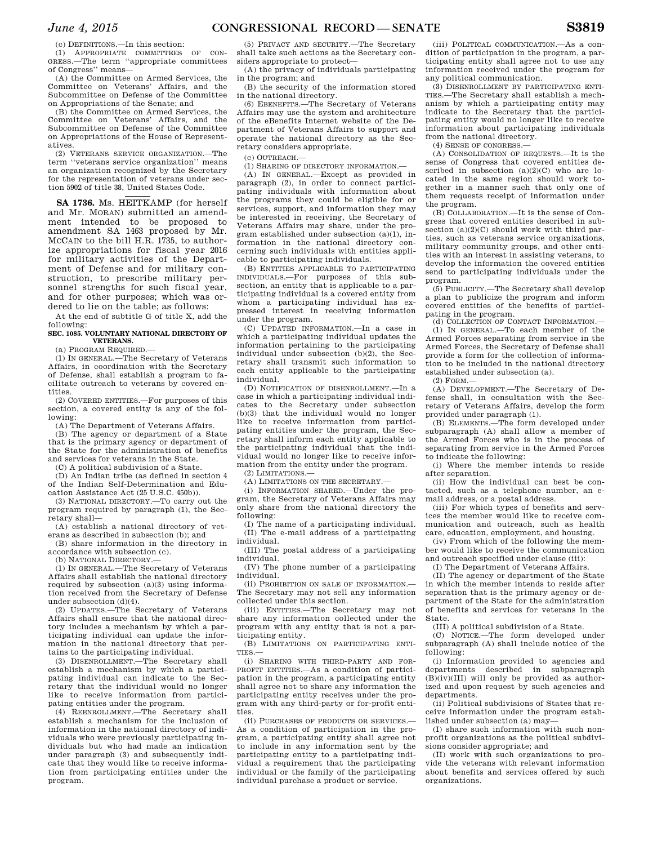(c) DEFINITIONS.—In this section:

(1) APPROPRIATE COMMITTEES OF CON-GRESS.—The term ''appropriate committees of Congress'' means—

(A) the Committee on Armed Services, the Committee on Veterans' Affairs, and the Subcommittee on Defense of the Committee on Appropriations of the Senate; and

(B) the Committee on Armed Services, the Committee on Veterans' Affairs, and the Subcommittee on Defense of the Committee on Appropriations of the House of Representatives.

(2) VETERANS SERVICE ORGANIZATION.—The term ''veterans service organization'' means an organization recognized by the Secretary for the representation of veterans under section 5902 of title 38, United States Code.

**SA 1736.** Ms. HEITKAMP (for herself and Mr. MORAN) submitted an amendment intended to be proposed to amendment SA 1463 proposed by Mr. MCCAIN to the bill H.R. 1735, to authorize appropriations for fiscal year 2016 for military activities of the Department of Defense and for military construction, to prescribe military personnel strengths for such fiscal year, and for other purposes; which was ordered to lie on the table; as follows:

At the end of subtitle G of title X, add the following:

## **SEC. 1085. VOLUNTARY NATIONAL DIRECTORY OF VETERANS.**

(a) PROGRAM REQUIRED.—

(1) IN GENERAL.—The Secretary of Veterans Affairs, in coordination with the Secretary of Defense, shall establish a program to facilitate outreach to veterans by covered entities.

(2) COVERED ENTITIES.—For purposes of this section, a covered entity is any of the following:

(A) The Department of Veterans Affairs.

(B) The agency or department of a State that is the primary agency or department of the State for the administration of benefits and services for veterans in the State.

(C) A political subdivision of a State.

(D) An Indian tribe (as defined in section 4 of the Indian Self-Determination and Education Assistance Act (25 U.S.C. 450b)).

(3) NATIONAL DIRECTORY.—To carry out the program required by paragraph (1), the Secretary shall—

(A) establish a national directory of veterans as described in subsection (b); and

(B) share information in the directory in accordance with subsection (c).

(b) NATIONAL DIRECTORY.—

(1) IN GENERAL.—The Secretary of Veterans Affairs shall establish the national directory required by subsection  $(a)(3)$  using information received from the Secretary of Defense under subsection (d)(4).

(2) UPDATES.—The Secretary of Veterans Affairs shall ensure that the national directory includes a mechanism by which a participating individual can update the information in the national directory that pertains to the participating individual.

(3) DISENROLLMENT.—The Secretary shall establish a mechanism by which a participating individual can indicate to the Secretary that the individual would no longer like to receive information from participating entities under the program.

(4) REENROLLMENT.—The Secretary shall establish a mechanism for the inclusion of information in the national directory of individuals who were previously participating individuals but who had made an indication under paragraph (3) and subsequently indicate that they would like to receive information from participating entities under the program.

(5) PRIVACY AND SECURITY.—The Secretary shall take such actions as the Secretary considers appropriate to protect—

(A) the privacy of individuals participating in the program; and

(B) the security of the information stored in the national directory.

(6) EBENEFITS.—The Secretary of Veterans Affairs may use the system and architecture of the eBenefits Internet website of the Department of Veterans Affairs to support and operate the national directory as the Secretary considers appropriate.

(c) OUTREACH.—

(1) SHARING OF DIRECTORY INFORMATION.—

(A) IN GENERAL.—Except as provided in paragraph (2), in order to connect participating individuals with information about the programs they could be eligible for or services, support, and information they may be interested in receiving, the Secretary of Veterans Affairs may share, under the program established under subsection (a)(1), information in the national directory concerning such individuals with entities applicable to participating individuals.

(B) ENTITIES APPLICABLE TO PARTICIPATING INDIVIDUALS.—For purposes of this subsection, an entity that is applicable to a participating individual is a covered entity from whom a participating individual has expressed interest in receiving information under the program.

(C) UPDATED INFORMATION.—In a case in which a participating individual updates the information pertaining to the participating individual under subsection (b)(2), the Secretary shall transmit such information to each entity applicable to the participating individual.

(D) NOTIFICATION OF DISENROLLMENT.—In a case in which a participating individual indicates to the Secretary under subsection (b)(3) that the individual would no longer like to receive information from participating entities under the program, the Secretary shall inform each entity applicable to the participating individual that the individual would no longer like to receive information from the entity under the program.

(2) LIMITATIONS.—

(A) LIMITATIONS ON THE SECRETARY.—

(i) INFORMATION SHARED.—Under the program, the Secretary of Veterans Affairs may only share from the national directory the following:

(I) The name of a participating individual. (II) The e-mail address of a participating individual.

(III) The postal address of a participating individual.

(IV) The phone number of a participating individual.

(ii) PROHIBITION ON SALE OF INFORMATION.— The Secretary may not sell any information collected under this section.

(iii) ENTITIES.—The Secretary may not share any information collected under the program with any entity that is not a participating entity.

(B) LIMITATIONS ON PARTICIPATING ENTI-TIES.—

(i) SHARING WITH THIRD-PARTY AND FOR-PROFIT ENTITIES.—As a condition of participation in the program, a participating entity shall agree not to share any information the participating entity receives under the program with any third-party or for-profit entities.

(ii) PURCHASES OF PRODUCTS OR SERVICES.— As a condition of participation in the program, a participating entity shall agree not to include in any information sent by the participating entity to a participating individual a requirement that the participating individual or the family of the participating individual purchase a product or service.

(iii) POLITICAL COMMUNICATION.—As a condition of participation in the program, a participating entity shall agree not to use any information received under the program for any political communication.

(3) DISENROLLMENT BY PARTICIPATING ENTI-TIES.—The Secretary shall establish a mechanism by which a participating entity may indicate to the Secretary that the participating entity would no longer like to receive information about participating individuals from the national directory.

(4) SENSE OF CONGRESS.—

(A) CONSOLIDATION OF REQUESTS.—It is the sense of Congress that covered entities described in subsection (a)(2)(C) who are located in the same region should work together in a manner such that only one of them requests receipt of information under the program.

(B) COLLABORATION.—It is the sense of Congress that covered entities described in subsection  $(a)(2)(C)$  should work with third parties, such as veterans service organizations, military community groups, and other entities with an interest in assisting veterans, to develop the information the covered entities send to participating individuals under the program.

(5) PUBLICITY.—The Secretary shall develop a plan to publicize the program and inform covered entities of the benefits of participating in the program.

(d) COLLECTION OF CONTACT INFORMATION.— (1) IN GENERAL.—To each member of the Armed Forces separating from service in the Armed Forces, the Secretary of Defense shall provide a form for the collection of information to be included in the national directory established under subsection (a).

(2) FORM.—

(A) DEVELOPMENT.—The Secretary of Defense shall, in consultation with the Secretary of Veterans Affairs, develop the form provided under paragraph (1).

(B) ELEMENTS.—The form developed under subparagraph (A) shall allow a member of the Armed Forces who is in the process of separating from service in the Armed Forces to indicate the following:

(i) Where the member intends to reside after separation.

(ii) How the individual can best be contacted, such as a telephone number, an email address, or a postal address.

(iii) For which types of benefits and services the member would like to receive communication and outreach, such as health care, education, employment, and housing.

(iv) From which of the following the member would like to receive the communication and outreach specified under clause (iii):

(I) The Department of Veterans Affairs.

(II) The agency or department of the State in which the member intends to reside after separation that is the primary agency or department of the State for the administration of benefits and services for veterans in the State.

(III) A political subdivision of a State.

(C) NOTICE.—The form developed under subparagraph (A) shall include notice of the following:

(i) Information provided to agencies and departments described in subparagraph (B)(iv)(III) will only be provided as authorized and upon request by such agencies and departments.

(ii) Political subdivisions of States that receive information under the program established under subsection (a) may—

(I) share such information with such nonprofit organizations as the political subdivisions consider appropriate; and

(II) work with such organizations to provide the veterans with relevant information about benefits and services offered by such organizations.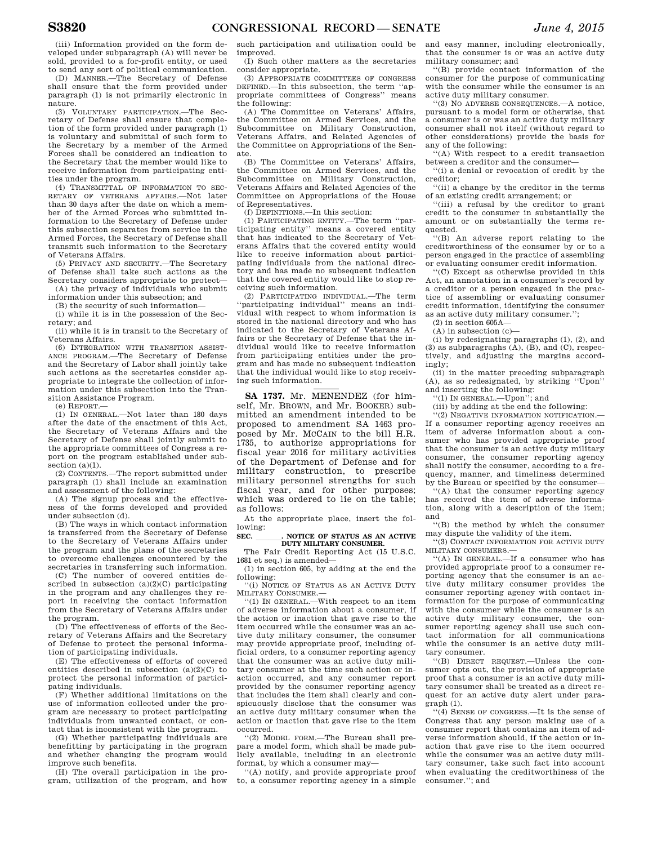(iii) Information provided on the form developed under subparagraph (A) will never be sold, provided to a for-profit entity, or used to send any sort of political communication.

(D) MANNER.—The Secretary of Defense shall ensure that the form provided under paragraph (1) is not primarily electronic in nature.

(3) VOLUNTARY PARTICIPATION.—The Secretary of Defense shall ensure that completion of the form provided under paragraph (1) is voluntary and submittal of such form to the Secretary by a member of the Armed Forces shall be considered an indication to the Secretary that the member would like to receive information from participating entities under the program.

(4) TRANSMITTAL OF INFORMATION TO SEC-RETARY OF VETERANS AFFAIRS.—Not later than 30 days after the date on which a member of the Armed Forces who submitted information to the Secretary of Defense under this subsection separates from service in the Armed Forces, the Secretary of Defense shall transmit such information to the Secretary of Veterans Affairs.

(5) PRIVACY AND SECURITY.—The Secretary of Defense shall take such actions as the Secretary considers appropriate to protect—

(A) the privacy of individuals who submit information under this subsection; and

(B) the security of such information— (i) while it is in the possession of the Sec-

retary; and (ii) while it is in transit to the Secretary of

Veterans Affairs.

(6) INTEGRATION WITH TRANSITION ASSIST-ANCE PROGRAM.—The Secretary of Defense and the Secretary of Labor shall jointly take such actions as the secretaries consider appropriate to integrate the collection of information under this subsection into the Transition Assistance Program.

(e) REPORT.—

(1) IN GENERAL.—Not later than 180 days after the date of the enactment of this Act, the Secretary of Veterans Affairs and the Secretary of Defense shall jointly submit to the appropriate committees of Congress a report on the program established under subsection  $(a)(1)$ .<br>(2) CONTENTS.

-The report submitted under paragraph (1) shall include an examination and assessment of the following:

(A) The signup process and the effectiveness of the forms developed and provided under subsection (d).

(B) The ways in which contact information is transferred from the Secretary of Defense to the Secretary of Veterans Affairs under the program and the plans of the secretaries to overcome challenges encountered by the secretaries in transferring such information.

(C) The number of covered entities described in subsection  $(a)(2)(C)$  participating in the program and any challenges they report in receiving the contact information from the Secretary of Veterans Affairs under the program.

(D) The effectiveness of efforts of the Secretary of Veterans Affairs and the Secretary of Defense to protect the personal information of participating individuals.

(E) The effectiveness of efforts of covered entities described in subsection (a)(2)(C) to protect the personal information of participating individuals.

(F) Whether additional limitations on the use of information collected under the program are necessary to protect participating individuals from unwanted contact, or contact that is inconsistent with the program.

(G) Whether participating individuals are benefitting by participating in the program and whether changing the program would improve such benefits.

(H) The overall participation in the program, utilization of the program, and how

such participation and utilization could be improved.

(I) Such other matters as the secretaries consider appropriate.

(3) APPROPRIATE COMMITTEES OF CONGRESS DEFINED.—In this subsection, the term ''appropriate committees of Congress'' means the following:

(A) The Committee on Veterans' Affairs, the Committee on Armed Services, and the Subcommittee on Military Construction, Veterans Affairs, and Related Agencies of the Committee on Appropriations of the Senate.

(B) The Committee on Veterans' Affairs, the Committee on Armed Services, and the Subcommittee on Military Construction, Veterans Affairs and Related Agencies of the Committee on Appropriations of the House of Representatives. (f) DEFINITIONS.—In this section:

(1) PARTICIPATING ENTITY.—The term ''participating entity'' means a covered entity that has indicated to the Secretary of Veterans Affairs that the covered entity would like to receive information about participating individuals from the national directory and has made no subsequent indication that the covered entity would like to stop receiving such information.

(2) PARTICIPATING INDIVIDUAL.—The term ''participating individual'' means an individual with respect to whom information is stored in the national directory and who has indicated to the Secretary of Veterans Affairs or the Secretary of Defense that the individual would like to receive information from participating entities under the program and has made no subsequent indication that the individual would like to stop receiving such information.

**SA 1737.** Mr. MENENDEZ (for himself, Mr. BROWN, and Mr. BOOKER) submitted an amendment intended to be proposed to amendment SA 1463 proposed by Mr. MCCAIN to the bill H.R. 1735, to authorize appropriations for fiscal year 2016 for military activities of the Department of Defense and for military construction, to prescribe military personnel strengths for such fiscal year, and for other purposes; which was ordered to lie on the table; as follows:

At the appropriate place, insert the following:

SEC. NOTICE OF STATUS AS AN ACTIVE **DUTY MILITARY CONSUMER.** 

The Fair Credit Reporting Act (15 U.S.C. 1681 et seq.) is amended—

(1) in section 605, by adding at the end the following:

''(i) NOTICE OF STATUS AS AN ACTIVE DUTY MILITARY CONSUMER.—

''(1) IN GENERAL.—With respect to an item of adverse information about a consumer, if the action or inaction that gave rise to the item occurred while the consumer was an active duty military consumer, the consumer may provide appropriate proof, including official orders, to a consumer reporting agency that the consumer was an active duty military consumer at the time such action or inaction occurred, and any consumer report provided by the consumer reporting agency that includes the item shall clearly and conspicuously disclose that the consumer was an active duty military consumer when the action or inaction that gave rise to the item occurred.

''(2) MODEL FORM.—The Bureau shall prepare a model form, which shall be made publicly available, including in an electronic format, by which a consumer may-

''(A) notify, and provide appropriate proof to, a consumer reporting agency in a simple and easy manner, including electronically, that the consumer is or was an active duty military consumer; and

''(B) provide contact information of the consumer for the purpose of communicating with the consumer while the consumer is an active duty military consumer.

''(3) NO ADVERSE CONSEQUENCES.—A notice, pursuant to a model form or otherwise, that a consumer is or was an active duty military consumer shall not itself (without regard to other considerations) provide the basis for any of the following:

''(A) With respect to a credit transaction between a creditor and the consumer—

''(i) a denial or revocation of credit by the creditor;

''(ii) a change by the creditor in the terms of an existing credit arrangement; or

''(iii) a refusal by the creditor to grant credit to the consumer in substantially the amount or on substantially the terms requested.

''(B) An adverse report relating to the creditworthiness of the consumer by or to a person engaged in the practice of assembling or evaluating consumer credit information.

''(C) Except as otherwise provided in this Act, an annotation in a consumer's record by a creditor or a person engaged in the practice of assembling or evaluating consumer credit information, identifying the consumer as an active duty military consumer.'';

 $(2)$  in section  $605A$ —

 $(A)$  in subsection  $(c)$ —

(i) by redesignating paragraphs (1), (2), and  $(3)$  as subparagraphs  $(A)$ ,  $(B)$ , and  $(C)$ , respectively, and adjusting the margins accordingly;

(ii) in the matter preceding subparagraph (A), as so redesignated, by striking ''Upon'' and inserting the following:

''(1) IN GENERAL.—Upon''; and

(iii) by adding at the end the following:

'(2) NEGATIVE INFORMATION NOTIFICATION. If a consumer reporting agency receives an item of adverse information about a consumer who has provided appropriate proof that the consumer is an active duty military consumer, the consumer reporting agency shall notify the consumer, according to a frequency, manner, and timeliness determined by the Bureau or specified by the consumer—

''(A) that the consumer reporting agency has received the item of adverse information, along with a description of the item; and

''(B) the method by which the consumer may dispute the validity of the item.

''(3) CONTACT INFORMATION FOR ACTIVE DUTY MILITARY CONSUMERS.—

''(A) IN GENERAL.—If a consumer who has provided appropriate proof to a consumer reporting agency that the consumer is an active duty military consumer provides the consumer reporting agency with contact information for the purpose of communicating with the consumer while the consumer is an active duty military consumer, the consumer reporting agency shall use such contact information for all communications while the consumer is an active duty military consumer.

''(B) DIRECT REQUEST.—Unless the consumer opts out, the provision of appropriate proof that a consumer is an active duty military consumer shall be treated as a direct request for an active duty alert under paragraph (1).

''(4) SENSE OF CONGRESS.—It is the sense of Congress that any person making use of a consumer report that contains an item of adverse information should, if the action or inaction that gave rise to the item occurred while the consumer was an active duty military consumer, take such fact into account when evaluating the creditworthiness of the consumer.''; and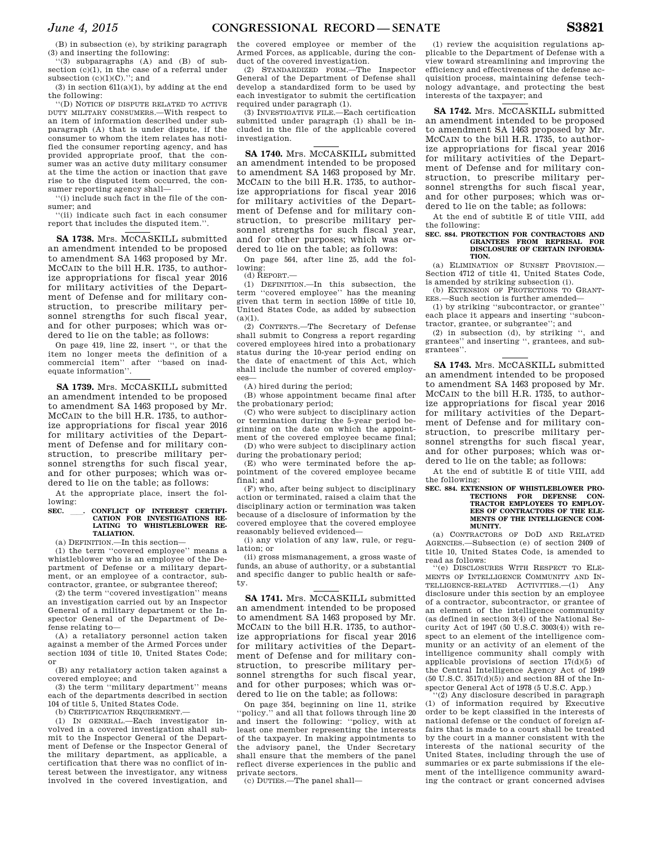(B) in subsection (e), by striking paragraph (3) and inserting the following:

''(3) subparagraphs (A) and (B) of subsection (c)(1), in the case of a referral under subsection  $(c)(1)(C)$ ."; and

(3) in section  $611(a)(1),$  by adding at the end the following:

''(D) NOTICE OF DISPUTE RELATED TO ACTIVE DUTY MILITARY CONSUMERS.—With respect to an item of information described under subparagraph (A) that is under dispute, if the consumer to whom the item relates has notified the consumer reporting agency, and has provided appropriate proof, that the consumer was an active duty military consumer at the time the action or inaction that gave rise to the disputed item occurred, the consumer reporting agency shall—

''(i) include such fact in the file of the consumer; and

''(ii) indicate such fact in each consumer report that includes the disputed item."

**SA 1738.** Mrs. MCCASKILL submitted an amendment intended to be proposed to amendment SA 1463 proposed by Mr. MCCAIN to the bill H.R. 1735, to authorize appropriations for fiscal year 2016 for military activities of the Department of Defense and for military construction, to prescribe military personnel strengths for such fiscal year, and for other purposes; which was ordered to lie on the table; as follows:

On page 419, line 22, insert '', or that the item no longer meets the definition of a commercial item'' after ''based on inadequate information''.

**SA 1739.** Mrs. MCCASKILL submitted an amendment intended to be proposed to amendment SA 1463 proposed by Mr. MCCAIN to the bill H.R. 1735, to authorize appropriations for fiscal year 2016 for military activities of the Department of Defense and for military construction, to prescribe military personnel strengths for such fiscal year, and for other purposes; which was ordered to lie on the table; as follows:

At the appropriate place, insert the following:

# **SEC.** ll**. CONFLICT OF INTEREST CERTIFI-CATION FOR INVESTIGATIONS RE-LATING TO WHISTLEBLOWER RE-TALIATION.**

(a) DEFINITION.—In this section—

(1) the term ''covered employee'' means a whistleblower who is an employee of the Department of Defense or a military department, or an employee of a contractor, subcontractor, grantee, or subgrantee thereof;

(2) the term ''covered investigation'' means an investigation carried out by an Inspector General of a military department or the Inspector General of the Department of Defense relating to—

(A) a retaliatory personnel action taken against a member of the Armed Forces under section 1034 of title 10, United States Code; or

(B) any retaliatory action taken against a covered employee; and

(3) the term ''military department'' means each of the departments described in section 104 of title 5, United States Code.

(b) CERTIFICATION REQUIREMENT.

(1) IN GENERAL.—Each investigator involved in a covered investigation shall submit to the Inspector General of the Department of Defense or the Inspector General of the military department, as applicable, a certification that there was no conflict of interest between the investigator, any witness involved in the covered investigation, and

the covered employee or member of the Armed Forces, as applicable, during the conduct of the covered investigation.

(2) STANDARDIZED FORM.—The Inspector General of the Department of Defense shall develop a standardized form to be used by each investigator to submit the certification required under paragraph (1).

(3) INVESTIGATIVE FILE.—Each certification submitted under paragraph (1) shall be included in the file of the applicable covered investigation.

**SA 1740.** Mrs. MCCASKILL submitted an amendment intended to be proposed to amendment SA 1463 proposed by Mr. MCCAIN to the bill H.R. 1735, to authorize appropriations for fiscal year 2016 for military activities of the Department of Defense and for military construction, to prescribe military personnel strengths for such fiscal year, and for other purposes; which was ordered to lie on the table; as follows:

On page 564, after line 25, add the following:

(d) REPORT.—

(1) DEFINITION.—In this subsection, the term ''covered employee'' has the meaning given that term in section 1599e of title 10, United States Code, as added by subsection  $(a)(1).$ <br>(2) CONTENTS.

-The Secretary of Defense shall submit to Congress a report regarding covered employees hired into a probationary status during the 10-year period ending on the date of enactment of this Act, which shall include the number of covered employees—

(A) hired during the period;

(B) whose appointment became final after the probationary period;

(C) who were subject to disciplinary action or termination during the 5-year period beginning on the date on which the appointment of the covered employee became final;

(D) who were subject to disciplinary action during the probationary period;

(E) who were terminated before the appointment of the covered employee became final; and

(F) who, after being subject to disciplinary action or terminated, raised a claim that the disciplinary action or termination was taken because of a disclosure of information by the covered employee that the covered employee reasonably believed evidenced—

(i) any violation of any law, rule, or regulation; or

(ii) gross mismanagement, a gross waste of funds, an abuse of authority, or a substantial and specific danger to public health or safety.

**SA 1741.** Mrs. MCCASKILL submitted an amendment intended to be proposed to amendment SA 1463 proposed by Mr. MCCAIN to the bill H.R. 1735, to authorize appropriations for fiscal year 2016 for military activities of the Department of Defense and for military construction, to prescribe military personnel strengths for such fiscal year, and for other purposes; which was ordered to lie on the table; as follows:

On page 354, beginning on line 11, strike ''policy.'' and all that follows through line 20 and insert the following: ''policy, with at least one member representing the interests of the taxpayer. In making appointments to the advisory panel, the Under Secretary shall ensure that the members of the panel reflect diverse experiences in the public and private sectors.

(c) DUTIES.—The panel shall—

(1) review the acquisition regulations applicable to the Department of Defense with a view toward streamlining and improving the efficiency and effectiveness of the defense acquisition process, maintaining defense technology advantage, and protecting the best interests of the taxpayer; and

**SA 1742.** Mrs. MCCASKILL submitted an amendment intended to be proposed to amendment SA 1463 proposed by Mr. MCCAIN to the bill H.R. 1735, to authorize appropriations for fiscal year 2016 for military activities of the Department of Defense and for military construction, to prescribe military personnel strengths for such fiscal year, and for other purposes; which was ordered to lie on the table; as follows:

At the end of subtitle E of title VIII, add the following:

#### **SEC. 884. PROTECTION FOR CONTRACTORS AND GRANTEES FROM REPRISAL DISCLOSURE OF CERTAIN INFORMA-TION.**

(a) ELIMINATION OF SUNSET PROVISION.— Section 4712 of title 41, United States Code, is amended by striking subsection (i).

(b) EXTENSION OF PROTECTIONS TO GRANT-EES.—Such section is further amended—

(1) by striking ''subcontractor, or grantee'' each place it appears and inserting ''subcontractor, grantee, or subgrantee''; and

(2) in subsection (d), by striking '', and grantees'' and inserting '', grantees, and subgrantees''.

**SA 1743.** Mrs. MCCASKILL submitted an amendment intended to be proposed to amendment SA 1463 proposed by Mr. MCCAIN to the bill H.R. 1735, to authorize appropriations for fiscal year 2016 for military activities of the Department of Defense and for military construction, to prescribe military personnel strengths for such fiscal year, and for other purposes; which was ordered to lie on the table; as follows:

At the end of subtitle E of title VIII, add the following:

#### **SEC. 884. EXTENSION OF WHISTLEBLOWER PRO-TECTIONS FOR DEFENSE CON-TRACTOR EMPLOYEES TO EMPLOY-EES OF CONTRACTORS OF THE ELE-MENTS OF THE INTELLIGENCE COM-MUNITY.**

(a) CONTRACTORS OF DOD AND RELATED AGENCIES.—Subsection (e) of section 2409 of title 10, United States Code, is amended to read as follows:

''(e) DISCLOSURES WITH RESPECT TO ELE-MENTS OF INTELLIGENCE COMMUNITY AND IN-TELLIGENCE-RELATED ACTIVITIES.—(1) Any disclosure under this section by an employee of a contractor, subcontractor, or grantee of an element of the intelligence community (as defined in section 3(4) of the National Security Act of 1947 (50 U.S.C. 3003(4)) with respect to an element of the intelligence community or an activity of an element of the intelligence community shall comply with applicable provisions of section  $17(d)(5)$  of the Central Intelligence Agency Act of 1949  $(50 \text{ U.S.C. } 3517(d)(5))$  and section 8H of the Inspector General Act of 1978 (5 U.S.C. App.)

''(2) Any disclosure described in paragraph (1) of information required by Executive order to be kept classified in the interests of national defense or the conduct of foreign affairs that is made to a court shall be treated by the court in a manner consistent with the interests of the national security of the United States, including through the use of summaries or ex parte submissions if the element of the intelligence community awarding the contract or grant concerned advises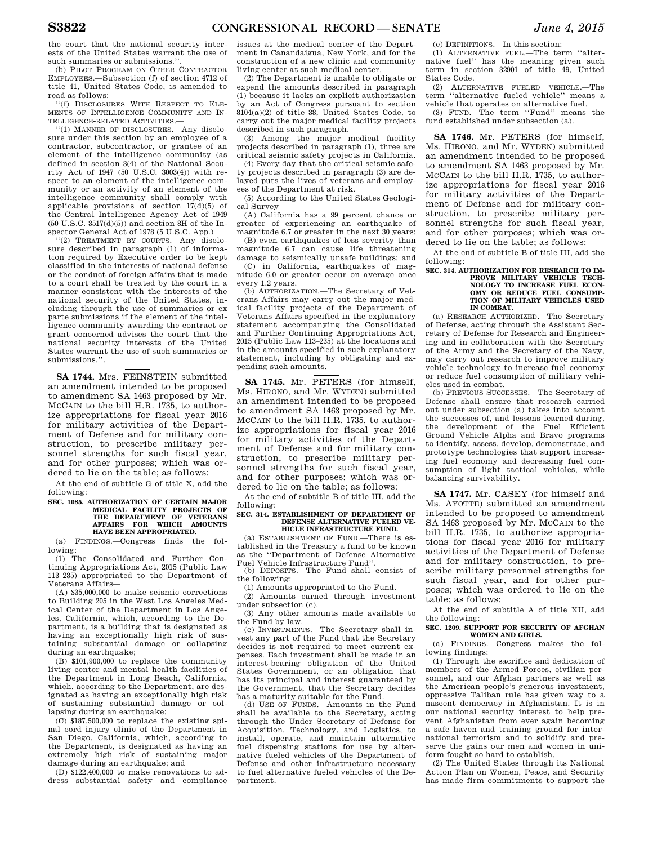the court that the national security interests of the United States warrant the use of such summaries or submissions."

(b) PILOT PROGRAM ON OTHER CONTRACTOR EMPLOYEES.—Subsection (f) of section 4712 of title 41, United States Code, is amended to read as follows:

''(f) DISCLOSURES WITH RESPECT TO ELE-MENTS OF INTELLIGENCE COMMUNITY AND IN-TELLIGENCE-RELATED ACTIVITIES.—

''(1) MANNER OF DISCLOSURES.—Any disclosure under this section by an employee of a contractor, subcontractor, or grantee of an element of the intelligence community (as defined in section 3(4) of the National Security Act of 1947 (50 U.S.C. 3003(4)) with respect to an element of the intelligence community or an activity of an element of the intelligence community shall comply with applicable provisions of section  $17(d)(5)$  of the Central Intelligence Agency Act of 1949  $(50 \text{ U.S.C. } 3517(d)(5))$  and section 8H of the Inspector General Act of 1978 (5 U.S.C. App.)

''(2) TREATMENT BY COURTS.—Any disclosure described in paragraph (1) of information required by Executive order to be kept classified in the interests of national defense or the conduct of foreign affairs that is made to a court shall be treated by the court in a manner consistent with the interests of the national security of the United States, including through the use of summaries or ex parte submissions if the element of the intelligence community awarding the contract or grant concerned advises the court that the national security interests of the United States warrant the use of such summaries or submissions.''.

**SA 1744.** Mrs. FEINSTEIN submitted an amendment intended to be proposed to amendment SA 1463 proposed by Mr. MCCAIN to the bill H.R. 1735, to authorize appropriations for fiscal year 2016 for military activities of the Department of Defense and for military construction, to prescribe military personnel strengths for such fiscal year, and for other purposes; which was ordered to lie on the table; as follows:

At the end of subtitle G of title X, add the following:

## **SEC. 1085. AUTHORIZATION OF CERTAIN MAJOR MEDICAL FACILITY PROJECTS OF THE DEPARTMENT OF VETERANS AFFAIRS FOR WHICH AMOUNTS HAVE BEEN APPROPRIATED.**

(a) FINDINGS.—Congress finds the following:

(1) The Consolidated and Further Continuing Appropriations Act, 2015 (Public Law 113–235) appropriated to the Department of Veterans Affairs—

(A) \$35,000,000 to make seismic corrections to Building 205 in the West Los Angeles Medical Center of the Department in Los Angeles, California, which, according to the Department, is a building that is designated as having an exceptionally high risk of sustaining substantial damage or collapsing during an earthquake;

(B) \$101,900,000 to replace the community living center and mental health facilities of the Department in Long Beach, California, which, according to the Department, are designated as having an exceptionally high risk of sustaining substantial damage or collapsing during an earthquake;

 $(C)$  \$187,500,000 to replace the existing spinal cord injury clinic of the Department in San Diego, California, which, according to the Department, is designated as having an extremely high risk of sustaining major damage during an earthquake; and

(D) \$122,400,000 to make renovations to address substantial safety and compliance

issues at the medical center of the Department in Canandaigua, New York, and for the construction of a new clinic and community living center at such medical center.

(2) The Department is unable to obligate or expend the amounts described in paragraph (1) because it lacks an explicit authorization by an Act of Congress pursuant to section 8104(a)(2) of title 38, United States Code, to carry out the major medical facility projects described in such paragraph.

(3) Among the major medical facility projects described in paragraph (1), three are critical seismic safety projects in California.

(4) Every day that the critical seismic safety projects described in paragraph (3) are delayed puts the lives of veterans and employees of the Department at risk.

(5) According to the United States Geological Survey—

(A) California has a 99 percent chance or greater of experiencing an earthquake of magnitude 6.7 or greater in the next 30 years;

(B) even earthquakes of less severity than magnitude 6.7 can cause life threatening damage to seismically unsafe buildings; and

(C) in California, earthquakes of magnitude 6.0 or greater occur on average once every 1.2 years.

(b) AUTHORIZATION.—The Secretary of Veterans Affairs may carry out the major medical facility projects of the Department of Veterans Affairs specified in the explanatory statement accompanying the Consolidated and Further Continuing Appropriations Act, 2015 (Public Law 113–235) at the locations and in the amounts specified in such explanatory statement, including by obligating and expending such amounts.

**SA 1745.** Mr. PETERS (for himself, Ms. HIRONO, and Mr. WYDEN) submitted an amendment intended to be proposed to amendment SA 1463 proposed by Mr. MCCAIN to the bill H.R. 1735, to authorize appropriations for fiscal year 2016 for military activities of the Department of Defense and for military construction, to prescribe military personnel strengths for such fiscal year, and for other purposes; which was ordered to lie on the table; as follows:

At the end of subtitle B of title III, add the following:

#### **SEC. 314. ESTABLISHMENT OF DEPARTMENT OF DEFENSE ALTERNATIVE FUELED VE-HICLE INFRASTRUCTURE FUND.**

(a) ESTABLISHMENT OF FUND.—There is established in the Treasury a fund to be known as the ''Department of Defense Alternative Fuel Vehicle Infrastructure Fund''.

(b) DEPOSITS.—The Fund shall consist of the following:

(1) Amounts appropriated to the Fund.

(2) Amounts earned through investment

under subsection (c). (3) Any other amounts made available to

the Fund by law. (c) INVESTMENTS.—The Secretary shall in-

vest any part of the Fund that the Secretary decides is not required to meet current expenses. Each investment shall be made in an interest-bearing obligation of the United States Government, or an obligation that has its principal and interest guaranteed by the Government, that the Secretary decides has a maturity suitable for the Fund.

(d) USE OF FUNDS.—Amounts in the Fund shall be available to the Secretary, acting through the Under Secretary of Defense for Acquisition, Technology, and Logistics, to install, operate, and maintain alternative fuel dispensing stations for use by alternative fueled vehicles of the Department of Defense and other infrastructure necessary to fuel alternative fueled vehicles of the Department.

(e) DEFINITIONS.—In this section:

(1) ALTERNATIVE FUEL.—The term ''alternative fuel'' has the meaning given such term in section 32901 of title 49, United States Code.

(2) ALTERNATIVE FUELED VEHICLE.—The term ''alternative fueled vehicle'' means a vehicle that operates on alternative fuel.

(3) FUND.—The term ''Fund'' means the fund established under subsection (a).

**SA 1746.** Mr. PETERS (for himself, Ms. HIRONO, and Mr. WYDEN) submitted an amendment intended to be proposed to amendment SA 1463 proposed by Mr. MCCAIN to the bill H.R. 1735, to authorize appropriations for fiscal year 2016 for military activities of the Department of Defense and for military construction, to prescribe military personnel strengths for such fiscal year, and for other purposes; which was ordered to lie on the table; as follows:

At the end of subtitle B of title III, add the following:

## **SEC. 314. AUTHORIZATION FOR RESEARCH TO IM-PROVE MILITARY VEHICLE TECH-NOLOGY TO INCREASE FUEL ECON-OMY OR REDUCE FUEL CONSUMP-TION OF MILITARY VEHICLES USED IN COMBAT.**

(a) RESEARCH AUTHORIZED.—The Secretary of Defense, acting through the Assistant Secretary of Defense for Research and Engineering and in collaboration with the Secretary of the Army and the Secretary of the Navy, may carry out research to improve military vehicle technology to increase fuel economy or reduce fuel consumption of military vehicles used in combat.

(b) PREVIOUS SUCCESSES.—The Secretary of Defense shall ensure that research carried out under subsection (a) takes into account the successes of, and lessons learned during, the development of the Fuel Efficient Ground Vehicle Alpha and Bravo programs to identify, assess, develop, demonstrate, and prototype technologies that support increasing fuel economy and decreasing fuel consumption of light tactical vehicles, while balancing survivability.

**SA 1747.** Mr. CASEY (for himself and Ms. AYOTTE) submitted an amendment intended to be proposed to amendment SA 1463 proposed by Mr. MCCAIN to the bill H.R. 1735, to authorize appropriations for fiscal year 2016 for military activities of the Department of Defense and for military construction, to prescribe military personnel strengths for such fiscal year, and for other purposes; which was ordered to lie on the table; as follows:

At the end of subtitle A of title XII, add the following:

## **SEC. 1209. SUPPORT FOR SECURITY OF AFGHAN WOMEN AND GIRLS.**

(a) FINDINGS.—Congress makes the following findings:

(1) Through the sacrifice and dedication of members of the Armed Forces, civilian personnel, and our Afghan partners as well as the American people's generous investment, oppressive Taliban rule has given way to a nascent democracy in Afghanistan. It is in our national security interest to help prevent Afghanistan from ever again becoming a safe haven and training ground for international terrorism and to solidify and preserve the gains our men and women in uniform fought so hard to establish.

(2) The United States through its National Action Plan on Women, Peace, and Security has made firm commitments to support the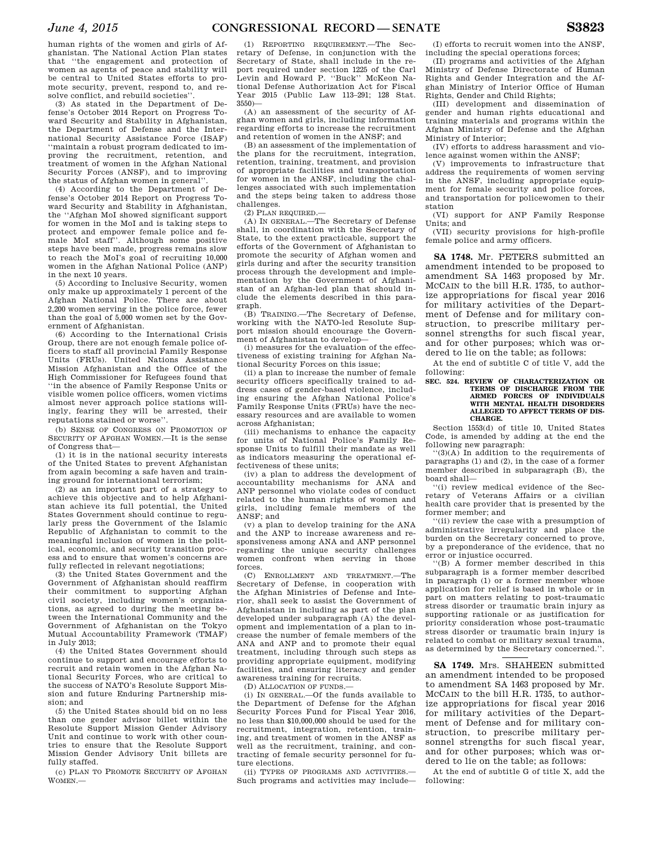human rights of the women and girls of Afghanistan. The National Action Plan states that ''the engagement and protection of women as agents of peace and stability will be central to United States efforts to promote security, prevent, respond to, and resolve conflict, and rebuild societies''.

(3) As stated in the Department of Defense's October 2014 Report on Progress Toward Security and Stability in Afghanistan, the Department of Defense and the International Security Assistance Force (ISAF) ''maintain a robust program dedicated to improving the recruitment, retention, and treatment of women in the Afghan National Security Forces (ANSF), and to improving the status of Afghan women in general

(4) According to the Department of Defense's October 2014 Report on Progress Toward Security and Stability in Afghanistan, the ''Afghan MoI showed significant support for women in the MoI and is taking steps to protect and empower female police and female MoI staff''. Although some positive steps have been made, progress remains slow to reach the MoI's goal of recruiting 10,000 women in the Afghan National Police (ANP) in the next 10 years.

(5) According to Inclusive Security, women only make up approximately 1 percent of the Afghan National Police. There are about 2,200 women serving in the police force, fewer than the goal of 5,000 women set by the Government of Afghanistan.

(6) According to the International Crisis Group, there are not enough female police officers to staff all provincial Family Response Units (FRUs). United Nations Assistance Mission Afghanistan and the Office of the High Commissioner for Refugees found that ''in the absence of Family Response Units or visible women police officers, women victims almost never approach police stations willingly, fearing they will be arrested, their reputations stained or worse''.

(b) SENSE OF CONGRESS ON PROMOTION OF SECURITY OF AFGHAN WOMEN.—It is the sense of Congress that—

(1) it is in the national security interests of the United States to prevent Afghanistan from again becoming a safe haven and training ground for international terrorism;

(2) as an important part of a strategy to achieve this objective and to help Afghanistan achieve its full potential, the United States Government should continue to regularly press the Government of the Islamic Republic of Afghanistan to commit to the meaningful inclusion of women in the political, economic, and security transition process and to ensure that women's concerns are fully reflected in relevant negotiations;

(3) the United States Government and the Government of Afghanistan should reaffirm their commitment to supporting Afghan civil society, including women's organizations, as agreed to during the meeting between the International Community and the Government of Afghanistan on the Tokyo Mutual Accountability Framework (TMAF) in July 2013;

(4) the United States Government should continue to support and encourage efforts to recruit and retain women in the Afghan National Security Forces, who are critical to the success of NATO's Resolute Support Mission and future Enduring Partnership mission; and

(5) the United States should bid on no less than one gender advisor billet within the Resolute Support Mission Gender Advisory Unit and continue to work with other countries to ensure that the Resolute Support Mission Gender Advisory Unit billets are fully staffed.

(c) PLAN TO PROMOTE SECURITY OF AFGHAN WOMEN.

(1) REPORTING REQUIREMENT.—The Secretary of Defense, in conjunction with the Secretary of State, shall include in the report required under section 1225 of the Carl Levin and Howard P. ''Buck'' McKeon National Defense Authorization Act for Fiscal Year 2015 (Public Law 113–291; 128 Stat. 3550)—

(A) an assessment of the security of Afghan women and girls, including information regarding efforts to increase the recruitment and retention of women in the ANSF; and

(B) an assessment of the implementation of the plans for the recruitment, integration, retention, training, treatment, and provision of appropriate facilities and transportation for women in the ANSF, including the challenges associated with such implementation and the steps being taken to address those challenges.

 $(2)$  PLAN REQUIRED  $-$ 

(A) IN GENERAL.—The Secretary of Defense shall, in coordination with the Secretary of State, to the extent practicable, support the efforts of the Government of Afghanistan to promote the security of Afghan women and girls during and after the security transition process through the development and implementation by the Government of Afghanistan of an Afghan-led plan that should include the elements described in this paragraph.

(B) TRAINING.—The Secretary of Defense, working with the NATO-led Resolute Support mission should encourage the Government of Afghanistan to develop-

(i) measures for the evaluation of the effectiveness of existing training for Afghan National Security Forces on this issue;

(ii) a plan to increase the number of female security officers specifically trained to address cases of gender-based violence, including ensuring the Afghan National Police's Family Response Units (FRUs) have the necessary resources and are available to women across Afghanistan;

(iii) mechanisms to enhance the capacity for units of National Police's Family Response Units to fulfill their mandate as well as indicators measuring the operational effectiveness of these units;

(iv) a plan to address the development of accountability mechanisms for ANA and ANP personnel who violate codes of conduct related to the human rights of women and girls, including female members of the ANSF; and

(v) a plan to develop training for the ANA and the ANP to increase awareness and responsiveness among ANA and ANP personnel regarding the unique security challenges women confront when serving in those forces.

(C) ENROLLMENT AND TREATMENT.—The Secretary of Defense, in cooperation with the Afghan Ministries of Defense and Interior, shall seek to assist the Government of Afghanistan in including as part of the plan developed under subparagraph (A) the development and implementation of a plan to increase the number of female members of the ANA and ANP and to promote their equal treatment, including through such steps as providing appropriate equipment, modifying facilities, and ensuring literacy and gender awareness training for recruits.

(D) ALLOCATION OF FUNDS.—

(i) IN GENERAL.—Of the funds available to the Department of Defense for the Afghan Security Forces Fund for Fiscal Year 2016, no less than \$10,000,000 should be used for the recruitment, integration, retention, training, and treatment of women in the ANSF as well as the recruitment, training, and contracting of female security personnel for future elections.

(ii) TYPES OF PROGRAMS AND ACTIVITIES.— Such programs and activities may include—

(I) efforts to recruit women into the ANSF, including the special operations forces;

(II) programs and activities of the Afghan Ministry of Defense Directorate of Human Rights and Gender Integration and the Afghan Ministry of Interior Office of Human Rights, Gender and Child Rights;

(III) development and dissemination of gender and human rights educational and training materials and programs within the Afghan Ministry of Defense and the Afghan Ministry of Interior;

(IV) efforts to address harassment and violence against women within the ANSF;

(V) improvements to infrastructure that address the requirements of women serving in the ANSF, including appropriate equipment for female security and police forces, and transportation for policewomen to their station

(VI) support for ANP Family Response Units; and

(VII) security provisions for high-profile female police and army officers.

**SA 1748.** Mr. PETERS submitted an amendment intended to be proposed to amendment SA 1463 proposed by Mr. MCCAIN to the bill H.R. 1735, to authorize appropriations for fiscal year 2016 for military activities of the Department of Defense and for military construction, to prescribe military personnel strengths for such fiscal year, and for other purposes; which was ordered to lie on the table; as follows:

At the end of subtitle C of title V, add the following:

#### **SEC. 524. REVIEW OF CHARACTERIZATION OR TERMS OF DISCHARGE FROM THE ARMED FORCES OF INDIVIDUALS WITH MENTAL HEALTH DISORDERS ALLEGED TO AFFECT TERMS OF DIS-CHARGE.**

Section 1553(d) of title 10, United States Code, is amended by adding at the end the following new paragraph:

''(3)(A) In addition to the requirements of paragraphs (1) and (2), in the case of a former member described in subparagraph (B), the board shall—

''(i) review medical evidence of the Secretary of Veterans Affairs or a civilian health care provider that is presented by the former member; and

''(ii) review the case with a presumption of administrative irregularity and place the burden on the Secretary concerned to prove, by a preponderance of the evidence, that no error or injustice occurred.

''(B) A former member described in this subparagraph is a former member described in paragraph (1) or a former member whose application for relief is based in whole or in part on matters relating to post-traumatic stress disorder or traumatic brain injury as supporting rationale or as justification for priority consideration whose post-traumatic stress disorder or traumatic brain injury is related to combat or military sexual trauma, as determined by the Secretary concerned.'

**SA 1749.** Mrs. SHAHEEN submitted an amendment intended to be proposed to amendment SA 1463 proposed by Mr. MCCAIN to the bill H.R. 1735, to authorize appropriations for fiscal year 2016 for military activities of the Department of Defense and for military construction, to prescribe military personnel strengths for such fiscal year, and for other purposes; which was ordered to lie on the table; as follows:

At the end of subtitle G of title X, add the following: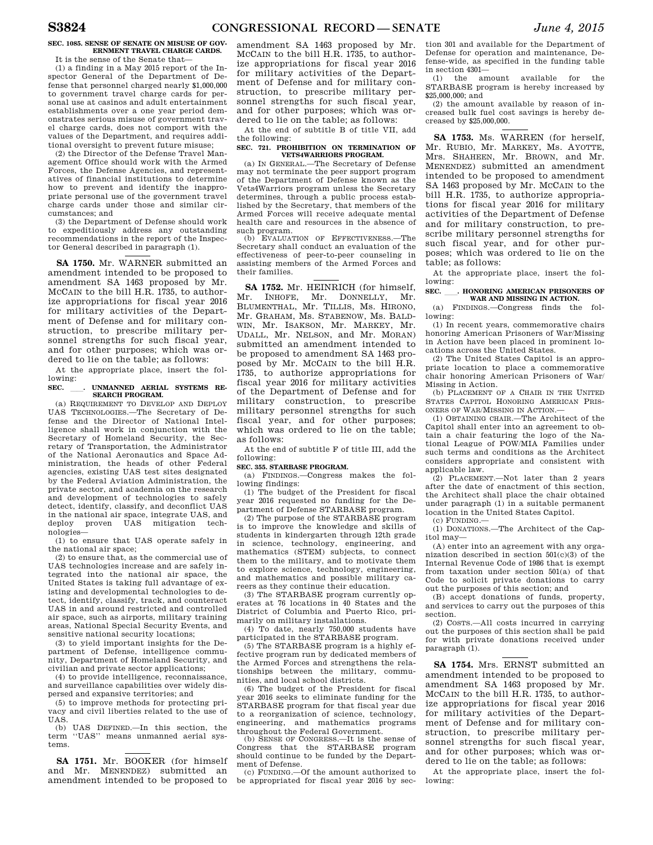## **SEC. 1085. SENSE OF SENATE ON MISUSE OF GOV-ERNMENT TRAVEL CHARGE CARDS.**

It is the sense of the Senate that— (1) a finding in a May 2015 report of the Inspector General of the Department of Defense that personnel charged nearly \$1,000,000 to government travel charge cards for personal use at casinos and adult entertainment establishments over a one year period demonstrates serious misuse of government travel charge cards, does not comport with the values of the Department, and requires additional oversight to prevent future misuse;

(2) the Director of the Defense Travel Management Office should work with the Armed Forces, the Defense Agencies, and representatives of financial institutions to determine how to prevent and identify the inappropriate personal use of the government travel charge cards under those and similar circumstances; and

(3) the Department of Defense should work to expeditiously address any outstanding recommendations in the report of the Inspector General described in paragraph (1).

**SA 1750.** Mr. WARNER submitted an amendment intended to be proposed to amendment SA 1463 proposed by Mr. MCCAIN to the bill H.R. 1735, to authorize appropriations for fiscal year 2016 for military activities of the Department of Defense and for military construction, to prescribe military personnel strengths for such fiscal year, and for other purposes; which was ordered to lie on the table; as follows:

At the appropriate place, insert the following:

## **SEC.** ll**. UNMANNED AERIAL SYSTEMS RE-SEARCH PROGRAM.**

(a) REQUIREMENT TO DEVELOP AND DEPLOY UAS TECHNOLOGIES.—The Secretary of Defense and the Director of National Intelligence shall work in conjunction with the Secretary of Homeland Security, the Secretary of Transportation, the Administrator of the National Aeronautics and Space Administration, the heads of other Federal agencies, existing UAS test sites designated by the Federal Aviation Administration, the private sector, and academia on the research and development of technologies to safely detect, identify, classify, and deconflict UAS in the national air space, integrate UAS, and deploy proven UAS mitigation technologies—

(1) to ensure that UAS operate safely in the national air space;

(2) to ensure that, as the commercial use of UAS technologies increase and are safely integrated into the national air space, the United States is taking full advantage of existing and developmental technologies to detect, identify, classify, track, and counteract UAS in and around restricted and controlled air space, such as airports, military training areas, National Special Security Events, and sensitive national security locations;

(3) to yield important insights for the Department of Defense, intelligence community, Department of Homeland Security, and civilian and private sector applications;

(4) to provide intelligence, reconnaissance, and surveillance capabilities over widely dispersed and expansive territories; and

 $(5)$  to improve methods for protecting privacy and civil liberties related to the use of UAS.

(b) UAS DEFINED.—In this section, the term ''UAS'' means unmanned aerial systems.

**SA 1751.** Mr. BOOKER (for himself and Mr. MENENDEZ) submitted an amendment intended to be proposed to

amendment SA 1463 proposed by Mr. MCCAIN to the bill H.R. 1735, to authorize appropriations for fiscal year 2016 for military activities of the Department of Defense and for military construction, to prescribe military personnel strengths for such fiscal year, and for other purposes; which was ordered to lie on the table; as follows:

At the end of subtitle B of title VII, add the following:

## **SEC. 721. PROHIBITION ON TERMINATION OF VETS4WARRIORS PROGRAM.**

(a) IN GENERAL.—The Secretary of Defense may not terminate the peer support program of the Department of Defense known as the Vets4Warriors program unless the Secretary determines, through a public process established by the Secretary, that members of the Armed Forces will receive adequate mental health care and resources in the absence of such program.

(b) EVALUATION OF EFFECTIVENESS.—The Secretary shall conduct an evaluation of the effectiveness of peer-to-peer counseling in assisting members of the Armed Forces and their families.

**SA 1752.** Mr. HEINRICH (for himself, Mr. INHOFE, Mr. DONNELLY, Mr. BLUMENTHAL, Mr. TILLIS, Ms. HIRONO, Mr. GRAHAM, Ms. STABENOW, Ms. BALD-WIN, Mr. ISAKSON, Mr. MARKEY, Mr. UDALL, Mr. NELSON, and Mr. MORAN) submitted an amendment intended to be proposed to amendment SA 1463 proposed by Mr. MCCAIN to the bill H.R. 1735, to authorize appropriations for fiscal year 2016 for military activities of the Department of Defense and for military construction, to prescribe military personnel strengths for such fiscal year, and for other purposes; which was ordered to lie on the table; as follows:

At the end of subtitle F of title III, add the following:

## **SEC. 355. STARBASE PROGRAM.**

(a) FINDINGS.—Congress makes the following findings:

(1) The budget of the President for fiscal year 2016 requested no funding for the Department of Defense STARBASE program.

(2) The purpose of the STARBASE program is to improve the knowledge and skills of students in kindergarten through 12th grade in science, technology, engineering, and mathematics (STEM) subjects, to connect them to the military, and to motivate them to explore science, technology, engineering, and mathematics and possible military careers as they continue their education.

(3) The STARBASE program currently operates at 76 locations in 40 States and the District of Columbia and Puerto Rico, primarily on military installations.

(4) To date, nearly 750,000 students have participated in the STARBASE program.

(5) The STARBASE program is a highly effective program run by dedicated members of the Armed Forces and strengthens the relationships between the military, communities, and local school districts.

(6) The budget of the President for fiscal year 2016 seeks to eliminate funding for the STARBASE program for that fiscal year due to a reorganization of science, technology, engineering, and mathematics programs throughout the Federal Government.

(b) SENSE OF CONGRESS.—It is the sense of Congress that the STARBASE program should continue to be funded by the Department of Defense.

(c) FUNDING.—Of the amount authorized to be appropriated for fiscal year 2016 by sec-

tion 301 and available for the Department of Defense for operation and maintenance, Defense-wide, as specified in the funding table in section 4301—

(1) the amount available for the STARBASE program is hereby increased by \$25,000,000; and

(2) the amount available by reason of increased bulk fuel cost savings is hereby decreased by \$25,000,000.

**SA 1753.** Ms. WARREN (for herself, Mr. RUBIO, Mr. MARKEY, Ms. AYOTTE, Mrs. SHAHEEN, Mr. BROWN, and Mr. MENENDEZ) submitted an amendment intended to be proposed to amendment SA 1463 proposed by Mr. MCCAIN to the bill H.R. 1735, to authorize appropriations for fiscal year 2016 for military activities of the Department of Defense and for military construction, to prescribe military personnel strengths for such fiscal year, and for other purposes; which was ordered to lie on the table; as follows:

At the appropriate place, insert the following:

# SEC. \_\_\_. HONORING AMERICAN PRISONERS OF WAR AND MISSING IN ACTION.

(a) FINDINGS.—Congress finds the following:

(1) In recent years, commemorative chairs honoring American Prisoners of War/Missing in Action have been placed in prominent locations across the United States.

(2) The United States Capitol is an appropriate location to place a commemorative chair honoring American Prisoners of War/ Missing in Action.

(b) PLACEMENT OF A CHAIR IN THE UNITED STATES CAPITOL HONORING AMERICAN PRIS-ONERS OF WAR/MISSING IN ACTION.—

(1) OBTAINING CHAIR.—The Architect of the Capitol shall enter into an agreement to obtain a chair featuring the logo of the National League of POW/MIA Families under such terms and conditions as the Architect considers appropriate and consistent with applicable law.

(2) PLACEMENT.—Not later than 2 years after the date of enactment of this section, the Architect shall place the chair obtained under paragraph (1) in a suitable permanent location in the United States Capitol.

(c) FUNDING.—

(1) DONATIONS.—The Architect of the Capitol may—

(A) enter into an agreement with any organization described in section 501(c)(3) of the Internal Revenue Code of 1986 that is exempt from taxation under section 501(a) of that Code to solicit private donations to carry out the purposes of this section; and

(B) accept donations of funds, property, and services to carry out the purposes of this section.

(2) COSTS.—All costs incurred in carrying out the purposes of this section shall be paid for with private donations received under paragraph (1).

**SA 1754.** Mrs. ERNST submitted an amendment intended to be proposed to amendment SA 1463 proposed by Mr. MCCAIN to the bill H.R. 1735, to authorize appropriations for fiscal year 2016 for military activities of the Department of Defense and for military construction, to prescribe military personnel strengths for such fiscal year, and for other purposes; which was ordered to lie on the table; as follows:

At the appropriate place, insert the following: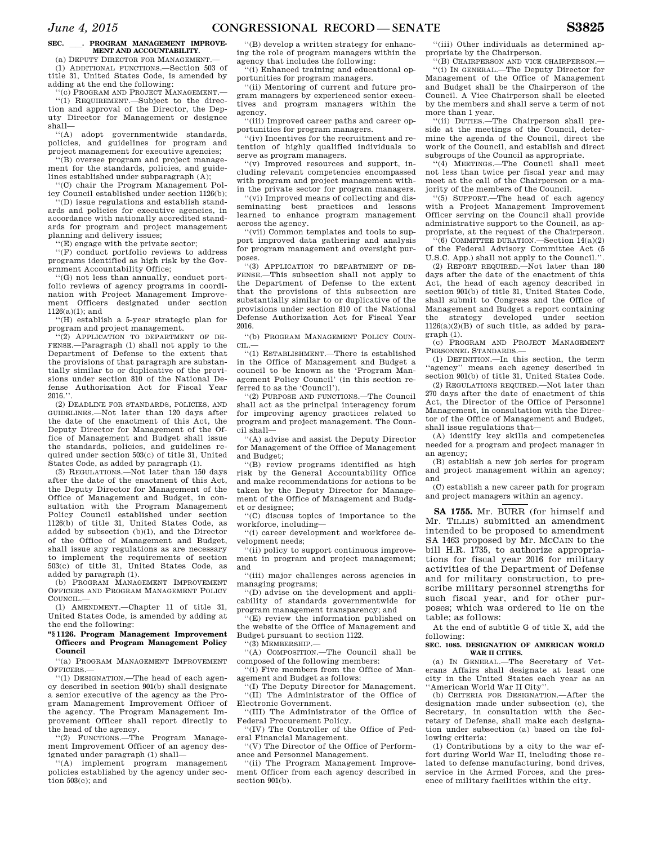# **SEC.** ll**. PROGRAM MANAGEMENT IMPROVE-MENT AND ACCOUNTABILITY.**

(a) DEPUTY DIRECTOR FOR MANAGEMENT (1) ADDITIONAL FUNCTIONS.—Section 503 of

title 31, United States Code, is amended by adding at the end the following:

''(c) PROGRAM AND PROJECT MANAGEMENT.— ''(1) REQUIREMENT.—Subject to the direction and approval of the Director, the Deputy Director for Management or designee shall—

''(A) adopt governmentwide standards, policies, and guidelines for program and project management for executive agencies;

''(B) oversee program and project management for the standards, policies, and guidelines established under subparagraph (A);

''(C) chair the Program Management Policy Council established under section 1126(b); ''(D) issue regulations and establish stand-

ards and policies for executive agencies, in accordance with nationally accredited standards for program and project management planning and delivery issues;

''(E) engage with the private sector;

''(F) conduct portfolio reviews to address programs identified as high risk by the Government Accountability Office;

''(G) not less than annually, conduct portfolio reviews of agency programs in coordination with Project Management Improvement Officers designated under section 1126(a)(1); and

''(H) establish a 5-year strategic plan for program and project management.

''(2) APPLICATION TO DEPARTMENT OF DE-FENSE.—Paragraph (1) shall not apply to the Department of Defense to the extent that the provisions of that paragraph are substantially similar to or duplicative of the provisions under section 810 of the National Defense Authorization Act for Fiscal Year  $2016.$ '

(2) DEADLINE FOR STANDARDS, POLICIES, AND GUIDELINES.—Not later than 120 days after the date of the enactment of this Act, the Deputy Director for Management of the Office of Management and Budget shall issue the standards, policies, and guidelines required under section 503(c) of title 31, United States Code, as added by paragraph (1).

(3) REGULATIONS.—Not later than 150 days after the date of the enactment of this Act, the Deputy Director for Management of the Office of Management and Budget, in consultation with the Program Management Policy Council established under section 1126(b) of title 31, United States Code, as added by subsection (b)(1), and the Director of the Office of Management and Budget, shall issue any regulations as are necessary to implement the requirements of section 503(c) of title 31, United States Code, as added by paragraph (1).

(b) PROGRAM MANAGEMENT IMPROVEMENT OFFICERS AND PROGRAM MANAGEMENT POLICY COUNCIL.—

(1) AMENDMENT.—Chapter 11 of title 31, United States Code, is amended by adding at the end the following:

## **''§ 1126. Program Management Improvement Officers and Program Management Policy Council**

''(a) PROGRAM MANAGEMENT IMPROVEMENT OFFICERS.—

''(1) DESIGNATION.—The head of each agency described in section 901(b) shall designate a senior executive of the agency as the Program Management Improvement Officer of the agency. The Program Management Improvement Officer shall report directly to the head of the agency.

''(2) FUNCTIONS.—The Program Management Improvement Officer of an agency designated under paragraph (1) shall—

''(A) implement program management policies established by the agency under section 503(c); and

''(B) develop a written strategy for enhancing the role of program managers within the agency that includes the following:

''(i) Enhanced training and educational opportunities for program managers.

''(ii) Mentoring of current and future program managers by experienced senior executives and program managers within the agency.

''(iii) Improved career paths and career opportunities for program managers.

''(iv) Incentives for the recruitment and retention of highly qualified individuals to serve as program managers.

''(v) Improved resources and support, including relevant competencies encompassed with program and project management within the private sector for program managers.

''(vi) Improved means of collecting and disseminating best practices and lessons learned to enhance program management across the agency.

''(vii) Common templates and tools to support improved data gathering and analysis for program management and oversight purposes.

''(3) APPLICATION TO DEPARTMENT OF DE-FENSE.—This subsection shall not apply to the Department of Defense to the extent that the provisions of this subsection are substantially similar to or duplicative of the provisions under section 810 of the National Defense Authorization Act for Fiscal Year 2016.

''(b) PROGRAM MANAGEMENT POLICY COUN-CIL.—

''(1) ESTABLISHMENT.—There is established in the Office of Management and Budget a council to be known as the 'Program Management Policy Council' (in this section referred to as the 'Council').

''(2) PURPOSE AND FUNCTIONS.—The Council shall act as the principal interagency forum for improving agency practices related to program and project management. The Council shall—

''(A) advise and assist the Deputy Director for Management of the Office of Management and Budget;

''(B) review programs identified as high risk by the General Accountability Office and make recommendations for actions to be taken by the Deputy Director for Management of the Office of Management and Budget or designee;

''(C) discuss topics of importance to the workforce, including—

''(i) career development and workforce development needs;

''(ii) policy to support continuous improvement in program and project management; and

''(iii) major challenges across agencies in managing programs;

''(D) advise on the development and applicability of standards governmentwide for program management transparency; and

''(E) review the information published on the website of the Office of Management and Budget pursuant to section 1122.

''(3) MEMBERSHIP.—

''(A) COMPOSITION.—The Council shall be composed of the following members:

''(i) Five members from the Office of Management and Budget as follows:

''(I) The Deputy Director for Management. ''(II) The Administrator of the Office of Electronic Government.

''(III) The Administrator of the Office of Federal Procurement Policy.

''(IV) The Controller of the Office of Federal Financial Management.

''(V) The Director of the Office of Performance and Personnel Management.

''(ii) The Program Management Improvement Officer from each agency described in section 901(b).

''(iii) Other individuals as determined appropriate by the Chairperson.

''(B) CHAIRPERSON AND VICE CHAIRPERSON.— ''(i) IN GENERAL.—The Deputy Director for Management of the Office of Management

and Budget shall be the Chairperson of the Council. A Vice Chairperson shall be elected by the members and shall serve a term of not more than 1 year.

''(ii) DUTIES.—The Chairperson shall preside at the meetings of the Council, determine the agenda of the Council, direct the work of the Council, and establish and direct subgroups of the Council as appropriate.

''(4) MEETINGS.—The Council shall meet not less than twice per fiscal year and may meet at the call of the Chairperson or a majority of the members of the Council.

''(5) SUPPORT.—The head of each agency with a Project Management Improvement Officer serving on the Council shall provide administrative support to the Council, as appropriate, at the request of the Chairperson.

 $(6)$  COMMITTEE DURATION  $-$  Section 14(a)(2) of the Federal Advisory Committee Act (5 U.S.C. App.) shall not apply to the Council.''.

(2) REPORT REQUIRED.—Not later than 180 days after the date of the enactment of this Act, the head of each agency described in section 901(b) of title 31, United States Code, shall submit to Congress and the Office of Management and Budget a report containing the strategy developed under section  $1126(a)(2)(B)$  of such title, as added by paragraph (1).

(c) PROGRAM AND PROJECT MANAGEMENT PERSONNEL STANDARDS.—

(1) DEFINITION.—In this section, the term "agency" means each agency described in section 901(b) of title 31, United States Code.

(2) REGULATIONS REQUIRED.—Not later than 270 days after the date of enactment of this Act, the Director of the Office of Personnel Management, in consultation with the Director of the Office of Management and Budget, shall issue regulations that—

(A) identify key skills and competencies needed for a program and project manager in an agency;

(B) establish a new job series for program and project management within an agency; and

(C) establish a new career path for program and project managers within an agency.

**SA 1755.** Mr. BURR (for himself and Mr. TILLIS) submitted an amendment intended to be proposed to amendment SA 1463 proposed by Mr. MCCAIN to the bill H.R. 1735, to authorize appropriations for fiscal year 2016 for military activities of the Department of Defense and for military construction, to prescribe military personnel strengths for such fiscal year, and for other purposes; which was ordered to lie on the table; as follows:

At the end of subtitle G of title X, add the following:

## **SEC. 1085. DESIGNATION OF AMERICAN WORLD WAR II CITIES.**

(a) IN GENERAL.—The Secretary of Veterans Affairs shall designate at least one city in the United States each year as an ''American World War II City''.

(b) CRITERIA FOR DESIGNATION.—After the designation made under subsection (c), the Secretary, in consultation with the Secretary of Defense, shall make each designation under subsection (a) based on the following criteria:

(1) Contributions by a city to the war effort during World War II, including those related to defense manufacturing, bond drives, service in the Armed Forces, and the presence of military facilities within the city.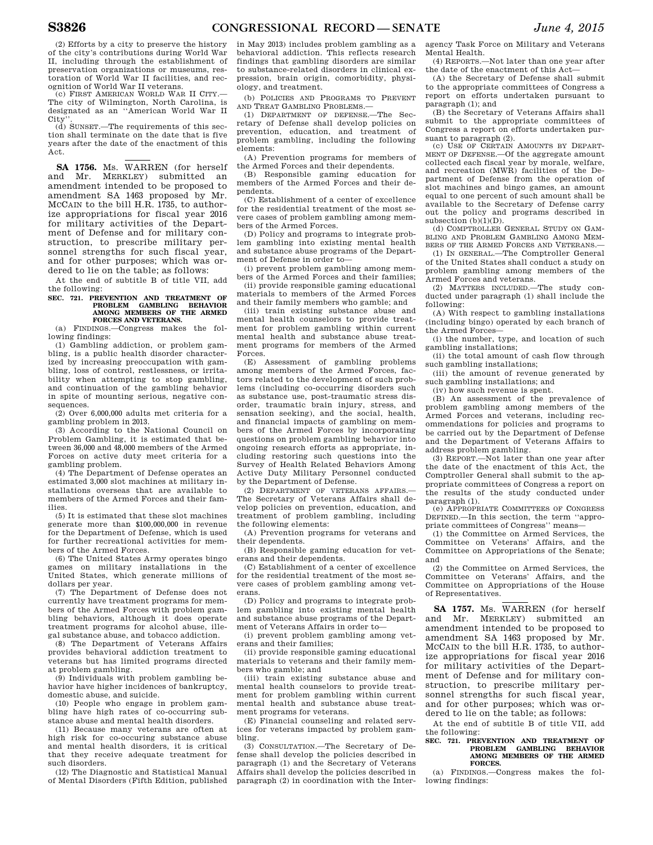(2) Efforts by a city to preserve the history of the city's contributions during World War II, including through the establishment of preservation organizations or museums, restoration of World War II facilities, and recognition of World War II veterans.

(c) FIRST AMERICAN WORLD WAR II CITY.— The city of Wilmington, North Carolina, is designated as an ''American World War II  $\overline{\text{C}}$ ity

(d) SUNSET.—The requirements of this section shall terminate on the date that is five years after the date of the enactment of this Act.

**SA 1756.** Ms. WARREN (for herself and Mr. MERKLEY) submitted an amendment intended to be proposed to amendment SA 1463 proposed by Mr. MCCAIN to the bill H.R. 1735, to authorize appropriations for fiscal year 2016 for military activities of the Department of Defense and for military construction, to prescribe military personnel strengths for such fiscal year. and for other purposes; which was ordered to lie on the table; as follows:

At the end of subtitle B of title VII, add the following:

## **SEC. 721. PREVENTION AND TREATMENT OF PROBLEM GAMBLING BEHAVIOR AMONG MEMBERS OF THE ARMED FORCES AND VETERANS.**

(a) FINDINGS.—Congress makes the following findings:

(1) Gambling addiction, or problem gambling, is a public health disorder characterized by increasing preoccupation with gambling, loss of control, restlessness, or irritability when attempting to stop gambling, and continuation of the gambling behavior in spite of mounting serious, negative consequences.

(2) Over 6,000,000 adults met criteria for a gambling problem in 2013.

(3) According to the National Council on Problem Gambling, it is estimated that between 36,000 and 48,000 members of the Armed Forces on active duty meet criteria for a gambling problem.

(4) The Department of Defense operates an estimated 3,000 slot machines at military installations overseas that are available to members of the Armed Forces and their families.

(5) It is estimated that these slot machines generate more than \$100,000,000 in revenue for the Department of Defense, which is used for further recreational activities for members of the Armed Forces.

(6) The United States Army operates bingo games on military installations in the United States, which generate millions of dollars per year.

(7) The Department of Defense does not currently have treatment programs for members of the Armed Forces with problem gambling behaviors, although it does operate treatment programs for alcohol abuse, illegal substance abuse, and tobacco addiction.

(8) The Department of Veterans Affairs provides behavioral addiction treatment to veterans but has limited programs directed at problem gambling.

(9) Individuals with problem gambling behavior have higher incidences of bankruptcy, domestic abuse, and suicide.

(10) People who engage in problem gambling have high rates of co-occurring substance abuse and mental health disorders.

(11) Because many veterans are often at high risk for co-occuring substance abuse and mental health disorders, it is critical that they receive adequate treatment for such disorders.

(12) The Diagnostic and Statistical Manual of Mental Disorders (Fifth Edition, published

in May 2013) includes problem gambling as a behavioral addiction. This reflects research findings that gambling disorders are similar to substance-related disorders in clinical expression, brain origin, comorbidity, physiology, and treatment.

(b) POLICIES AND PROGRAMS TO PREVENT AND TREAT GAMBLING PROBLEMS.—

(1) DEPARTMENT OF DEFENSE.—The Secretary of Defense shall develop policies on prevention, education, and treatment of problem gambling, including the following elements:

(A) Prevention programs for members of the Armed Forces and their dependents.

(B) Responsible gaming education for members of the Armed Forces and their dependents.

(C) Establishment of a center of excellence for the residential treatment of the most severe cases of problem gambling among members of the Armed Forces.

(D) Policy and programs to integrate problem gambling into existing mental health and substance abuse programs of the Department of Defense in order to—

(i) prevent problem gambling among members of the Armed Forces and their families;

(ii) provide responsible gaming educational materials to members of the Armed Forces and their family members who gamble; and

(iii) train existing substance abuse and mental health counselors to provide treatment for problem gambling within current mental health and substance abuse treatment programs for members of the Armed Forces.

(E) Assessment of gambling problems among members of the Armed Forces, factors related to the development of such problems (including co-occurring disorders such as substance use, post-traumatic stress disorder, traumatic brain injury, stress, and sensation seeking), and the social, health, and financial impacts of gambling on members of the Armed Forces by incorporating questions on problem gambling behavior into ongoing research efforts as appropriate, including restoring such questions into the Survey of Health Related Behaviors Among Active Duty Military Personnel conducted by the Department of Defense.

(2) DEPARTMENT OF VETERANS AFFAIRS.— The Secretary of Veterans Affairs shall develop policies on prevention, education, and treatment of problem gambling, including the following elements:

(A) Prevention programs for veterans and their dependents.

(B) Responsible gaming education for veterans and their dependents.

(C) Establishment of a center of excellence for the residential treatment of the most severe cases of problem gambling among veterans.

(D) Policy and programs to integrate problem gambling into existing mental health and substance abuse programs of the Department of Veterans Affairs in order to—

(i) prevent problem gambling among veterans and their families;

(ii) provide responsible gaming educational materials to veterans and their family members who gamble; and

(iii) train existing substance abuse and mental health counselors to provide treatment for problem gambling within current mental health and substance abuse treatment programs for veterans.

(E) Financial counseling and related services for veterans impacted by problem gambling.

(3) CONSULTATION.—The Secretary of Defense shall develop the policies described in paragraph (1) and the Secretary of Veterans Affairs shall develop the policies described in paragraph (2) in coordination with the Inter-

agency Task Force on Military and Veterans Mental Health.

(4) REPORTS.—Not later than one year after the date of the enactment of this Act—

(A) the Secretary of Defense shall submit to the appropriate committees of Congress a report on efforts undertaken pursuant to paragraph (1); and

(B) the Secretary of Veterans Affairs shall submit to the appropriate committees of Congress a report on efforts undertaken pursuant to paragraph (2).

(c) USE OF CERTAIN AMOUNTS BY DEPART-MENT OF DEFENSE.—Of the aggregate amount collected each fiscal year by morale, welfare, and recreation (MWR) facilities of the Department of Defense from the operation of slot machines and bingo games, an amount equal to one percent of such amount shall be available to the Secretary of Defense carry out the policy and programs described in subsection (b)(1)(D).

(d) COMPTROLLER GENERAL STUDY ON GAM-BLING AND PROBLEM GAMBLING AMONG MEM-BERS OF THE ARMED FORCES AND VETERANS.

(1) IN GENERAL.—The Comptroller General of the United States shall conduct a study on problem gambling among members of the Armed Forces and veterans.

(2) MATTERS INCLUDED.—The study conducted under paragraph (1) shall include the following:

(A) With respect to gambling installations (including bingo) operated by each branch of the Armed Forces—

(i) the number, type, and location of such gambling installations;

(ii) the total amount of cash flow through such gambling installations;

(iii) the amount of revenue generated by such gambling installations; and

(iv) how such revenue is spent.

(B) An assessment of the prevalence of problem gambling among members of the Armed Forces and veterans, including recommendations for policies and programs to be carried out by the Department of Defense and the Department of Veterans Affairs to address problem gambling.

(3) REPORT.—Not later than one year after the date of the enactment of this Act, the Comptroller General shall submit to the appropriate committees of Congress a report on the results of the study conducted under paragraph (1).

(e) APPROPRIATE COMMITTEES OF CONGRESS DEFINED.—In this section, the term ''appropriate committees of Congress'' means—

(1) the Committee on Armed Services, the Committee on Veterans' Affairs, and the Committee on Appropriations of the Senate; and

(2) the Committee on Armed Services, the Committee on Veterans' Affairs, and the Committee on Appropriations of the House of Representatives.

**SA 1757.** Ms. WARREN (for herself and Mr. MERKLEY) submitted an amendment intended to be proposed to amendment SA 1463 proposed by Mr. MCCAIN to the bill H.R. 1735, to authorize appropriations for fiscal year 2016 for military activities of the Department of Defense and for military construction, to prescribe military personnel strengths for such fiscal year, and for other purposes; which was ordered to lie on the table; as follows:

At the end of subtitle B of title VII, add the following:

## **SEC. 721. PREVENTION AND TREATMENT OF PROBLEM GAMBLING BEHAVIOR AMONG MEMBERS OF THE ARMED FORCES.**

(a) FINDINGS.—Congress makes the following findings: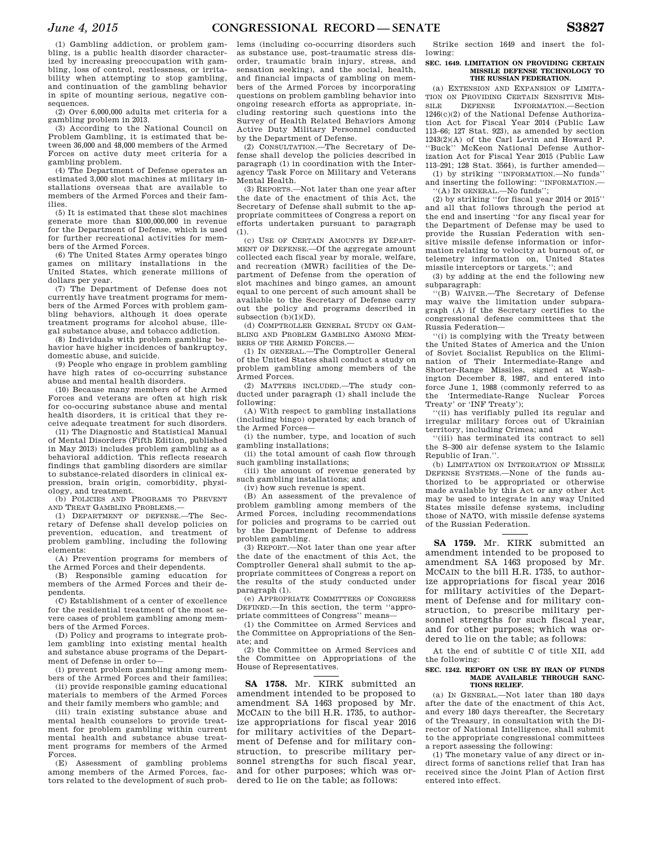(1) Gambling addiction, or problem gambling, is a public health disorder characterized by increasing preoccupation with gambling, loss of control, restlessness, or irritability when attempting to stop gambling, and continuation of the gambling behavior in spite of mounting serious, negative consequences.

(2) Over 6,000,000 adults met criteria for a gambling problem in 2013.

(3) According to the National Council on Problem Gambling, it is estimated that between 36,000 and 48,000 members of the Armed Forces on active duty meet criteria for a gambling problem.

(4) The Department of Defense operates an estimated 3,000 slot machines at military installations overseas that are available to members of the Armed Forces and their families.

(5) It is estimated that these slot machines generate more than \$100,000,000 in revenue for the Department of Defense, which is used for further recreational activities for members of the Armed Forces.

(6) The United States Army operates bingo games on military installations in the United States, which generate millions of dollars per year.

(7) The Department of Defense does not currently have treatment programs for members of the Armed Forces with problem gambling behaviors, although it does operate treatment programs for alcohol abuse, illegal substance abuse, and tobacco addiction.

(8) Individuals with problem gambling behavior have higher incidences of bankruptcy, domestic abuse, and suicide.

(9) People who engage in problem gambling have high rates of co-occurring substance abuse and mental health disorders.

(10) Because many members of the Armed Forces and veterans are often at high risk for co-occuring substance abuse and mental health disorders, it is critical that they receive adequate treatment for such disorders.

(11) The Diagnostic and Statistical Manual of Mental Disorders (Fifth Edition, published in May 2013) includes problem gambling as a behavioral addiction. This reflects research findings that gambling disorders are similar to substance-related disorders in clinical expression, brain origin, comorbidity, physiology, and treatment.

(b) POLICIES AND PROGRAMS TO PREVENT AND TREAT GAMBLING PROBLEMS.—

(1) DEPARTMENT OF DEFENSE.—The Secretary of Defense shall develop policies on prevention, education, and treatment of problem gambling, including the following elements:

(A) Prevention programs for members of the Armed Forces and their dependents.

(B) Responsible gaming education for members of the Armed Forces and their dependents.

(C) Establishment of a center of excellence for the residential treatment of the most severe cases of problem gambling among members of the Armed Forces.

(D) Policy and programs to integrate problem gambling into existing mental health and substance abuse programs of the Department of Defense in order to—

(i) prevent problem gambling among members of the Armed Forces and their families; (ii) provide responsible gaming educational

materials to members of the Armed Forces and their family members who gamble; and

(iii) train existing substance abuse and mental health counselors to provide treatment for problem gambling within current mental health and substance abuse treatment programs for members of the Armed Forces.

(E) Assessment of gambling problems among members of the Armed Forces, factors related to the development of such prob-

lems (including co-occurring disorders such as substance use, post-traumatic stress disorder, traumatic brain injury, stress, and sensation seeking), and the social, health, and financial impacts of gambling on members of the Armed Forces by incorporating questions on problem gambling behavior into ongoing research efforts as appropriate, including restoring such questions into the Survey of Health Related Behaviors Among Active Duty Military Personnel conducted by the Department of Defense.

(2) CONSULTATION.—The Secretary of Defense shall develop the policies described in paragraph (1) in coordination with the Interagency Task Force on Military and Veterans Mental Health.

(3) REPORTS.—Not later than one year after the date of the enactment of this Act, the Secretary of Defense shall submit to the appropriate committees of Congress a report on efforts undertaken pursuant to paragraph (1).

(c) USE OF CERTAIN AMOUNTS BY DEPART-MENT OF DEFENSE.—Of the aggregate amount collected each fiscal year by morale, welfare, and recreation (MWR) facilities of the Department of Defense from the operation of slot machines and bingo games, an amount equal to one percent of such amount shall be available to the Secretary of Defense carry out the policy and programs described in subsection (b)(1)(D).

(d) COMPTROLLER GENERAL STUDY ON GAM-BLING AND PROBLEM GAMBLING AMONG MEM-BERS OF THE ARMED FORCES.-

(1) IN GENERAL.—The Comptroller General of the United States shall conduct a study on problem gambling among members of the Armed Forces.

(2) MATTERS INCLUDED.—The study conducted under paragraph (1) shall include the following:

(A) With respect to gambling installations (including bingo) operated by each branch of the Armed Forces—

(i) the number, type, and location of such gambling installations;

(ii) the total amount of cash flow through such gambling installations;

(iii) the amount of revenue generated by such gambling installations; and

(iv) how such revenue is spent.

(B) An assessment of the prevalence of problem gambling among members of the Armed Forces, including recommendations for policies and programs to be carried out by the Department of Defense to address problem gambling.

(3) REPORT.—Not later than one year after the date of the enactment of this Act, the Comptroller General shall submit to the appropriate committees of Congress a report on the results of the study conducted under paragraph (1).

(e) APPROPRIATE COMMITTEES OF CONGRESS DEFINED.—In this section, the term ''appropriate committees of Congress'' means—

(1) the Committee on Armed Services and the Committee on Appropriations of the Senate; and

(2) the Committee on Armed Services and the Committee on Appropriations of the House of Representatives.

**SA 1758.** Mr. KIRK submitted an amendment intended to be proposed to amendment SA 1463 proposed by Mr. MCCAIN to the bill H.R. 1735, to authorize appropriations for fiscal year 2016 for military activities of the Department of Defense and for military construction, to prescribe military personnel strengths for such fiscal year, and for other purposes; which was ordered to lie on the table; as follows:

Strike section 1649 and insert the following:

## **SEC. 1649. LIMITATION ON PROVIDING CERTAIN MISSILE DEFENSE TECHNOLOGY TO THE RUSSIAN FEDERATION.**

(a) EXTENSION AND EXPANSION OF LIMITA-TION ON PROVIDING CERTAIN SENSITIVE MIS-SILE DEFENSE INFORMATION.—Section 1246(c)(2) of the National Defense Authorization Act for Fiscal Year 2014 (Public Law 113–66; 127 Stat. 923), as amended by section 1243(2)(A) of the Carl Levin and Howard P. ''Buck'' McKeon National Defense Authorization Act for Fiscal Year 2015 (Public Law 113–291; 128 Stat. 3564), is further amended— (1) by striking ''INFORMATION.—No funds''

and inserting the following: ''INFORMATION.— ''(A) IN GENERAL.—No funds'';

(2) by striking ''for fiscal year 2014 or 2015'' and all that follows through the period at the end and inserting ''for any fiscal year for the Department of Defense may be used to provide the Russian Federation with sensitive missile defense information or information relating to velocity at burnout of, or telemetry information on, United States missile interceptors or targets.''; and

(3) by adding at the end the following new subparagraph:

''(B) WAIVER.—The Secretary of Defense may waive the limitation under subparagraph (A) if the Secretary certifies to the congressional defense committees that the Russia Federation—

''(i) is complying with the Treaty between the United States of America and the Union of Soviet Socialist Republics on the Elimination of Their Intermediate-Range and Shorter-Range Missiles, signed at Washington December 8, 1987, and entered into force June 1, 1988 (commonly referred to as the 'Intermediate-Range Nuclear Forces Treaty' or 'INF Treaty');

''(ii) has verifiably pulled its regular and irregular military forces out of Ukrainian territory, including Crimea; and

''(iii) has terminated its contract to sell the S–300 air defense system to the Islamic Republic of Iran.''.

(b) LIMITATION ON INTEGRATION OF MISSILE DEFENSE SYSTEMS.—None of the funds authorized to be appropriated or otherwise made available by this Act or any other Act may be used to integrate in any way United States missile defense systems, including those of NATO, with missile defense systems of the Russian Federation.

**SA 1759.** Mr. KIRK submitted an amendment intended to be proposed to amendment SA 1463 proposed by Mr. MCCAIN to the bill H.R. 1735, to authorize appropriations for fiscal year 2016 for military activities of the Department of Defense and for military construction, to prescribe military personnel strengths for such fiscal year, and for other purposes; which was ordered to lie on the table; as follows:

At the end of subtitle C of title XII, add the following:

#### **SEC. 1242. REPORT ON USE BY IRAN OF FUNDS MADE AVAILABLE THROUGH SANC-TIONS RELIEF.**

(a) IN GENERAL.—Not later than 180 days after the date of the enactment of this Act, and every 180 days thereafter, the Secretary of the Treasury, in consultation with the Director of National Intelligence, shall submit to the appropriate congressional committees a report assessing the following:

(1) The monetary value of any direct or indirect forms of sanctions relief that Iran has received since the Joint Plan of Action first entered into effect.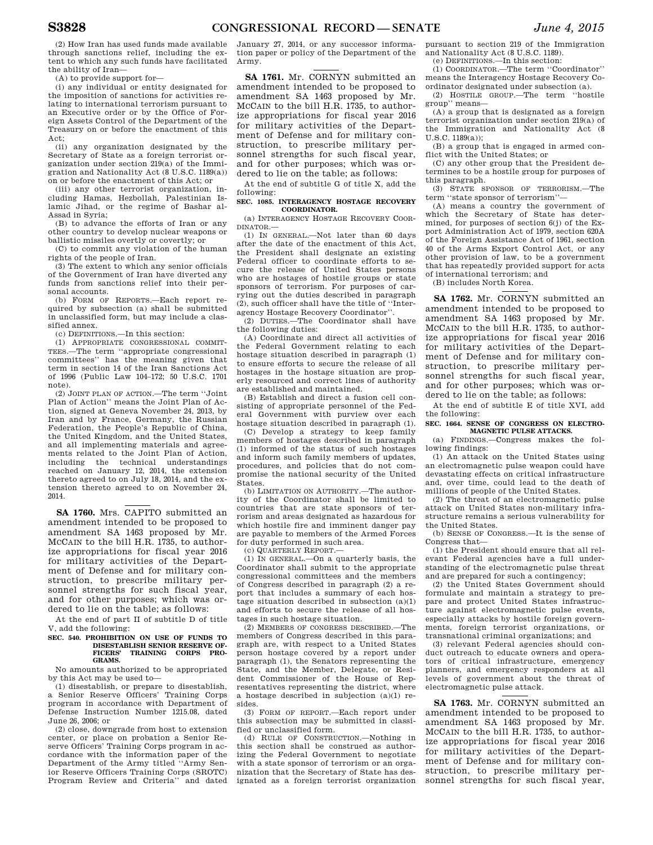(2) How Iran has used funds made available through sanctions relief, including the extent to which any such funds have facilitated the ability of Iran—

(A) to provide support for—

(i) any individual or entity designated for the imposition of sanctions for activities relating to international terrorism pursuant to an Executive order or by the Office of Foreign Assets Control of the Department of the Treasury on or before the enactment of this Act;

(ii) any organization designated by the Secretary of State as a foreign terrorist organization under section 219(a) of the Immigration and Nationality Act (8 U.S.C. 1189(a)) on or before the enactment of this Act; or

(iii) any other terrorist organization, including Hamas, Hezbollah, Palestinian Islamic Jihad, or the regime of Bashar al-Assad in Syria;

(B) to advance the efforts of Iran or any other country to develop nuclear weapons or ballistic missiles overtly or covertly; or

(C) to commit any violation of the human rights of the people of Iran.

(3) The extent to which any senior officials of the Government of Iran have diverted any funds from sanctions relief into their personal accounts.

(b) FORM OF REPORTS.—Each report required by subsection (a) shall be submitted in unclassified form, but may include a classified annex.

(c) DEFINITIONS.—In this section:

(1) APPROPRIATE CONGRESSIONAL COMMIT-TEES.—The term ''appropriate congressional committees'' has the meaning given that term in section 14 of the Iran Sanctions Act of 1996 (Public Law 104–172; 50 U.S.C. 1701 note).

(2) JOINT PLAN OF ACTION.—The term ''Joint Plan of Action'' means the Joint Plan of Action, signed at Geneva November 24, 2013, by Iran and by France, Germany, the Russian Federation, the People's Republic of China, the United Kingdom, and the United States, and all implementing materials and agreements related to the Joint Plan of Action, including the technical understandings reached on January 12, 2014, the extension thereto agreed to on July 18, 2014, and the extension thereto agreed to on November 24, 2014.

**SA 1760.** Mrs. CAPITO submitted an amendment intended to be proposed to amendment SA 1463 proposed by Mr. MCCAIN to the bill H.R. 1735, to authorize appropriations for fiscal year 2016 for military activities of the Department of Defense and for military construction, to prescribe military personnel strengths for such fiscal year, and for other purposes; which was ordered to lie on the table; as follows:

At the end of part II of subtitle D of title V, add the following:

#### **SEC. 540. PROHIBITION ON USE OF FUNDS TO DISESTABLISH SENIOR RESERVE OF-**TRAINING CORPS **GRAMS.**

No amounts authorized to be appropriated by this Act may be used to—

(1) disestablish, or prepare to disestablish, a Senior Reserve Officers' Training Corps program in accordance with Department of Defense Instruction Number 1215.08, dated June 26, 2006; or

(2) close, downgrade from host to extension center, or place on probation a Senior Reserve Officers' Training Corps program in accordance with the information paper of the Department of the Army titled ''Army Senior Reserve Officers Training Corps (SROTC) Program Review and Criteria'' and dated

January 27, 2014, or any successor information paper or policy of the Department of the Army.

**SA 1761.** Mr. CORNYN submitted an amendment intended to be proposed to amendment SA 1463 proposed by Mr. MCCAIN to the bill H.R. 1735, to authorize appropriations for fiscal year 2016 for military activities of the Department of Defense and for military construction, to prescribe military personnel strengths for such fiscal year, and for other purposes; which was ordered to lie on the table; as follows:

At the end of subtitle G of title X, add the following:

**SEC. 1085. INTERAGENCY HOSTAGE RECOVERY COORDINATOR.** 

(a) INTERAGENCY HOSTAGE RECOVERY COOR-DINATOR.—

(1) IN GENERAL.—Not later than 60 days after the date of the enactment of this Act, the President shall designate an existing Federal officer to coordinate efforts to secure the release of United States persons who are hostages of hostile groups or state sponsors of terrorism. For purposes of carrying out the duties described in paragraph (2), such officer shall have the title of ''Interagency Hostage Recovery Coordinator''.

(2) DUTIES.—The Coordinator shall have the following duties:

(A) Coordinate and direct all activities of the Federal Government relating to each hostage situation described in paragraph (1) to ensure efforts to secure the release of all hostages in the hostage situation are properly resourced and correct lines of authority are established and maintained.

(B) Establish and direct a fusion cell consisting of appropriate personnel of the Federal Government with purview over each hostage situation described in paragraph (1).

(C) Develop a strategy to keep family members of hostages described in paragraph (1) informed of the status of such hostages and inform such family members of updates, procedures, and policies that do not compromise the national security of the United States.

(b) LIMITATION ON AUTHORITY.—The authority of the Coordinator shall be limited to countries that are state sponsors of terrorism and areas designated as hazardous for which hostile fire and imminent danger pay are payable to members of the Armed Forces for duty performed in such area.

 $(c)$  QUARTERLY REPORT  $-$ 

(1) IN GENERAL.—On a quarterly basis, the Coordinator shall submit to the appropriate congressional committees and the members of Congress described in paragraph (2) a report that includes a summary of each hostage situation described in subsection (a)(1) and efforts to secure the release of all hostages in such hostage situation.

(2) MEMBERS OF CONGRESS DESCRIBED.—The members of Congress described in this paragraph are, with respect to a United States person hostage covered by a report under paragraph (1), the Senators representing the State, and the Member, Delegate, or Resident Commissioner of the House of Representatives representing the district, where a hostage described in subjection (a)(1) resides.

(3) FORM OF REPORT.—Each report under this subsection may be submitted in classified or unclassified form.

(d) RULE OF CONSTRUCTION.—Nothing in this section shall be construed as authorizing the Federal Government to negotiate with a state sponsor of terrorism or an organization that the Secretary of State has designated as a foreign terrorist organization pursuant to section 219 of the Immigration and Nationality Act (8 U.S.C. 1189).

(e) DEFINITIONS.—In this section: (1) COORDINATOR.—The term ''Coordinator''

means the Interagency Hostage Recovery Coordinator designated under subsection (a).

(2) HOSTILE GROUP.—The term ''hostile group'' means—

(A) a group that is designated as a foreign terrorist organization under section 219(a) of the Immigration and Nationality Act (8 U.S.C. 1189(a));

(B) a group that is engaged in armed conflict with the United States; or

(C) any other group that the President determines to be a hostile group for purposes of this paragraph.

(3) STATE SPONSOR OF TERRORISM.—The term "state sponsor of terrorism"

(A) means a country the government of which the Secretary of State has determined, for purposes of section  $6(j)$  of the Export Administration Act of 1979, section 620A of the Foreign Assistance Act of 1961, section 40 of the Arms Export Control Act, or any other provision of law, to be a government that has repeatedly provided support for acts of international terrorism; and

(B) includes North Korea.

**SA 1762.** Mr. CORNYN submitted an amendment intended to be proposed to amendment SA 1463 proposed by Mr. MCCAIN to the bill H.R. 1735, to authorize appropriations for fiscal year 2016 for military activities of the Department of Defense and for military construction, to prescribe military personnel strengths for such fiscal year and for other purposes; which was ordered to lie on the table; as follows:

At the end of subtitle E of title XVI, add the following:

## **SEC. 1664. SENSE OF CONGRESS ON ELECTRO-MAGNETIC PULSE ATTACKS.**

(a) FINDINGS.—Congress makes the following findings:

(1) An attack on the United States using an electromagnetic pulse weapon could have devastating effects on critical infrastructure and, over time, could lead to the death of millions of people of the United States.

(2) The threat of an electromagnetic pulse attack on United States non-military infrastructure remains a serious vulnerability for the United States.

(b) SENSE OF CONGRESS.—It is the sense of Congress that—

(1) the President should ensure that all relevant Federal agencies have a full understanding of the electromagnetic pulse threat and are prepared for such a contingency;

(2) the United States Government should formulate and maintain a strategy to prepare and protect United States infrastructure against electromagnetic pulse events, especially attacks by hostile foreign governments, foreign terrorist organizations, or transnational criminal organizations; and

(3) relevant Federal agencies should conduct outreach to educate owners and operators of critical infrastructure, emergency planners, and emergency responders at all levels of government about the threat of electromagnetic pulse attack.

**SA 1763.** Mr. CORNYN submitted an amendment intended to be proposed to amendment SA 1463 proposed by Mr. MCCAIN to the bill H.R. 1735, to authorize appropriations for fiscal year 2016 for military activities of the Department of Defense and for military construction, to prescribe military personnel strengths for such fiscal year,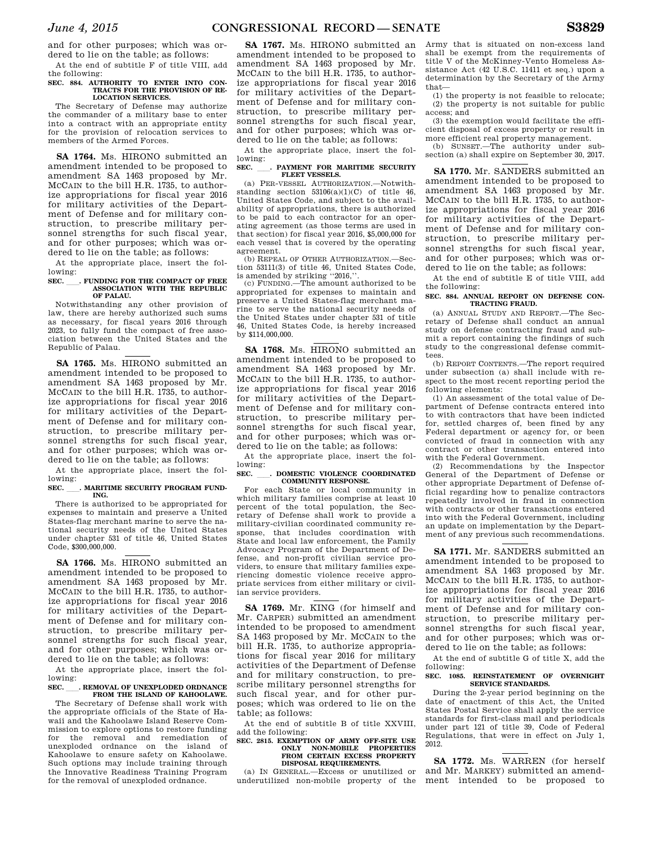and for other purposes; which was ordered to lie on the table; as follows:

At the end of subtitle F of title VIII, add the following: **SEC. 884. AUTHORITY TO ENTER INTO CON-**

## **TRACTS FOR THE PROVISION OF RE-LOCATION SERVICES.**

The Secretary of Defense may authorize the commander of a military base to enter into a contract with an appropriate entity for the provision of relocation services to members of the Armed Forces.

**SA 1764.** Ms. HIRONO submitted an amendment intended to be proposed to amendment SA 1463 proposed by Mr. MCCAIN to the bill H.R. 1735, to authorize appropriations for fiscal year 2016 for military activities of the Department of Defense and for military construction, to prescribe military personnel strengths for such fiscal year, and for other purposes; which was ordered to lie on the table; as follows:

At the appropriate place, insert the following:

## **SEC.** . FUNDING FOR THE COMPACT OF FREE **ASSOCIATION WITH THE REPUBLIC OF PALAU.**

Notwithstanding any other provision of law, there are hereby authorized such sums as necessary, for fiscal years 2016 through 2023, to fully fund the compact of free association between the United States and the Republic of Palau.

**SA 1765.** Ms. HIRONO submitted an amendment intended to be proposed to amendment SA 1463 proposed by Mr. MCCAIN to the bill H.R. 1735, to authorize appropriations for fiscal year 2016 for military activities of the Department of Defense and for military construction, to prescribe military personnel strengths for such fiscal year, and for other purposes; which was ordered to lie on the table; as follows:

At the appropriate place, insert the following:

## SEC. MARITIME SECURITY PROGRAM FUND-**ING.**

There is authorized to be appropriated for expenses to maintain and preserve a United States-flag merchant marine to serve the national security needs of the United States under chapter 531 of title 46, United States Code, \$300,000,000.

**SA 1766.** Ms. HIRONO submitted an amendment intended to be proposed to amendment SA 1463 proposed by Mr. MCCAIN to the bill H.R. 1735, to authorize appropriations for fiscal year 2016 for military activities of the Department of Defense and for military construction, to prescribe military personnel strengths for such fiscal year, and for other purposes; which was ordered to lie on the table; as follows:

At the appropriate place, insert the following:

# **SEC.** ll**. REMOVAL OF UNEXPLODED ORDNANCE FROM THE ISLAND OF KAHOOLAWE.**

The Secretary of Defense shall work with the appropriate officials of the State of Hawaii and the Kahoolawe Island Reserve Commission to explore options to restore funding for the removal and remediation of unexploded ordnance on the island of Kahoolawe to ensure safety on Kahoolawe. Such options may include training through the Innovative Readiness Training Program for the removal of unexploded ordnance.

**SA 1767.** Ms. HIRONO submitted an amendment intended to be proposed to amendment SA 1463 proposed by Mr. MCCAIN to the bill H.R. 1735, to authorize appropriations for fiscal year 2016 for military activities of the Department of Defense and for military construction, to prescribe military personnel strengths for such fiscal year, and for other purposes; which was ordered to lie on the table; as follows:

At the appropriate place, insert the following:

## **SEC.** ll**. PAYMENT FOR MARITIME SECURITY FLEET VESSELS.**

(a) PER-VESSEL AUTHORIZATION.—Notwithstanding section  $53106(a)(1)(C)$  of title 46, United States Code, and subject to the availability of appropriations, there is authorized to be paid to each contractor for an operating agreement (as those terms are used in that section) for fiscal year 2016, \$5,000,000 for each vessel that is covered by the operating agreement.

(b) REPEAL OF OTHER AUTHORIZATION.tion 53111(3) of title 46, United States Code, is amended by striking "2016,"

(c) FUNDING.—The amount authorized to be appropriated for expenses to maintain and preserve a United States-flag merchant marine to serve the national security needs of the United States under chapter 531 of title 46, United States Code, is hereby increased by \$114,000,000.

**SA 1768.** Ms. HIRONO submitted an amendment intended to be proposed to amendment SA 1463 proposed by Mr. MCCAIN to the bill H.R. 1735, to authorize appropriations for fiscal year 2016 for military activities of the Department of Defense and for military construction, to prescribe military personnel strengths for such fiscal year, and for other purposes; which was ordered to lie on the table; as follows:

At the appropriate place, insert the fol-

## lowing:<br>SEC. **SEC.** ll**. DOMESTIC VIOLENCE COORDINATED COMMUNITY RESPONSE.**

For each State or local community in which military families comprise at least 10 percent of the total population, the Secretary of Defense shall work to provide a military-civilian coordinated community response, that includes coordination with State and local law enforcement, the Family Advocacy Program of the Department of Defense, and non-profit civilian service providers, to ensure that military families experiencing domestic violence receive appropriate services from either military or civilian service providers.

**SA 1769.** Mr. KING (for himself and Mr. CARPER) submitted an amendment intended to be proposed to amendment SA 1463 proposed by Mr. MCCAIN to the bill H.R. 1735, to authorize appropriations for fiscal year 2016 for military activities of the Department of Defense and for military construction, to prescribe military personnel strengths for such fiscal year, and for other purposes; which was ordered to lie on the table; as follows:

At the end of subtitle B of title XXVIII, add the following:

### **SEC. 2815. EXEMPTION OF ARMY OFF-SITE USE ONLY NON-MOBILE PROPERTIES FROM CERTAIN EXCESS PROPERTY DISPOSAL REQUIREMENTS.**

(a) IN GENERAL.—Excess or unutilized or underutilized non-mobile property of the

Army that is situated on non-excess land shall be exempt from the requirements of title V of the McKinney-Vento Homeless Assistance Act (42 U.S.C. 11411 et seq.) upon a determination by the Secretary of the Army that—

(1) the property is not feasible to relocate; (2) the property is not suitable for public access; and

(3) the exemption would facilitate the efficient disposal of excess property or result in more efficient real property management.

(b) SUNSET.—The authority under subsection (a) shall expire on September 30, 2017.

**SA 1770.** Mr. SANDERS submitted an amendment intended to be proposed to amendment SA 1463 proposed by Mr. MCCAIN to the bill H.R. 1735, to authorize appropriations for fiscal year 2016 for military activities of the Department of Defense and for military construction, to prescribe military personnel strengths for such fiscal year, and for other purposes; which was ordered to lie on the table; as follows:

At the end of subtitle E of title VIII, add the following:

## **SEC. 884. ANNUAL REPORT ON DEFENSE CON-TRACTING FRAUD.**

(a) ANNUAL STUDY AND REPORT.—The Secretary of Defense shall conduct an annual study on defense contracting fraud and submit a report containing the findings of such study to the congressional defense committees.

(b) REPORT CONTENTS.—The report required under subsection (a) shall include with respect to the most recent reporting period the following elements:

(1) An assessment of the total value of Department of Defense contracts entered into to with contractors that have been indicted for, settled charges of, been fined by any Federal department or agency for, or been convicted of fraud in connection with any contract or other transaction entered into with the Federal Government.

(2) Recommendations by the Inspector General of the Department of Defense or other appropriate Department of Defense official regarding how to penalize contractors repeatedly involved in fraud in connection with contracts or other transactions entered into with the Federal Government, including an update on implementation by the Department of any previous such recommendations.

**SA 1771.** Mr. SANDERS submitted an amendment intended to be proposed to amendment SA 1463 proposed by Mr. MCCAIN to the bill H.R. 1735, to authorize appropriations for fiscal year 2016 for military activities of the Department of Defense and for military construction, to prescribe military personnel strengths for such fiscal year, and for other purposes; which was ordered to lie on the table; as follows:

At the end of subtitle G of title X, add the following:

## **SEC. 1085. REINSTATEMENT OF OVERNIGHT SERVICE STANDARDS.**

During the 2-year period beginning on the date of enactment of this Act, the United States Postal Service shall apply the service standards for first-class mail and periodicals under part 121 of title 39, Code of Federal Regulations, that were in effect on July 1, 2012.

**SA 1772.** Ms. WARREN (for herself and Mr. MARKEY) submitted an amendment intended to be proposed to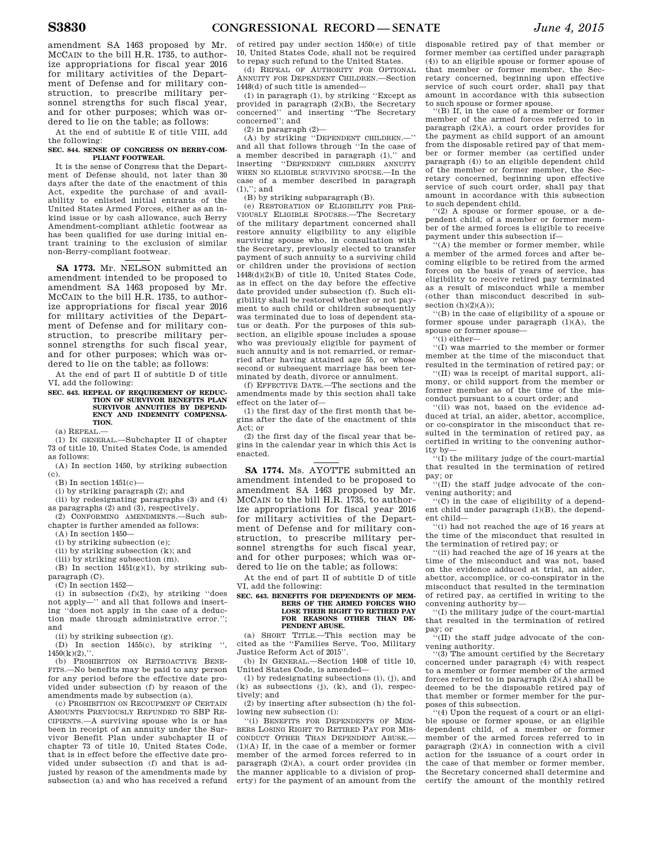amendment SA 1463 proposed by Mr. MCCAIN to the bill H.R. 1735, to authorize appropriations for fiscal year 2016 for military activities of the Department of Defense and for military construction, to prescribe military personnel strengths for such fiscal year, and for other purposes; which was ordered to lie on the table; as follows:

At the end of subtitle E of title VIII, add the following:

## **SEC. 844. SENSE OF CONGRESS ON BERRY-COM-PLIANT FOOTWEAR.**

It is the sense of Congress that the Department of Defense should, not later than 30 days after the date of the enactment of this Act, expedite the purchase of and availability to enlisted initial entrants of the United States Armed Forces, either as an inkind issue or by cash allowance, such Berry Amendment-compliant athletic footwear as has been qualified for use during initial entrant training to the exclusion of similar non-Berry-compliant footwear.

**SA 1773.** Mr. NELSON submitted an amendment intended to be proposed to amendment SA 1463 proposed by Mr. MCCAIN to the bill H.R. 1735, to authorize appropriations for fiscal year 2016 for military activities of the Department of Defense and for military construction, to prescribe military personnel strengths for such fiscal year, and for other purposes; which was ordered to lie on the table; as follows:

At the end of part II of subtitle D of title VI, add the following:

#### **SEC. 643. REPEAL OF REQUIREMENT OF REDUC-TION OF SURVIVOR BENEFITS PLAN**  SURVIVOR ANNIUTIES BY DEPEND. **ENCY AND INDEMNITY COMPENSA-TION.**

(a) REPEAL.—

(1) IN GENERAL.—Subchapter II of chapter 73 of title 10, United States Code, is amended as follows:

(A) In section 1450, by striking subsection (c).

 $(B)$  In section 1451 $(c)$ —

(i) by striking paragraph (2); and

(ii) by redesignating paragraphs (3) and (4)

as paragraphs (2) and (3), respectively. (2) CONFORMING AMENDMENTS.—Such sub-

chapter is further amended as follows:

 $(A)$  In section  $1450-$ 

(i) by striking subsection (e);

(ii) by striking subsection (k); and

(iii) by striking subsection (m). (B) In section 1451(g)(1), by striking sub-

paragraph (C).

(C) In section 1452—

 $(i)$  in subsection  $(f)(2)$ , by striking "does not apply—'' and all that follows and inserting ''does not apply in the case of a deduction made through administrative error.''; and

(ii) by striking subsection (g).

(D) In section 1455(c), by striking '',  $1450(k)(2)$ ,"

(b) PROHIBITION ON RETROACTIVE BENE-FITS.—No benefits may be paid to any person for any period before the effective date provided under subsection (f) by reason of the amendments made by subsection (a).

(c) PROHIBITION ON RECOUPMENT OF CERTAIN AMOUNTS PREVIOUSLY REFUNDED TO SBP RE-CIPIENTS.—A surviving spouse who is or has been in receipt of an annuity under the Survivor Benefit Plan under subchapter II of chapter 73 of title 10, United States Code, that is in effect before the effective date provided under subsection (f) and that is adjusted by reason of the amendments made by subsection (a) and who has received a refund

of retired pay under section 1450(e) of title 10, United States Code, shall not be required to repay such refund to the United States.

(d) REPEAL OF AUTHORITY FOR OPTIONAL ANNUITY FOR DEPENDENT CHILDREN.—Section 1448(d) of such title is amended—

(1) in paragraph (1), by striking ''Except as provided in paragraph (2)(B), the Secretary concerned'' and inserting ''The Secretary concerned''; and

(2) in paragraph (2)—

(A) by striking ''DEPENDENT CHILDREN.—'' and all that follows through ''In the case of a member described in paragraph (1),'' and inserting ''DEPENDENT CHILDREN ANNUITY WHEN NO ELIGIBLE SURVIVING SPOUSE.—In the case of a member described in paragraph (1),''; and

(B) by striking subparagraph (B).

(e) RESTORATION OF ELIGIBILITY FOR PRE-VIOUSLY ELIGIBLE SPOUSES.—The Secretary of the military department concerned shall restore annuity eligibility to any eligible surviving spouse who, in consultation with the Secretary, previously elected to transfer payment of such annuity to a surviving child or children under the provisions of section 1448(d)(2)(B) of title 10, United States Code, as in effect on the day before the effective date provided under subsection (f). Such eligibility shall be restored whether or not payment to such child or children subsequently was terminated due to loss of dependent status or death. For the purposes of this subsection, an eligible spouse includes a spouse who was previously eligible for payment of such annuity and is not remarried, or remarried after having attained age 55, or whose second or subsequent marriage has been terminated by death, divorce or annulment.

(f) EFFECTIVE DATE.—The sections and the amendments made by this section shall take effect on the later of—

(1) the first day of the first month that begins after the date of the enactment of this Act; or

(2) the first day of the fiscal year that begins in the calendar year in which this Act is enacted.

**SA 1774.** Ms. AYOTTE submitted an amendment intended to be proposed to amendment SA 1463 proposed by Mr. MCCAIN to the bill H.R. 1735, to authorize appropriations for fiscal year 2016 for military activities of the Department of Defense and for military construction, to prescribe military personnel strengths for such fiscal year, and for other purposes; which was ordered to lie on the table; as follows:

At the end of part II of subtitle D of title VI, add the following:

#### **SEC. 643. BENEFITS FOR DEPENDENTS OF MEM-BERS OF THE ARMED FORCES WHO LOSE THEIR RIGHT TO RETIRED PAY FOR REASONS OTHER THAN DE-PENDENT ABUSE.**

(a) SHORT TITLE.—This section may be cited as the ''Families Serve, Too, Military Justice Reform Act of 2015''.

(b) IN GENERAL.—Section 1408 of title 10, United States Code, is amended—

(1) by redesignating subsections (i), (j), and  $(k)$  as subsections (j),  $(k)$ , and (l), respectively; and

(2) by inserting after subsection (h) the following new subsection (i):

''(i) BENEFITS FOR DEPENDENTS OF MEM-BERS LOSING RIGHT TO RETIRED PAY FOR MIS-CONDUCT OTHER THAN DEPENDENT ABUSE. (1)(A) If, in the case of a member or former member of the armed forces referred to in paragraph (2)(A), a court order provides (in the manner applicable to a division of property) for the payment of an amount from the

disposable retired pay of that member or former member (as certified under paragraph (4)) to an eligible spouse or former spouse of that member or former member, the Secretary concerned, beginning upon effective service of such court order, shall pay that amount in accordance with this subsection to such spouse or former spouse.

''(B) If, in the case of a member or former member of the armed forces referred to in paragraph (2)(A), a court order provides for the payment as child support of an amount from the disposable retired pay of that member or former member (as certified under paragraph (4)) to an eligible dependent child of the member or former member, the Secretary concerned, beginning upon effective service of such court order, shall pay that amount in accordance with this subsection to such dependent child.

 $(2)$  A spouse or former spouse, or a dependent child, of a member or former member of the armed forces is eligible to receive payment under this subsection if—

 $f(A)$  the member or former member, while a member of the armed forces and after becoming eligible to be retired from the armed forces on the basis of years of service, has eligibility to receive retired pay terminated as a result of misconduct while a member (other than misconduct described in subsection  $(h)(2)(A)$ ;

''(B) in the case of eligibility of a spouse or former spouse under paragraph (1)(A), the spouse or former spouse—

''(i) either—

''(I) was married to the member or former member at the time of the misconduct that resulted in the termination of retired pay; or

''(II) was is receipt of marital support, alimony, or child support from the member or former member as of the time of the misconduct pursuant to a court order; and

''(ii) was not, based on the evidence adduced at trial, an aider, abettor, accomplice, or co-conspirator in the misconduct that resulted in the termination of retired pay, as certified in writing to the convening authority by—

''(I) the military judge of the court-martial that resulted in the termination of retired pay; or

''(II) the staff judge advocate of the convening authority; and

''(C) in the case of eligibility of a dependent child under paragraph (1)(B), the dependent child—

''(i) had not reached the age of 16 years at the time of the misconduct that resulted in the termination of retired pay; or

''(ii) had reached the age of 16 years at the time of the misconduct and was not, based on the evidence adduced at trial, an aider, abettor, accomplice, or co-conspirator in the misconduct that resulted in the termination of retired pay, as certified in writing to the convening authority by—

''(I) the military judge of the court-martial that resulted in the termination of retired pay; or

 $\cdot$ <sup>1</sup>(II) the staff judge advocate of the convening authority.

''(3) The amount certified by the Secretary concerned under paragraph (4) with respect to a member or former member of the armed forces referred to in paragraph (2)(A) shall be deemed to be the disposable retired pay of that member or former member for the purposes of this subsection.

 $'(4)$  Upon the request of a court or an eligible spouse or former spouse, or an eligible dependent child, of a member or former member of the armed forces referred to in paragraph (2)(A) in connection with a civil action for the issuance of a court order in the case of that member or former member, the Secretary concerned shall determine and certify the amount of the monthly retired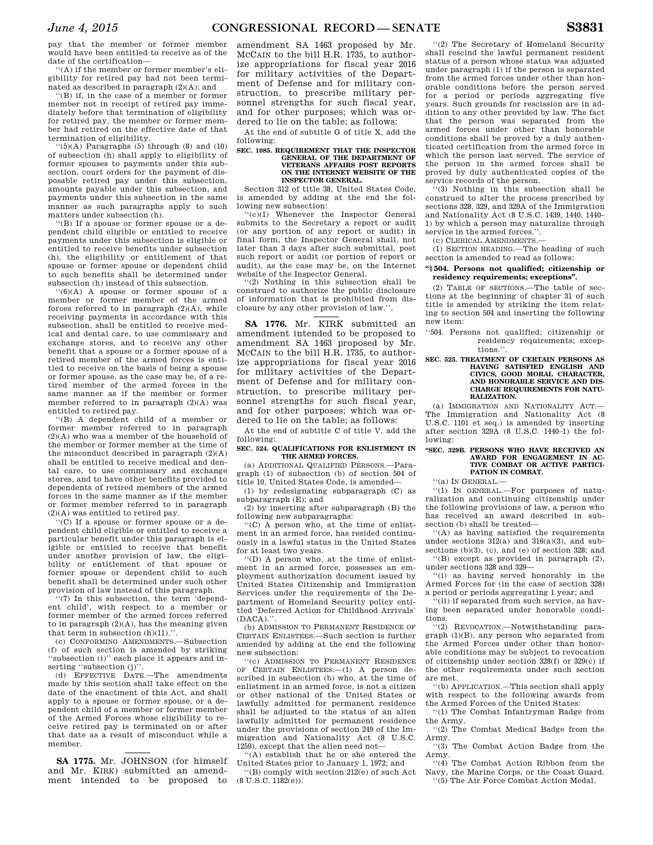pay that the member or former member would have been entitled to receive as of the date of the certification—

''(A) if the member or former member's eligibility for retired pay had not been terminated as described in paragraph (2)(A); and

''(B) if, in the case of a member or former member not in receipt of retired pay immediately before that termination of eligibility for retired pay, the member or former member had retired on the effective date of that termination of eligibility.

 $\lq(5)(A)$  Paragraphs (5) through (8) and (10) of subsection (h) shall apply to eligibility of former spouses to payments under this subsection, court orders for the payment of disposable retired pay under this subsection, amounts payable under this subsection, and payments under this subsection in the same manner as such paragraphs apply to such matters under subsection (h).

''(B) If a spouse or former spouse or a dependent child eligible or entitled to receive payments under this subsection is eligible or entitled to receive benefits under subsection (h), the eligibility or entitlement of that spouse or former spouse or dependent child to such benefits shall be determined under subsection (h) instead of this subsection.

''(6)(A) A spouse or former spouse of a member or former member of the armed forces referred to in paragraph (2)(A), while receiving payments in accordance with this subsection, shall be entitled to receive medical and dental care, to use commissary and exchange stores, and to receive any other benefit that a spouse or a former spouse of a retired member of the armed forces is entitled to receive on the basis of being a spouse or former spouse, as the case may be, of a retired member of the armed forces in the same manner as if the member or former member referred to in paragraph (2)(A) was entitled to retired pay.

''(B) A dependent child of a member or former member referred to in paragraph (2)(A) who was a member of the household of the member or former member at the time of the misconduct described in paragraph  $(2)(A)$ shall be entitled to receive medical and dental care, to use commissary and exchange stores, and to have other benefits provided to dependents of retired members of the armed forces in the same manner as if the member or former member referred to in paragraph (2)(A) was entitled to retired pay.

 $(C)$  If a spouse or former spouse or a dependent child eligible or entitled to receive a particular benefit under this paragraph is eligible or entitled to receive that benefit under another provision of law, the eligibility or entitlement of that spouse or former spouse or dependent child to such benefit shall be determined under such other provision of law instead of this paragraph.

'(7) In this subsection, the term 'dependent child', with respect to a member or former member of the armed forces referred to in paragraph  $(2)(A)$ , has the meaning given that term in subsection (h)(11).''.

(c) CONFORMING AMENDMENTS.—Subsection (f) of such section is amended by striking ''subsection (i)'' each place it appears and inserting "subsection (j)".

(d) EFFECTIVE DATE.—The amendments made by this section shall take effect on the date of the enactment of this Act, and shall apply to a spouse or former spouse, or a dependent child of a member or former member of the Armed Forces whose eligibility to receive retired pay is terminated on or after that date as a result of misconduct while a member.

**SA 1775.** Mr. JOHNSON (for himself and Mr. KIRK) submitted an amendment intended to be proposed to

amendment SA 1463 proposed by Mr. MCCAIN to the bill H.R. 1735, to authorize appropriations for fiscal year 2016 for military activities of the Department of Defense and for military construction, to prescribe military personnel strengths for such fiscal year, and for other purposes; which was ordered to lie on the table; as follows:

At the end of subtitle G of title X, add the following:

#### **SEC. 1085. REQUIREMENT THAT THE INSPECTOR GENERAL OF THE DEPARTMENT OF VETERANS AFFAIRS POST REPORTS ON THE INTERNET WEBSITE OF THE INSPECTOR GENERAL.**

Section 312 of title 38, United States Code, is amended by adding at the end the following new subsection:

 $'(c)(1)$  Whenever the Inspector General submits to the Secretary a report or audit (or any portion of any report or audit) in final form, the Inspector General shall, not later than 3 days after such submittal, post such report or audit (or portion of report or audit), as the case may be, on the Internet website of the Inspector General.

 $(2)$  Nothing in this subsection shall be construed to authorize the public disclosure of information that is prohibited from disclosure by any other provision of law.''.

**SA 1776.** Mr. KIRK submitted an amendment intended to be proposed to amendment SA 1463 proposed by Mr. MCCAIN to the bill H.R. 1735, to authorize appropriations for fiscal year 2016 for military activities of the Department of Defense and for military construction, to prescribe military personnel strengths for such fiscal year, and for other purposes; which was ordered to lie on the table; as follows:

At the end of subtitle C of title V, add the following:

**SEC. 524. QUALIFICATIONS FOR ENLISTMENT IN THE ARMED FORCES.** 

(a) ADDITIONAL QUALIFIED PERSONS.—Paragraph (1) of subsection (b) of section 504 of title 10, United States Code, is amended—

(1) by redesignating subparagraph (C) as subparagraph (E); and

(2) by inserting after subparagraph (B) the following new subparagraphs:

''(C) A person who, at the time of enlistment in an armed force, has resided continuously in a lawful status in the United States for at least two years.

''(D) A person who, at the time of enlistment in an armed force, possesses an employment authorization document issued by United States Citizenship and Immigration Services under the requirements of the Department of Homeland Security policy entitled 'Deferred Action for Childhood Arrivals'  $(DACA)$ ."

(b) ADMISSION TO PERMANENT RESIDENCE OF CERTAIN ENLISTEES.—Such section is further amended by adding at the end the following new subsection:

''(c) ADMISSION TO PERMANENT RESIDENCE OF CERTAIN ENLISTEES.—(1) A person described in subsection (b) who, at the time of enlistment in an armed force, is not a citizen or other national of the United States or lawfully admitted for permanent residence shall be adjusted to the status of an alien lawfully admitted for permanent residence under the provisions of section 249 of the Immigration and Nationality Act (8 U.S.C. 1259), except that the alien need not—

''(A) establish that he or she entered the United States prior to January 1, 1972; and

''(B) comply with section 212(e) of such Act (8 U.S.C. 1182(e)).

''(2) The Secretary of Homeland Security shall rescind the lawful permanent resident status of a person whose status was adjusted under paragraph (1) if the person is separated from the armed forces under other than honorable conditions before the person served for a period or periods aggregating five years. Such grounds for rescission are in addition to any other provided by law. The fact that the person was separated from the armed forces under other than honorable conditions shall be proved by a duly authenticated certification from the armed force in which the person last served. The service of the person in the armed forces shall be proved by duly authenticated copies of the service records of the person.

''(3) Nothing in this subsection shall be construed to alter the process prescribed by sections 328, 329, and 329A of the Immigration and Nationality Act (8 U.S.C. 1439, 1440, 1440– 1) by which a person may naturalize through service in the armed forces.''.

(c) CLERICAL AMENDMENTS.—

(1) SECTION HEADING.—The heading of such section is amended to read as follows:

## **''§ 504. Persons not qualified; citizenship or residency requirements; exceptions''.**

(2) TABLE OF SECTIONS.—The table of sections at the beginning of chapter 31 of such title is amended by striking the item relating to section 504 and inserting the following new item:

''504. Persons not qualified; citizenship or residency requirements; exceptions.''.

#### **SEC. 525. TREATMENT OF CERTAIN PERSONS AS HAVING SATISFIED ENGLISH AND CIVICS, GOOD MORAL CHARACTER, AND HONORABLE SERVICE AND DIS-CHARGE REQUIREMENTS FOR NATU-RALIZATION.**

(a) IMMIGRATION AND NATIONALITY ACT.— The Immigration and Nationality Act (8 U.S.C. 1101 et seq.) is amended by inserting after section 329A (8 U.S.C. 1440–1) the following:

## **''SEC. 329B. PERSONS WHO HAVE RECEIVED AN AWARD FOR ENGAGEMENT IN AC-TIVE COMBAT OR ACTIVE PARTICI-PATION IN COMBAT.**

''(a) IN GENERAL.—

''(1) IN GENERAL.—For purposes of naturalization and continuing citizenship under the following provisions of law, a person who has received an award described in subsection (b) shall be treated—

''(A) as having satisfied the requirements under sections  $312(a)$  and  $316(a)(3)$ , and subsections (b)(3), (c), and (e) of section 328; and

'(B) except as provided in paragraph  $(2)$ , under sections 328 and 329—

''(i) as having served honorably in the Armed Forces for (in the case of section 328) a period or periods aggregating 1 year; and

''(ii) if separated from such service, as having been separated under honorable conditions.

''(2) REVOCATION.—Notwithstanding paragraph (1)(B), any person who separated from the Armed Forces under other than honorable conditions may be subject to revocation of citizenship under section 328(f) or 329(c) if the other requirements under such section are met.

''(b) APPLICATION.—This section shall apply with respect to the following awards from the Armed Forces of the United States:

''(1) The Combat Infantryman Badge from the Army.

''(2) The Combat Medical Badge from the Army.

''(3) The Combat Action Badge from the Army.

''(4) The Combat Action Ribbon from the Navy, the Marine Corps, or the Coast Guard. ''(5) The Air Force Combat Action Medal.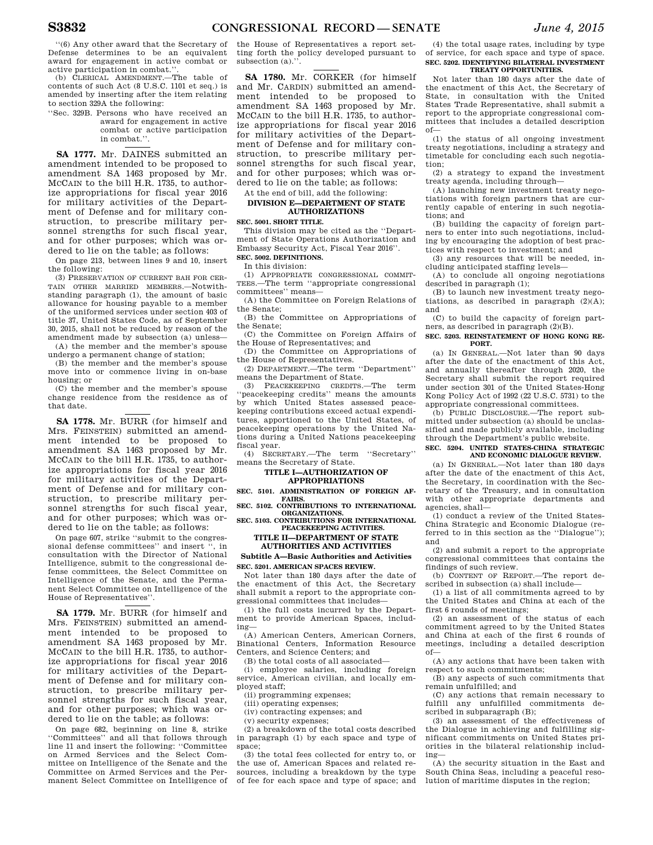''(6) Any other award that the Secretary of Defense determines to be an equivalent award for engagement in active combat or

active participation in combat.''. (b) CLERICAL AMENDMENT.—The table of contents of such Act (8 U.S.C. 1101 et seq.) is amended by inserting after the item relating to section 329A the following:

''Sec. 329B. Persons who have received an award for engagement in active combat or active participation in combat.''.

**SA 1777.** Mr. DAINES submitted an amendment intended to be proposed to amendment SA 1463 proposed by Mr. MCCAIN to the bill H.R. 1735, to authorize appropriations for fiscal year 2016 for military activities of the Department of Defense and for military construction, to prescribe military personnel strengths for such fiscal year, and for other purposes; which was ordered to lie on the table; as follows:

On page 213, between lines 9 and 10, insert the following:

(3) PRESERVATION OF CURRENT BAH FOR CER-TAIN OTHER MARRIED MEMBERS.—Notwithstanding paragraph (1), the amount of basic allowance for housing payable to a member of the uniformed services under section 403 of title 37, United States Code, as of September 30, 2015, shall not be reduced by reason of the amendment made by subsection (a) unless—

(A) the member and the member's spouse undergo a permanent change of station;

(B) the member and the member's spouse move into or commence living in on-base housing; or

(C) the member and the member's spouse change residence from the residence as of that date.

**SA 1778.** Mr. BURR (for himself and Mrs. FEINSTEIN) submitted an amendment intended to be proposed to amendment SA 1463 proposed by Mr. MCCAIN to the bill H.R. 1735, to authorize appropriations for fiscal year 2016 for military activities of the Department of Defense and for military construction, to prescribe military personnel strengths for such fiscal year, and for other purposes; which was ordered to lie on the table; as follows:

On page 607, strike ''submit to the congressional defense committees'' and insert '', in consultation with the Director of National Intelligence, submit to the congressional defense committees, the Select Committee on Intelligence of the Senate, and the Permanent Select Committee on Intelligence of the House of Representatives''.

**SA 1779.** Mr. BURR (for himself and Mrs. FEINSTEIN) submitted an amendment intended to be proposed to amendment SA 1463 proposed by Mr. MCCAIN to the bill H.R. 1735, to authorize appropriations for fiscal year 2016 for military activities of the Department of Defense and for military construction, to prescribe military personnel strengths for such fiscal year, and for other purposes; which was ordered to lie on the table; as follows:

On page 682, beginning on line 8, strike ''Committees'' and all that follows through line 11 and insert the following: ''Committee on Armed Services and the Select Committee on Intelligence of the Senate and the Committee on Armed Services and the Permanent Select Committee on Intelligence of

the House of Representatives a report setting forth the policy developed pursuant to subsection (a).'

**SA 1780.** Mr. CORKER (for himself and Mr. CARDIN) submitted an amendment intended to be proposed to amendment SA 1463 proposed by Mr. MCCAIN to the bill H.R. 1735, to authorize appropriations for fiscal year 2016 for military activities of the Department of Defense and for military construction, to prescribe military personnel strengths for such fiscal year, and for other purposes; which was ordered to lie on the table; as follows:

## At the end of bill, add the following:

## **DIVISION E—DEPARTMENT OF STATE AUTHORIZATIONS**

**SEC. 5001. SHORT TITLE.** 

This division may be cited as the ''Department of State Operations Authorization and Embassy Security Act, Fiscal Year 2016''. **SEC. 5002. DEFINITIONS.** 

In this division:

(1) APPROPRIATE CONGRESSIONAL COMMIT-TEES.—The term ''appropriate congressional committees'' means—

(A) the Committee on Foreign Relations of the Senate;

(B) the Committee on Appropriations of the Senate;

(C) the Committee on Foreign Affairs of the House of Representatives; and

(D) the Committee on Appropriations of the House of Representatives.

(2) DEPARTMENT.—The term ''Department'' means the Department of State.

(3) PEACEKEEPING CREDITS.—The term 'peacekeeping credits'' means the amounts by which United States assessed peacekeeping contributions exceed actual expenditures, apportioned to the United States, of peacekeeping operations by the United Nations during a United Nations peacekeeping fiscal year.

(4) SECRETARY.—The term ''Secretary'' means the Secretary of State.

## **TITLE I—AUTHORIZATION OF APPROPRIATIONS**

SEC. 5101 ADMINISTRATION OF FOREIGN AF. **FAIRS. SEC. 5102. CONTRIBUTIONS TO INTERNATIONAL** 

**ORGANIZATIONS. SEC. 5103. CONTRIBUTIONS FOR INTERNATIONAL** 

## **PEACEKEEPING ACTIVITIES. TITLE II—DEPARTMENT OF STATE AUTHORITIES AND ACTIVITIES**

## **Subtitle A—Basic Authorities and Activities SEC. 5201. AMERICAN SPACES REVIEW.**

Not later than 180 days after the date of the enactment of this Act, the Secretary shall submit a report to the appropriate congressional committees that includes—

(1) the full costs incurred by the Department to provide American Spaces, including—

(A) American Centers, American Corners, Binational Centers, Information Resource Centers, and Science Centers; and

(B) the total costs of all associated—

(i) employee salaries, including foreign service, American civilian, and locally employed staff;

(ii) programming expenses;

(iii) operating expenses;

(iv) contracting expenses; and

(v) security expenses;

(2) a breakdown of the total costs described in paragraph (1) by each space and type of space;

(3) the total fees collected for entry to, or the use of, American Spaces and related resources, including a breakdown by the type of fee for each space and type of space; and

(4) the total usage rates, including by type of service, for each space and type of space. **SEC. 5202. IDENTIFYING BILATERAL INVESTMENT TREATY OPPORTUNITIES.** 

Not later than 180 days after the date of the enactment of this Act, the Secretary of State, in consultation with the United States Trade Representative, shall submit a report to the appropriate congressional committees that includes a detailed description of—

(1) the status of all ongoing investment treaty negotiations, including a strategy and timetable for concluding each such negotiation;

(2) a strategy to expand the investment treaty agenda, including through—

(A) launching new investment treaty negotiations with foreign partners that are currently capable of entering in such negotiations; and

(B) building the capacity of foreign partners to enter into such negotiations, including by encouraging the adoption of best practices with respect to investment; and

(3) any resources that will be needed, including anticipated staffing levels—

(A) to conclude all ongoing negotiations described in paragraph (1);

(B) to launch new investment treaty negotiations, as described in paragraph  $(2)(A)$ ; and

(C) to build the capacity of foreign partners, as described in paragraph (2)(B).

**SEC. 5203. REINSTATEMENT OF HONG KONG RE-PORT.** 

(a) IN GENERAL.—Not later than 90 days after the date of the enactment of this Act, and annually thereafter through 2020, the Secretary shall submit the report required under section 301 of the United States-Hong Kong Policy Act of 1992 (22 U.S.C. 5731) to the appropriate congressional committees.

(b) PUBLIC DISCLOSURE.—The report submitted under subsection (a) should be unclassified and made publicly available, including through the Department's public website.

**SEC. 5204. UNITED STATES-CHINA STRATEGIC AND ECONOMIC DIALOGUE REVIEW.** 

(a) IN GENERAL.—Not later than 180 days after the date of the enactment of this Act, the Secretary, in coordination with the Secretary of the Treasury, and in consultation with other appropriate departments and agencies, shall—

(1) conduct a review of the United States-China Strategic and Economic Dialogue (referred to in this section as the ''Dialogue''); and

(2) and submit a report to the appropriate congressional committees that contains the findings of such review.

(b) CONTENT OF REPORT.—The report described in subsection (a) shall include—

(1) a list of all commitments agreed to by the United States and China at each of the first 6 rounds of meetings;

(2) an assessment of the status of each commitment agreed to by the United States and China at each of the first 6 rounds of meetings, including a detailed description of—

(A) any actions that have been taken with respect to such commitments;

(B) any aspects of such commitments that remain unfulfilled; and

(C) any actions that remain necessary to fulfill any unfulfilled commitments described in subparagraph (B);

(3) an assessment of the effectiveness of the Dialogue in achieving and fulfilling significant commitments on United States priorities in the bilateral relationship including—

(A) the security situation in the East and South China Seas, including a peaceful resolution of maritime disputes in the region;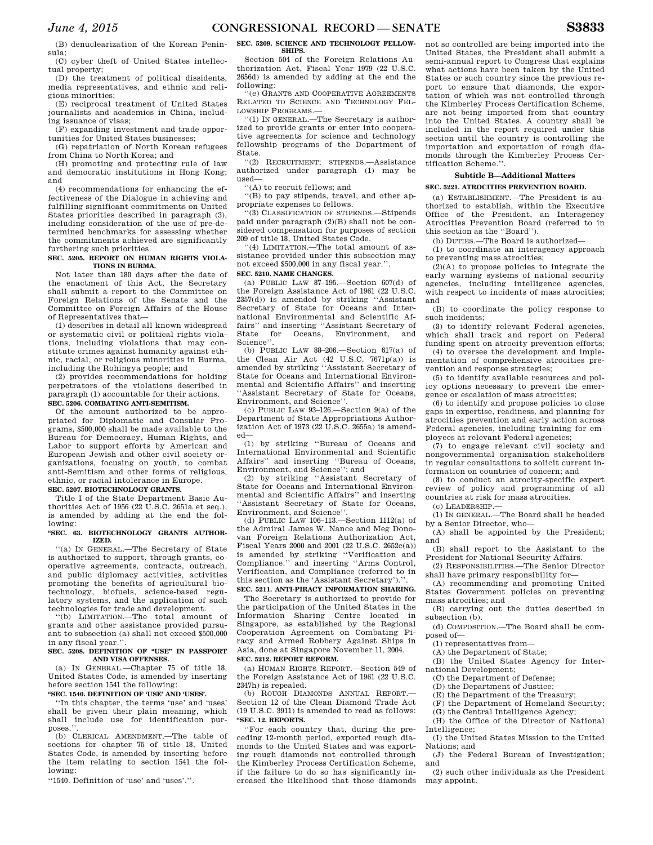(B) denuclearization of the Korean Peninsula;

(C) cyber theft of United States intellectual property;

(D) the treatment of political dissidents, media representatives, and ethnic and religious minorities;

(E) reciprocal treatment of United States journalists and academics in China, including issuance of visas;

(F) expanding investment and trade opportunities for United States businesses;

(G) repatriation of North Korean refugees from China to North Korea; and

(H) promoting and protecting rule of law and democratic institutions in Hong Kong; and

(4) recommendations for enhancing the effectiveness of the Dialogue in achieving and fulfilling significant commitments on United States priorities described in paragraph (3), including consideration of the use of pre-determined benchmarks for assessing whether the commitments achieved are significantly furthering such priorities.

## **SEC. 5205. REPORT ON HUMAN RIGHTS VIOLA-TIONS IN BURMA.**

Not later than 180 days after the date of the enactment of this Act, the Secretary shall submit a report to the Committee on Foreign Relations of the Senate and the Committee on Foreign Affairs of the House of Representatives that—

(1) describes in detail all known widespread or systematic civil or political rights violations, including violations that may constitute crimes against humanity against ethnic, racial, or religious minorities in Burma, including the Rohingya people; and

(2) provides recommendations for holding perpetrators of the violations described in paragraph (1) accountable for their actions. **SEC. 5206. COMBATING ANTI-SEMITISM.** 

Of the amount authorized to be appropriated for Diplomatic and Consular Programs, \$500,000 shall be made available to the Bureau for Democracy, Human Rights, and Labor to support efforts by American and European Jewish and other civil society organizations, focusing on youth, to combat anti-Semitism and other forms of religious, ethnic, or racial intolerance in Europe.

## **SEC. 5207. BIOTECHNOLOGY GRANTS.**

Title I of the State Department Basic Authorities Act of 1956 (22  $\overline{U}$ .S.C. 2651a et seq.), is amended by adding at the end the following:

## **''SEC. 63. BIOTECHNOLOGY GRANTS AUTHOR-IZED.**

''(a) IN GENERAL.—The Secretary of State is authorized to support, through grants, cooperative agreements, contracts, outreach, and public diplomacy activities, activities promoting the benefits of agricultural biotechnology, biofuels, science-based regulatory systems, and the application of such technologies for trade and development.

''(b) LIMITATION.—The total amount of grants and other assistance provided pursuant to subsection (a) shall not exceed \$500,000 in any fiscal year.''.

## **SEC. 5208. DEFINITION OF ''USE'' IN PASSPORT AND VISA OFFENSES.**

(a) IN GENERAL.—Chapter 75 of title 18, United States Code, is amended by inserting before section 1541 the following:

## **''SEC. 1540. DEFINITION OF 'USE' AND 'USES'.**

''In this chapter, the terms 'use' and 'uses' shall be given their plain meaning, which shall include use for identification purposes.

(b) CLERICAL AMENDMENT.—The table of sections for chapter 75 of title 18, United States Code, is amended by inserting before the item relating to section 1541 the following:

''1540. Definition of 'use' and 'uses'.''.

**SHIPS.**  Section 504 of the Foreign Relations Authorization Act, Fiscal Year 1979 (22 U.S.C. 2656d) is amended by adding at the end the following:

''(e) GRANTS AND COOPERATIVE AGREEMENTS RELATED TO SCIENCE AND TECHNOLOGY FEL-LOWSHIP PROGRAMS.—

 $(1)$  IN GENERAL.—The Secretary is authorized to provide grants or enter into cooperative agreements for science and technology fellowship programs of the Department of State.

''(2) RECRUITMENT; STIPENDS.—Assistance authorized under paragraph (1) may be used—

''(A) to recruit fellows; and

''(B) to pay stipends, travel, and other appropriate expenses to fellows.

''(3) CLASSIFICATION OF STIPENDS.—Stipends paid under paragraph (2)(B) shall not be considered compensation for purposes of section 209 of title 18, United States Code.

''(4) LIMITATION.—The total amount of assistance provided under this subsection may not exceed \$500,000 in any fiscal year.''. **SEC. 5210. NAME CHANGES.** 

(a) PUBLIC LAW 87–195.—Section 607(d) of the Foreign Assistance Act of 1961 (22 U.S.C. 2357(d)) is amended by striking ''Assistant Secretary of State for Oceans and International Environmental and Scientific Affairs'' and inserting ''Assistant Secretary of Oceans, Environment, and State for<br>Science''.

(b) PUBLIC LAW 88–206.—Section 617(a) of the Clean Air Act (42 U.S.C. 7671p(a)) is amended by striking ''Assistant Secretary of State for Oceans and International Environmental and Scientific Affairs'' and inserting ''Assistant Secretary of State for Oceans, Environment, and Science''.

(c) PUBLIC LAW 93–126.—Section 9(a) of the Department of State Appropriations Authorization Act of 1973 (22 U.S.C. 2655a) is amended—

(1) by striking ''Bureau of Oceans and International Environmental and Scientific Affairs'' and inserting ''Bureau of Oceans, Environment, and Science''; and

(2) by striking ''Assistant Secretary of State for Oceans and International Environmental and Scientific Affairs'' and inserting ''Assistant Secretary of State for Oceans, Environment, and Science''.

(d) PUBLIC LAW 106–113.—Section 1112(a) of the Admiral James W. Nance and Meg Donovan Foreign Relations Authorization Act, Fiscal Years 2000 and 2001 (22 U.S.C. 2652c(a)) is amended by striking ''Verification and Compliance.'' and inserting ''Arms Control, Verification, and Compliance (referred to in this section as the 'Assistant Secretary').''.

# **SEC. 5211. ANTI-PIRACY INFORMATION SHARING.**

The Secretary is authorized to provide for the participation of the United States in the Information Sharing Centre located in Singapore, as established by the Regional Cooperation Agreement on Combating Piracy and Armed Robbery Against Ships in Asia, done at Singapore November 11, 2004. **SEC. 5212. REPORT REFORM.** 

(a) HUMAN RIGHTS REPORT.—Section 549 of the Foreign Assistance Act of 1961 (22 U.S.C. 2347h) is repealed.

(b) ROUGH DIAMONDS ANNUAL REPORT.— Section 12 of the Clean Diamond Trade Act (19 U.S.C. 3911) is amended to read as follows: **''SEC. 12. REPORTS.** 

''For each country that, during the preceding 12-month period, exported rough diamonds to the United States and was exporting rough diamonds not controlled through the Kimberley Process Certification Scheme, if the failure to do so has significantly increased the likelihood that those diamonds

not so controlled are being imported into the United States, the President shall submit a semi-annual report to Congress that explains what actions have been taken by the United States or such country since the previous report to ensure that diamonds, the exportation of which was not controlled through the Kimberley Process Certification Scheme, are not being imported from that country into the United States. A country shall be included in the report required under this section until the country is controlling the importation and exportation of rough diamonds through the Kimberley Process Certification Scheme.''.

## **Subtitle B—Additional Matters**

#### **SEC. 5221. ATROCITIES PREVENTION BOARD.**

(a) ESTABLISHMENT.—The President is authorized to establish, within the Executive Office of the President, an Interagency Atrocities Prevention Board (referred to in this section as the ''Board'').

(b) DUTIES.—The Board is authorized—

(1) to coordinate an interagency approach to preventing mass atrocities;

(2)(A) to propose policies to integrate the early warning systems of national security agencies, including intelligence agencies, with respect to incidents of mass atrocities; and

(B) to coordinate the policy response to such incidents;

(3) to identify relevant Federal agencies, which shall track and report on Federal funding spent on atrocity prevention efforts;

(4) to oversee the development and implementation of comprehensive atrocities prevention and response strategies;

(5) to identify available resources and policy options necessary to prevent the emergence or escalation of mass atrocities;

(6) to identify and propose policies to close gaps in expertise, readiness, and planning for atrocities prevention and early action across Federal agencies, including training for employees at relevant Federal agencies;

(7) to engage relevant civil society and nongovernmental organization stakeholders in regular consultations to solicit current information on countries of concern; and

(8) to conduct an atrocity-specific expert review of policy and programming of all countries at risk for mass atrocities.

(c) LEADERSHIP.—

(1) IN GENERAL.—The Board shall be headed by a Senior Director, who—

(A) shall be appointed by the President; and

(B) shall report to the Assistant to the President for National Security Affairs.

(2) RESPONSIBILITIES.—The Senior Director shall have primary responsibility for—

(A) recommending and promoting United States Government policies on preventing mass atrocities; and

(B) carrying out the duties described in subsection (b).

(d) COMPOSITION.—The Board shall be composed of—

(1) representatives from—

(A) the Department of State;

(B) the United States Agency for International Development;

(C) the Department of Defense;

(D) the Department of Justice;

(E) the Department of the Treasury;

(F) the Department of Homeland Security;

(G) the Central Intelligence Agency;

(H) the Office of the Director of National Intelligence; (I) the United States Mission to the United

Nations; and

(J) the Federal Bureau of Investigation; and

(2) such other individuals as the President may appoint.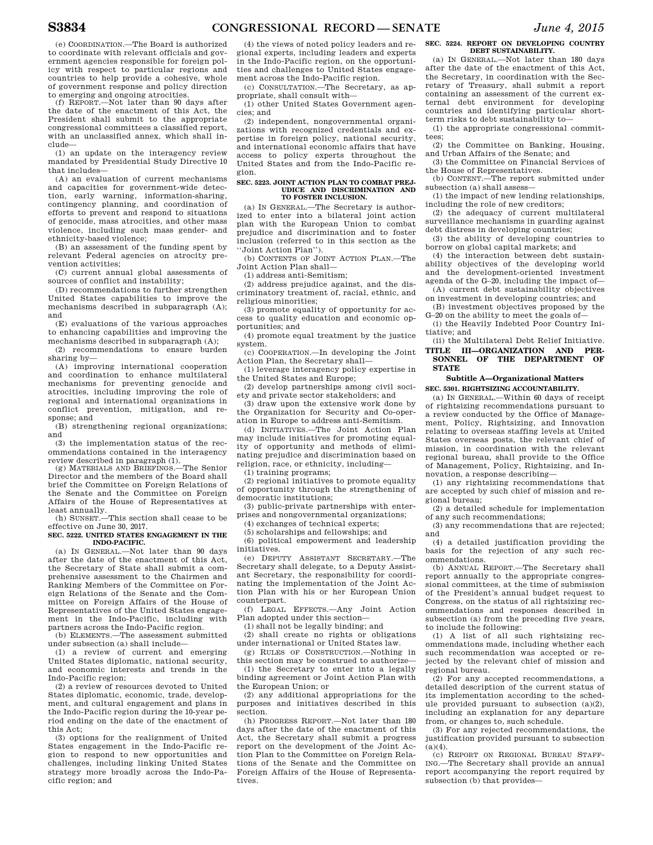(e) COORDINATION.—The Board is authorized to coordinate with relevant officials and government agencies responsible for foreign policy with respect to particular regions and countries to help provide a cohesive, whole of government response and policy direction to emerging and ongoing atrocities.

(f) REPORT.—Not later than 90 days after the date of the enactment of this Act, the President shall submit to the appropriate congressional committees a classified report, with an unclassified annex, which shall include—

(1) an update on the interagency review mandated by Presidential Study Directive 10 that includes—

(A) an evaluation of current mechanisms and capacities for government-wide detection, early warning, information-sharing, contingency planning, and coordination of efforts to prevent and respond to situations of genocide, mass atrocities, and other mass violence, including such mass gender- and ethnicity-based violence;

(B) an assessment of the funding spent by relevant Federal agencies on atrocity prevention activities;

(C) current annual global assessments of sources of conflict and instability;

(D) recommendations to further strengthen United States capabilities to improve the mechanisms described in subparagraph (A); and

(E) evaluations of the various approaches to enhancing capabilities and improving the mechanisms described in subparagraph (A);

(2) recommendations to ensure burden sharing by—

(A) improving international cooperation and coordination to enhance multilateral mechanisms for preventing genocide and atrocities, including improving the role of regional and international organizations in conflict prevention, mitigation, and response; and

(B) strengthening regional organizations; and

(3) the implementation status of the recommendations contained in the interagency

review described in paragraph (1). (g) MATERIALS AND BRIEFINGS.—The Senior Director and the members of the Board shall brief the Committee on Foreign Relations of the Senate and the Committee on Foreign Affairs of the House of Representatives at

least annually. (h) SUNSET.—This section shall cease to be effective on June 30, 2017.

**SEC. 5222. UNITED STATES ENGAGEMENT IN THE INDO-PACIFIC.** 

(a) IN GENERAL.—Not later than 90 days after the date of the enactment of this Act, the Secretary of State shall submit a comprehensive assessment to the Chairmen and Ranking Members of the Committee on Foreign Relations of the Senate and the Committee on Foreign Affairs of the House of Representatives of the United States engagement in the Indo-Pacific, including with partners across the Indo-Pacific region.

(b) ELEMENTS.—The assessment submitted under subsection (a) shall include—

(1) a review of current and emerging United States diplomatic, national security, and economic interests and trends in the Indo-Pacific region;

(2) a review of resources devoted to United States diplomatic, economic, trade, development, and cultural engagement and plans in the Indo-Pacific region during the 10-year period ending on the date of the enactment of this Act;

(3) options for the realignment of United States engagement in the Indo-Pacific region to respond to new opportunities and challenges, including linking United States strategy more broadly across the Indo-Pacific region; and

(4) the views of noted policy leaders and regional experts, including leaders and experts in the Indo-Pacific region, on the opportunities and challenges to United States engagement across the Indo-Pacific region.

(c) CONSULTATION.—The Secretary, as appropriate, shall consult with—

(1) other United States Government agencies; and

(2) independent, nongovernmental organizations with recognized credentials and expertise in foreign policy, national security, and international economic affairs that have access to policy experts throughout the United States and from the Indo-Pacific region.

#### **SEC. 5223. JOINT ACTION PLAN TO COMBAT PREJ-UDICE AND DISCRIMINATION AND TO FOSTER INCLUSION.**

(a) IN GENERAL.—The Secretary is authorized to enter into a bilateral joint action plan with the European Union to combat prejudice and discrimination and to foster inclusion (referred to in this section as the ''Joint Action Plan'').

(b) CONTENTS OF JOINT ACTION PLAN.—The Joint Action Plan shall—

(1) address anti-Semitism;

(2) address prejudice against, and the discriminatory treatment of, racial, ethnic, and religious minorities;

(3) promote equality of opportunity for access to quality education and economic opportunities; and

(4) promote equal treatment by the justice system.

(c) COOPERATION.—In developing the Joint Action Plan, the Secretary shall—

(1) leverage interagency policy expertise in the United States and Europe;

(2) develop partnerships among civil society and private sector stakeholders; and

(3) draw upon the extensive work done by the Organization for Security and Co-operation in Europe to address anti-Semitism.

(d) INITIATIVES.—The Joint Action Plan may include initiatives for promoting equality of opportunity and methods of eliminating prejudice and discrimination based on religion, race, or ethnicity, including—

(1) training programs;

(2) regional initiatives to promote equality of opportunity through the strengthening of democratic institutions;

(3) public-private partnerships with enterprises and nongovernmental organizations;

(4) exchanges of technical experts; (5) scholarships and fellowships; and

(6) political empowerment and leadership initiatives.

(e) DEPUTY ASSISTANT SECRETARY.—The Secretary shall delegate, to a Deputy Assistant Secretary, the responsibility for coordinating the implementation of the Joint Action Plan with his or her European Union counterpart.

(f) LEGAL EFFECTS.—Any Joint Action Plan adopted under this section—

(1) shall not be legally binding; and

(2) shall create no rights or obligations under international or United States law.

(g) RULES OF CONSTRUCTION.—Nothing in this section may be construed to authorize—

(1) the Secretary to enter into a legally binding agreement or Joint Action Plan with the European Union; or

(2) any additional appropriations for the purposes and initiatives described in this section.

(h) PROGRESS REPORT.—Not later than 180 days after the date of the enactment of this Act, the Secretary shall submit a progress report on the development of the Joint Action Plan to the Committee on Foreign Relations of the Senate and the Committee on Foreign Affairs of the House of Representatives.

## **SEC. 5224. REPORT ON DEVELOPING COUNTRY DEBT SUSTAINABILITY.**

(a) IN GENERAL.—Not later than 180 days after the date of the enactment of this Act, the Secretary, in coordination with the Secretary of Treasury, shall submit a report containing an assessment of the current external debt environment for developing countries and identifying particular shortterm risks to debt sustainability to—

(1) the appropriate congressional committees;

(2) the Committee on Banking, Housing, and Urban Affairs of the Senate; and

(3) the Committee on Financial Services of the House of Representatives.

(b) CONTENT.—The report submitted under subsection (a) shall assess—

(1) the impact of new lending relationships, including the role of new creditors;

(2) the adequacy of current multilateral surveillance mechanisms in guarding against debt distress in developing countries;

(3) the ability of developing countries to borrow on global capital markets; and

(4) the interaction between debt sustainability objectives of the developing world and the development-oriented investment agenda of the G–20, including the impact of—

(A) current debt sustainability objectives on investment in developing countries; and

(B) investment objectives proposed by the G–20 on the ability to meet the goals of—

(i) the Heavily Indebted Poor Country Initiative; and

(ii) the Multilateral Debt Relief Initiative.

**TITLE III—ORGANIZATION AND PER-SONNEL OF THE DEPARTMENT OF STATE** 

## **Subtitle A—Organizational Matters SEC. 5301. RIGHTSIZING ACCOUNTABILITY.**

(a) IN GENERAL.—Within 60 days of receipt of rightsizing recommendations pursuant to a review conducted by the Office of Management, Policy, Rightsizing, and Innovation relating to overseas staffing levels at United States overseas posts, the relevant chief of mission, in coordination with the relevant regional bureau, shall provide to the Office of Management, Policy, Rightsizing, and Innovation, a response describing—

(1) any rightsizing recommendations that are accepted by such chief of mission and regional bureau;

(2) a detailed schedule for implementation of any such recommendations;

(3) any recommendations that are rejected; and

(4) a detailed justification providing the basis for the rejection of any such recommendations.

(b) ANNUAL REPORT.—The Secretary shall report annually to the appropriate congressional committees, at the time of submission of the President's annual budget request to Congress, on the status of all rightsizing recommendations and responses described in subsection (a) from the preceding five years, to include the following:

(1) A list of all such rightsizing recommendations made, including whether each such recommendation was accepted or rejected by the relevant chief of mission and regional bureau.

(2) For any accepted recommendations, a detailed description of the current status of its implementation according to the schedule provided pursuant to subsection (a)(2), including an explanation for any departure from, or changes to, such schedule.

(3) For any rejected recommendations, the justification provided pursuant to subsection  $(a)(4)$ .

(c) REPORT ON REGIONAL BUREAU STAFF-ING.—The Secretary shall provide an annual report accompanying the report required by subsection (b) that provides—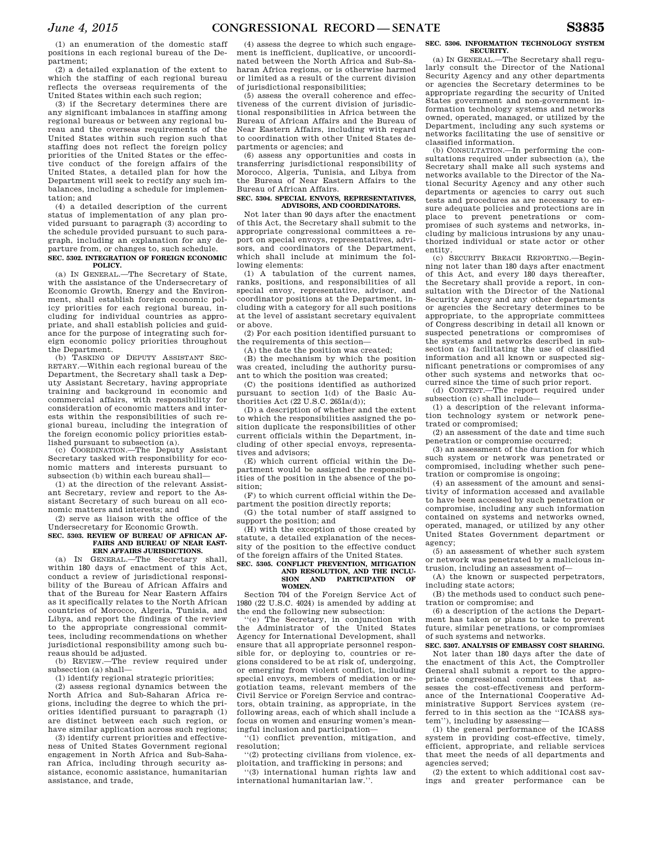(1) an enumeration of the domestic staff positions in each regional bureau of the Department;

(2) a detailed explanation of the extent to which the staffing of each regional bureau reflects the overseas requirements of the United States within each such region;

(3) if the Secretary determines there are any significant imbalances in staffing among regional bureaus or between any regional bureau and the overseas requirements of the United States within such region such that staffing does not reflect the foreign policy priorities of the United States or the effective conduct of the foreign affairs of the United States, a detailed plan for how the Department will seek to rectify any such imbalances, including a schedule for implementation; and

(4) a detailed description of the current status of implementation of any plan provided pursuant to paragraph (3) according to the schedule provided pursuant to such paragraph, including an explanation for any departure from, or changes to, such schedule. **SEC. 5302. INTEGRATION OF FOREIGN ECONOMIC** 

# **POLICY.**

(a) IN GENERAL.—The Secretary of State, with the assistance of the Undersecretary of Economic Growth, Energy and the Environment, shall establish foreign economic policy priorities for each regional bureau, including for individual countries as appropriate, and shall establish policies and guidance for the purpose of integrating such foreign economic policy priorities throughout the Department.

TASKING OF DEPUTY ASSISTANT SEC-RETARY.—Within each regional bureau of the Department, the Secretary shall task a Deputy Assistant Secretary, having appropriate training and background in economic and commercial affairs, with responsibility for consideration of economic matters and interests within the responsibilities of such regional bureau, including the integration of the foreign economic policy priorities established pursuant to subsection (a).

(c) COORDINATION.—The Deputy Assistant Secretary tasked with responsibility for economic matters and interests pursuant to subsection (b) within each bureau shall—

(1) at the direction of the relevant Assistant Secretary, review and report to the Assistant Secretary of such bureau on all economic matters and interests; and

(2) serve as liaison with the office of the Undersecretary for Economic Growth.

**SEC. 5303. REVIEW OF BUREAU OF AFRICAN AF-FAIRS AND BUREAU OF NEAR EAST-ERN AFFAIRS JURISDICTIONS.** 

(a) IN GENERAL.—The Secretary shall, within 180 days of enactment of this Act, conduct a review of jurisdictional responsibility of the Bureau of African Affairs and that of the Bureau for Near Eastern Affairs as it specifically relates to the North African countries of Morocco, Algeria, Tunisia, and

Libya, and report the findings of the review to the appropriate congressional committees, including recommendations on whether jurisdictional responsibility among such bureaus should be adjusted.

(b) REVIEW.—The review required under subsection (a) shall—

(1) identify regional strategic priorities;

(2) assess regional dynamics between the North Africa and Sub-Saharan Africa regions, including the degree to which the priorities identified pursuant to paragraph (1) are distinct between each such region, or have similar application across such regions;

(3) identify current priorities and effectiveness of United States Government regional engagement in North Africa and Sub-Saharan Africa, including through security assistance, economic assistance, humanitarian assistance, and trade,

(4) assess the degree to which such engagement is inefficient, duplicative, or uncoordinated between the North Africa and Sub-Saharan Africa regions, or is otherwise harmed or limited as a result of the current division of jurisdictional responsibilities;

(5) assess the overall coherence and effectiveness of the current division of jurisdictional responsibilities in Africa between the Bureau of African Affairs and the Bureau of Near Eastern Affairs, including with regard to coordination with other United States departments or agencies; and

(6) assess any opportunities and costs in transferring jurisdictional responsibility of Morocco, Algeria, Tunisia, and Libya from the Bureau of Near Eastern Affairs to the Bureau of African Affairs.

## **SEC. 5304. SPECIAL ENVOYS, REPRESENTATIVES, ADVISORS, AND COORDINATORS.**

Not later than 90 days after the enactment of this Act, the Secretary shall submit to the appropriate congressional committees a report on special envoys, representatives, advisors, and coordinators of the Department, which shall include at minimum the following elements:

(1) A tabulation of the current names, ranks, positions, and responsibilities of all special envoy, representative, advisor, and coordinator positions at the Department, including with a category for all such positions at the level of assistant secretary equivalent or above.

(2) For each position identified pursuant to the requirements of this section-

(A) the date the position was created;

(B) the mechanism by which the position was created, including the authority pursuant to which the position was created;

(C) the positions identified as authorized pursuant to section 1(d) of the Basic Authorities Act (22 U.S.C. 2651a(d));

(D) a description of whether and the extent to which the responsibilities assigned the position duplicate the responsibilities of other current officials within the Department, including of other special envoys, representatives and advisors;

(E) which current official within the Department would be assigned the responsibilities of the position in the absence of the position;

(F) to which current official within the Department the position directly reports;

(G) the total number of staff assigned to support the position; and

(H) with the exception of those created by statute, a detailed explanation of the necessity of the position to the effective conduct of the foreign affairs of the United States.

## **SEC. 5305. CONFLICT PREVENTION, MITIGATION AND RESOLUTION, AND THE INCLUSION AND PARTICIPATION OF SION AND PARTICIPATION OF WOMEN.**

Section 704 of the Foreign Service Act of 1980 (22 U.S.C. 4024) is amended by adding at the end the following new subsection:

''(e) The Secretary, in conjunction with the Administrator of the United States Agency for International Development, shall ensure that all appropriate personnel responsible for, or deploying to, countries or regions considered to be at risk of, undergoing, or emerging from violent conflict, including special envoys, members of mediation or negotiation teams, relevant members of the Civil Service or Foreign Service and contractors, obtain training, as appropriate, in the following areas, each of which shall include a focus on women and ensuring women's meaningful inclusion and participation—

''(1) conflict prevention, mitigation, and resolution;

''(2) protecting civilians from violence, exploitation, and trafficking in persons; and

''(3) international human rights law and international humanitarian law.''.

## **SEC. 5306. INFORMATION TECHNOLOGY SYSTEM SECURITY.**

(a) IN GENERAL.—The Secretary shall regularly consult the Director of the National Security Agency and any other departments or agencies the Secretary determines to be appropriate regarding the security of United States government and non-government information technology systems and networks owned, operated, managed, or utilized by the Department, including any such systems or networks facilitating the use of sensitive or classified information.

(b) CONSULTATION.—In performing the consultations required under subsection (a), the Secretary shall make all such systems and networks available to the Director of the National Security Agency and any other such departments or agencies to carry out such tests and procedures as are necessary to ensure adequate policies and protections are in place to prevent penetrations or compromises of such systems and networks, including by malicious intrusions by any unauthorized individual or state actor or other

entity. (c) SECURITY BREACH REPORTING.—Beginning not later than 180 days after enactment of this Act, and every 180 days thereafter, the Secretary shall provide a report, in consultation with the Director of the National Security Agency and any other departments or agencies the Secretary determines to be appropriate, to the appropriate committees of Congress describing in detail all known or suspected penetrations or compromises of the systems and networks described in subsection (a) facilitating the use of classified information and all known or suspected significant penetrations or compromises of any other such systems and networks that occurred since the time of such prior report.

(d) CONTENT.—The report required under subsection (c) shall include—

(1) a description of the relevant information technology system or network penetrated or compromised;

(2) an assessment of the date and time such penetration or compromise occurred;

(3) an assessment of the duration for which such system or network was penetrated or compromised, including whether such penetration or compromise is ongoing;

(4) an assessment of the amount and sensitivity of information accessed and available to have been accessed by such penetration or compromise, including any such information contained on systems and networks owned, operated, managed, or utilized by any other United States Government department or agency;

(5) an assessment of whether such system or network was penetrated by a malicious intrusion, including an assessment of—

(A) the known or suspected perpetrators, including state actors;

(B) the methods used to conduct such penetration or compromise; and

(6) a description of the actions the Department has taken or plans to take to prevent future, similar penetrations, or compromises of such systems and networks.

## **SEC. 5307. ANALYSIS OF EMBASSY COST SHARING.**

Not later than 180 days after the date of the enactment of this Act, the Comptroller General shall submit a report to the appropriate congressional committees that assesses the cost-effectiveness and performance of the International Cooperative Administrative Support Services system (referred to in this section as the ''ICASS system''), including by assessing—

(1) the general performance of the ICASS system in providing cost-effective, timely, efficient, appropriate, and reliable services that meet the needs of all departments and agencies served;

(2) the extent to which additional cost savings and greater performance can be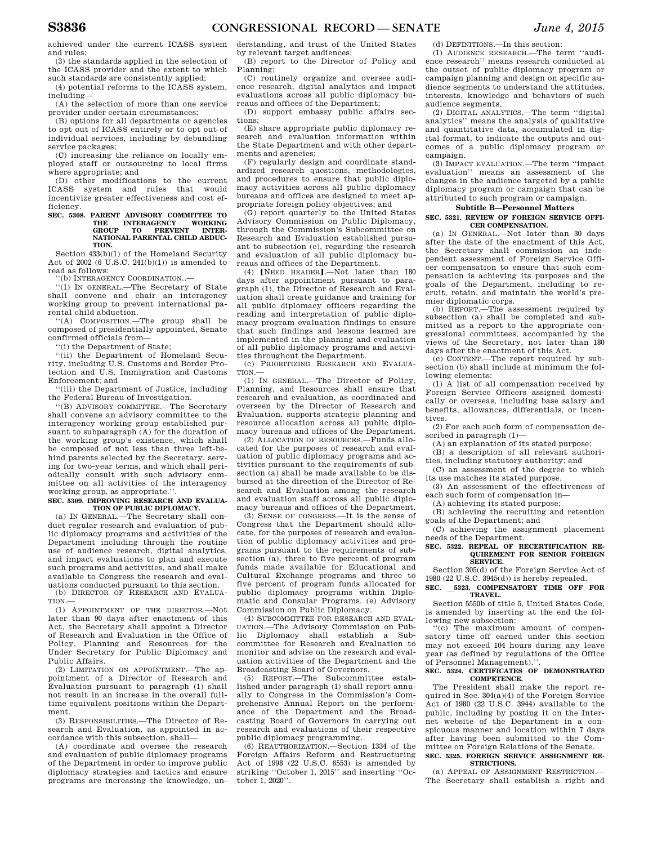achieved under the current ICASS system and rules;

(3) the standards applied in the selection of the ICASS provider and the extent to which such standards are consistently applied;

(4) potential reforms to the ICASS system, including—

(A) the selection of more than one service provider under certain circumstances;

(B) options for all departments or agencies to opt out of ICASS entirely or to opt out of individual services, including by debundling service packages;

(C) increasing the reliance on locally employed staff or outsourcing to local firms where appropriate; and

(D) other modifications to the current ICASS system and rules that would incentivize greater effectiveness and cost efficiency.

## **SEC. 5308. PARENT ADVISORY COMMITTEE TO THE INTERAGENCY WORKING GROUP TO PREVENT INTER-NATIONAL PARENTAL CHILD ABDUC-TION.**

Section 433(b)(1) of the Homeland Security Act of 2002 (6 U.S.C. 241(b)(1)) is amended to read as follows:

''(b) INTERAGENCY COORDINATION..—

''(1) IN GENERAL.—The Secretary of State shall convene and chair an interagency working group to prevent international parental child abduction.

''(A) COMPOSITION.—The group shall be composed of presidentially appointed, Senate confirmed officials from—

''(i) the Department of State;

''(ii) the Department of Homeland Security, including U.S. Customs and Border Protection and U.S. Immigration and Customs Enforcement; and

''(iii) the Department of Justice, including the Federal Bureau of Investigation.

''(B) ADVISORY COMMITTEE.—The Secretary shall convene an advisory committee to the interagency working group established pursuant to subparagraph (A) for the duration of the working group's existence, which shall be composed of not less than three left-behind parents selected by the Secretary, serving for two-year terms, and which shall periodically consult with such advisory committee on all activities of the interagency working group, as appropriate.''.

#### **SEC. 5309. IMPROVING RESEARCH AND EVALUA-TION OF PUBLIC DIPLOMACY.**

(a) IN GENERAL.—The Secretary shall conduct regular research and evaluation of public diplomacy programs and activities of the Department including through the routine use of audience research, digital analytics, and impact evaluations to plan and execute such programs and activities, and shall make available to Congress the research and evaluations conducted pursuant to this section.

(b) DIRECTOR OF RESEARCH AND EVALUA-TION.

(1) APPOINTMENT OF THE DIRECTOR.—Not later than 90 days after enactment of this Act, the Secretary shall appoint a Director of Research and Evaluation in the Office of Policy, Planning and Resources for the Under Secretary for Public Diplomacy and Public Affairs.

(2) LIMITATION ON APPOINTMENT.—The appointment of a Director of Research and Evaluation pursuant to paragraph (1) shall not result in an increase in the overall fulltime equivalent positions within the Department.

(3) RESPONSIBILITIES.—The Director of Research and Evaluation, as appointed in accordance with this subsection, shall—

(A) coordinate and oversee the research and evaluation of public diplomacy programs of the Department in order to improve public diplomacy strategies and tactics and ensure programs are increasing the knowledge, understanding, and trust of the United States by relevant target audiences;

(B) report to the Director of Policy and Planning;

(C) routinely organize and oversee audience research, digital analytics and impact evaluations across all public diplomacy bureaus and offices of the Department;

(D) support embassy public affairs sections;

(E) share appropriate public diplomacy research and evaluation information within the State Department and with other departments and agencies;

(F) regularly design and coordinate standardized research questions, methodologies, and procedures to ensure that public diplomacy activities across all public diplomacy bureaus and offices are designed to meet appropriate foreign policy objectives; and

(G) report quarterly to the United States Advisory Commission on Public Diplomacy, through the Commission's Subcommittee on Research and Evaluation established pursuant to subsection (c), regarding the research and evaluation of all public diplomacy bureaus and offices of the Department.

(4) [NEED HEADER].-Not later than 180 days after appointment pursuant to paragraph (1), the Director of Research and Evaluation shall create guidance and training for all public diplomacy officers regarding the reading and interpretation of public diplomacy program evaluation findings to ensure that such findings and lessons learned are implemented in the planning and evaluation of all public diplomacy programs and activities throughout the Department.

(c) PRIORITIZING RESEARCH AND EVALUA-TION.—

(1) IN GENERAL.—The Director of Policy, Planning, and Resources shall ensure that research and evaluation, as coordinated and overseen by the Director of Research and Evaluation, supports strategic planning and resource allocation across all public diplomacy bureaus and offices of the Department.

(2) ALLOCATION OF RESOURCES.—Funds allocated for the purposes of research and evaluation of public diplomacy programs and activities pursuant to the requirements of subsection (a) shall be made available to be disbursed at the direction of the Director of Research and Evaluation among the research and evaluation staff across all public diplomacy bureaus and offices of the Department.

(3) SENSE OF CONGRESS.—It is the sense of Congress that the Department should allocate, for the purposes of research and evaluation of public diplomacy activities and programs pursuant to the requirements of subsection (a), three to five percent of program funds made available for Educational and Cultural Exchange programs and three to five percent of program funds allocated for public diplomacy programs within Diplomatic and Consular Programs. (e) Advisory Commission on Public Diplomacy.

(4) SUBCOMMITTEE FOR RESEARCH AND EVAL-UATION.—The Advisory Commission on Public Diplomacy shall establish a Subcommittee for Research and Evaluation to monitor and advise on the research and evaluation activities of the Department and the Broadcasting Board of Governors.

(5) REPORT.—The Subcommittee established under paragraph (1) shall report annually to Congress in the Commission's Comprehensive Annual Report on the performance of the Department and the Broadcasting Board of Governors in carrying out research and evaluations of their respective public diplomacy programming.

(6) REAUTHORIZATION.—Section 1334 of the Foreign Affairs Reform and Restructuring Act of 1998 (22 U.S.C. 6553) is amended by striking ''October 1, 2015'' and inserting ''October 1, 2020''.

(d) DEFINITIONS.—In this section:

(1) AUDIENCE RESEARCH.—The term ''audience research'' means research conducted at the outset of public diplomacy program or campaign planning and design on specific audience segments to understand the attitudes, interests, knowledge and behaviors of such audience segments.

(2) DIGITAL ANALYTICS.—The term ''digital analytics'' means the analysis of qualitative and quantitative data, accumulated in digital format, to indicate the outputs and outcomes of a public diplomacy program or campaign.

(3) IMPACT EVALUATION.—The term ''impact evaluation'' means an assessment of the changes in the audience targeted by a public diplomacy program or campaign that can be attributed to such program or campaign.

## **Subtitle B—Personnel Matters**

## **SEC. 5321. REVIEW OF FOREIGN SERVICE OFFI-CER COMPENSATION.**

(a) IN GENERAL.—Not later than 30 days after the date of the enactment of this Act, the Secretary shall commission an independent assessment of Foreign Service Officer compensation to ensure that such compensation is achieving its purposes and the goals of the Department, including to recruit, retain, and maintain the world's premier diplomatic corps.

(b) REPORT.—The assessment required by subsection (a) shall be completed and submitted as a report to the appropriate congressional committees, accompanied by the views of the Secretary, not later than 180 days after the enactment of this Act.

(c) CONTENT.—The report required by subsection (b) shall include at minimum the following elements:

(1) A list of all compensation received by Foreign Service Officers assigned domestically or overseas, including base salary and benefits, allowances, differentials, or incentives.

(2) For each such form of compensation described in paragraph (1)—

(A) an explanation of its stated purpose;

(B) a description of all relevant authorities, including statutory authority; and

(C) an assessment of the degree to which its use matches its stated purpose.

(3) An assessment of the effectiveness of each such form of compensation in—

(A) achieving its stated purpose;

(B) achieving the recruiting and retention goals of the Department; and

(C) achieving the assignment placement needs of the Department.

#### **SEC. 5322. REPEAL OF RECERTIFICATION RE-QUIREMENT FOR SENIOR FOREIGN SERVICE.**

Section 305(d) of the Foreign Service Act of 1980 (22 U.S.C. 3945(d)) is hereby repealed. **SEC.** l**5323. COMPENSATORY TIME OFF FOR** 

## **TRAVEL.**

Section 5550b of title 5, United States Code, is amended by inserting at the end the following new subsection:<br>"(c) The maximum

The maximum amount of compensatory time off earned under this section may not exceed 104 hours during any leave year (as defined by regulations of the Office of Personnel Management).''.

## **SEC. 5324. CERTIFICATES OF DEMONSTRATED COMPETENCE.**

The President shall make the report required in Sec. 304(a)(4) of the Foreign Service Act of 1980 (22 U.S.C. 3944) available to the public, including by posting it on the Internet website of the Department in a conspicuous manner and location within 7 days after having been submitted to the Committee on Foreign Relations of the Senate. **SEC. 5325. FOREIGN SERVICE ASSIGNMENT RE-**

(a) APPEAL OF ASSIGNMENT RESTRICTION.— The Secretary shall establish a right and

**STRICTIONS.**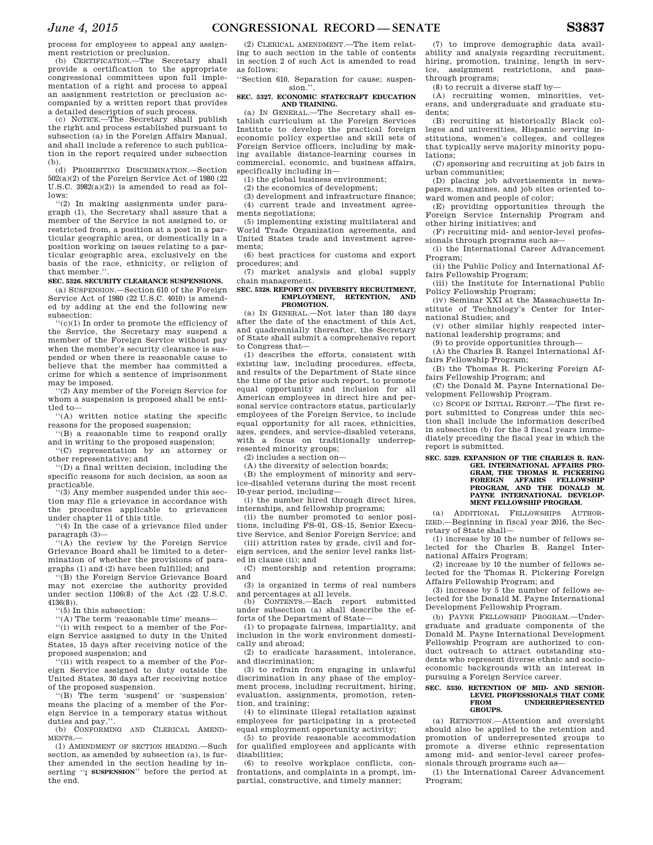process for employees to appeal any assignment restriction or preclusion.

(b) CERTIFICATION.—The Secretary shall provide a certification to the appropriate congressional committees upon full implementation of a right and process to appeal an assignment restriction or preclusion accompanied by a written report that provides a detailed description of such process.

(c) NOTICE.—The Secretary shall publish the right and process established pursuant to subsection (a) in the Foreign Affairs Manual, and shall include a reference to such publication in the report required under subsection (b).

(d) PROHIBITING DISCRIMINATION.—Section 502(a)(2) of the Foreign Service Act of 1980 (22 U.S.C.  $3982(a)(2)$  is amended to read as follows:

''(2) In making assignments under paragraph (1), the Secretary shall assure that a member of the Service is not assigned to, or restricted from, a position at a post in a particular geographic area, or domestically in a position working on issues relating to a particular geographic area, exclusively on the basis of the race, ethnicity, or religion of that member.''.

## **SEC. 5326. SECURITY CLEARANCE SUSPENSIONS.**

(a) SUSPENSION.—Section 610 of the Foreign Service Act of 1980 (22 U.S.C. 4010) is amended by adding at the end the following new subsection:

''(c)(1) In order to promote the efficiency of the Service, the Secretary may suspend a member of the Foreign Service without pay when the member's security clearance is suspended or when there is reasonable cause to believe that the member has committed a crime for which a sentence of imprisonment may be imposed.

(2) Any member of the Foreign Service for whom a suspension is proposed shall be entitled to—

''(A) written notice stating the specific reasons for the proposed suspension;

''(B) a reasonable time to respond orally and in writing to the proposed suspension; ''(C) representation by an attorney or

other representative; and

''(D) a final written decision, including the specific reasons for such decision, as soon as practicable.

''(3) Any member suspended under this section may file a grievance in accordance with the procedures applicable to grievances under chapter 11 of this title.

''(4) In the case of a grievance filed under paragraph (3)—

''(A) the review by the Foreign Service Grievance Board shall be limited to a determination of whether the provisions of paragraphs (1) and (2) have been fulfilled; and

''(B) the Foreign Service Grievance Board may not exercise the authority provided under section 1106(8) of the Act (22 U.S.C. 4136(8)).

''(5) In this subsection:

''(A) The term 'reasonable time' means—

''(i) with respect to a member of the Foreign Service assigned to duty in the United States, 15 days after receiving notice of the proposed suspension; and

(ii) with respect to a member of the Foreign Service assigned to duty outside the United States, 30 days after receiving notice of the proposed suspension.

''(B) The term 'suspend' or 'suspension' means the placing of a member of the Foreign Service in a temporary status without duties and pay."

(b) CONFORMING AND CLERICAL AMEND-MENTS.—

(1) AMENDMENT OF SECTION HEADING.—Such section, as amended by subsection (a), is further amended in the section heading by inserting ''**; SUSPENSION**'' before the period at the end.

(2) CLERICAL AMENDMENT.—The item relating to such section in the table of contents in section 2 of such Act is amended to read as follows:

''Section 610. Separation for cause; suspension.

## **SEC. 5327. ECONOMIC STATECRAFT EDUCATION AND TRAINING.**

(a) IN GENERAL.—The Secretary shall establish curriculum at the Foreign Services Institute to develop the practical foreign economic policy expertise and skill sets of Foreign Service officers, including by making available distance-learning courses in commercial, economic, and business affairs, specifically including in—

(1) the global business environment;

(2) the economics of development;

(3) development and infrastructure finance; (4) current trade and investment agreements negotiations;

(5) implementing existing multilateral and World Trade Organization agreements, and United States trade and investment agreements;

(6) best practices for customs and export procedures; and

(7) market analysis and global supply chain management.

#### **SEC. 5328. REPORT ON DIVERSITY RECRUITMENT, EMPLOYMENT, RETENTION, AND PROMOTION.**

(a) IN GENERAL.—Not later than 180 days after the date of the enactment of this Act, and quadrennially thereafter, the Secretary of State shall submit a comprehensive report to Congress that—

(1) describes the efforts, consistent with existing law, including procedures, effects, and results of the Department of State since the time of the prior such report, to promote equal opportunity and inclusion for all American employees in direct hire and personal service contractors status, particularly employees of the Foreign Service, to include equal opportunity for all races, ethnicities, ages, genders, and service-disabled veterans, with a focus on traditionally underrepresented minority groups;

(2) includes a section on—

(A) the diversity of selection boards;

(B) the employment of minority and service-disabled veterans during the most recent 10-year period, including—

(i) the number hired through direct hires, internships, and fellowship programs;

(ii) the number promoted to senior positions, including FS–01, GS–15, Senior Executive Service, and Senior Foreign Service; and

(iii) attrition rates by grade, civil and foreign services, and the senior level ranks listed in clause (ii); and

(C) mentorship and retention programs; and

(3) is organized in terms of real numbers and percentages at all levels.<br>(b) CONTENTS —Each rer

(b) CONTENTS.—Each report submitted under subsection (a) shall describe the efforts of the Department of State—

(1) to propagate fairness, impartiality, and inclusion in the work environment domestically and abroad;

(2) to eradicate harassment, intolerance, and discrimination;

(3) to refrain from engaging in unlawful discrimination in any phase of the employment process, including recruitment, hiring, evaluation, assignments, promotion, retention, and training;

(4) to eliminate illegal retaliation against employees for participating in a protected equal employment opportunity activity;

(5) to provide reasonable accommodation for qualified employees and applicants with disabilities;

(6) to resolve workplace conflicts, confrontations, and complaints in a prompt, impartial, constructive, and timely manner;

(7) to improve demographic data availability and analysis regarding recruitment, hiring, promotion, training, length in service, assignment restrictions, and passthrough programs;

(8) to recruit a diverse staff by—

(A) recruiting women, minorities, veterans, and undergraduate and graduate students;

(B) recruiting at historically Black colleges and universities, Hispanic serving institutions, women's colleges, and colleges that typically serve majority minority populations;

(C) sponsoring and recruiting at job fairs in urban communities;

(D) placing job advertisements in newspapers, magazines, and job sites oriented toward women and people of color;

(E) providing opportunities through the Foreign Service Internship Program and other hiring initiatives; and

(F) recruiting mid- and senior-level professionals through programs such as—

(i) the International Career Advancement Program;

(ii) the Public Policy and International Affairs Fellowship Program;

(iii) the Institute for International Public Policy Fellowship Program;

(iv) Seminar XXI at the Massachusetts Institute of Technology's Center for International Studies; and

(v) other similar highly respected international leadership programs; and

(9) to provide opportunities through—

(A) the Charles B. Rangel International Affairs Fellowship Program;

(B) the Thomas R. Pickering Foreign Affairs Fellowship Program; and

(C) the Donald M. Payne International Development Fellowship Program.

(c) SCOPE OF INITIAL REPORT.—The first report submitted to Congress under this section shall include the information described in subsection (b) for the 3 fiscal years immediately preceding the fiscal year in which the report is submitted.

## **SEC. 5329. EXPANSION OF THE CHARLES B. RAN-GEL INTERNATIONAL AFFAIRS PRO-GRAM, THE THOMAS R. PICKERING FOREIGN AFFAIRS FELLOWSHIP PROGRAM, AND THE DONALD M. PAYNE INTERNATIONAL DEVELOP-MENT FELLOWSHIP PROGRAM.**

(a) ADDITIONAL FELLOWSHIPS AUTHOR-IZED.—Beginning in fiscal year 2016, the Secretary of State shall—

(1) increase by 10 the number of fellows selected for the Charles B. Rangel International Affairs Program;

(2) increase by 10 the number of fellows selected for the Thomas R. Pickering Foreign Affairs Fellowship Program; and

(3) increase by 5 the number of fellows selected for the Donald M. Payne International Development Fellowship Program.

(b) PAYNE FELLOWSHIP PROGRAM.—Undergraduate and graduate components of the Donald M. Payne International Development Fellowship Program are authorized to conduct outreach to attract outstanding students who represent diverse ethnic and socioeconomic backgrounds with an interest in pursuing a Foreign Service career.

#### **SEC. 5330. RETENTION OF MID- AND SENIOR-LEVEL PROFESSIONALS THAT COME FROM UNDERREPRESENTED GROUPS.**

(a) RETENTION.—Attention and oversight should also be applied to the retention and promotion of underrepresented groups to promote a diverse ethnic representation among mid- and senior-level career professionals through programs such as—

(1) the International Career Advancement Program;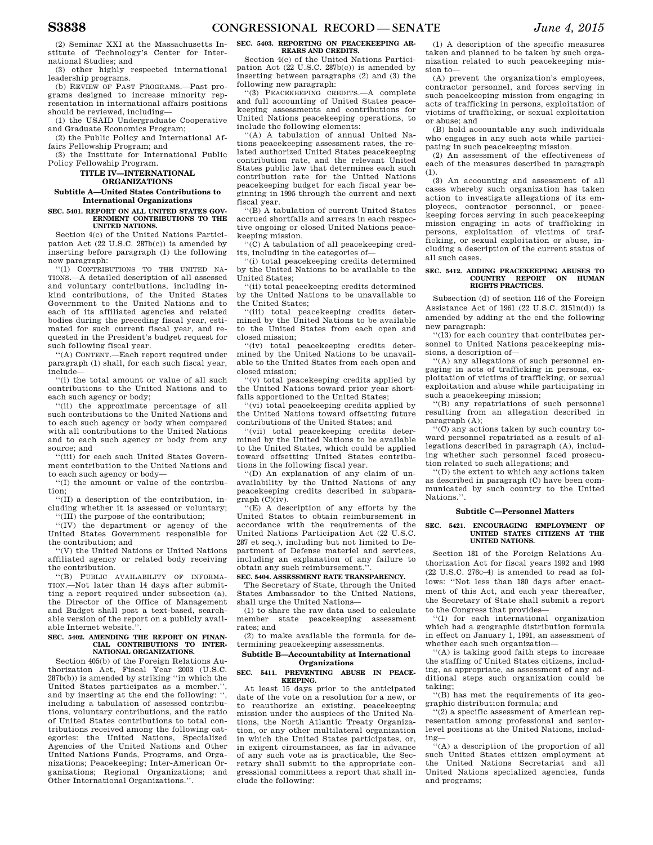(2) Seminar XXI at the Massachusetts Institute of Technology's Center for International Studies; and

(3) other highly respected international leadership programs.

(b) REVIEW OF PAST PROGRAMS.—Past programs designed to increase minority representation in international affairs positions should be reviewed, including—

(1) the USAID Undergraduate Cooperative and Graduate Economics Program;

(2) the Public Policy and International Affairs Fellowship Program; and

(3) the Institute for International Public Policy Fellowship Program.

## **TITLE IV—INTERNATIONAL ORGANIZATIONS**

## **Subtitle A—United States Contributions to International Organizations**

**SEC. 5401. REPORT ON ALL UNITED STATES GOV-ERNMENT CONTRIBUTIONS TO THE UNITED NATIONS.** 

Section 4(c) of the United Nations Participation Act (22 U.S.C. 287b(c)) is amended by inserting before paragraph (1) the following new paragraph:

''(1) CONTRIBUTIONS TO THE UNITED NA-TIONS.—A detailed description of all assessed and voluntary contributions, including inkind contributions, of the United States Government to the United Nations and to each of its affiliated agencies and related bodies during the preceding fiscal year, estimated for such current fiscal year, and requested in the President's budget request for such following fiscal year.

''(A) CONTENT.—Each report required under paragraph (1) shall, for each such fiscal year, include—

''(i) the total amount or value of all such contributions to the United Nations and to each such agency or body;

''(ii) the approximate percentage of all such contributions to the United Nations and to each such agency or body when compared with all contributions to the United Nations and to each such agency or body from any source; and

'(iii) for each such United States Government contribution to the United Nations and to each such agency or body—

''(I) the amount or value of the contribution;

''(II) a description of the contribution, including whether it is assessed or voluntary; ''(III) the purpose of the contribution;

''(IV) the department or agency of the United States Government responsible for the contribution; and

''(V) the United Nations or United Nations affiliated agency or related body receiving the contribution.

''(B) PUBLIC AVAILABILITY OF INFORMA-TION.—Not later than 14 days after submitting a report required under subsection (a), the Director of the Office of Management and Budget shall post a text-based, searchable version of the report on a publicly available Internet website.''.

#### **SEC. 5402. AMENDING THE REPORT ON FINAN-CIAL CONTRIBUTIONS TO INTER-NATIONAL ORGANIZATIONS.**

Section 405(b) of the Foreign Relations Authorization Act, Fiscal Year 2003 (U.S.C. 287b(b)) is amended by striking ''in which the United States participates as a member." and by inserting at the end the following: '', including a tabulation of assessed contributions, voluntary contributions, and the ratio of United States contributions to total contributions received among the following categories: the United Nations, Specialized Agencies of the United Nations and Other United Nations Funds, Programs, and Organizations; Peacekeeping; Inter-American Organizations; Regional Organizations; and Other International Organizations.''.

**SEC. 5403. REPORTING ON PEACEKEEPING AR-REARS AND CREDITS.** 

Section 4(c) of the United Nations Participation Act (22 U.S.C. 287b(c)) is amended by inserting between paragraphs (2) and (3) the following new paragraph:

''(3) PEACEKEEPING CREDITS.—A complete and full accounting of United States peacekeeping assessments and contributions for United Nations peacekeeping operations, to include the following elements:

''(A) A tabulation of annual United Nations peacekeeping assessment rates, the related authorized United States peacekeeping contribution rate, and the relevant United States public law that determines each such contribution rate for the United Nations peacekeeping budget for each fiscal year beginning in 1995 through the current and next fiscal year.

''(B) A tabulation of current United States accrued shortfalls and arrears in each respective ongoing or closed United Nations peacekeeping mission.

''(C) A tabulation of all peacekeeping credits, including in the categories of—

''(i) total peacekeeping credits determined by the United Nations to be available to the United States;

''(ii) total peacekeeping credits determined by the United Nations to be unavailable to the United States;

''(iii) total peacekeeping credits determined by the United Nations to be available to the United States from each open and closed mission;

''(iv) total peacekeeping credits determined by the United Nations to be unavailable to the United States from each open and closed mission;

''(v) total peacekeeping credits applied by the United Nations toward prior year shortfalls apportioned to the United States;

''(vi) total peacekeeping credits applied by the United Nations toward offsetting future contributions of the United States; and

''(vii) total peacekeeping credits determined by the United Nations to be available to the United States, which could be applied toward offsetting United States contributions in the following fiscal year.

''(D) An explanation of any claim of unavailability by the United Nations of any peacekeeping credits described in subpara $graph (C)(iv)$ .

''(E) A description of any efforts by the United States to obtain reimbursement in accordance with the requirements of the United Nations Participation Act (22 U.S.C. 287 et seq.), including but not limited to Department of Defense materiel and services, including an explanation of any failure to obtain any such reimbursement.''.

## **SEC. 5404. ASSESSMENT RATE TRANSPARENCY.**

The Secretary of State, through the United States Ambassador to the United Nations, shall urge the United Nations—

(1) to share the raw data used to calculate member state peacekeeping assessment rates; and

(2) to make available the formula for determining peacekeeping assessments.

## **Subtitle B—Accountability at International Organizations**

#### **SEC. 5411. PREVENTING ABUSE IN PEACE-KEEPING.**

At least 15 days prior to the anticipated date of the vote on a resolution for a new, or to reauthorize an existing, peacekeeping mission under the auspices of the United Nations, the North Atlantic Treaty Organization, or any other multilateral organization in which the United States participates, or, in exigent circumstances, as far in advance of any such vote as is practicable, the Secretary shall submit to the appropriate congressional committees a report that shall include the following:

(1) A description of the specific measures taken and planned to be taken by such organization related to such peacekeeping mission to—

(A) prevent the organization's employees, contractor personnel, and forces serving in such peacekeeping mission from engaging in acts of trafficking in persons, exploitation of victims of trafficking, or sexual exploitation or abuse; and

(B) hold accountable any such individuals who engages in any such acts while participating in such peacekeeping mission.

(2) An assessment of the effectiveness of each of the measures described in paragraph (1).

(3) An accounting and assessment of all cases whereby such organization has taken action to investigate allegations of its employees, contractor personnel, or peacekeeping forces serving in such peacekeeping mission engaging in acts of trafficking in persons, exploitation of victims of trafficking, or sexual exploitation or abuse, including a description of the current status of all such cases.

# **SEC. 5412. ADDING PEACEKEEPING ABUSES TO COUNTRY REPORT ON HUMAN RIGHTS PRACTICES.**

Subsection (d) of section 116 of the Foreign Assistance Act of 1961 (22 U.S.C. 2151n(d)) is amended by adding at the end the following new paragraph:

''(13) for each country that contributes personnel to United Nations peacekeeping missions, a description of—

''(A) any allegations of such personnel engaging in acts of trafficking in persons, exploitation of victims of trafficking, or sexual exploitation and abuse while participating in such a peacekeeping mission;

''(B) any repatriations of such personnel resulting from an allegation described in paragraph (A);

''(C) any actions taken by such country toward personnel repatriated as a result of allegations described in paragraph (A), including whether such personnel faced prosecution related to such allegations; and

''(D) the extent to which any actions taken as described in paragraph (C) have been communicated by such country to the United Nations.''.

## **Subtitle C—Personnel Matters**

## **SEC. 5421. ENCOURAGING EMPLOYMENT OF UNITED STATES CITIZENS AT THE UNITED NATIONS.**

Section 181 of the Foreign Relations Authorization Act for fiscal years 1992 and 1993 (22 U.S.C. 276c–4) is amended to read as follows: ''Not less than 180 days after enactment of this Act, and each year thereafter, the Secretary of State shall submit a report to the Congress that provides—

''(1) for each international organization which had a geographic distribution formula in effect on January 1, 1991, an assessment of whether each such organization—

''(A) is taking good faith steps to increase the staffing of United States citizens, including, as appropriate, as assessment of any additional steps such organization could be taking;

''(B) has met the requirements of its geographic distribution formula; and

''(2) a specific assessment of American representation among professional and seniorlevel positions at the United Nations, including—

''(A) a description of the proportion of all such United States citizen employment at the United Nations Secretariat and all United Nations specialized agencies, funds and programs;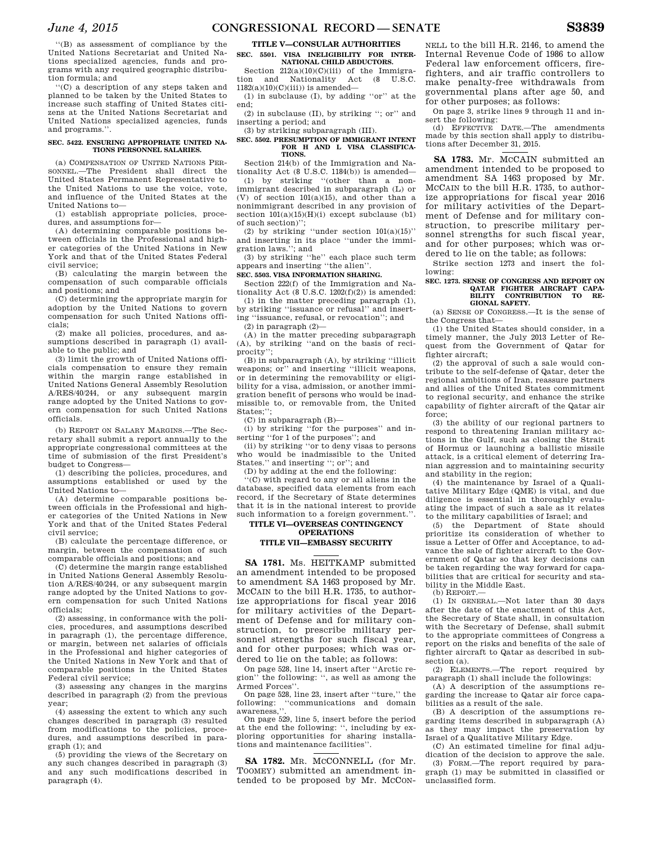''(B) as assessment of compliance by the United Nations Secretariat and United Nations specialized agencies, funds and programs with any required geographic distribution formula; and

''(C) a description of any steps taken and planned to be taken by the United States to increase such staffing of United States citizens at the United Nations Secretariat and United Nations specialized agencies, funds and programs.''.

#### **SEC. 5422. ENSURING APPROPRIATE UNITED NA-TIONS PERSONNEL SALARIES.**

(a) COMPENSATION OF UNITED NATIONS PER-SONNEL.—The President shall direct the United States Permanent Representative to the United Nations to use the voice, vote, and influence of the United States at the United Nations to—

(1) establish appropriate policies, procedures, and assumptions for—

(A) determining comparable positions between officials in the Professional and higher categories of the United Nations in New York and that of the United States Federal civil service;

(B) calculating the margin between the compensation of such comparable officials and positions; and

(C) determining the appropriate margin for adoption by the United Nations to govern compensation for such United Nations officials;

(2) make all policies, procedures, and assumptions described in paragraph (1) available to the public; and

(3) limit the growth of United Nations officials compensation to ensure they remain within the margin range established in United Nations General Assembly Resolution A/RES/40/244, or any subsequent margin range adopted by the United Nations to govern compensation for such United Nations officials.

(b) REPORT ON SALARY MARGINS.—The Secretary shall submit a report annually to the appropriate congressional committees at the time of submission of the first President's budget to Congress—

(1) describing the policies, procedures, and assumptions established or used by the United Nations to—

(A) determine comparable positions between officials in the Professional and higher categories of the United Nations in New York and that of the United States Federal civil service;

(B) calculate the percentage difference, or margin, between the compensation of such comparable officials and positions; and

(C) determine the margin range established in United Nations General Assembly Resolution A/RES/40/244, or any subsequent margin range adopted by the United Nations to govern compensation for such United Nations officials;

(2) assessing, in conformance with the policies, procedures, and assumptions described in paragraph (1), the percentage difference, or margin, between net salaries of officials in the Professional and higher categories of the United Nations in New York and that of comparable positions in the United States Federal civil service;

(3) assessing any changes in the margins described in paragraph (2) from the previous year;

(4) assessing the extent to which any such changes described in paragraph (3) resulted from modifications to the policies, procedures, and assumptions described in paragraph (1); and

(5) providing the views of the Secretary on any such changes described in paragraph (3) and any such modifications described in paragraph (4).

## **TITLE V—CONSULAR AUTHORITIES**

## **SEC. 5501. VISA INELIGIBILITY FOR INTER-NATIONAL CHILD ABDUCTORS.**

Section  $212(a)(10)(C)(iii)$  of the Immigration and Nationality Act (8 U.S.C. Nationality  $1182(a)(10)(C)(iii)$ ) is amended—

(1) in subclause (I), by adding ''or'' at the end;

(2) in subclause (II), by striking ''; or'' and inserting a period; and

(3) by striking subparagraph (III).

#### **SEC. 5502. PRESUMPTION OF IMMIGRANT INTENT FOR H AND L VISA CLASSIFICA-TIONS.**

Section 214(b) of the Immigration and Nationality Act (8 U.S.C. 1184(b)) is amended—

(1) by striking ''(other than a nonimmigrant described in subparagraph (L) or (V) of section 101(a)(15), and other than a nonimmigrant described in any provision of section  $101(a)(15)(H)(i)$  except subclause (b1) of such section)'';

(2) by striking "under section  $101(a)(15)$ " and inserting in its place ''under the immigration laws.''; and

(3) by striking ''he'' each place such term appears and inserting ''the alien''.

## **SEC. 5503. VISA INFORMATION SHARING.**

Section 222(f) of the Immigration and Nationality Act (8 U.S.C.  $1202(f)(2)$ ) is amended: (1) in the matter preceding paragraph (1),

by striking ''issuance or refusal'' and inserting ''issuance, refusal, or revocation''; and (2) in paragraph (2)—

(A) in the matter preceding subparagraph (A), by striking ''and on the basis of reciprocity'';

(B) in subparagraph (A), by striking ''illicit weapons; or'' and inserting ''illicit weapons, or in determining the removability or eligibility for a visa, admission, or another immigration benefit of persons who would be inadmissible to, or removable from, the United States;'';

(C) in subparagraph (B)—

(i) by striking ''for the purposes'' and inserting ''for 1 of the purposes''; and

(ii) by striking ''or to deny visas to persons who would be inadmissible to the United States.'' and inserting ''; or''; and

(D) by adding at the end the following:

''(C) with regard to any or all aliens in the database, specified data elements from each record, if the Secretary of State determines that it is in the national interest to provide such information to a foreign government.''.

## **TITLE VI—OVERSEAS CONTINGENCY OPERATIONS**

## **TITLE VII—EMBASSY SECURITY**

**SA 1781.** Ms. HEITKAMP submitted an amendment intended to be proposed to amendment SA 1463 proposed by Mr. MCCAIN to the bill H.R. 1735, to authorize appropriations for fiscal year 2016 for military activities of the Department of Defense and for military construction, to prescribe military personnel strengths for such fiscal year, and for other purposes; which was ordered to lie on the table; as follows:

On page 528, line 14, insert after ''Arctic region'' the following: '', as well as among the Armed Forces''.

On page 528, line 23, insert after ''ture,'' the following: ''communications and domain awareness,''.

On page 529, line 5, insert before the period at the end the following: '', including by exploring opportunities for sharing installations and maintenance facilities''.

**SA 1782.** MR. MCCONNELL (for Mr. TOOMEY) submitted an amendment intended to be proposed by Mr. McCon-

NELL to the bill H.R. 2146, to amend the Internal Revenue Code of 1986 to allow Federal law enforcement officers, firefighters, and air traffic controllers to make penalty-free withdrawals from governmental plans after age 50, and for other purposes; as follows:

On page 3, strike lines 9 through 11 and in-

sert the following: (d) EFFECTIVE DATE.—The amendments made by this section shall apply to distributions after December 31, 2015.

**SA 1783.** Mr. MCCAIN submitted an amendment intended to be proposed to amendment SA 1463 proposed by Mr. MCCAIN to the bill H.R. 1735, to authorize appropriations for fiscal year 2016 for military activities of the Department of Defense and for military construction, to prescribe military personnel strengths for such fiscal year, and for other purposes; which was ordered to lie on the table; as follows:

Strike section 1273 and insert the following:

## **SEC. 1273. SENSE OF CONGRESS AND REPORT ON QATAR FIGHTER AIRCRAFT CAPA-BILITY CONTRIBUTION TO RE-GIONAL SAFETY.**

(a) SENSE OF CONGRESS.—It is the sense of the Congress that—

(1) the United States should consider, in a timely manner, the July 2013 Letter of Request from the Government of Qatar for fighter aircraft;

 $(2)$  the approval of such a sale would contribute to the self-defense of Qatar, deter the regional ambitions of Iran, reassure partners and allies of the United States commitment to regional security, and enhance the strike capability of fighter aircraft of the Qatar air force;

(3) the ability of our regional partners to respond to threatening Iranian military actions in the Gulf, such as closing the Strait of Hormuz or launching a ballistic missile attack, is a critical element of deterring Iranian aggression and to maintaining security and stability in the region;

(4) the maintenance by Israel of a Qualitative Military Edge (QME) is vital, and due diligence is essential in thoroughly evaluating the impact of such a sale as it relates to the military capabilities of Israel; and

(5) the Department of State should prioritize its consideration of whether to issue a Letter of Offer and Acceptance, to advance the sale of fighter aircraft to the Government of Qatar so that key decisions can be taken regarding the way forward for capabilities that are critical for security and stability in the Middle East.

 $(b)$  REPORT-

(1) IN GENERAL.—Not later than 30 days after the date of the enactment of this Act, the Secretary of State shall, in consultation with the Secretary of Defense, shall submit to the appropriate committees of Congress a report on the risks and benefits of the sale of fighter aircraft to Qatar as described in subsection (a).

(2) ELEMENTS.—The report required by paragraph (1) shall include the followings:

(A) A description of the assumptions regarding the increase to Qatar air force capabilities as a result of the sale.

(B) A description of the assumptions regarding items described in subparagraph (A) as they may impact the preservation by Israel of a Qualitative Military Edge.

(C) An estimated timeline for final adjudication of the decision to approve the sale.

(3) FORM.—The report required by paragraph (1) may be submitted in classified or unclassified form.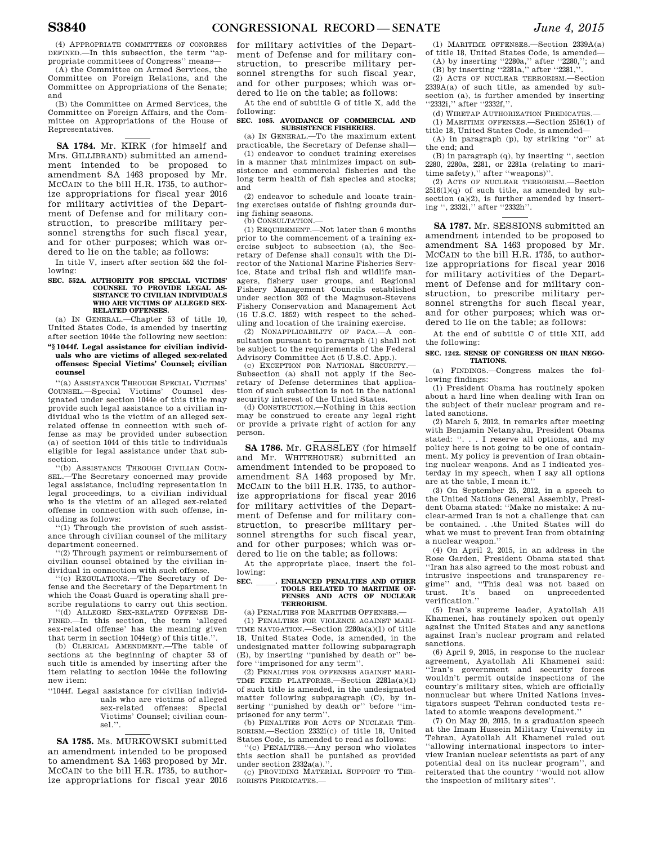(4) APPROPRIATE COMMITTEES OF CONGRESS DEFINED.—In this subsection, the term ''appropriate committees of Congress'' means—

(A) the Committee on Armed Services, the Committee on Foreign Relations, and the Committee on Appropriations of the Senate; and

(B) the Committee on Armed Services, the Committee on Foreign Affairs, and the Committee on Appropriations of the House of Representatives.

**SA 1784.** Mr. KIRK (for himself and Mrs. GILLIBRAND) submitted an amendment intended to be proposed to amendment SA 1463 proposed by Mr. MCCAIN to the bill H.R. 1735, to authorize appropriations for fiscal year 2016 for military activities of the Department of Defense and for military construction, to prescribe military personnel strengths for such fiscal year, and for other purposes; which was ordered to lie on the table; as follows:

In title V, insert after section 552 the following:

## **SEC. 552A. AUTHORITY FOR SPECIAL VICTIMS' COUNSEL TO PROVIDE LEGAL AS-SISTANCE TO CIVILIAN INDIVIDUALS WHO ARE VICTIMS OF ALLEGED SEX-RELATED OFFENSES.**

(a) IN GENERAL.—Chapter 53 of title 10, United States Code, is amended by inserting after section 1044e the following new section:

## **''§ 1044f. Legal assistance for civilian individuals who are victims of alleged sex-related offenses: Special Victims' Counsel; civilian counsel**

''(a) ASSISTANCE THROUGH SPECIAL VICTIMS' COUNSEL.—Special Victims' Counsel designated under section 1044e of this title may provide such legal assistance to a civilian individual who is the victim of an alleged sexrelated offense in connection with such offense as may be provided under subsection (a) of section 1044 of this title to individuals eligible for legal assistance under that subsection.

'(b) ASSISTANCE THROUGH CIVILIAN COUN-SEL.—The Secretary concerned may provide legal assistance, including representation in legal proceedings, to a civilian individual who is the victim of an alleged sex-related offense in connection with such offense, including as follows:

''(1) Through the provision of such assistance through civilian counsel of the military department concerned.

''(2) Through payment or reimbursement of civilian counsel obtained by the civilian individual in connection with such offense.

'(c) REGULATIONS.—The Secretary of Defense and the Secretary of the Department in which the Coast Guard is operating shall prescribe regulations to carry out this section.

''(d) ALLEGED SEX-RELATED OFFENSE DE-FINED.—In this section, the term 'alleged sex-related offense' has the meaning given that term in section 1044e(g) of this title.''.

(b) CLERICAL AMENDMENT.—The table of sections at the beginning of chapter 53 of such title is amended by inserting after the item relating to section 1044e the following new item:

''1044f. Legal assistance for civilian individuals who are victims of alleged sex-related offenses: Special Victims' Counsel; civilian counsel.''.

**SA 1785.** Ms. MURKOWSKI submitted an amendment intended to be proposed to amendment SA 1463 proposed by Mr. MCCAIN to the bill H.R. 1735, to authorize appropriations for fiscal year 2016

for military activities of the Department of Defense and for military construction, to prescribe military personnel strengths for such fiscal year, and for other purposes; which was ordered to lie on the table; as follows:

At the end of subtitle G of title X, add the

following: **SEC. 1085. AVOIDANCE OF COMMERCIAL AND** 

**SUBSISTENCE FISHERIES.**  (a) IN GENERAL.—To the maximum extent

practicable, the Secretary of Defense shall— (1) endeavor to conduct training exercises in a manner that minimizes impact on subsistence and commercial fisheries and the long term health of fish species and stocks; and

(2) endeavor to schedule and locate training exercises outside of fishing grounds during fishing seasons.

(b) CONSULTATION-

 $(1)$  REQUIREMENT —Not later than 6 months prior to the commencement of a training exercise subject to subsection (a), the Secretary of Defense shall consult with the Director of the National Marine Fisheries Service, State and tribal fish and wildlife managers, fishery user groups, and Regional Fishery Management Councils established under section 302 of the Magnuson-Stevens Fishery Conservation and Management Act (16 U.S.C. 1852) with respect to the scheduling and location of the training exercise.

(2) NONAPPLICABILITY OF FACA.—A consultation pursuant to paragraph (1) shall not be subject to the requirements of the Federal Advisory Committee Act (5 U.S.C. App.).

(c) EXCEPTION FOR NATIONAL SECURITY.— Subsection (a) shall not apply if the Secretary of Defense determines that application of such subsection is not in the national security interest of the Untied States.

(d) CONSTRUCTION.—Nothing in this section may be construed to create any legal right or provide a private right of action for any person.

**SA 1786.** Mr. GRASSLEY (for himself and Mr. WHITEHOUSE) submitted an amendment intended to be proposed to amendment SA 1463 proposed by Mr. MCCAIN to the bill H.R. 1735, to authorize appropriations for fiscal year 2016 for military activities of the Department of Defense and for military construction, to prescribe military personnel strengths for such fiscal year, and for other purposes; which was ordered to lie on the table; as follows:

At the appropriate place, insert the following:

## SEC. \_\_\_\_\_\_. ENHANCED PENALTIES AND OTHER **TOOLS RELATED** TO MARITIME OF-**FENSES AND ACTS OF NUCLEAR TERRORISM.**

(a) PENALTIES FOR MARITIME OFFENSES.—

(1) PENALTIES FOR VIOLENCE AGAINST MARI-TIME NAVIGATION.—Section 2280a(a)(1) of title 18, United States Code, is amended, in the undesignated matter following subparagraph (E), by inserting ''punished by death or'' before ''imprisoned for any term''.

(2) PENALTIES FOR OFFENSES AGAINST MARI-TIME FIXED PLATFORMS.—Section 2281a(a)(1) of such title is amended, in the undesignated matter following subparagraph (C), by inserting ''punished by death or'' before ''imprisoned for any term''.

(b) PENALTIES FOR ACTS OF NUCLEAR TER-RORISM.—Section 2332i(c) of title 18, United States Code, is amended to read as follows:

'(c) PENALTIES.—Any person who violates this section shall be punished as provided under section  $2332a(a)$ .

(c) PROVIDING MATERIAL SUPPORT TO TER-RORISTS PREDICATES.—

(1) MARITIME OFFENSES.—Section 2339A(a) of title 18, United States Code, is amended— (A) by inserting ''2280a,'' after ''2280,''; and

(B) by inserting ''2281a,'' after ''2281,''.

(2) ACTS OF NUCLEAR TERRORISM.—Section  $2339A(a)$  of such title, as amended by subsection (a), is further amended by inserting ''2332i,'' after ''2332f,''.

(d) WIRETAP AUTHORIZATION PREDICATES.—

(1) MARITIME OFFENSES.—Section 2516(1) of title 18, United States Code, is amended—

(A) in paragraph (p), by striking ''or'' at the end; and

(B) in paragraph (q), by inserting '', section 2280, 2280a, 2281, or 2281a (relating to maritime safety),'' after ''weapons)''.

(2) ACTS OF NUCLEAR TERRORISM.—Section  $2516(1)(q)$  of such title, as amended by subsection (a)(2), is further amended by inserting '', 2332i,'' after ''2332h''.

**SA 1787.** Mr. SESSIONS submitted an amendment intended to be proposed to amendment SA 1463 proposed by Mr. MCCAIN to the bill H.R. 1735, to authorize appropriations for fiscal year 2016 for military activities of the Department of Defense and for military construction, to prescribe military personnel strengths for such fiscal year, and for other purposes; which was ordered to lie on the table; as follows:

At the end of subtitle C of title XII, add the following:

## **SEC. 1242. SENSE OF CONGRESS ON IRAN NEGO-TIATIONS.**

(a) FINDINGS.—Congress makes the following findings:

(1) President Obama has routinely spoken about a hard line when dealing with Iran on the subject of their nuclear program and related sanctions.

(2) March 5, 2012, in remarks after meeting with Benjamin Netanyahu, President Obama stated: ''. . . I reserve all options, and my policy here is not going to be one of containment. My policy is prevention of Iran obtaining nuclear weapons. And as I indicated yesterday in my speech, when I say all options are at the table, I mean it.''

(3) On September 25, 2012, in a speech to the United Nations General Assembly, President Obama stated: ''Make no mistake: A nuclear-armed Iran is not a challenge that can be contained. . .the United States will do what we must to prevent Iran from obtaining a nuclear weapon.''

(4) On April 2, 2015, in an address in the Rose Garden, President Obama stated that ''Iran has also agreed to the most robust and intrusive inspections and transparency regime'' and, ''This deal was not based on trust. It's based on unprecedented verification.''

(5) Iran's supreme leader, Ayatollah Ali Khamenei, has routinely spoken out openly against the United States and any sanctions against Iran's nuclear program and related sanctions.

(6) April 9, 2015, in response to the nuclear agreement, Ayatollah Ali Khamenei said: ''Iran's government and security forces wouldn't permit outside inspections of the country's military sites, which are officially nonnuclear but where United Nations investigators suspect Tehran conducted tests related to atomic weapons development.''

(7) On May 20, 2015, in a graduation speech at the Imam Hussein Military University in Tehran, Ayatollah Ali Khamenei ruled out ''allowing international inspectors to interview Iranian nuclear scientists as part of any potential deal on its nuclear program'', and reiterated that the country ''would not allow the inspection of military sites''.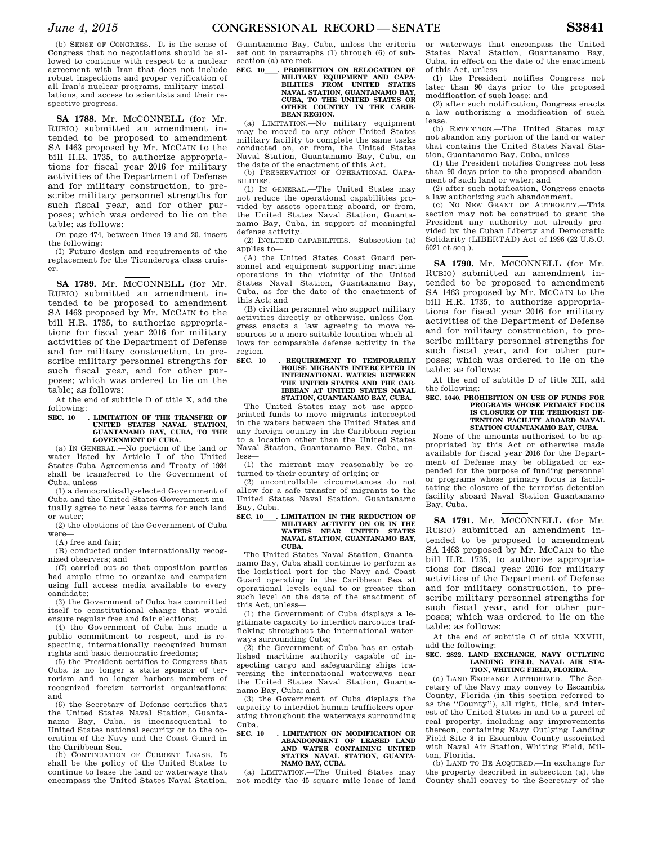(b) SENSE OF CONGRESS.—It is the sense of Congress that no negotiations should be allowed to continue with respect to a nuclear agreement with Iran that does not include robust inspections and proper verification of all Iran's nuclear programs, military installations, and access to scientists and their respective progress.

SA 1788. Mr. McCONNELL (for Mr. RUBIO) submitted an amendment intended to be proposed to amendment SA 1463 proposed by Mr. MCCAIN to the bill H.R. 1735, to authorize appropriations for fiscal year 2016 for military activities of the Department of Defense and for military construction, to prescribe military personnel strengths for such fiscal year, and for other purposes; which was ordered to lie on the table; as follows:

On page 474, between lines 19 and 20, insert the following:

(I) Future design and requirements of the replacement for the Ticonderoga class cruiser.

SA 1789. Mr. McCONNELL (for Mr. RUBIO) submitted an amendment intended to be proposed to amendment SA 1463 proposed by Mr. MCCAIN to the bill H.R. 1735, to authorize appropriations for fiscal year 2016 for military activities of the Department of Defense and for military construction, to prescribe military personnel strengths for such fiscal year, and for other purposes; which was ordered to lie on the table; as follows:

At the end of subtitle D of title X, add the following:<br>SEC. 10 . LIMITATION OF THE TRANSFER OF

SEC. 10\_\_\_\_. LIMITATION OF THE TRANSFER OF UNITED STATES NAVAL STATION,<br>GUANTANAMO BAY, CUBA, TO THE **GOVERNMENT OF CUBA.** 

(a) IN GENERAL.—No portion of the land or water listed by Article I of the United States-Cuba Agreements and Treaty of 1934 shall be transferred to the Government of Cuba, unless—

(1) a democratically-elected Government of Cuba and the United States Government mutually agree to new lease terms for such land or water;

(2) the elections of the Government of Cuba were—

(A) free and fair;

(B) conducted under internationally recognized observers; and

(C) carried out so that opposition parties had ample time to organize and campaign using full access media available to every candidate;

(3) the Government of Cuba has committed itself to constitutional change that would ensure regular free and fair elections;

(4) the Government of Cuba has made a public commitment to respect, and is respecting, internationally recognized human rights and basic democratic freedoms;

(5) the President certifies to Congress that Cuba is no longer a state sponsor of terrorism and no longer harbors members of recognized foreign terrorist organizations; and

(6) the Secretary of Defense certifies that the United States Naval Station, Guantanamo Bay, Cuba, is inconsequential to United States national security or to the operation of the Navy and the Coast Guard in the Caribbean Sea.

(b) CONTINUATION OF CURRENT LEASE.—It shall be the policy of the United States to continue to lease the land or waterways that encompass the United States Naval Station,

Guantanamo Bay, Cuba, unless the criteria set out in paragraphs (1) through (6) of subsection (a) are met.<br>SEC. 10 . PROHIBITION ON RELOCATION OF

## SEC. 10\_\_\_\_. PROHIBITION ON RELOCATION OF MILITARY EQUIPMENT AND CAPA-**BILITIES FROM UNITED STATES NAVAL STATION, GUANTANAMO BAY, CUBA, TO THE UNITED STATES OR OTHER COUNTRY IN THE CARIB-BEAN REGION.**

(a) LIMITATION.—No military equipment may be moved to any other United States military facility to complete the same tasks conducted on, or from, the United States Naval Station, Guantanamo Bay, Cuba, on the date of the enactment of this Act.

(b) PRESERVATION OF OPERATIONAL CAPA-BILITIES.—

(1) IN GENERAL.—The United States may not reduce the operational capabilities provided by assets operating aboard, or from, the United States Naval Station, Guantanamo Bay, Cuba, in support of meaningful defense activity.

(2) INCLUDED CAPABILITIES.—Subsection (a) applies to—

(A) the United States Coast Guard personnel and equipment supporting maritime operations in the vicinity of the United States Naval Station, Guantanamo Bay, Cuba, as for the date of the enactment of this Act; and

(B) civilian personnel who support military activities directly or otherwise, unless Congress enacts a law agreeing to move resources to a more suitable location which allows for comparable defense activity in the region.

## **SEC. 10\_\_\_\_. REQUIREMENT TO TEMPORARILY HOUSE MIGRANTS INTERCEPTED IN INTERNATIONAL WATERS BETWEEN THE UNITED STATES AND THE CAR-IBBEAN AT UNITED STATES NAVAL STATION, GUANTANAMO BAY, CUBA.**

The United States may not use appropriated funds to move migrants intercepted in the waters between the United States and any foreign country in the Caribbean region to a location other than the United States Naval Station, Guantanamo Bay, Cuba, unless—

(1) the migrant may reasonably be returned to their country of origin; or

(2) uncontrollable circumstances do not allow for a safe transfer of migrants to the United States Naval Station, Guantanamo Bay, Cuba.

#### SEC. 10\_\_\_\_. LIMITATION IN THE REDUCTION OF **MILITARY ACTIVITY ON OR IN THE WATERS NEAR UNITED STATES NAVAL STATION, GUANTANAMO BAY, CUBA.**

The United States Naval Station, Guantanamo Bay, Cuba shall continue to perform as the logistical port for the Navy and Coast Guard operating in the Caribbean Sea at operational levels equal to or greater than such level on the date of the enactment of this Act, unless—

(1) the Government of Cuba displays a legitimate capacity to interdict narcotics trafficking throughout the international waterways surrounding Cuba;

(2) the Government of Cuba has an established maritime authority capable of inspecting cargo and safeguarding ships traversing the international waterways near the United States Naval Station, Guantanamo Bay, Cuba; and

(3) the Government of Cuba displays the capacity to interdict human traffickers operating throughout the waterways surrounding Cuba.

## **SEC. 10**ll**. LIMITATION ON MODIFICATION OR ABANDONMENT OF LEASED LAND AND WATER CONTAINING UNITED STATES NAVAL STATION, GUANTA-NAMO BAY, CUBA.**

(a) LIMITATION.—The United States may not modify the 45 square mile lease of land

or waterways that encompass the United States Naval Station, Guantanamo Bay, Cuba, in effect on the date of the enactment of this Act, unless—

(1) the President notifies Congress not later than 90 days prior to the proposed modification of such lease; and

(2) after such notification, Congress enacts a law authorizing a modification of such lease.

(b) RETENTION.—The United States may not abandon any portion of the land or water that contains the United States Naval Station, Guantanamo Bay, Cuba, unless—

(1) the President notifies Congress not less than 90 days prior to the proposed abandonment of such land or water; and

(2) after such notification, Congress enacts a law authorizing such abandonment.

(c) NO NEW GRANT OF AUTHORITY.—This section may not be construed to grant the President any authority not already provided by the Cuban Liberty and Democratic Solidarity (LIBERTAD) Act of 1996 (22 U.S.C. 6021 et seq.).

SA 1790. Mr. MCCONNELL (for Mr. RUBIO) submitted an amendment intended to be proposed to amendment SA 1463 proposed by Mr. MCCAIN to the bill H.R. 1735, to authorize appropriations for fiscal year 2016 for military activities of the Department of Defense and for military construction, to prescribe military personnel strengths for such fiscal year, and for other purposes; which was ordered to lie on the table; as follows:

At the end of subtitle D of title XII, add the following:

#### **SEC. 1040. PROHIBITION ON USE OF FUNDS FOR PROGRAMS WHOSE PRIMARY FOCUS IS CLOSURE OF THE TERRORIST DE-TENTION FACILITY ABOARD NAVAL STATION GUANTANAMO BAY, CUBA.**

None of the amounts authorized to be appropriated by this Act or otherwise made available for fiscal year 2016 for the Department of Defense may be obligated or expended for the purpose of funding personnel or programs whose primary focus is facilitating the closure of the terrorist detention facility aboard Naval Station Guantanamo Bay, Cuba.

SA 1791. Mr. MCCONNELL (for Mr. RUBIO) submitted an amendment intended to be proposed to amendment SA 1463 proposed by Mr. MCCAIN to the bill H.R. 1735, to authorize appropriations for fiscal year 2016 for military activities of the Department of Defense and for military construction, to prescribe military personnel strengths for such fiscal year, and for other purposes; which was ordered to lie on the table; as follows:

At the end of subtitle C of title XXVIII, add the following:

## **SEC. 2822. LAND EXCHANGE, NAVY OUTLYING LANDING FIELD, NAVAL AIR STA-TION, WHITING FIELD, FLORIDA.**

(a) LAND EXCHANGE AUTHORIZED.—The Secretary of the Navy may convey to Escambia County, Florida (in this section referred to as the ''County''), all right, title, and interest of the United States in and to a parcel of real property, including any improvements thereon, containing Navy Outlying Landing Field Site 8 in Escambia County associated with Naval Air Station, Whiting Field, Milton, Florida.

(b) LAND TO BE ACQUIRED.—In exchange for the property described in subsection (a), the County shall convey to the Secretary of the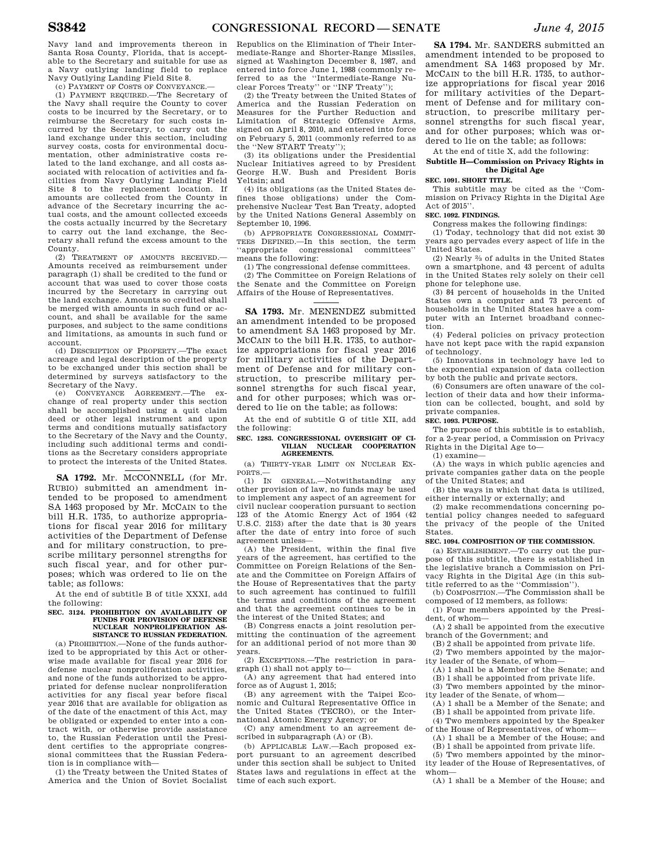Navy land and improvements thereon in Santa Rosa County, Florida, that is acceptable to the Secretary and suitable for use as a Navy outlying landing field to replace Navy Outlying Landing Field Site 8.

(c) PAYMENT OF COSTS OF CONVEYANCE.—

(1) PAYMENT REQUIRED.—The Secretary of the Navy shall require the County to cover costs to be incurred by the Secretary, or to reimburse the Secretary for such costs incurred by the Secretary, to carry out the land exchange under this section, including survey costs, costs for environmental documentation, other administrative costs related to the land exchange, and all costs associated with relocation of activities and facilities from Navy Outlying Landing Field Site 8 to the replacement location. If amounts are collected from the County in advance of the Secretary incurring the actual costs, and the amount collected exceeds the costs actually incurred by the Secretary to carry out the land exchange, the Secretary shall refund the excess amount to the County.

(2) TREATMENT OF AMOUNTS RECEIVED.— Amounts received as reimbursement under paragraph (1) shall be credited to the fund or account that was used to cover those costs incurred by the Secretary in carrying out the land exchange. Amounts so credited shall be merged with amounts in such fund or account, and shall be available for the same purposes, and subject to the same conditions and limitations, as amounts in such fund or account.

(d) DESCRIPTION OF PROPERTY.—The exact acreage and legal description of the property to be exchanged under this section shall be determined by surveys satisfactory to the Secretary of the Navy.

(e) CONVEYANCE AGREEMENT.—The exchange of real property under this section shall be accomplished using a quit claim deed or other legal instrument and upon terms and conditions mutually satisfactory to the Secretary of the Navy and the County, including such additional terms and conditions as the Secretary considers appropriate to protect the interests of the United States.

SA 1792. Mr. McCONNELL (for Mr. RUBIO) submitted an amendment intended to be proposed to amendment SA 1463 proposed by Mr. MCCAIN to the bill H.R. 1735, to authorize appropriations for fiscal year 2016 for military activities of the Department of Defense and for military construction, to prescribe military personnel strengths for such fiscal year, and for other purposes; which was ordered to lie on the table; as follows:

At the end of subtitle B of title XXXI, add the following:

#### **SEC. 3124. PROHIBITION ON AVAILABILITY OF FUNDS FOR PROVISION OF DEFENSE NUCLEAR NONPROLIFERATION AS-SISTANCE TO RUSSIAN FEDERATION.**

(a) PROHIBITION.—None of the funds authorized to be appropriated by this Act or otherwise made available for fiscal year 2016 for defense nuclear nonproliferation activities, and none of the funds authorized to be appropriated for defense nuclear nonproliferation activities for any fiscal year before fiscal year 2016 that are available for obligation as of the date of the enactment of this Act, may be obligated or expended to enter into a contract with, or otherwise provide assistance to, the Russian Federation until the President certifies to the appropriate congressional committees that the Russian Federation is in compliance with—

(1) the Treaty between the United States of America and the Union of Soviet Socialist Republics on the Elimination of Their Intermediate-Range and Shorter-Range Missiles, signed at Washington December 8, 1987, and entered into force June 1, 1988 (commonly referred to as the ''Intermediate-Range Nuclear Forces Treaty'' or ''INF Treaty'');

(2) the Treaty between the United States of America and the Russian Federation on Measures for the Further Reduction and Limitation of Strategic Offensive Arms, signed on April 8, 2010, and entered into force on February 5, 2011 (commonly referred to as the ''New START Treaty'');

(3) its obligations under the Presidential Nuclear Initiatives agreed to by President George H.W. Bush and President Boris Yeltsin; and

(4) its obligations (as the United States defines those obligations) under the Comprehensive Nuclear Test Ban Treaty, adopted by the United Nations General Assembly on September 10, 1996.

(b) APPROPRIATE CONGRESSIONAL COMMIT-TEES DEFINED.—In this section, the term ''appropriate congressional committees'' means the following:

(1) The congressional defense committees. (2) The Committee on Foreign Relations of the Senate and the Committee on Foreign Affairs of the House of Representatives.

**SA 1793.** Mr. MENENDEZ submitted an amendment intended to be proposed to amendment SA 1463 proposed by Mr. MCCAIN to the bill H.R. 1735, to authorize appropriations for fiscal year 2016 for military activities of the Department of Defense and for military construction, to prescribe military personnel strengths for such fiscal year, and for other purposes; which was ordered to lie on the table; as follows:

At the end of subtitle G of title XII, add the following:

### **SEC. 1283. CONGRESSIONAL OVERSIGHT OF CI-VILIAN NUCLEAR COOPERATION AGREEMENTS.**

(a) THIRTY-YEAR LIMIT ON NUCLEAR EX-PORTS.— $(1)$  IN

(1) IN GENERAL.—Notwithstanding any other provision of law, no funds may be used to implement any aspect of an agreement for civil nuclear cooperation pursuant to section 123 of the Atomic Energy Act of 1954 (42 U.S.C. 2153) after the date that is 30 years after the date of entry into force of such agreement unless—

(A) the President, within the final five years of the agreement, has certified to the Committee on Foreign Relations of the Senate and the Committee on Foreign Affairs of the House of Representatives that the party to such agreement has continued to fulfill the terms and conditions of the agreement and that the agreement continues to be in the interest of the United States; and

(B) Congress enacts a joint resolution permitting the continuation of the agreement for an additional period of not more than 30 years.

(2) EXCEPTIONS.—The restriction in paragraph (1) shall not apply to—

(A) any agreement that had entered into force as of August 1, 2015;

(B) any agreement with the Taipei Economic and Cultural Representative Office in the United States (TECRO), or the International Atomic Energy Agency; or

(C) any amendment to an agreement described in subparagraph (A) or (B).

(b) APPLICABLE LAW.—Each proposed export pursuant to an agreement described under this section shall be subject to United States laws and regulations in effect at the time of each such export.

**SA 1794.** Mr. SANDERS submitted an amendment intended to be proposed to amendment SA 1463 proposed by Mr. MCCAIN to the bill H.R. 1735, to authorize appropriations for fiscal year 2016 for military activities of the Department of Defense and for military construction, to prescribe military personnel strengths for such fiscal year. and for other purposes; which was ordered to lie on the table; as follows:

At the end of title X, add the following:

**Subtitle H—Commission on Privacy Rights in the Digital Age** 

## **SEC. 1091. SHORT TITLE.**

This subtitle may be cited as the ''Commission on Privacy Rights in the Digital Age Act of 2015''.

## **SEC. 1092. FINDINGS.**

Congress makes the following findings:

(1) Today, technology that did not exist 30 years ago pervades every aspect of life in the United States.

(2) Nearly 2⁄3 of adults in the United States own a smartphone, and 43 percent of adults in the United States rely solely on their cell phone for telephone use.

(3) 84 percent of households in the United States own a computer and 73 percent of households in the United States have a computer with an Internet broadband connection.

(4) Federal policies on privacy protection have not kept pace with the rapid expansion of technology.

(5) Innovations in technology have led to the exponential expansion of data collection by both the public and private sectors.

(6) Consumers are often unaware of the collection of their data and how their information can be collected, bought, and sold by private companies.

## **SEC. 1093. PURPOSE.**

The purpose of this subtitle is to establish, for a 2-year period, a Commission on Privacy Rights in the Digital Age to—

(1) examine—

(A) the ways in which public agencies and private companies gather data on the people of the United States; and

(B) the ways in which that data is utilized, either internally or externally; and

(2) make recommendations concerning potential policy changes needed to safeguard the privacy of the people of the United States.

## **SEC. 1094. COMPOSITION OF THE COMMISSION.**

(a) ESTABLISHMENT.—To carry out the purpose of this subtitle, there is established in the legislative branch a Commission on Privacy Rights in the Digital Age (in this subtitle referred to as the ''Commission'').

(b) COMPOSITION.—The Commission shall be composed of 12 members, as follows:

(1) Four members appointed by the President, of whom—

(A) 2 shall be appointed from the executive branch of the Government; and

(B) 2 shall be appointed from private life.

(2) Two members appointed by the majority leader of the Senate, of whom—

(A) 1 shall be a Member of the Senate; and

(B) 1 shall be appointed from private life. (3) Two members appointed by the minor-

ity leader of the Senate, of whom—

(A) 1 shall be a Member of the Senate; and (B) 1 shall be appointed from private life.

(4) Two members appointed by the Speaker of the House of Representatives, of whom— (A) 1 shall be a Member of the House; and

(B) 1 shall be appointed from private life.

(5) Two members appointed by the minority leader of the House of Representatives, of whom—

(A) 1 shall be a Member of the House; and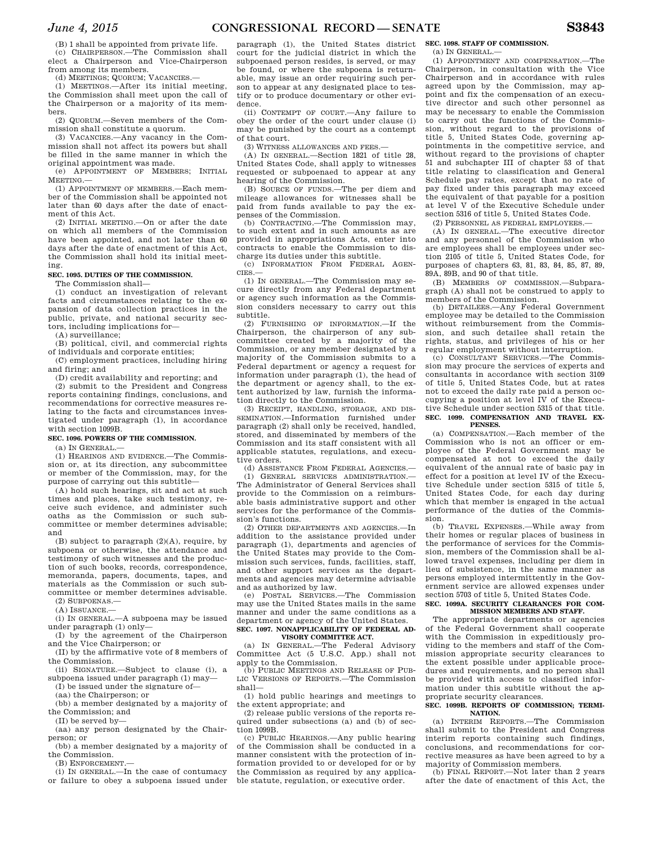(B) 1 shall be appointed from private life. (c) CHAIRPERSON.—The Commission shall elect a Chairperson and Vice-Chairperson from among its members.

(d) MEETINGS; QUORUM; VACANCIES.—

(1) MEETINGS.—After its initial meeting, the Commission shall meet upon the call of the Chairperson or a majority of its members.

(2) QUORUM.—Seven members of the Commission shall constitute a quorum.

(3) VACANCIES.—Any vacancy in the Commission shall not affect its powers but shall be filled in the same manner in which the original appointment was made.

(e) APPOINTMENT OF MEMBERS; INITIAL MEETING.—

(1) APPOINTMENT OF MEMBERS.—Each member of the Commission shall be appointed not later than 60 days after the date of enactment of this Act.

(2) INITIAL MEETING.—On or after the date on which all members of the Commission have been appointed, and not later than 60 days after the date of enactment of this Act, the Commission shall hold its initial meeting.

## **SEC. 1095. DUTIES OF THE COMMISSION.**

The Commission shall—

(1) conduct an investigation of relevant facts and circumstances relating to the expansion of data collection practices in the public, private, and national security sectors, including implications for—

(A) surveillance;

(B) political, civil, and commercial rights of individuals and corporate entities;

(C) employment practices, including hiring and firing; and

(D) credit availability and reporting; and

(2) submit to the President and Congress reports containing findings, conclusions, and recommendations for corrective measures relating to the facts and circumstances investigated under paragraph (1), in accordance with section 1099B.

#### **SEC. 1096. POWERS OF THE COMMISSION.**

(a) IN GENERAL.—

(1) HEARINGS AND EVIDENCE.—The Commission or, at its direction, any subcommittee or member of the Commission, may, for the purpose of carrying out this subtitle—

(A) hold such hearings, sit and act at such times and places, take such testimony, receive such evidence, and administer such oaths as the Commission or such subcommittee or member determines advisable; and

(B) subject to paragraph (2)(A), require, by subpoena or otherwise, the attendance and testimony of such witnesses and the production of such books, records, correspondence, memoranda, papers, documents, tapes, and materials as the Commission or such subcommittee or member determines advisable. (2) SUBPOENAS.—

 $(A)$  ISSUANCE  $-$ 

(i) IN GENERAL.—A subpoena may be issued under paragraph (1) only—

(I) by the agreement of the Chairperson and the Vice Chairperson; or

(II) by the affirmative vote of 8 members of the Commission.

(ii) SIGNATURE.—Subject to clause (i), a subpoena issued under paragraph (1) may—

(I) be issued under the signature of—

(aa) the Chairperson; or

(bb) a member designated by a majority of the Commission; and

(II) be served by—

(aa) any person designated by the Chairperson; or

(bb) a member designated by a majority of the Commission.

(B) ENFORCEMENT.—

(i) IN GENERAL.—In the case of contumacy or failure to obey a subpoena issued under

paragraph (1), the United States district court for the judicial district in which the subpoenaed person resides, is served, or may be found, or where the subpoena is returnable, may issue an order requiring such person to appear at any designated place to testify or to produce documentary or other evidence.

(ii) CONTEMPT OF COURT.—Any failure to obey the order of the court under clause (i) may be punished by the court as a contempt of that court.

(3) WITNESS ALLOWANCES AND FEES.

(A) IN GENERAL.—Section 1821 of title 28, United States Code, shall apply to witnesses requested or subpoenaed to appear at any hearing of the Commission.

(B) SOURCE OF FUNDS.—The per diem and mileage allowances for witnesses shall be paid from funds available to pay the expenses of the Commission.

(b) CONTRACTING.—The Commission may, to such extent and in such amounts as are provided in appropriations Acts, enter into contracts to enable the Commission to discharge its duties under this subtitle.<br>(c) INFORMATION FROM FEDERAL

INFORMATION FROM FEDERAL AGEN-CIES.—

(1) IN GENERAL.—The Commission may secure directly from any Federal department or agency such information as the Commission considers necessary to carry out this subtitle.

(2) FURNISHING OF INFORMATION.—If the Chairperson, the chairperson of any subcommittee created by a majority of the Commission, or any member designated by a majority of the Commission submits to a Federal department or agency a request for information under paragraph (1), the head of the department or agency shall, to the extent authorized by law, furnish the information directly to the Commission.

(3) RECEIPT, HANDLING, STORAGE, AND DIS-SEMINATION.—Information furnished under paragraph (2) shall only be received, handled, stored, and disseminated by members of the Commission and its staff consistent with all applicable statutes, regulations, and executive orders.

(d) ASSISTANCE FROM FEDERAL AGENCIES.—

(1) GENERAL SERVICES ADMINISTRATION.— The Administrator of General Services shall provide to the Commission on a reimbursable basis administrative support and other services for the performance of the Commission's functions.

(2) OTHER DEPARTMENTS AND AGENCIES.—In addition to the assistance provided under paragraph (1), departments and agencies of the United States may provide to the Commission such services, funds, facilities, staff, and other support services as the departments and agencies may determine advisable and as authorized by law.

(e) POSTAL SERVICES.—The Commission may use the United States mails in the same manner and under the same conditions as a department or agency of the United States. **SEC. 1097. NONAPPLICABILITY OF FEDERAL AD-**

# **VISORY COMMITTEE ACT.**

(a) IN GENERAL.—The Federal Advisory Committee Act (5 U.S.C. App.) shall not apply to the Commission.

(b) PUBLIC MEETINGS AND RELEASE OF PUB-LIC VERSIONS OF REPORTS.—The Commission shall—

(1) hold public hearings and meetings to the extent appropriate; and

(2) release public versions of the reports required under subsections (a) and (b) of section 1099B.

(c) PUBLIC HEARINGS.—Any public hearing of the Commission shall be conducted in a manner consistent with the protection of information provided to or developed for or by the Commission as required by any applicable statute, regulation, or executive order.

## **SEC. 1098. STAFF OF COMMISSION.**

 $(a)$  IN GENERAL<sub> $-$ </sub>

(1) APPOINTMENT AND COMPENSATION.—The Chairperson, in consultation with the Vice Chairperson and in accordance with rules agreed upon by the Commission, may appoint and fix the compensation of an executive director and such other personnel as may be necessary to enable the Commission to carry out the functions of the Commission, without regard to the provisions of title 5, United States Code, governing appointments in the competitive service, and without regard to the provisions of chapter 51 and subchapter III of chapter 53 of that title relating to classification and General Schedule pay rates, except that no rate of pay fixed under this paragraph may exceed the equivalent of that payable for a position at level V of the Executive Schedule under section 5316 of title 5, United States Code.

(2) PERSONNEL AS FEDERAL EMPLOYEES.—

(A) IN GENERAL.—The executive director and any personnel of the Commission who are employees shall be employees under section 2105 of title 5, United States Code, for purposes of chapters 63, 81, 83, 84, 85, 87, 89, 89A, 89B, and 90 of that title.

(B) MEMBERS OF COMMISSION.—Subparagraph (A) shall not be construed to apply to members of the Commission.

(b) DETAILEES.—Any Federal Government employee may be detailed to the Commission without reimbursement from the Commission, and such detailee shall retain the rights, status, and privileges of his or her regular employment without interruption.

(c) CONSULTANT SERVICES.—The Commission may procure the services of experts and consultants in accordance with section 3109 of title 5, United States Code, but at rates not to exceed the daily rate paid a person occupying a position at level IV of the Executive Schedule under section 5315 of that title. **SEC. 1099. COMPENSATION AND TRAVEL EX-PENSES.** 

(a) COMPENSATION.—Each member of the Commission who is not an officer or employee of the Federal Government may be compensated at not to exceed the daily equivalent of the annual rate of basic pay in effect for a position at level IV of the Executive Schedule under section 5315 of title 5, United States Code, for each day during which that member is engaged in the actual performance of the duties of the Commission.

(b) TRAVEL EXPENSES.—While away from their homes or regular places of business in the performance of services for the Commission, members of the Commission shall be allowed travel expenses, including per diem in lieu of subsistence, in the same manner as persons employed intermittently in the Government service are allowed expenses under section 5703 of title 5, United States Code.

## **SEC. 1099A. SECURITY CLEARANCES FOR COM-MISSION MEMBERS AND STAFF.**

The appropriate departments or agencies of the Federal Government shall cooperate with the Commission in expeditiously providing to the members and staff of the Commission appropriate security clearances to the extent possible under applicable procedures and requirements, and no person shall be provided with access to classified information under this subtitle without the appropriate security clearances.

## **SEC. 1099B. REPORTS OF COMMISSION; TERMI-NATION.**

(a) INTERIM REPORTS.—The Commission shall submit to the President and Congress interim reports containing such findings, conclusions, and recommendations for corrective measures as have been agreed to by a majority of Commission members.

(b) FINAL REPORT.—Not later than 2 years after the date of enactment of this Act, the